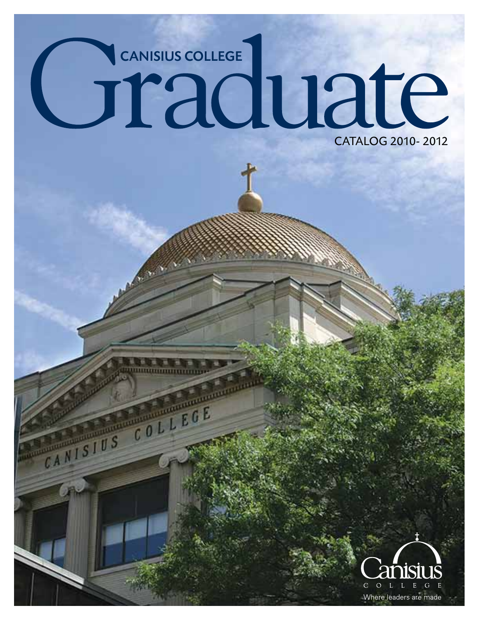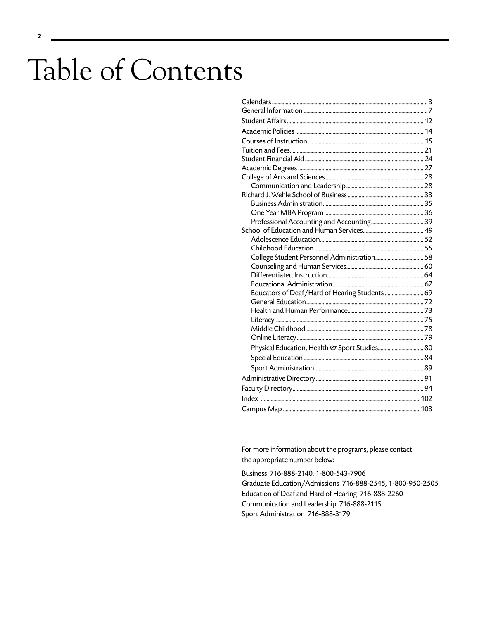# Table of Contents

| Educators of Deaf/Hard of Hearing Students  69 |  |
|------------------------------------------------|--|
|                                                |  |
|                                                |  |
|                                                |  |
|                                                |  |
|                                                |  |
| Physical Education, Health & Sport Studies 80  |  |
|                                                |  |
|                                                |  |
|                                                |  |
|                                                |  |
|                                                |  |
|                                                |  |

For more information about the programs, please contact the appropriate number below:

Business 716-888-2140, 1-800-543-7906 Graduate Education/Admissions 716-888-2545, 1-800-950-2505 Education of Deaf and Hard of Hearing 716-888-2260 Communication and Leadership 716-888-2115 Sport Administration 716-888-3179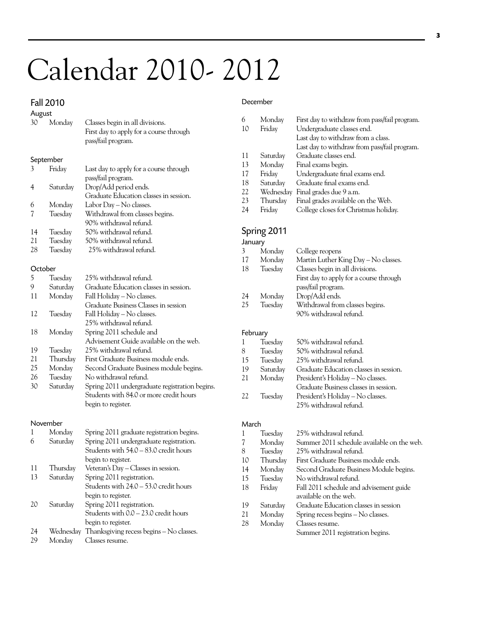# Calendar 2010- 2012

### Fall 2010

29 Monday Classes resume.

### December

Summer 2011 registration begins.

| August         |           |                                                                                                  |         |                  |                                                                                                                                                                   |
|----------------|-----------|--------------------------------------------------------------------------------------------------|---------|------------------|-------------------------------------------------------------------------------------------------------------------------------------------------------------------|
| 30             | Monday    | Classes begin in all divisions.<br>First day to apply for a course through<br>pass/fail program. | 6<br>10 | Monday<br>Friday | First day to withdraw from pass/fail program.<br>Undergraduate classes end.<br>Last day to withdraw from a class.<br>Last day to withdraw from pass/fail program. |
|                | September |                                                                                                  | 11      | Saturday         | Graduate classes end.                                                                                                                                             |
| 3              | Friday    | Last day to apply for a course through                                                           | 13      | Monday           | Final exams begin.                                                                                                                                                |
|                |           | pass/fail program.                                                                               | 17      | Friday           | Undergraduate final exams end.                                                                                                                                    |
| $\overline{4}$ | Saturday  | Drop/Add period ends.                                                                            | 18      | Saturday         | Graduate final exams end.                                                                                                                                         |
|                |           | Graduate Education classes in session.                                                           | 22      |                  | Wednesday Final grades due 9 a.m.                                                                                                                                 |
| 6              | Monday    | Labor Day - No classes.                                                                          | 23      | Thursday         | Final grades available on the Web.                                                                                                                                |
| 7              | Tuesday   | Withdrawal from classes begins.                                                                  | 24      | Friday           | College closes for Christmas holiday.                                                                                                                             |
|                |           | 90% withdrawal refund.                                                                           |         |                  |                                                                                                                                                                   |
| 14             | Tuesday   | 50% withdrawal refund.                                                                           |         | Spring 2011      |                                                                                                                                                                   |
| 21             | Tuesday   | 50% withdrawal refund.                                                                           | January |                  |                                                                                                                                                                   |
| 28             | Tuesday   | 25% withdrawal refund.                                                                           | 3       | Monday           | College reopens                                                                                                                                                   |
|                |           |                                                                                                  | 17      | Monday           | Martin Luther King Day - No classes.                                                                                                                              |
| October        |           |                                                                                                  | 18      | Tuesday          | Classes begin in all divisions.                                                                                                                                   |
| 5              | Tuesday   | 25% withdrawal refund.                                                                           |         |                  | First day to apply for a course through                                                                                                                           |
| 9              | Saturday  | Graduate Education classes in session.                                                           |         |                  | pass/fail program.                                                                                                                                                |
| 11             | Monday    | Fall Holiday - No classes.                                                                       | 24      | Monday           | Drop/Add ends.                                                                                                                                                    |
|                |           | Graduate Business Classes in session                                                             | 25      | Tuesday          | Withdrawal from classes begins.                                                                                                                                   |
| 12             | Tuesday   | Fall Holiday - No classes.                                                                       |         |                  | 90% withdrawal refund.                                                                                                                                            |
|                |           | 25% withdrawal refund.                                                                           |         |                  |                                                                                                                                                                   |
| 18             | Monday    | Spring 2011 schedule and                                                                         |         | February         |                                                                                                                                                                   |
|                |           | Advisement Guide available on the web.                                                           | 1       | Tuesday          | 50% withdrawal refund.                                                                                                                                            |
| 19             | Tuesday   | 25% withdrawal refund.                                                                           | 8       | Tuesday          | 50% withdrawal refund.                                                                                                                                            |
| 21             | Thursday  | First Graduate Business module ends.                                                             | 15      | Tuesday          | 25% withdrawal refund.                                                                                                                                            |
| 25             | Monday    | Second Graduate Business module begins.                                                          | 19      | Saturday         | Graduate Education classes in session.                                                                                                                            |
| 26             | Tuesday   | No withdrawal refund.                                                                            | 21      | Monday           | President's Holiday - No classes.                                                                                                                                 |
| 30             | Saturday  | Spring 2011 undergraduate registration begins.                                                   |         |                  | Graduate Business classes in session.                                                                                                                             |
|                |           | Students with 84.0 or more credit hours                                                          | 22      | Tuesday          | President's Holiday - No classes.                                                                                                                                 |
|                |           | begin to register.                                                                               |         |                  | 25% withdrawal refund.                                                                                                                                            |
|                | November  |                                                                                                  | March   |                  |                                                                                                                                                                   |
| 1              | Monday    | Spring 2011 graduate registration begins.                                                        | 1       | Tuesday          | 25% withdrawal refund.                                                                                                                                            |
| 6              | Saturday  | Spring 2011 undergraduate registration.                                                          | 7       | Monday           | Summer 2011 schedule available on the web.                                                                                                                        |
|                |           | Students with 54.0 - 83.0 credit hours                                                           | 8       | Tuesday          | 25% withdrawal refund.                                                                                                                                            |
|                |           | begin to register.                                                                               | 10      | Thursday         | First Graduate Business module ends.                                                                                                                              |
| 11             | Thursday  | Veteran's Day - Classes in session.                                                              | 14      | Monday           | Second Graduate Business Module begins.                                                                                                                           |
| 13             | Saturday  | Spring 2011 registration.                                                                        | 15      | Tuesday          | No withdrawal refund.                                                                                                                                             |
|                |           | Students with 24.0 - 53.0 credit hours                                                           | 18      | Friday           | Fall 2011 schedule and advisement guide                                                                                                                           |
|                |           | begin to register.                                                                               |         |                  | available on the web.                                                                                                                                             |
| 20             | Saturday  | Spring 2011 registration.                                                                        | 19      | Saturday         | Graduate Education classes in session                                                                                                                             |
|                |           | Students with 0.0 - 23.0 credit hours                                                            | 21      | Monday           | Spring recess begins - No classes.                                                                                                                                |
|                |           | begin to register.                                                                               | 28      | Monday           | Classes resume.                                                                                                                                                   |
| 24             |           | Wednesday Thanksgiving recess begins - No classes.                                               |         |                  | Summer 2011 registration begins.                                                                                                                                  |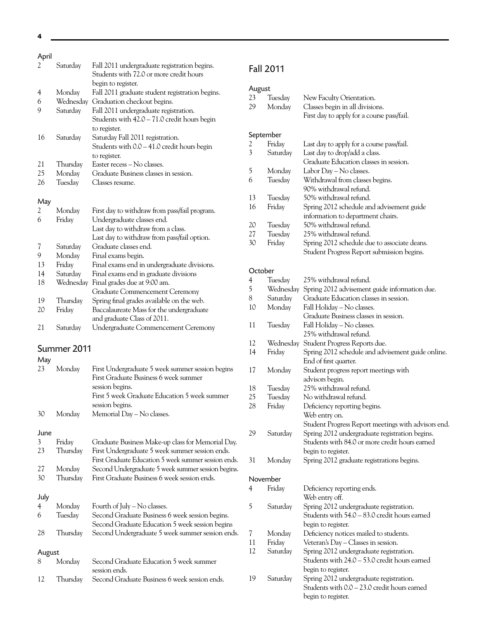**4**

### April

| יייץ <i>י</i> |             |                                                                                                               |
|---------------|-------------|---------------------------------------------------------------------------------------------------------------|
| 2             | Saturday    | Fall 2011 undergraduate registration begins.<br>Students with 72.0 or more credit hours<br>begin to register. |
| 4             | Monday      | Fall 2011 graduate student registration begins.                                                               |
| 6             | Wednesday   | Graduation checkout begins.                                                                                   |
| 9             | Saturday    | Fall 2011 undergraduate registration.                                                                         |
|               |             | Students with 42.0 - 71.0 credit hours begin                                                                  |
|               |             |                                                                                                               |
|               |             | to register.                                                                                                  |
| 16            | Saturday    | Saturday Fall 2011 registration.                                                                              |
|               |             | Students with 0.0 - 41.0 credit hours begin                                                                   |
|               |             | to register.                                                                                                  |
| 21            | Thursday    | Easter recess - No classes.                                                                                   |
| 25            | Monday      | Graduate Business classes in session.                                                                         |
| 26            | Tuesday     | Classes resume.                                                                                               |
|               |             |                                                                                                               |
| May           |             |                                                                                                               |
| 2             | Monday      | First day to withdraw from pass/fail program.                                                                 |
| 6             | Friday      | Undergraduate classes end.                                                                                    |
|               |             | Last day to withdraw from a class.                                                                            |
|               |             | Last day to withdraw from pass/fail option.                                                                   |
| 7             | Saturday    | Graduate classes end.                                                                                         |
| 9             | Monday      | Final exams begin.                                                                                            |
| 13            | Friday      | Final exams end in undergraduate divisions.                                                                   |
| 14            |             |                                                                                                               |
| 18            | Saturday    | Final exams end in graduate divisions                                                                         |
|               | Wednesday   | Final grades due at 9:00 am.                                                                                  |
|               |             | Graduate Commencement Ceremony                                                                                |
| 19            | Thursday    | Spring final grades available on the web.                                                                     |
| 20            | Friday      | Baccalaureate Mass for the undergraduate                                                                      |
|               |             | and graduate Class of 2011.                                                                                   |
| 21            | Saturday    | Undergraduate Commencement Ceremony                                                                           |
|               | Summer 2011 |                                                                                                               |
| May           |             |                                                                                                               |
| 23            | Monday      | First Undergraduate 5 week summer session begins                                                              |
|               |             | First Graduate Business 6 week summer                                                                         |
|               |             | session begins.                                                                                               |
|               |             | First 5 week Graduate Education 5 week summer                                                                 |
|               |             | session begins.                                                                                               |
| 30            | Monday      | Memorial Day - No classes.                                                                                    |
|               |             |                                                                                                               |
| June          |             |                                                                                                               |
| 3             | Friday      | Graduate Business Make-up class for Memorial Day.                                                             |
|               |             |                                                                                                               |
| 23            | Thursday    | First Undergraduate 5 week summer session ends.                                                               |
|               |             | First Graduate Education 5 week summer session ends.                                                          |
| 27            | Monday      | Second Undergraduate 5 week summer session begins.                                                            |
| 30            | Thursday    | First Graduate Business 6 week session ends.                                                                  |
|               |             |                                                                                                               |
| July          |             |                                                                                                               |
| 4             | Monday      | Fourth of July – No classes.                                                                                  |
| 6             | Tuesday     | Second Graduate Business 6 week session begins.                                                               |
|               |             | Second Graduate Education 5 week session begins                                                               |
| 28            | Thursday    | Second Undergraduate 5 week summer session ends.                                                              |
|               |             |                                                                                                               |
| August        |             |                                                                                                               |
| 8             | Monday      | Second Graduate Education 5 week summer                                                                       |
|               |             | session ends.                                                                                                 |

12 Thursday Second Graduate Business 6 week session ends.

# Fall 2011

# August

| 23 | Tuesdav | New Faculty Orientation.                   |
|----|---------|--------------------------------------------|
| 29 |         | Monday Classes begin in all divisions.     |
|    |         | First day to apply for a course pass/fail. |

# September

| 2  | Friday   | Last day to apply for a course pass/fail.    |
|----|----------|----------------------------------------------|
| 3  | Saturday | Last day to drop/add a class.                |
|    |          | Graduate Education classes in session.       |
| 5  | Monday   | Labor Day - No classes.                      |
| 6  | Tuesday  | Withdrawal from classes begins.              |
|    |          | 90% withdrawal refund.                       |
| 13 | Tuesday  | 50% withdrawal refund.                       |
| 16 | Friday   | Spring 2012 schedule and advisement guide    |
|    |          | information to department chairs.            |
| 20 | Tuesday  | 50% withdrawal refund.                       |
| 27 | Tuesday  | 25% withdrawal refund.                       |
| 30 | Friday   | Spring 2012 schedule due to associate deans. |
|    |          | Student Progress Report submission begins.   |
|    |          |                                              |

#### October

| 4  | Tuesday   | 25% withdrawal refund.                              |
|----|-----------|-----------------------------------------------------|
| 5  | Wednesday | Spring 2012 advisement guide information due.       |
| 8  | Saturday  | Graduate Education classes in session.              |
| 10 | Monday    | Fall Holiday - No classes.                          |
|    |           | Graduate Business classes in session.               |
| 11 | Tuesday   | Fall Holiday – No classes.                          |
|    |           | 25% withdrawal refund.                              |
| 12 | Wednesday | Student Progress Reports due.                       |
| 14 | Friday    | Spring 2012 schedule and advisement guide online.   |
|    |           | End of first quarter.                               |
| 17 | Monday    | Student progress report meetings with               |
|    |           | advisors begin.                                     |
| 18 | Tuesday   | 25% withdrawal refund.                              |
| 25 | Tuesday   | No withdrawal refund.                               |
| 28 | Friday    | Deficiency reporting begins.                        |
|    |           | Web entry on.                                       |
|    |           | Student Progress Report meetings with advisors end. |
| 29 | Saturday  | Spring 2012 undergraduate registration begins.      |
|    |           | Students with 84.0 or more credit hours earned      |
|    |           | begin to register.                                  |
| 31 | Monday    | Spring 2012 graduate registrations begins.          |
|    | November  |                                                     |
| 4  | Friday    | Deficiency reporting ends.                          |
|    |           | Web entry off.                                      |
| 5  | Saturday  | Spring 2012 undergraduate registration.             |
|    |           | Students with 54.0 - 83.0 credit hours earned       |
|    |           | begin to register.                                  |
| 7  | Monday    | Deficiency notices mailed to students.              |
| 11 | Friday    | Veteran's Day - Classes in session.                 |
| 12 | Saturday  | Spring 2012 undergraduate registration.             |
|    |           | Students with 24.0 - 53.0 credit hours earned       |
|    |           | begin to register.                                  |
| 19 | Saturday  | Spring 2012 undergraduate registration.             |
|    |           | Students with 0.0 - 23.0 credit hours earned        |
|    |           | begin to register.                                  |
|    |           |                                                     |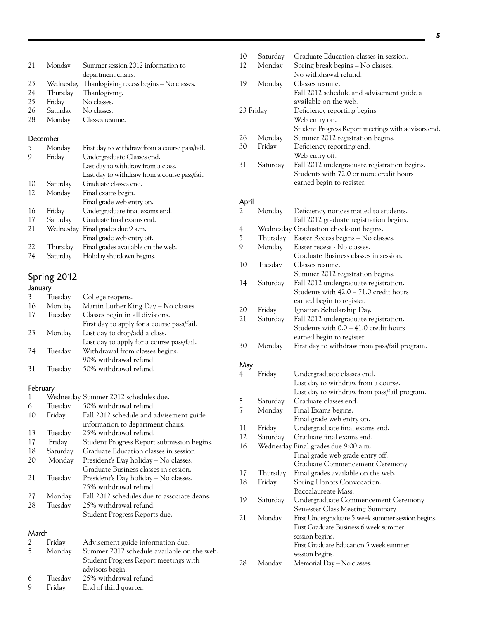| 21       | Monday               | Summer session 2012 information to                 |
|----------|----------------------|----------------------------------------------------|
|          |                      | department chairs.                                 |
| 23       |                      | Wednesday Thanksgiving recess begins – No classes. |
| 24       | Thursday             | Thanksgiving.                                      |
| 25       | Friday               | No classes.                                        |
| 26       | Saturday No classes. |                                                    |
| 28       | Monday               | Classes resume.                                    |
| December |                      |                                                    |
| 5        |                      |                                                    |
|          | Monday               | First day to withdraw from a course pass/fail.     |
| 9        | Friday               | Undergraduate Classes end.                         |
|          |                      | Last day to withdraw from a class.                 |
|          |                      | Last day to withdraw from a course pass/fail.      |
| 10       | Saturday             | Graduate classes end.                              |
| 12       | Monday               | Final exams begin.                                 |
|          |                      | Final grade web entry on.                          |
| 16       | Friday               | Undergraduate final exams end.                     |
| 17       | Saturday             | Graduate final exams end.                          |
| 21       | Wednesdav            | Final grades due 9 a.m.                            |
|          |                      | Final grade web entry off.                         |
| 22       | Thursday             | Final grades available on the web.                 |
| 24       | Saturday             | Holiday shutdown begins.                           |

# Spring 2012

|    | Tuesday | College reopens.                           |
|----|---------|--------------------------------------------|
| 16 | Monday  | Martin Luther King Day - No classes.       |
| 17 | Tuesday | Classes begin in all divisions.            |
|    |         | First day to apply for a course pass/fail. |
| 23 | Monday  | Last day to drop/add a class.              |
|    |         | Last day to apply for a course pass/fail.  |
| 24 | Tuesday | Withdrawal from classes begins.            |
|    |         | 90% withdrawal refund                      |
| 31 | Tuesday | 50% withdrawal refund.                     |
|    |         |                                            |

# February

| $\mathbf{1}$ |          | Wednesday Summer 2012 schedules due.        |
|--------------|----------|---------------------------------------------|
| 6            | Tuesday  | 50% withdrawal refund.                      |
| 10           | Friday   | Fall 2012 schedule and advisement guide     |
|              |          | information to department chairs.           |
| 13           | Tuesday  | 25% withdrawal refund.                      |
| 17           | Friday   | Student Progress Report submission begins.  |
| 18           | Saturday | Graduate Education classes in session.      |
| 20           | Monday   | President's Day holiday – No classes.       |
|              |          | Graduate Business classes in session.       |
| 21           | Tuesday  | President's Day holiday – No classes.       |
|              |          | 25% withdrawal refund.                      |
| 27           | Monday   | Fall 2012 schedules due to associate deans. |
| 28           | Tuesday  | 25% withdrawal refund.                      |
|              |          | Student Progress Reports due.               |
|              |          |                                             |

#### March

|    | Fridav  | Advisement guide information due.          |    |        |
|----|---------|--------------------------------------------|----|--------|
| -5 | Monday  | Summer 2012 schedule available on the web. |    |        |
|    |         | Student Progress Report meetings with      | 28 | Monday |
|    |         | advisors begin.                            |    |        |
| 6  | Tuesday | 25% withdrawal refund.                     |    |        |
| 9  | Fridav  | End of third quarter.                      |    |        |

| 12             | Monday   | Spring break begins - No classes.                   |
|----------------|----------|-----------------------------------------------------|
|                |          | No withdrawal refund.                               |
| 19             | Monday   | Classes resume.                                     |
|                |          | Fall 2012 schedule and advisement guide a           |
|                |          | available on the web.                               |
| 23 Friday      |          | Deficiency reporting begins.                        |
|                |          | Web entry on.                                       |
|                |          | Student Progress Report meetings with advisors end. |
| 26             | Monday   | Summer 2012 registration begins.                    |
| 30             | Friday   | Deficiency reporting end.                           |
|                |          | Web entry off.                                      |
| 31             | Saturday | Fall 2012 undergraduate registration begins.        |
|                |          | Students with 72.0 or more credit hours             |
|                |          | earned begin to register.                           |
|                |          |                                                     |
| April          |          |                                                     |
| 2              | Monday   | Deficiency notices mailed to students.              |
|                |          | Fall 2012 graduate registration begins.             |
| $\overline{4}$ |          | Wednesday Graduation check-out begins.              |
| 5              | Thursday | Easter Recess begins - No classes.                  |
| 9              | Monday   | Easter recess - No classes.                         |
|                |          | Graduate Business classes in session.               |
| 10             | Tuesday  | Classes resume.                                     |
|                |          | Summer 2012 registration begins.                    |
| 14             | Saturday | Fall 2012 undergraduate registration.               |
|                |          | Students with 42.0 - 71.0 credit hours              |
|                |          | earned begin to register.                           |
| 20             | Friday   | Ignatian Scholarship Day.                           |
| 21             | Saturday | Fall 2012 undergraduate registration.               |
|                |          | Students with 0.0 - 41.0 credit hours               |
|                |          | earned begin to register.                           |
| 30             | Monday   | First day to withdraw from pass/fail program.       |
|                |          |                                                     |
| May            |          |                                                     |

10 Saturday Graduate Education classes in session.

| 4  | Friday   | Undergraduate classes end.                        |
|----|----------|---------------------------------------------------|
|    |          | Last day to withdraw from a course.               |
|    |          | Last day to withdraw from pass/fail program.      |
| 5  | Saturday | Graduate classes end.                             |
| 7  | Monday   | Final Exams begins.                               |
|    |          | Final grade web entry on.                         |
| 11 | Friday   | Undergraduate final exams end.                    |
| 12 | Saturday | Graduate final exams end.                         |
| 16 |          | Wednesday Final grades due 9:00 a.m.              |
|    |          | Final grade web grade entry off.                  |
|    |          | Graduate Commencement Ceremony                    |
| 17 | Thursday | Final grades available on the web.                |
| 18 | Friday   | Spring Honors Convocation.                        |
|    |          | Baccalaureate Mass.                               |
| 19 | Saturday | Undergraduate Commencement Ceremony               |
|    |          | Semester Class Meeting Summary                    |
| 21 | Monday   | First Undergraduate 5 week summer session begins. |
|    |          | First Graduate Business 6 week summer             |
|    |          | session begins.                                   |
|    |          | First Graduate Education 5 week summer            |
|    |          | session begins.                                   |
| 28 | Monday   | Memorial Day - No classes.                        |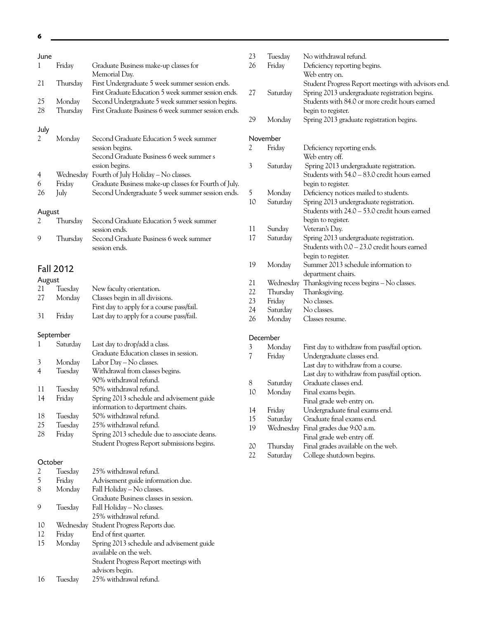| June<br>1      | Friday             | Graduate Business make-up classes for                                                                                                                                         | 23<br>26                 |
|----------------|--------------------|-------------------------------------------------------------------------------------------------------------------------------------------------------------------------------|--------------------------|
| 21             | Thursday           | Memorial Day.<br>First Undergraduate 5 week summer session ends.<br>First Graduate Education 5 week summer session ends.                                                      | 27                       |
| 25<br>28       | Monday<br>Thursday | Second Undergraduate 5 week summer session begins.<br>First Graduate Business 6 week summer session ends.                                                                     |                          |
|                |                    |                                                                                                                                                                               | 29                       |
| July<br>2      | Monday             | Second Graduate Education 5 week summer<br>session begins.<br>Second Graduate Business 6 week summer s                                                                        | Nove<br>2                |
| 4<br>6<br>26   | Friday<br>July     | ession begins.<br>Wednesday Fourth of July Holiday - No classes.<br>Graduate Business make-up classes for Fourth of July.<br>Second Undergraduate 5 week summer session ends. | $\mathfrak{Z}$<br>5      |
| August         |                    |                                                                                                                                                                               | 10                       |
| 2              | Thursday           | Second Graduate Education 5 week summer                                                                                                                                       |                          |
| 9              | Thursday           | session ends.<br>Second Graduate Business 6 week summer<br>session ends.                                                                                                      | 11<br>17                 |
|                | <b>Fall 2012</b>   |                                                                                                                                                                               | 19                       |
| August         |                    |                                                                                                                                                                               | 21                       |
| 21<br>27       | Tuesday<br>Monday  | New faculty orientation.<br>Classes begin in all divisions.                                                                                                                   | 22                       |
|                |                    | First day to apply for a course pass/fail.                                                                                                                                    | 23                       |
| 31             | Friday             | Last day to apply for a course pass/fail.                                                                                                                                     | 24<br>26                 |
|                |                    |                                                                                                                                                                               |                          |
|                |                    |                                                                                                                                                                               |                          |
| September<br>1 | Saturday           | Last day to drop/add a class.<br>Graduate Education classes in session.                                                                                                       | Dece<br>3                |
| 3              | Monday             | Labor Day - No classes.                                                                                                                                                       | $\overline{\mathcal{U}}$ |
| $\overline{4}$ | Tuesday            | Withdrawal from classes begins.                                                                                                                                               |                          |
| 11             |                    | 90% withdrawal refund.                                                                                                                                                        | 8                        |
| 14             | Tuesday<br>Friday  | 50% withdrawal refund.<br>Spring 2013 schedule and advisement guide                                                                                                           | 10                       |
|                |                    | information to department chairs.                                                                                                                                             | 14                       |
| 18             | Tuesday            | 50% withdrawal refund.                                                                                                                                                        | 15                       |
| 25             | Tuesday            | 25% withdrawal refund.                                                                                                                                                        | 19                       |
| 28             | Friday             | Spring 2013 schedule due to associate deans.                                                                                                                                  |                          |
|                |                    | Student Progress Report submissions begins.                                                                                                                                   | 20                       |
| October        |                    |                                                                                                                                                                               | 22                       |
| 2              | Tuesday            | 25% withdrawal refund.                                                                                                                                                        |                          |
| 5              | Friday             | Advisement guide information due.                                                                                                                                             |                          |
| 8              | Monday             | Fall Holiday - No classes.<br>Graduate Business classes in session.                                                                                                           |                          |
| 9              | Tuesday            | Fall Holiday – No classes.<br>25% withdrawal refund.                                                                                                                          |                          |
| 10             | Wednesday          | Student Progress Reports due.                                                                                                                                                 |                          |
| 12             | Friday             | End of first quarter.                                                                                                                                                         |                          |
| 15             | Monday             | Spring 2013 schedule and advisement guide<br>available on the web.                                                                                                            |                          |
|                |                    | Student Progress Report meetings with                                                                                                                                         |                          |
| 16             | Tuesday            | advisors begin.<br>25% withdrawal refund.                                                                                                                                     |                          |

| 23<br>26 | Tuesday<br>Friday | No withdrawal refund.                                                                                                                                   |
|----------|-------------------|---------------------------------------------------------------------------------------------------------------------------------------------------------|
|          |                   | Deficiency reporting begins.<br>Web entry on.                                                                                                           |
| 27       | Saturday          | Student Progress Report meetings with advisors end.<br>Spring 2013 undergraduate registration begins.<br>Students with 84.0 or more credit hours earned |
| 29       | Monday            | begin to register.<br>Spring 2013 graduate registration begins.                                                                                         |
|          | November          |                                                                                                                                                         |
| 2        | Friday            | Deficiency reporting ends.                                                                                                                              |
|          |                   | Web entry off.                                                                                                                                          |
| 3        | Saturday          | Spring 2013 undergraduate registration.                                                                                                                 |
|          |                   | Students with 54.0 – 83.0 credit hours earned                                                                                                           |
|          |                   | begin to register.                                                                                                                                      |
| 5        | Monday            | Deficiency notices mailed to students.                                                                                                                  |
| 10       | Saturday          | Spring 2013 undergraduate registration.                                                                                                                 |
|          |                   | Students with 24.0 - 53.0 credit hours earned                                                                                                           |
|          |                   | begin to register.                                                                                                                                      |
| 11       | Sunday            | Veteran's Day.                                                                                                                                          |
| 17       | Saturday          | Spring 2013 undergraduate registration.                                                                                                                 |
|          |                   | Students with $0.0 - 23.0$ credit hours earned                                                                                                          |
|          |                   | begin to register.                                                                                                                                      |
| 19       | Monday            | Summer 2013 schedule information to                                                                                                                     |
|          |                   | department chairs.                                                                                                                                      |
| 21       | Wednesday         | Thanksgiving recess begins - No classes.                                                                                                                |
| 22       | Thursday          | Thanksgiving.                                                                                                                                           |
| 23       | Friday            | No classes.                                                                                                                                             |
| 24       | Saturday          | No classes.                                                                                                                                             |
| 26       | Monday            | Classes resume.                                                                                                                                         |
|          | December          |                                                                                                                                                         |
| 3        | Monday            | First day to withdraw from pass/fail option.                                                                                                            |
| 7        | Friday            | Undergraduate classes end.                                                                                                                              |
|          |                   | Last day to withdraw from a course.                                                                                                                     |
|          |                   | Last day to withdraw from pass/fail option.                                                                                                             |
| 8        | Saturday          | Graduate classes end.                                                                                                                                   |
| 10       | Monday            | Final exams begin.                                                                                                                                      |
|          |                   | Final grade web entry on.                                                                                                                               |
| 14       | Friday            | Undergraduate final exams end.                                                                                                                          |
| 15       | Saturday          | Graduate final exams end.                                                                                                                               |
| 19       | Wednesday         | Final grades due 9:00 a.m.                                                                                                                              |
|          |                   | Final grade web entry off.                                                                                                                              |
| 20       | Thursday          | Final grades available on the web.                                                                                                                      |
| 22       | Saturday          | College shutdown begins.                                                                                                                                |

**6**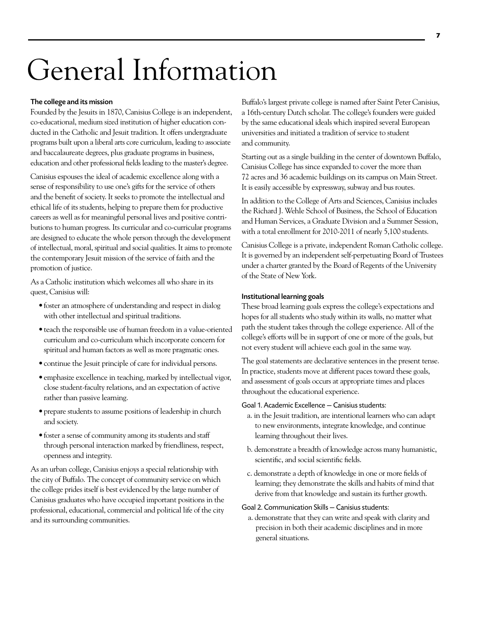# General Information

#### The college and its mission

Founded by the Jesuits in 1870, Canisius College is an independent, co-educational, medium sized institution of higher education conducted in the Catholic and Jesuit tradition. It offers undergraduate programs built upon a liberal arts core curriculum, leading to associate and baccalaureate degrees, plus graduate programs in business, education and other professional fields leading to the master's degree.

Canisius espouses the ideal of academic excellence along with a sense of responsibility to use one's gifts for the service of others and the benefit of society. It seeks to promote the intellectual and ethical life of its students, helping to prepare them for productive careers as well as for meaningful personal lives and positive contributions to human progress. Its curricular and co-curricular programs are designed to educate the whole person through the development of intellectual, moral, spiritual and social qualities. It aims to promote the contemporary Jesuit mission of the service of faith and the promotion of justice.

As a Catholic institution which welcomes all who share in its quest, Canisius will:

- foster an atmosphere of understanding and respect in dialog with other intellectual and spiritual traditions.
- teach the responsible use of human freedom in a value-oriented curriculum and co-curriculum which incorporate concern for spiritual and human factors as well as more pragmatic ones.
- continue the Jesuit principle of care for individual persons.
- emphasize excellence in teaching, marked by intellectual vigor, close student-faculty relations, and an expectation of active rather than passive learning.
- prepare students to assume positions of leadership in church and society.
- foster a sense of community among its students and staff through personal interaction marked by friendliness, respect, openness and integrity.

As an urban college, Canisius enjoys a special relationship with the city of Buffalo. The concept of community service on which the college prides itself is best evidenced by the large number of Canisius graduates who have occupied important positions in the professional, educational, commercial and political life of the city and its surrounding communities.

Buffalo's largest private college is named after Saint Peter Canisius, a 16th-century Dutch scholar. The college's founders were guided by the same educational ideals which inspired several European universities and initiated a tradition of service to student and community.

Starting out as a single building in the center of downtown Buffalo, Canisius College has since expanded to cover the more than 72 acres and 36 academic buildings on its campus on Main Street. It is easily accessible by expressway, subway and bus routes.

In addition to the College of Arts and Sciences, Canisius includes the Richard J. Wehle School of Business, the School of Education and Human Services, a Graduate Division and a Summer Session, with a total enrollment for 2010-2011 of nearly 5,100 students.

Canisius College is a private, independent Roman Catholic college. It is governed by an independent self-perpetuating Board of Trustees under a charter granted by the Board of Regents of the University of the State of New York.

#### Institutional learning goals

These broad learning goals express the college's expectations and hopes for all students who study within its walls, no matter what path the student takes through the college experience. All of the college's efforts will be in support of one or more of the goals, but not every student will achieve each goal in the same way.

The goal statements are declarative sentences in the present tense. In practice, students move at different paces toward these goals, and assessment of goals occurs at appropriate times and places throughout the educational experience.

#### Goal 1. Academic Excellence — Canisius students:

- a. in the Jesuit tradition, are intentional learners who can adapt to new environments, integrate knowledge, and continue learning throughout their lives.
- b. demonstrate a breadth of knowledge across many humanistic, scientific, and social scientific fields.
- c. demonstrate a depth of knowledge in one or more fields of learning; they demonstrate the skills and habits of mind that derive from that knowledge and sustain its further growth.

#### Goal 2. Communication Skills — Canisius students:

a. demonstrate that they can write and speak with clarity and precision in both their academic disciplines and in more general situations.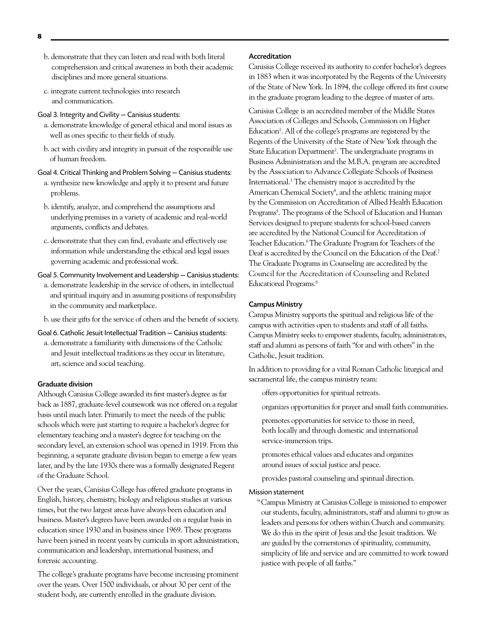- b. demonstrate that they can listen and read with both literal comprehension and critical awareness in both their academic disciplines and more general situations.
- c. integrate current technologies into research and communication.

#### Goal 3. Integrity and Civility — Canisius students:

- a. demonstrate knowledge of general ethical and moral issues as well as ones specific to their fields of study.
- b. act with civility and integrity in pursuit of the responsible use of human freedom.

#### Goal 4. Critical Thinking and Problem Solving — Canisius students:

- a. synthesize new knowledge and apply it to present and future problems.
- b. identify, analyze, and comprehend the assumptions and underlying premises in a variety of academic and real-world arguments, conflicts and debates.
- c. demonstrate that they can find, evaluate and effectively use information while understanding the ethical and legal issues governing academic and professional work.

#### Goal 5. Community Involvement and Leadership — Canisius students:

- a. demonstrate leadership in the service of others, in intellectual and spiritual inquiry and in assuming positions of responsibility in the community and marketplace.
- b. use their gifts for the service of others and the benefit of society.

#### Goal 6. Catholic Jesuit Intellectual Tradition — Canisius students:

a. demonstrate a familiarity with dimensions of the Catholic and Jesuit intellectual traditions as they occur in literature, art, science and social teaching.

#### Graduate division

Although Canisius College awarded its first master's degree as far back as 1887, graduate-level coursework was not offered on a regular basis until much later. Primarily to meet the needs of the public schools which were just starting to require a bachelor's degree for elementary teaching and a master's degree for teaching on the secondary level, an extension school was opened in 1919. From this beginning, a separate graduate division began to emerge a few years later, and by the late 1930s there was a formally designated Regent of the Graduate School.

Over the years, Canisius College has offered graduate programs in English, history, chemistry, biology and religious studies at various times, but the two largest areas have always been education and business. Master's degrees have been awarded on a regular basis in education since 1930 and in business since 1969. These programs have been joined in recent years by curricula in sport administration, communication and leadership, international business, and forensic accounting.

The college's graduate programs have become increasing prominent over the years. Over 1500 individuals, or about 30 per cent of the student body, are currently enrolled in the graduate division.

#### Accreditation

Canisius College received its authority to confer bachelor's degrees in 1883 when it was incorporated by the Regents of the University of the State of New York. In 1894, the college offered its first course in the graduate program leading to the degree of master of arts.

Canisius College is an accredited member of the Middle States Association of Colleges and Schools, Commission on Higher Education<sup>1</sup>. All of the college's programs are registered by the Regents of the University of the State of New York through the State Education Department<sup>2</sup>. The undergraduate programs in Business Administration and the M.B.A. program are accredited by the Association to Advance Collegiate Schools of Business International.3 The chemistry major is accredited by the American Chemical Society<sup>4</sup>, and the athletic training major by the Commission on Accreditation of Allied Health Education Programs<sup>5</sup>. The programs of the School of Education and Human Services designed to prepare students for school-based careers are accredited by the National Council for Accreditation of Teacher Education.<sup>6</sup> The Graduate Program for Teachers of the Deaf is accredited by the Council on the Education of the Deaf.7 The Graduate Programs in Counseling are accredited by the Council for the Accreditation of Counseling and Related Educational Programs.8

#### Campus Ministry

Campus Ministry supports the spiritual and religious life of the campus with activities open to students and staff of all faiths. Campus Ministry seeks to empower students, faculty, administrators, staff and alumni as persons of faith "for and with others" in the Catholic, Jesuit tradition.

In addition to providing for a vital Roman Catholic liturgical and sacramental life, the campus ministry team:

offers opportunities for spiritual retreats.

organizes opportunities for prayer and small faith communities.

- promotes opportunities for service to those in need, both locally and through domestic and international service-immersion trips.
- promotes ethical values and educates and organizes around issues of social justice and peace.
- provides pastoral counseling and spiritual direction.

#### Mission statement

"Campus Ministry at Canisius College is missioned to empower our students, faculty, administrators, staff and alumni to grow as leaders and persons for others within Church and community. We do this in the spirit of Jesus and the Jesuit tradition. We are guided by the cornerstones of spirituality, community, simplicity of life and service and are committed to work toward justice with people of all faiths."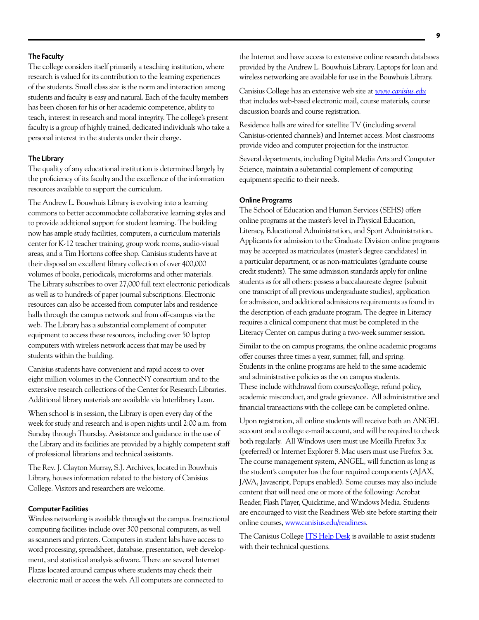#### The Faculty

The college considers itself primarily a teaching institution, where research is valued for its contribution to the learning experiences of the students. Small class size is the norm and interaction among students and faculty is easy and natural. Each of the faculty members has been chosen for his or her academic competence, ability to teach, interest in research and moral integrity. The college's present faculty is a group of highly trained, dedicated individuals who take a personal interest in the students under their charge.

#### The Library

The quality of any educational institution is determined largely by the proficiency of its faculty and the excellence of the information resources available to support the curriculum.

The Andrew L. Bouwhuis Library is evolving into a learning commons to better accommodate collaborative learning styles and to provide additional support for student learning. The building now has ample study facilities, computers, a curriculum materials center for K-12 teacher training, group work rooms, audio-visual areas, and a Tim Hortons coffee shop. Canisius students have at their disposal an excellent library collection of over 400,000 volumes of books, periodicals, microforms and other materials. The Library subscribes to over 27,000 full text electronic periodicals as well as to hundreds of paper journal subscriptions. Electronic resources can also be accessed from computer labs and residence halls through the campus network and from off-campus via the web. The Library has a substantial complement of computer equipment to access these resources, including over 50 laptop computers with wireless network access that may be used by students within the building.

Canisius students have convenient and rapid access to over eight million volumes in the ConnectNY consortium and to the extensive research collections of the Center for Research Libraries. Additional library materials are available via Interlibrary Loan.

When school is in session, the Library is open every day of the week for study and research and is open nights until 2:00 a.m. from Sunday through Thursday. Assistance and guidance in the use of the Library and its facilities are provided by a highly competent staff of professional librarians and technical assistants.

The Rev. J. Clayton Murray, S.J. Archives, located in Bouwhuis Library, houses information related to the history of Canisius College. Visitors and researchers are welcome.

#### Computer Facilities

Wireless networking is available throughout the campus. Instructional computing facilities include over 300 personal computers, as well as scanners and printers. Computers in student labs have access to word processing, spreadsheet, database, presentation, web development, and statistical analysis software. There are several Internet Plazas located around campus where students may check their electronic mail or access the web. All computers are connected to

Canisius College has an extensive web site at *www.canisius.edu* that includes web-based electronic mail, course materials, course discussion boards and course registration.

Residence halls are wired for satellite TV (including several Canisius-oriented channels) and Internet access. Most classrooms provide video and computer projection for the instructor.

Several departments, including Digital Media Arts and Computer Science, maintain a substantial complement of computing equipment specific to their needs.

#### Online Programs

The School of Education and Human Services (SEHS) offers online programs at the master's level in Physical Education, Literacy, Educational Administration, and Sport Administration. Applicants for admission to the Graduate Division online programs may be accepted as matriculates (master's degree candidates) in a particular department, or as non-matriculates (graduate course credit students). The same admission standards apply for online students as for all others: possess a baccalaureate degree (submit one transcript of all previous undergraduate studies), application for admission, and additional admissions requirements as found in the description of each graduate program. The degree in Literacy requires a clinical component that must be completed in the Literacy Center on campus during a two-week summer session.

Similar to the on campus programs, the online academic programs offer courses three times a year, summer, fall, and spring. Students in the online programs are held to the same academic and administrative policies as the on campus students. These include withdrawal from courses/college, refund policy, academic misconduct, and grade grievance. All administrative and financial transactions with the college can be completed online.

Upon registration, all online students will receive both an ANGEL account and a college e-mail account, and will be required to check both regularly. All Windows users must use Mozilla Firefox 3.x (preferred) or Internet Explorer 8. Mac users must use Firefox 3.x. The course management system, ANGEL, will function as long as the student's computer has the four required components (AJAX, JAVA, Javascript, Popups enabled). Some courses may also include content that will need one or more of the following: Acrobat Reader, Flash Player, Quicktime, and Windows Media. Students are encouraged to visit the Readiness Web site before starting their online courses, www.canisius.edu/readiness.

The Canisius College ITS Help Desk is available to assist students with their technical questions.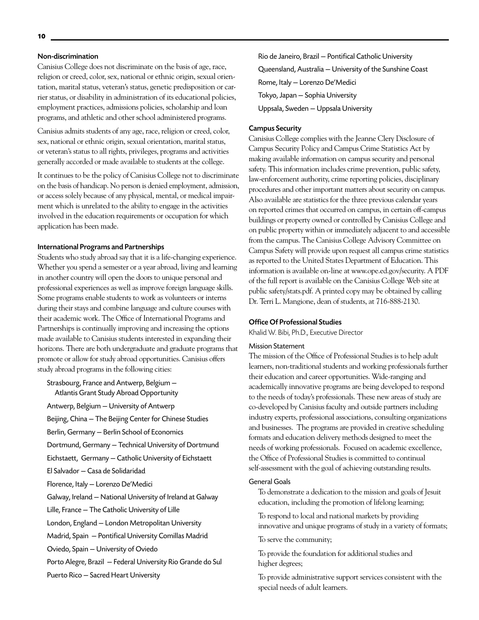#### Non-discrimination

Canisius College does not discriminate on the basis of age, race, religion or creed, color, sex, national or ethnic origin, sexual orientation, marital status, veteran's status, genetic predisposition or carrier status, or disability in administration of its educational policies, employment practices, admissions policies, scholarship and loan programs, and athletic and other school administered programs.

Canisius admits students of any age, race, religion or creed, color, sex, national or ethnic origin, sexual orientation, marital status, or veteran's status to all rights, privileges, programs and activities generally accorded or made available to students at the college.

It continues to be the policy of Canisius College not to discriminate on the basis of handicap. No person is denied employment, admission, or access solely because of any physical, mental, or medical impairment which is unrelated to the ability to engage in the activities involved in the education requirements or occupation for which application has been made.

#### International Programs and Partnerships

Students who study abroad say that it is a life-changing experience. Whether you spend a semester or a year abroad, living and learning in another country will open the doors to unique personal and professional experiences as well as improve foreign language skills. Some programs enable students to work as volunteers or interns during their stays and combine language and culture courses with their academic work. The Office of International Programs and Partnerships is continually improving and increasing the options made available to Canisius students interested in expanding their horizons. There are both undergraduate and graduate programs that promote or allow for study abroad opportunities. Canisius offers study abroad programs in the following cities:

Strasbourg, France and Antwerp, Belgium — Atlantis Grant Study Abroad Opportunity

Antwerp, Belgium — University of Antwerp

Beijing, China — The Beijing Center for Chinese Studies

Berlin, Germany — Berlin School of Economics

Dortmund, Germany — Technical University of Dortmund

Eichstaett, Germany — Catholic University of Eichstaett

El Salvador — Casa de Solidaridad

Florence, Italy — Lorenzo De'Medici

Galway, Ireland — National University of Ireland at Galway

Lille, France — The Catholic University of Lille

London, England — London Metropolitan University

Madrid, Spain — Pontifical University Comillas Madrid

Oviedo, Spain — University of Oviedo

Porto Alegre, Brazil — Federal University Rio Grande do Sul

Puerto Rico — Sacred Heart University

Rio de Janeiro, Brazil — Pontifical Catholic University Queensland, Australia — University of the Sunshine Coast Rome, Italy — Lorenzo De'Medici Tokyo, Japan — Sophia University Uppsala, Sweden — Uppsala University

#### Campus Security

Canisius College complies with the Jeanne Clery Disclosure of Campus Security Policy and Campus Crime Statistics Act by making available information on campus security and personal safety. This information includes crime prevention, public safety, law-enforcement authority, crime reporting policies, disciplinary procedures and other important matters about security on campus. Also available are statistics for the three previous calendar years on reported crimes that occurred on campus, in certain off-campus buildings or property owned or controlled by Canisius College and on public property within or immediately adjacent to and accessible from the campus. The Canisius College Advisory Committee on Campus Safety will provide upon request all campus crime statistics as reported to the United States Department of Education. This information is available on-line at www.ope.ed.gov/security. A PDF of the full report is available on the Canisius College Web site at public safety/stats.pdf. A printed copy may be obtained by calling Dr. Terri L. Mangione, dean of students, at 716-888-2130.

#### Office Of Professional Studies

Khalid W. Bibi, Ph.D., Executive Director

#### Mission Statement

The mission of the Office of Professional Studies is to help adult learners, non-traditional students and working professionals further their education and career opportunities. Wide-ranging and academically innovative programs are being developed to respond to the needs of today's professionals. These new areas of study are co-developed by Canisius faculty and outside partners including industry experts, professional associations, consulting organizations and businesses. The programs are provided in creative scheduling formats and education delivery methods designed to meet the needs of working professionals. Focused on academic excellence, the Office of Professional Studies is committed to continual self-assessment with the goal of achieving outstanding results.

#### General Goals

To demonstrate a dedication to the mission and goals of Jesuit education, including the promotion of lifelong learning;

To respond to local and national markets by providing innovative and unique programs of study in a variety of formats;

To serve the community;

To provide the foundation for additional studies and higher degrees;

To provide administrative support services consistent with the special needs of adult learners.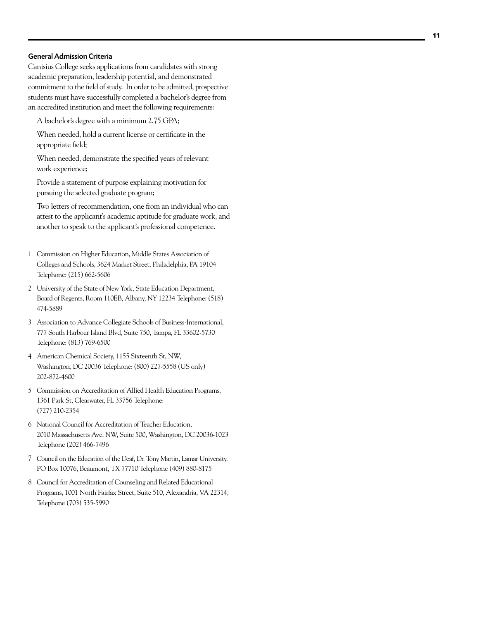#### General Admission Criteria

Canisius College seeks applications from candidates with strong academic preparation, leadership potential, and demonstrated commitment to the field of study. In order to be admitted, prospective students must have successfully completed a bachelor's degree from an accredited institution and meet the following requirements:

A bachelor's degree with a minimum 2.75 GPA;

When needed, hold a current license or certificate in the appropriate field;

When needed, demonstrate the specified years of relevant work experience;

Provide a statement of purpose explaining motivation for pursuing the selected graduate program;

Two letters of recommendation, one from an individual who can attest to the applicant's academic aptitude for graduate work, and another to speak to the applicant's professional competence.

- 1 Commission on Higher Education, Middle States Association of Colleges and Schools, 3624 Market Street, Philadelphia, PA 19104 Telephone: (215) 662-5606
- 2 University of the State of New York, State Education Department, Board of Regents, Room 110EB, Albany, NY 12234 Telephone: (518) 474-5889
- 3 Association to Advance Collegiate Schools of Business-International, 777 South Harbour Island Blvd, Suite 750, Tampa, FL 33602-5730 Telephone: (813) 769-6500
- 4 American Chemical Society, 1155 Sixteenth St, NW, Washington, DC 20036 Telephone: (800) 227-5558 (US only) 202-872-4600
- 5 Commission on Accreditation of Allied Health Education Programs, 1361 Park St, Clearwater, FL 33756 Telephone: (727) 210-2354
- 6 National Council for Accreditation of Teacher Education, 2010 Massachusetts Ave, NW, Suite 500, Washington, DC 20036-1023 Telephone (202) 466-7496
- 7 Council on the Education of the Deaf, Dr. Tony Martin, Lamar University, PO Box 10076, Beaumont, TX 77710 Telephone (409) 880-8175
- 8 Council for Accreditation of Counseling and Related Educational Programs, 1001 North Fairfax Street, Suite 510, Alexandria, VA 22314, Telephone (703) 535-5990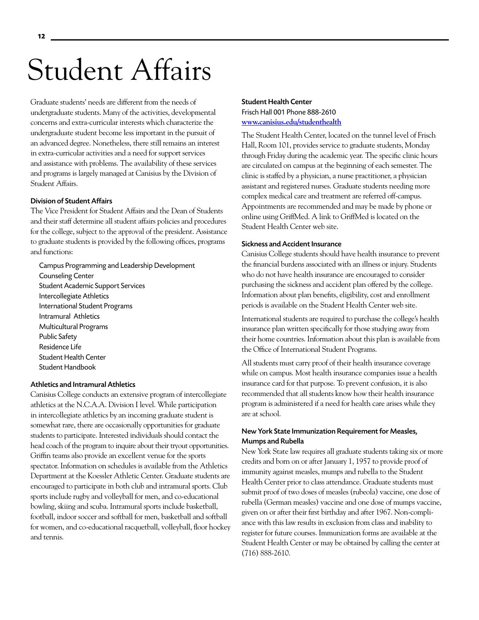# Student Affairs

Graduate students' needs are different from the needs of undergraduate students. Many of the activities, developmental concerns and extra-curricular interests which characterize the undergraduate student become less important in the pursuit of an advanced degree. Nonetheless, there still remains an interest in extra-curricular activities and a need for support services and assistance with problems. The availability of these services and programs is largely managed at Canisius by the Division of Student Affairs.

#### Division of Student Affairs

The Vice President for Student Affairs and the Dean of Students and their staff determine all student affairs policies and procedures for the college, subject to the approval of the president. Assistance to graduate students is provided by the following offices, programs and functions:

Campus Programming and Leadership Development Counseling Center Student Academic Support Services Intercollegiate Athletics International Student Programs Intramural Athletics Multicultural Programs Public Safety Residence Life Student Health Center Student Handbook

#### Athletics and Intramural Athletics

Canisius College conducts an extensive program of intercollegiate athletics at the N.C.A.A. Division I level. While participation in intercollegiate athletics by an incoming graduate student is somewhat rare, there are occasionally opportunities for graduate students to participate. Interested individuals should contact the head coach of the program to inquire about their tryout opportunities. Griffin teams also provide an excellent venue for the sports spectator. Information on schedules is available from the Athletics Department at the Koessler Athletic Center. Graduate students are encouraged to participate in both club and intramural sports. Club sports include rugby and volleyball for men, and co-educational bowling, skiing and scuba. Intramural sports include basketball, football, indoor soccer and softball for men, basketball and softball for women, and co-educational racquetball, volleyball, floor hockey and tennis.

#### Student Health Center Frisch Hall 001 Phone 888-2610 **www.canisius.edu/studenthealth**

The Student Health Center, located on the tunnel level of Frisch Hall, Room 101, provides service to graduate students, Monday through Friday during the academic year. The specific clinic hours are circulated on campus at the beginning of each semester. The clinic is staffed by a physician, a nurse practitioner, a physician assistant and registered nurses. Graduate students needing more complex medical care and treatment are referred off-campus. Appointments are recommended and may be made by phone or online using GriffMed. A link to GriffMed is located on the Student Health Center web site.

#### Sickness and Accident Insurance

Canisius College students should have health insurance to prevent the financial burdens associated with an illness or injury. Students who do not have health insurance are encouraged to consider purchasing the sickness and accident plan offered by the college. Information about plan benefits, eligibility, cost and enrollment periods is available on the Student Health Center web site.

International students are required to purchase the college's health insurance plan written specifically for those studying away from their home countries. Information about this plan is available from the Office of International Student Programs.

All students must carry proof of their health insurance coverage while on campus. Most health insurance companies issue a health insurance card for that purpose. To prevent confusion, it is also recommended that all students know how their health insurance program is administered if a need for health care arises while they are at school.

#### New York State Immunization Requirement for Measles, Mumps and Rubella

New York State law requires all graduate students taking six or more credits and born on or after January 1, 1957 to provide proof of immunity against measles, mumps and rubella to the Student Health Center prior to class attendance. Graduate students must submit proof of two doses of measles (rubeola) vaccine, one dose of rubella (German measles) vaccine and one dose of mumps vaccine, given on or after their first birthday and after 1967. Non-compliance with this law results in exclusion from class and inability to register for future courses. Immunization forms are available at the Student Health Center or may be obtained by calling the center at (716) 888-2610.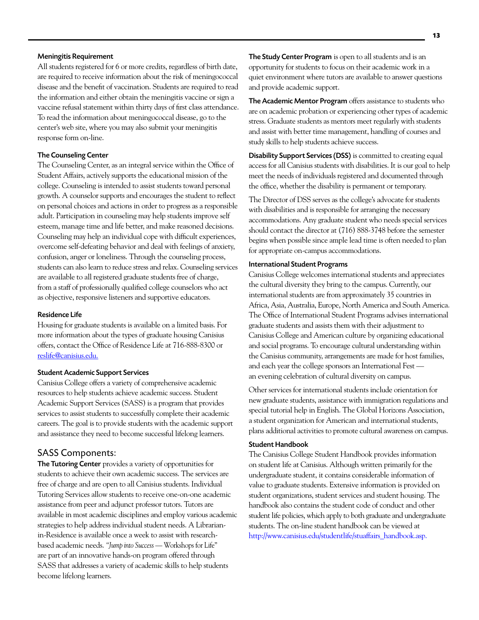#### Meningitis Requirement

All students registered for 6 or more credits, regardless of birth date, are required to receive information about the risk of meningococcal disease and the benefit of vaccination. Students are required to read the information and either obtain the meningitis vaccine or sign a vaccine refusal statement within thirty days of first class attendance. To read the information about meningococcal disease, go to the center's web site, where you may also submit your meningitis response form on-line.

#### The Counseling Center

The Counseling Center, as an integral service within the Office of Student Affairs, actively supports the educational mission of the college. Counseling is intended to assist students toward personal growth. A counselor supports and encourages the student to reflect on personal choices and actions in order to progress as a responsible adult. Participation in counseling may help students improve self esteem, manage time and life better, and make reasoned decisions. Counseling may help an individual cope with difficult experiences, overcome self-defeating behavior and deal with feelings of anxiety, confusion, anger or loneliness. Through the counseling process, students can also learn to reduce stress and relax. Counseling services are available to all registered graduate students free of charge, from a staff of professionally qualified college counselors who act as objective, responsive listeners and supportive educators.

#### Residence Life

Housing for graduate students is available on a limited basis. For more information about the types of graduate housing Canisius offers, contact the Office of Residence Life at 716-888-8300 or reslife@canisius.edu.

#### Student Academic Support Services

Canisius College offers a variety of comprehensive academic resources to help students achieve academic success. Student Academic Support Services (SASS) is a program that provides services to assist students to successfully complete their academic careers. The goal is to provide students with the academic support and assistance they need to become successful lifelong learners.

#### SASS Components:

The Tutoring Center provides a variety of opportunities for students to achieve their own academic success. The services are free of charge and are open to all Canisius students. Individual Tutoring Services allow students to receive one-on-one academic assistance from peer and adjunct professor tutors. Tutors are available in most academic disciplines and employ various academic strategies to help address individual student needs. A Librarianin-Residence is available once a week to assist with researchbased academic needs. *"Jump into Success* — Workshops for Life" are part of an innovative hands-on program offered through SASS that addresses a variety of academic skills to help students become lifelong learners.

The Study Center Program is open to all students and is an opportunity for students to focus on their academic work in a quiet environment where tutors are available to answer questions and provide academic support.

The Academic Mentor Program offers assistance to students who are on academic probation or experiencing other types of academic stress. Graduate students as mentors meet regularly with students and assist with better time management, handling of courses and study skills to help students achieve success.

Disability Support Services (DSS) is committed to creating equal access for all Canisius students with disabilities. It is our goal to help meet the needs of individuals registered and documented through the office, whether the disability is permanent or temporary.

The Director of DSS serves as the college's advocate for students with disabilities and is responsible for arranging the necessary accommodations. Any graduate student who needs special services should contact the director at (716) 888-3748 before the semester begins when possible since ample lead time is often needed to plan for appropriate on-campus accommodations.

#### International Student Programs

Canisius College welcomes international students and appreciates the cultural diversity they bring to the campus. Currently, our international students are from approximately 35 countries in Africa, Asia, Australia, Europe, North America and South America. The Office of International Student Programs advises international graduate students and assists them with their adjustment to Canisius College and American culture by organizing educational and social programs. To encourage cultural understanding within the Canisius community, arrangements are made for host families, and each year the college sponsors an International Fest an evening celebration of cultural diversity on campus.

Other services for international students include orientation for new graduate students, assistance with immigration regulations and special tutorial help in English. The Global Horizons Association, a student organization for American and international students, plans additional activities to promote cultural awareness on campus.

#### Student Handbook

The Canisius College Student Handbook provides information on student life at Canisius. Although written primarily for the undergraduate student, it contains considerable information of value to graduate students. Extensive information is provided on student organizations, student services and student housing. The handbook also contains the student code of conduct and other student life policies, which apply to both graduate and undergraduate students. The on-line student handbook can be viewed at http://www.canisius.edu/studentlife/stuaffairs\_handbook.asp.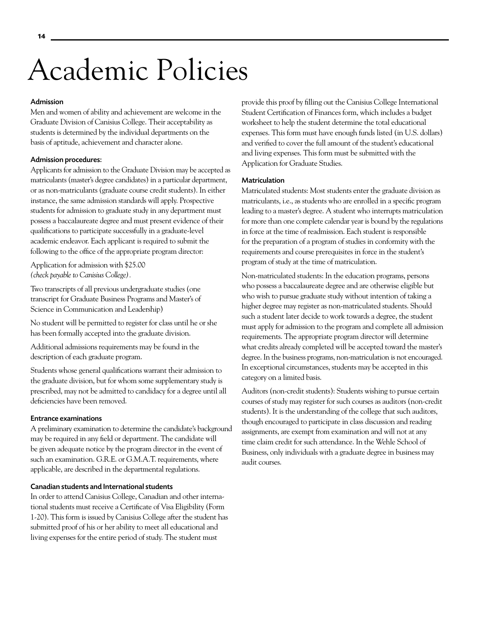# Academic Policies

#### Admission

Men and women of ability and achievement are welcome in the Graduate Division of Canisius College. Their acceptability as students is determined by the individual departments on the basis of aptitude, achievement and character alone.

#### Admission procedures:

Applicants for admission to the Graduate Division may be accepted as matriculants (master's degree candidates) in a particular department, or as non-matriculants (graduate course credit students). In either instance, the same admission standards will apply. Prospective students for admission to graduate study in any department must possess a baccalaureate degree and must present evidence of their qualifications to participate successfully in a graduate-level academic endeavor. Each applicant is required to submit the following to the office of the appropriate program director:

Application for admission with \$25.00 *(check payable to Canisius College).* 

Two transcripts of all previous undergraduate studies (one transcript for Graduate Business Programs and Master's of Science in Communication and Leadership)

No student will be permitted to register for class until he or she has been formally accepted into the graduate division.

Additional admissions requirements may be found in the description of each graduate program.

Students whose general qualifications warrant their admission to the graduate division, but for whom some supplementary study is prescribed, may not be admitted to candidacy for a degree until all deficiencies have been removed.

#### Entrance examinations

A preliminary examination to determine the candidate's background may be required in any field or department. The candidate will be given adequate notice by the program director in the event of such an examination. G.R.E. or G.M.A.T. requirements, where applicable, are described in the departmental regulations.

#### Canadian students and International students

In order to attend Canisius College, Canadian and other international students must receive a Certificate of Visa Eligibility (Form 1-20). This form is issued by Canisius College after the student has submitted proof of his or her ability to meet all educational and living expenses for the entire period of study. The student must

provide this proof by filling out the Canisius College International Student Certification of Finances form, which includes a budget worksheet to help the student determine the total educational expenses. This form must have enough funds listed (in U.S. dollars) and verified to cover the full amount of the student's educational and living expenses. This form must be submitted with the Application for Graduate Studies.

#### Matriculation

Matriculated students: Most students enter the graduate division as matriculants, i.e., as students who are enrolled in a specific program leading to a master's degree. A student who interrupts matriculation for more than one complete calendar year is bound by the regulations in force at the time of readmission. Each student is responsible for the preparation of a program of studies in conformity with the requirements and course prerequisites in force in the student's program of study at the time of matriculation.

Non-matriculated students: In the education programs, persons who possess a baccalaureate degree and are otherwise eligible but who wish to pursue graduate study without intention of taking a higher degree may register as non-matriculated students. Should such a student later decide to work towards a degree, the student must apply for admission to the program and complete all admission requirements. The appropriate program director will determine what credits already completed will be accepted toward the master's degree. In the business programs, non-matriculation is not encouraged. In exceptional circumstances, students may be accepted in this category on a limited basis.

Auditors (non-credit students): Students wishing to pursue certain courses of study may register for such courses as auditors (non-credit students). It is the understanding of the college that such auditors, though encouraged to participate in class discussion and reading assignments, are exempt from examination and will not at any time claim credit for such attendance. In the Wehle School of Business, only individuals with a graduate degree in business may audit courses.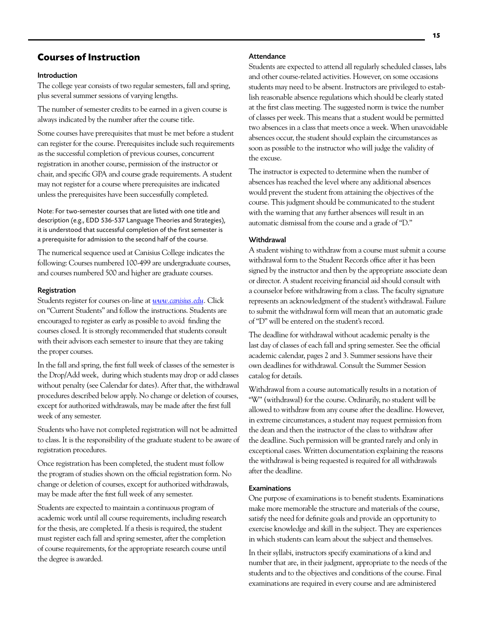# **Courses of Instruction**

#### Introduction

The college year consists of two regular semesters, fall and spring, plus several summer sessions of varying lengths.

The number of semester credits to be earned in a given course is always indicated by the number after the course title.

Some courses have prerequisites that must be met before a student can register for the course. Prerequisites include such requirements as the successful completion of previous courses, concurrent registration in another course, permission of the instructor or chair, and specific GPA and course grade requirements. A student may not register for a course where prerequisites are indicated unless the prerequisites have been successfully completed.

Note: For two-semester courses that are listed with one title and description (e.g., EDD 536-537 Language Theories and Strategies), it is understood that successful completion of the first semester is a prerequisite for admission to the second half of the course.

The numerical sequence used at Canisius College indicates the following: Courses numbered 100-499 are undergraduate courses, and courses numbered 500 and higher are graduate courses.

#### Registration

Students register for courses on-line at *www.canisius.edu.* Click on "Current Students" and follow the instructions. Students are encouraged to register as early as possible to avoid finding the courses closed. It is strongly recommended that students consult with their advisors each semester to insure that they are taking the proper courses.

In the fall and spring, the first full week of classes of the semester is the Drop/Add week, during which students may drop or add classes without penalty (see Calendar for dates). After that, the withdrawal procedures described below apply. No change or deletion of courses, except for authorized withdrawals, may be made after the first full week of any semester.

Students who have not completed registration will not be admitted to class. It is the responsibility of the graduate student to be aware of registration procedures.

Once registration has been completed, the student must follow the program of studies shown on the official registration form. No change or deletion of courses, except for authorized withdrawals, may be made after the first full week of any semester.

Students are expected to maintain a continuous program of academic work until all course requirements, including research for the thesis, are completed. If a thesis is required, the student must register each fall and spring semester, after the completion of course requirements, for the appropriate research course until the degree is awarded.

#### **Attendance**

Students are expected to attend all regularly scheduled classes, labs and other course-related activities. However, on some occasions students may need to be absent. Instructors are privileged to establish reasonable absence regulations which should be clearly stated at the first class meeting. The suggested norm is twice the number of classes per week. This means that a student would be permitted two absences in a class that meets once a week. When unavoidable absences occur, the student should explain the circumstances as soon as possible to the instructor who will judge the validity of the excuse.

The instructor is expected to determine when the number of absences has reached the level where any additional absences would prevent the student from attaining the objectives of the course. This judgment should be communicated to the student with the warning that any further absences will result in an automatic dismissal from the course and a grade of "D."

#### **Withdrawal**

A student wishing to withdraw from a course must submit a course withdrawal form to the Student Records office after it has been signed by the instructor and then by the appropriate associate dean or director. A student receiving financial aid should consult with a counselor before withdrawing from a class. The faculty signature represents an acknowledgment of the student's withdrawal. Failure to submit the withdrawal form will mean that an automatic grade of "D" will be entered on the student's record.

The deadline for withdrawal without academic penalty is the last day of classes of each fall and spring semester. See the official academic calendar, pages 2 and 3. Summer sessions have their own deadlines for withdrawal. Consult the Summer Session catalog for details.

Withdrawal from a course automatically results in a notation of "W" (withdrawal) for the course. Ordinarily, no student will be allowed to withdraw from any course after the deadline. However, in extreme circumstances, a student may request permission from the dean and then the instructor of the class to withdraw after the deadline. Such permission will be granted rarely and only in exceptional cases. Written documentation explaining the reasons the withdrawal is being requested is required for all withdrawals after the deadline.

#### Examinations

One purpose of examinations is to benefit students. Examinations make more memorable the structure and materials of the course, satisfy the need for definite goals and provide an opportunity to exercise knowledge and skill in the subject. They are experiences in which students can learn about the subject and themselves.

In their syllabi, instructors specify examinations of a kind and number that are, in their judgment, appropriate to the needs of the students and to the objectives and conditions of the course. Final examinations are required in every course and are administered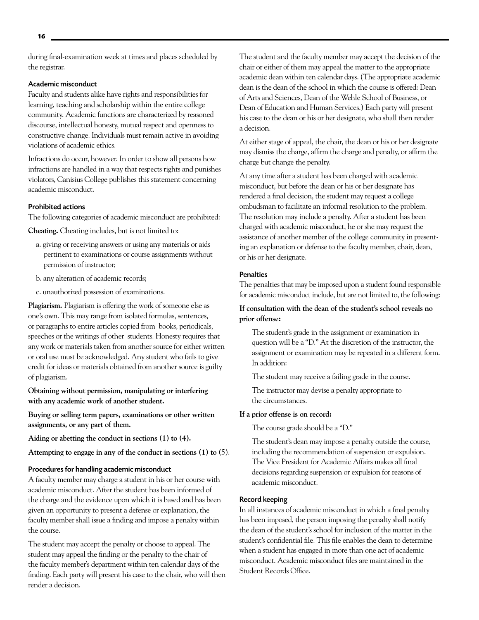during final-examination week at times and places scheduled by the registrar.

#### Academic misconduct

Faculty and students alike have rights and responsibilities for learning, teaching and scholarship within the entire college community. Academic functions are characterized by reasoned discourse, intellectual honesty, mutual respect and openness to constructive change. Individuals must remain active in avoiding violations of academic ethics.

Infractions do occur, however. In order to show all persons how infractions are handled in a way that respects rights and punishes violators, Canisius College publishes this statement concerning academic misconduct.

#### Prohibited actions

The following categories of academic misconduct are prohibited:

**Cheating.** Cheating includes, but is not limited to:

- a. giving or receiving answers or using any materials or aids pertinent to examinations or course assignments without permission of instructor;
- b. any alteration of academic records;
- c. unauthorized possession of examinations.

**Plagiarism.** Plagiarism is offering the work of someone else as one's own. This may range from isolated formulas, sentences, or paragraphs to entire articles copied from books, periodicals, speeches or the writings of other students. Honesty requires that any work or materials taken from another source for either written or oral use must be acknowledged. Any student who fails to give credit for ideas or materials obtained from another source is guilty of plagiarism.

**Obtaining without permission, manipulating or interfering with any academic work of another student.** 

**Buying or selling term papers, examinations or other written assignments, or any part of them.** 

**Aiding or abetting the conduct in sections (1) to (4).** 

**Attempting to engage in any of the conduct in sections (1) to (**5).

#### Procedures for handling academic misconduct

A faculty member may charge a student in his or her course with academic misconduct. After the student has been informed of the charge and the evidence upon which it is based and has been given an opportunity to present a defense or explanation, the faculty member shall issue a finding and impose a penalty within the course.

The student may accept the penalty or choose to appeal. The student may appeal the finding or the penalty to the chair of the faculty member's department within ten calendar days of the finding. Each party will present his case to the chair, who will then render a decision.

The student and the faculty member may accept the decision of the chair or either of them may appeal the matter to the appropriate academic dean within ten calendar days. (The appropriate academic dean is the dean of the school in which the course is offered: Dean of Arts and Sciences, Dean of the Wehle School of Business, or Dean of Education and Human Services.) Each party will present his case to the dean or his or her designate, who shall then render a decision.

At either stage of appeal, the chair, the dean or his or her designate may dismiss the charge, affirm the charge and penalty, or affirm the charge but change the penalty.

At any time after a student has been charged with academic misconduct, but before the dean or his or her designate has rendered a final decision, the student may request a college ombudsman to facilitate an informal resolution to the problem. The resolution may include a penalty. After a student has been charged with academic misconduct, he or she may request the assistance of another member of the college community in presenting an explanation or defense to the faculty member, chair, dean, or his or her designate.

#### **Penalties**

The penalties that may be imposed upon a student found responsible for academic misconduct include, but are not limited to, the following:

### **If consultation with the dean of the student's school reveals no prior offense:**

The student's grade in the assignment or examination in question will be a "D." At the discretion of the instructor, the assignment or examination may be repeated in a different form. In addition:

The student may receive a failing grade in the course.

The instructor may devise a penalty appropriate to the circumstances.

#### **If a prior offense is on record:**

The course grade should be a "D."

The student's dean may impose a penalty outside the course, including the recommendation of suspension or expulsion. The Vice President for Academic Affairs makes all final decisions regarding suspension or expulsion for reasons of academic misconduct.

#### Record keeping

In all instances of academic misconduct in which a final penalty has been imposed, the person imposing the penalty shall notify the dean of the student's school for inclusion of the matter in the student's confidential file. This file enables the dean to determine when a student has engaged in more than one act of academic misconduct. Academic misconduct files are maintained in the Student Records Office.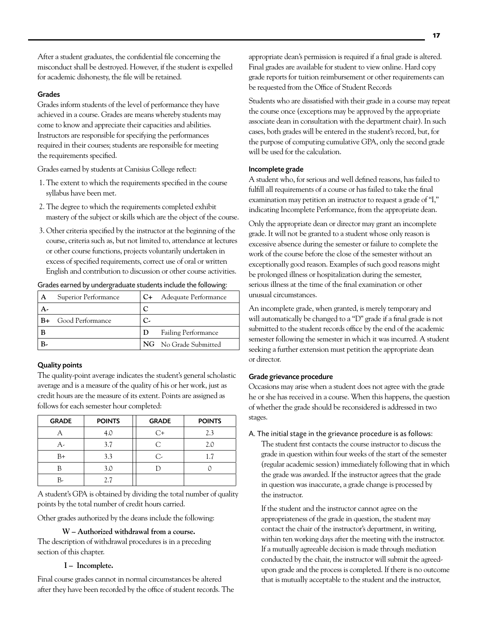After a student graduates, the confidential file concerning the misconduct shall be destroyed. However, if the student is expelled for academic dishonesty, the file will be retained.

#### Grades

Grades inform students of the level of performance they have achieved in a course. Grades are means whereby students may come to know and appreciate their capacities and abilities. Instructors are responsible for specifying the performances required in their courses; students are responsible for meeting the requirements specified.

Grades earned by students at Canisius College reflect:

- 1. The extent to which the requirements specified in the course syllabus have been met.
- 2. The degree to which the requirements completed exhibit mastery of the subject or skills which are the object of the course.
- 3. Other criteria specified by the instructor at the beginning of the course, criteria such as, but not limited to, attendance at lectures or other course functions, projects voluntarily undertaken in excess of specified requirements, correct use of oral or written English and contribution to discussion or other course activities.

#### Grades earned by undergraduate students include the following:

| A | Superior Performance | C+ | Adequate Performance       |
|---|----------------------|----|----------------------------|
|   |                      | C  |                            |
|   | Good Performance     | С. |                            |
|   |                      | D  | <b>Failing Performance</b> |
|   |                      |    | NG No Grade Submitted      |

#### Quality points

The quality-point average indicates the student's general scholastic average and is a measure of the quality of his or her work, just as credit hours are the measure of its extent. Points are assigned as follows for each semester hour completed:

| <b>GRADE</b> | <b>POINTS</b> | <b>GRADE</b> | <b>POINTS</b> |
|--------------|---------------|--------------|---------------|
|              | 4.0           | ೧+           | 2.3           |
|              | 3.7           | C            | 2.0           |
| $B+$         | 3.3           | $\subset$    | 1.7           |
|              | 3.0           |              |               |
|              | 27            |              |               |

A student's GPA is obtained by dividing the total number of quality points by the total number of credit hours carried.

Other grades authorized by the deans include the following:

**W – Authorized withdrawal from a course.**

The description of withdrawal procedures is in a preceding section of this chapter.

#### **I – Incomplete.**

Final course grades cannot in normal circumstances be altered after they have been recorded by the office of student records. The appropriate dean's permission is required if a final grade is altered. Final grades are available for student to view online. Hard copy grade reports for tuition reimbursement or other requirements can be requested from the Office of Student Records

Students who are dissatisfied with their grade in a course may repeat the course once (exceptions may be approved by the appropriate associate dean in consultation with the department chair). In such cases, both grades will be entered in the student's record, but, for the purpose of computing cumulative GPA, only the second grade will be used for the calculation.

#### Incomplete grade

A student who, for serious and well defined reasons, has failed to fulfill all requirements of a course or has failed to take the final examination may petition an instructor to request a grade of "I," indicating Incomplete Performance, from the appropriate dean.

Only the appropriate dean or director may grant an incomplete grade. It will not be granted to a student whose only reason is excessive absence during the semester or failure to complete the work of the course before the close of the semester without an exceptionally good reason. Examples of such good reasons might be prolonged illness or hospitalization during the semester, serious illness at the time of the final examination or other unusual circumstances.

An incomplete grade, when granted, is merely temporary and will automatically be changed to a "D" grade if a final grade is not submitted to the student records office by the end of the academic semester following the semester in which it was incurred. A student seeking a further extension must petition the appropriate dean or director.

#### Grade grievance procedure

Occasions may arise when a student does not agree with the grade he or she has received in a course. When this happens, the question of whether the grade should be reconsidered is addressed in two stages.

#### A. The initial stage in the grievance procedure is as follows:

The student first contacts the course instructor to discuss the grade in question within four weeks of the start of the semester (regular academic session) immediately following that in which the grade was awarded. If the instructor agrees that the grade in question was inaccurate, a grade change is processed by the instructor.

If the student and the instructor cannot agree on the appropriateness of the grade in question, the student may contact the chair of the instructor's department, in writing, within ten working days after the meeting with the instructor. If a mutually agreeable decision is made through mediation conducted by the chair, the instructor will submit the agreedupon grade and the process is completed. If there is no outcome that is mutually acceptable to the student and the instructor,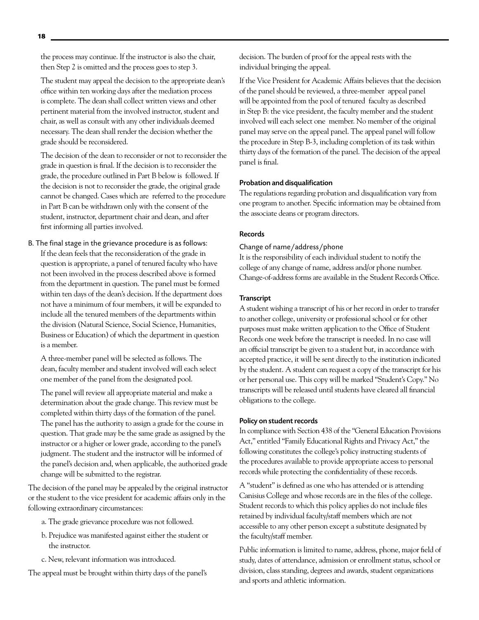the process may continue. If the instructor is also the chair, then Step 2 is omitted and the process goes to step 3.

The student may appeal the decision to the appropriate dean's office within ten working days after the mediation process is complete. The dean shall collect written views and other pertinent material from the involved instructor, student and chair, as well as consult with any other individuals deemed necessary. The dean shall render the decision whether the grade should be reconsidered.

The decision of the dean to reconsider or not to reconsider the grade in question is final. If the decision is to reconsider the grade, the procedure outlined in Part B below is followed. If the decision is not to reconsider the grade, the original grade cannot be changed. Cases which are referred to the procedure in Part B can be withdrawn only with the consent of the student, instructor, department chair and dean, and after first informing all parties involved.

B. The final stage in the grievance procedure is as follows:

If the dean feels that the reconsideration of the grade in question is appropriate, a panel of tenured faculty who have not been involved in the process described above is formed from the department in question. The panel must be formed within ten days of the dean's decision. If the department does not have a minimum of four members, it will be expanded to include all the tenured members of the departments within the division (Natural Science, Social Science, Humanities, Business or Education) of which the department in question is a member.

A three-member panel will be selected as follows. The dean, faculty member and student involved will each select one member of the panel from the designated pool.

The panel will review all appropriate material and make a determination about the grade change. This review must be completed within thirty days of the formation of the panel. The panel has the authority to assign a grade for the course in question. That grade may be the same grade as assigned by the instructor or a higher or lower grade, according to the panel's judgment. The student and the instructor will be informed of the panel's decision and, when applicable, the authorized grade change will be submitted to the registrar.

The decision of the panel may be appealed by the original instructor or the student to the vice president for academic affairs only in the following extraordinary circumstances:

- a. The grade grievance procedure was not followed.
- b. Prejudice was manifested against either the student or the instructor.
- c. New, relevant information was introduced.

The appeal must be brought within thirty days of the panel's

decision. The burden of proof for the appeal rests with the individual bringing the appeal.

If the Vice President for Academic Affairs believes that the decision of the panel should be reviewed, a three-member appeal panel will be appointed from the pool of tenured faculty as described in Step B: the vice president, the faculty member and the student involved will each select one member. No member of the original panel may serve on the appeal panel. The appeal panel will follow the procedure in Step B-3, including completion of its task within thirty days of the formation of the panel. The decision of the appeal panel is final.

#### Probation and disqualification

The regulations regarding probation and disqualification vary from one program to another. Specific information may be obtained from the associate deans or program directors.

#### Records

#### Change of name/address/phone

It is the responsibility of each individual student to notify the college of any change of name, address and/or phone number. Change-of-address forms are available in the Student Records Office.

#### **Transcript**

A student wishing a transcript of his or her record in order to transfer to another college, university or professional school or for other purposes must make written application to the Office of Student Records one week before the transcript is needed. In no case will an official transcript be given to a student but, in accordance with accepted practice, it will be sent directly to the institution indicated by the student. A student can request a copy of the transcript for his or her personal use. This copy will be marked "Student's Copy." No transcripts will be released until students have cleared all financial obligations to the college.

#### Policy on student records

In compliance with Section 438 of the "General Education Provisions Act," entitled "Family Educational Rights and Privacy Act," the following constitutes the college's policy instructing students of the procedures available to provide appropriate access to personal records while protecting the confidentiality of these records.

A "student" is defined as one who has attended or is attending Canisius College and whose records are in the files of the college. Student records to which this policy applies do not include files retained by individual faculty/staff members which are not accessible to any other person except a substitute designated by the faculty/staff member.

Public information is limited to name, address, phone, major field of study, dates of attendance, admission or enrollment status, school or division, class standing, degrees and awards, student organizations and sports and athletic information.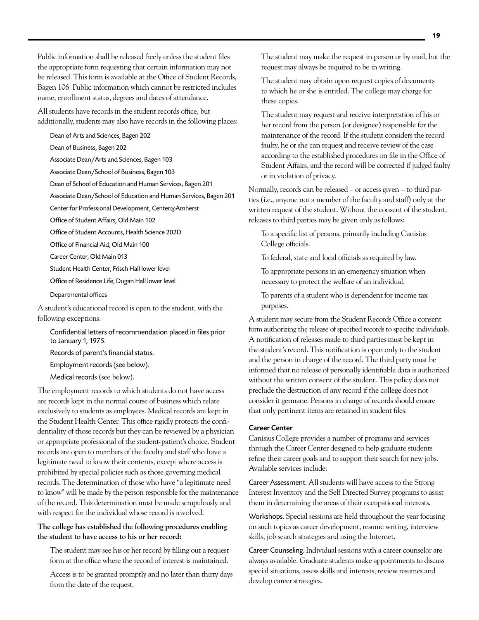Public information shall be released freely unless the student files the appropriate form requesting that certain information may not be released. This form is available at the Office of Student Records, Bagen 106. Public information which cannot be restricted includes name, enrollment status, degrees and dates of attendance.

All students have records in the student records office, but additionally, students may also have records in the following places:

Dean of Arts and Sciences, Bagen 202

Dean of Business, Bagen 202

Associate Dean/Arts and Sciences, Bagen 103

Associate Dean/School of Business, Bagen 103

Dean of School of Education and Human Services, Bagen 201

Associate Dean/School of Education and Human Services, Bagen 201

Center for Professional Development, Center@Amherst

Office of Student Affairs, Old Main 102

Office of Student Accounts, Health Science 202D

Office of Financial Aid, Old Main 100

Career Center, Old Main 013

Student Health Center, Frisch Hall lower level

Office of Residence Life, Dugan Hall lower level

Departmental offices

A student's educational record is open to the student, with the following exceptions:

Confidential letters of recommendation placed in files prior to January 1, 1975.

Records of parent's financial status.

Employment records (see below).

Medical records (see below).

The employment records to which students do not have access are records kept in the normal course of business which relate exclusively to students as employees. Medical records are kept in the Student Health Center. This office rigidly protects the confidentiality of those records but they can be reviewed by a physician or appropriate professional of the student-patient's choice. Student records are open to members of the faculty and staff who have a legitimate need to know their contents, except where access is prohibited by special policies such as those governing medical records. The determination of those who have "a legitimate need to know" will be made by the person responsible for the maintenance of the record. This determination must be made scrupulously and with respect for the individual whose record is involved.

#### **The college has established the following procedures enabling the student to have access to his or her record:**

The student may see his or her record by filling out a request form at the office where the record of interest is maintained.

Access is to be granted promptly and no later than thirty days from the date of the request.

The student may make the request in person or by mail, but the request may always be required to be in writing.

The student may obtain upon request copies of documents to which he or she is entitled. The college may charge for these copies.

The student may request and receive interpretation of his or her record from the person (or designee) responsible for the maintenance of the record. If the student considers the record faulty, he or she can request and receive review of the case according to the established procedures on file in the Office of Student Affairs, and the record will be corrected if judged faulty or in violation of privacy.

Normally, records can be released – or access given – to third parties (i.e., anyone not a member of the faculty and staff) only at the written request of the student. Without the consent of the student, releases to third parties may be given only as follows:

To a specific list of persons, primarily including Canisius College officials.

To federal, state and local officials as required by law.

To appropriate persons in an emergency situation when necessary to protect the welfare of an individual.

To parents of a student who is dependent for income tax purposes.

A student may secure from the Student Records Office a consent form authorizing the release of specified records to specific individuals. A notification of releases made to third parties must be kept in the student's record. This notification is open only to the student and the person in charge of the record. The third party must be informed that no release of personally identifiable data is authorized without the written consent of the student. This policy does not preclude the destruction of any record if the college does not consider it germane. Persons in charge of records should ensure that only pertinent items are retained in student files.

#### Career Center

Canisius College provides a number of programs and services through the Career Center designed to help graduate students refine their career goals and to support their search for new jobs. Available services include:

Career Assessment. All students will have access to the Strong Interest Inventory and the Self Directed Survey programs to assist them in determining the areas of their occupational interests.

Workshops. Special sessions are held throughout the year focusing on such topics as career development, resume writing, interview skills, job search strategies and using the Internet.

Career Counseling. Individual sessions with a career counselor are always available. Graduate students make appointments to discuss special situations, assess skills and interests, review resumes and develop career strategies.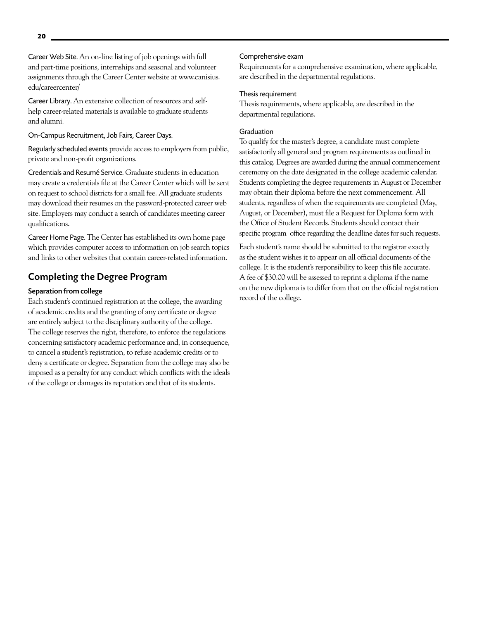Career Web Site. An on-line listing of job openings with full and part-time positions, internships and seasonal and volunteer assignments through the Career Center website at www.canisius. edu/careercenter/

Career Library. An extensive collection of resources and selfhelp career-related materials is available to graduate students and alumni.

#### On-Campus Recruitment, Job Fairs, Career Days.

Regularly scheduled events provide access to employers from public, private and non-profit organizations.

Credentials and Resumé Service. Graduate students in education may create a credentials file at the Career Center which will be sent on request to school districts for a small fee. All graduate students may download their resumes on the password-protected career web site. Employers may conduct a search of candidates meeting career qualifications.

Career Home Page. The Center has established its own home page which provides computer access to information on job search topics and links to other websites that contain career-related information.

### Completing the Degree Program

#### Separation from college

Each student's continued registration at the college, the awarding of academic credits and the granting of any certificate or degree are entirely subject to the disciplinary authority of the college. The college reserves the right, therefore, to enforce the regulations concerning satisfactory academic performance and, in consequence, to cancel a student's registration, to refuse academic credits or to deny a certificate or degree. Separation from the college may also be imposed as a penalty for any conduct which conflicts with the ideals of the college or damages its reputation and that of its students.

#### Comprehensive exam

Requirements for a comprehensive examination, where applicable, are described in the departmental regulations.

#### Thesis requirement

Thesis requirements, where applicable, are described in the departmental regulations.

#### Graduation

To qualify for the master's degree, a candidate must complete satisfactorily all general and program requirements as outlined in this catalog. Degrees are awarded during the annual commencement ceremony on the date designated in the college academic calendar. Students completing the degree requirements in August or December may obtain their diploma before the next commencement. All students, regardless of when the requirements are completed (May, August, or December), must file a Request for Diploma form with the Office of Student Records. Students should contact their specific program office regarding the deadline dates for such requests.

Each student's name should be submitted to the registrar exactly as the student wishes it to appear on all official documents of the college. It is the student's responsibility to keep this file accurate. A fee of \$30.00 will be assessed to reprint a diploma if the name on the new diploma is to differ from that on the official registration record of the college.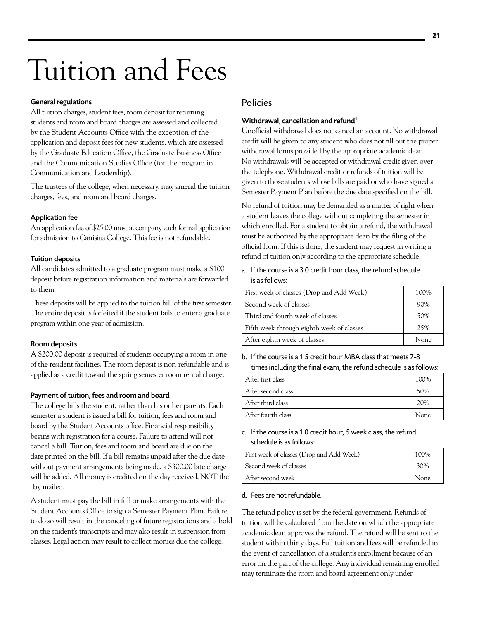# Tuition and Fees

#### General regulations

All tuition charges, student fees, room deposit for returning students and room and board charges are assessed and collected by the Student Accounts Office with the exception of the application and deposit fees for new students, which are assessed by the Graduate Education Office, the Graduate Business Office and the Communication Studies Office (for the program in Communication and Leadership).

The trustees of the college, when necessary, may amend the tuition charges, fees, and room and board charges.

#### Application fee

An application fee of \$25.00 must accompany each formal application for admission to Canisius College. This fee is not refundable.

#### Tuition deposits

All candidates admitted to a graduate program must make a \$100 deposit before registration information and materials are forwarded to them.

These deposits will be applied to the tuition bill of the first semester. The entire deposit is forfeited if the student fails to enter a graduate program within one year of admission.

#### Room deposits

A \$200.00 deposit is required of students occupying a room in one of the resident facilities. The room deposit is non-refundable and is applied as a credit toward the spring semester room rental charge.

#### Payment of tuition, fees and room and board

The college bills the student, rather than his or her parents. Each semester a student is issued a bill for tuition, fees and room and board by the Student Accounts office. Financial responsibility begins with registration for a course. Failure to attend will not cancel a bill. Tuition, fees and room and board are due on the date printed on the bill. If a bill remains unpaid after the due date without payment arrangements being made, a \$300.00 late charge will be added. All money is credited on the day received, NOT the day mailed.

A student must pay the bill in full or make arrangements with the Student Accounts Office to sign a Semester Payment Plan. Failure to do so will result in the canceling of future registrations and a hold on the student's transcripts and may also result in suspension from classes. Legal action may result to collect monies due the college.

# Policies

#### Withdrawal, cancellation and refund<sup>1</sup>

Unofficial withdrawal does not cancel an account. No withdrawal credit will be given to any student who does not fill out the proper withdrawal forms provided by the appropriate academic dean. No withdrawals will be accepted or withdrawal credit given over the telephone. Withdrawal credit or refunds of tuition will be given to those students whose bills are paid or who have signed a Semester Payment Plan before the due date specified on the bill.

No refund of tuition may be demanded as a matter of right when a student leaves the college without completing the semester in which enrolled. For a student to obtain a refund, the withdrawal must be authorized by the appropriate dean by the filing of the official form. If this is done, the student may request in writing a refund of tuition only according to the appropriate schedule:

a. If the course is a 3.0 credit hour class, the refund schedule is as follows:

| First week of classes (Drop and Add Week) | 100% |
|-------------------------------------------|------|
| Second week of classes                    | 90%  |
| Third and fourth week of classes          | 50%  |
| Fifth week through eighth week of classes | 25%  |
| After eighth week of classes              | None |

b. If the course is a 1.5 credit hour MBA class that meets 7-8 times including the final exam, the refund schedule is as follows:

| After first class  | 100% |
|--------------------|------|
| After second class | 50%  |
| After third class  | 20%  |
| After fourth class | None |
|                    |      |

#### c. If the course is a 1.0 credit hour, 5 week class, the refund schedule is as follows:

| First week of classes (Drop and Add Week) | 100% |
|-------------------------------------------|------|
| Second week of classes                    | 30%  |
| After second week                         | None |

#### d. Fees are not refundable.

The refund policy is set by the federal government. Refunds of tuition will be calculated from the date on which the appropriate academic dean approves the refund. The refund will be sent to the student within thirty days. Full tuition and fees will be refunded in the event of cancellation of a student's enrollment because of an error on the part of the college. Any individual remaining enrolled may terminate the room and board agreement only under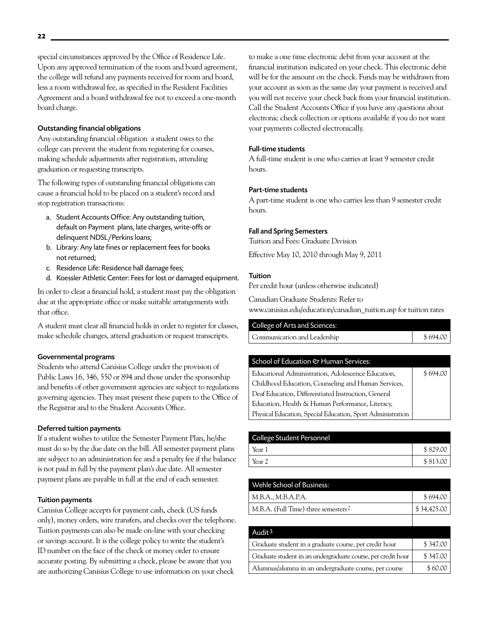special circumstances approved by the Office of Residence Life. Upon any approved termination of the room and board agreement, the college will refund any payments received for room and board, less a room withdrawal fee, as specified in the Resident Facilities Agreement and a board withdrawal fee not to exceed a one-month board charge.

#### Outstanding financial obligations

Any outstanding financial obligation a student owes to the college can prevent the student from registering for courses, making schedule adjustments after registration, attending graduation or requesting transcripts.

The following types of outstanding financial obligations can cause a financial hold to be placed on a student's record and stop registration transactions:

- a. Student Accounts Office: Any outstanding tuition, default on Payment plans, late charges, write-offs or delinquent NDSL/Perkins loans;
- b. Library: Any late fines or replacement fees for books not returned;
- c. Residence Life: Residence hall damage fees;
- d. Koessler Athletic Center: Fees for lost or damaged equipment.

In order to clear a financial hold, a student must pay the obligation due at the appropriate office or make suitable arrangements with that office.

A student must clear all financial holds in order to register for classes, make schedule changes, attend graduation or request transcripts.

#### Governmental programs

Students who attend Canisius College under the provision of Public Laws 16, 346, 550 or 894 and those under the sponsorship and benefits of other government agencies are subject to regulations governing agencies. They must present these papers to the Office of the Registrar and to the Student Accounts Office.

#### Deferred tuition payments

If a student wishes to utilize the Semester Payment Plan, he/she must do so by the due date on the bill. All semester payment plans are subject to an administration fee and a penalty fee if the balance is not paid in full by the payment plan's due date. All semester payment plans are payable in full at the end of each semester.

#### Tuition payments

Canisius College accepts for payment cash, check (US funds only), money orders, wire transfers, and checks over the telephone. Tuition payments can also be made on-line with your checking or savings account. It is the college policy to write the student's ID number on the face of the check or money order to ensure accurate posting. By submitting a check, please be aware that you are authorizing Canisius College to use information on your check

to make a one time electronic debit from your account at the financial institution indicated on your check. This electronic debit will be for the amount on the check. Funds may be withdrawn from your account as soon as the same day your payment is received and you will not receive your check back from your financial institution. Call the Student Accounts Office if you have any questions about electronic check collection or options available if you do not want your payments collected electronically.

#### Full-time students

A full-time student is one who carries at least 9 semester credit hours.

#### Part-time students

A part-time student is one who carries less than 9 semester credit hours.

#### Fall and Spring Semesters

Tuition and Fees: Graduate Division

Effective May 10, 2010 through May 9, 2011

#### **Tuition**

Per credit hour (unless otherwise indicated)

Canadian Graduate Students: Refer to

www.canisius.edu/education/canadian\_tuition.asp for tuition rates

| College of Arts and Sciences: |          |
|-------------------------------|----------|
| Communication and Leadership  | \$694.00 |

#### School of Education & Human Services:

| Educational Administration, Adolescence Education,          | \$694.00 |
|-------------------------------------------------------------|----------|
| Childhood Education, Counseling and Human Services,         |          |
| Deaf Education, Differentiated Instruction, General         |          |
| Education, Health & Human Performance, Literacy,            |          |
| Physical Education, Special Education, Sport Administration |          |

| <b>College Student Personnel</b> |          |
|----------------------------------|----------|
| Year 1                           | \$829.00 |
| Year 2                           | \$813.00 |

| Wehle School of Business:                       |             |
|-------------------------------------------------|-------------|
| M.B.A., M.B.A.P.A.                              | \$694.00    |
| M.B.A. (Full Time) three semesters <sup>2</sup> | \$34,425.00 |
|                                                 |             |

| Audit <sup>3</sup>                                           |          |
|--------------------------------------------------------------|----------|
| Graduate student in a graduate course, per credit hour       | \$347.00 |
| Graduate student in an undergraduate course, per credit hour | \$347.00 |
| Alumnus/alumna in an undergraduate course, per course        | \$60.00  |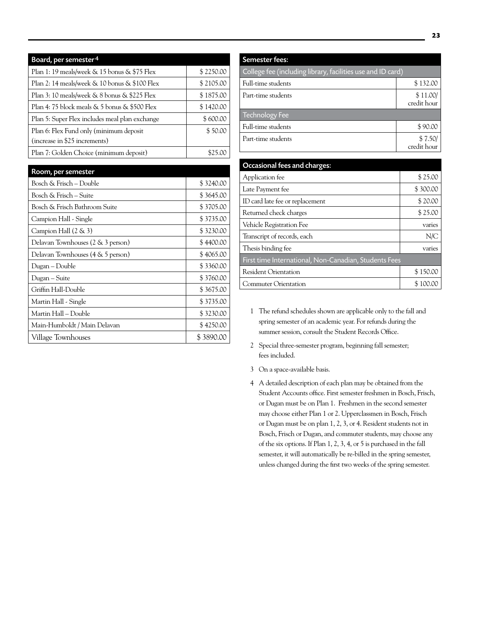| Board, per semester <sup>4</sup>                    |           |
|-----------------------------------------------------|-----------|
| Plan 1: 19 meals/week $\&$ 15 bonus $\&$ \$75 Flex  | \$2250.00 |
| Plan 2: 14 meals/week & 10 bonus & \$100 Flex       | \$2105.00 |
| Plan 3: 10 meals/week & 8 bonus & \$225 Flex        | \$1875.00 |
| Plan 4: 75 block meals $\&$ 5 bonus $\&$ \$500 Flex | \$1420.00 |
| Plan 5: Super Flex includes meal plan exchange      | \$600.00  |
| Plan 6: Flex Fund only (minimum deposit             | \$50.00   |
| (increase in \$25 increments)                       |           |
| Plan 7: Golden Choice (minimum deposit)             |           |

| Room, per semester                |           |
|-----------------------------------|-----------|
| Bosch & Frisch – Double           | \$3240.00 |
| Bosch & Frisch – Suite            | \$3645.00 |
| Bosch & Frisch Bathroom Suite     | \$3705.00 |
| Campion Hall - Single             | \$3735.00 |
| Campion Hall $(2 \& 3)$           | \$3230.00 |
| Delavan Townhouses (2 & 3 person) | \$4400.00 |
| Delavan Townhouses (4 & 5 person) | \$4065.00 |
| Dugan – Double                    | \$3360.00 |
| Dugan – Suite                     | \$3760.00 |
| Griffin Hall-Double               | \$3675.00 |
| Martin Hall - Single              | \$3735.00 |
| Martin Hall – Double              | \$3230.00 |
| Main-Humboldt / Main Delavan      | \$4250.00 |
| Village Townhouses                | \$3890.00 |

| <b>Semester fees:</b>                                       |                         |
|-------------------------------------------------------------|-------------------------|
| College fee (including library, facilities use and ID card) |                         |
| Full-time students                                          | \$132.00                |
| Part-time students                                          | \$11.00/<br>credit hour |
| <b>Technology Fee</b>                                       |                         |
| Full-time students                                          | \$90.00                 |
| Part-time students                                          | \$7.50/<br>credit hour  |

| Occasional fees and charges:                          |          |
|-------------------------------------------------------|----------|
| Application fee                                       | \$25.00  |
| Late Payment fee                                      | \$300.00 |
| ID card late fee or replacement                       | \$20.00  |
| Returned check charges                                | \$25.00  |
| Vehicle Registration Fee                              | varies   |
| Transcript of records, each                           | N/C      |
| Thesis binding fee                                    | varies   |
| First time International, Non-Canadian, Students Fees |          |
| <b>Resident Orientation</b>                           | \$150.00 |
| Commuter Orientation                                  | 100.00   |

- 1 The refund schedules shown are applicable only to the fall and spring semester of an academic year. For refunds during the summer session, consult the Student Records Office.
- 2 Special three-semester program, beginning fall semester; fees included.
- 3 On a space-available basis.
- 4 A detailed description of each plan may be obtained from the Student Accounts office. First semester freshmen in Bosch, Frisch, or Dugan must be on Plan 1. Freshmen in the second semester may choose either Plan 1 or 2. Upperclassmen in Bosch, Frisch or Dugan must be on plan 1, 2, 3, or 4. Resident students not in Bosch, Frisch or Dugan, and commuter students, may choose any of the six options. If Plan 1, 2, 3, 4, or 5 is purchased in the fall semester, it will automatically be re-billed in the spring semester, unless changed during the first two weeks of the spring semester.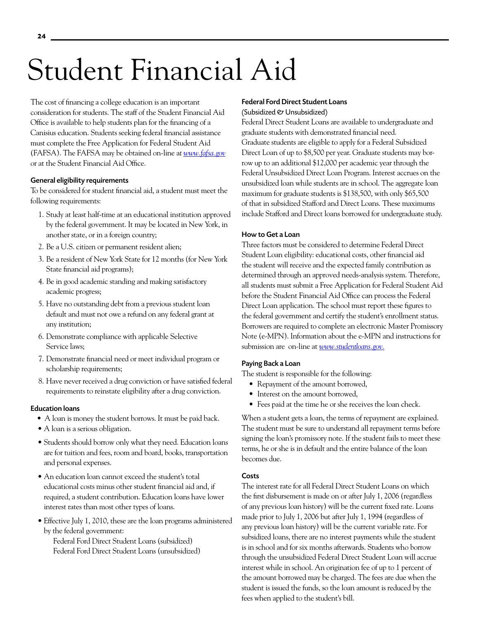# Student Financial Aid

The cost of financing a college education is an important consideration for students. The staff of the Student Financial Aid Office is available to help students plan for the financing of a Canisius education. Students seeking federal financial assistance must complete the Free Application for Federal Student Aid (FAFSA). The FAFSA may be obtained on-line a*t www.fafsa.gov* or at the Student Financial Aid Office.

#### General eligibility requirements

To be considered for student financial aid, a student must meet the following requirements:

- 1. Study at least half-time at an educational institution approved by the federal government. It may be located in New York, in another state, or in a foreign country;
- 2. Be a U.S. citizen or permanent resident alien;
- 3. Be a resident of New York State for 12 months (for New York State financial aid programs);
- 4. Be in good academic standing and making satisfactory academic progress;
- 5. Have no outstanding debt from a previous student loan default and must not owe a refund on any federal grant at any institution;
- 6. Demonstrate compliance with applicable Selective Service laws;
- 7. Demonstrate financial need or meet individual program or scholarship requirements;
- 8. Have never received a drug conviction or have satisfied federal requirements to reinstate eligibility after a drug conviction.

#### Education loans

- A loan is money the student borrows. It must be paid back.
- A loan is a serious obligation.
- Students should borrow only what they need. Education loans are for tuition and fees, room and board, books, transportation and personal expenses.
- An education loan cannot exceed the student's total educational costs minus other student financial aid and, if required, a student contribution. Education loans have lower interest rates than most other types of loans.
- Effective July 1, 2010, these are the loan programs administered by the federal government:

 Federal Ford Direct Student Loans (subsidized) Federal Ford Direct Student Loans (unsubsidized)

#### Federal Ford Direct Student Loans (Subsidized & Unsubsidized)

Federal Direct Student Loans are available to undergraduate and graduate students with demonstrated financial need. Graduate students are eligible to apply for a Federal Subsidized Direct Loan of up to \$8,500 per year. Graduate students may borrow up to an additional \$12,000 per academic year through the Federal Unsubsidized Direct Loan Program. Interest accrues on the unsubsidized loan while students are in school. The aggregate loan maximum for graduate students is \$138,500, with only \$65,500 of that in subsidized Stafford and Direct Loans. These maximums include Stafford and Direct loans borrowed for undergraduate study.

#### How to Get a Loan

Three factors must be considered to determine Federal Direct Student Loan eligibility: educational costs, other financial aid the student will receive and the expected family contribution as determined through an approved needs-analysis system. Therefore, all students must submit a Free Application for Federal Student Aid before the Student Financial Aid Office can process the Federal Direct Loan application. The school must report these figures to the federal government and certify the student's enrollment status. Borrowers are required to complete an electronic Master Promissory Note (e-MPN). Information about the e-MPN and instructions for submission are on-line at *www.studentloans.gov.*

#### Paying Back a Loan

The student is responsible for the following:

- Repayment of the amount borrowed,
- Interest on the amount borrowed,
- Fees paid at the time he or she receives the loan check.

When a student gets a loan, the terms of repayment are explained. The student must be sure to understand all repayment terms before signing the loan's promissory note. If the student fails to meet these terms, he or she is in default and the entire balance of the loan becomes due.

#### **Costs**

The interest rate for all Federal Direct Student Loans on which the first disbursement is made on or after July 1, 2006 (regardless of any previous loan history) will be the current fixed rate. Loans made prior to July 1, 2006 but after July 1, 1994 (regardless of any previous loan history) will be the current variable rate. For subsidized loans, there are no interest payments while the student is in school and for six months afterwards. Students who borrow through the unsubsidized Federal Direct Student Loan will accrue interest while in school. An origination fee of up to 1 percent of the amount borrowed may be charged. The fees are due when the student is issued the funds, so the loan amount is reduced by the fees when applied to the student's bill.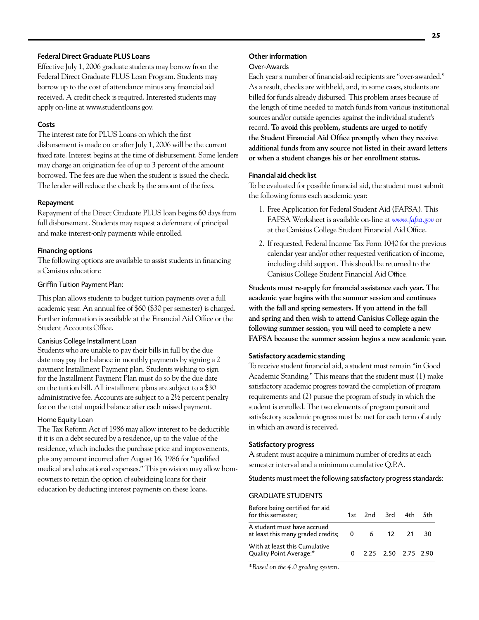#### Federal Direct Graduate PLUS Loans

Effective July 1, 2006 graduate students may borrow from the Federal Direct Graduate PLUS Loan Program. Students may borrow up to the cost of attendance minus any financial aid received. A credit check is required. Interested students may apply on-line at www.studentloans.gov.

#### **Costs**

The interest rate for PLUS Loans on which the first disbursement is made on or after July 1, 2006 will be the current fixed rate. Interest begins at the time of disbursement. Some lenders may charge an origination fee of up to 3 percent of the amount borrowed. The fees are due when the student is issued the check. The lender will reduce the check by the amount of the fees.

#### Repayment

Repayment of the Direct Graduate PLUS loan begins 60 days from full disbursement. Students may request a deferment of principal and make interest-only payments while enrolled.

#### Financing options

The following options are available to assist students in financing a Canisius education:

#### Griffin Tuition Payment Plan:

This plan allows students to budget tuition payments over a full academic year. An annual fee of \$60 (\$30 per semester) is charged. Further information is available at the Financial Aid Office or the Student Accounts Office.

#### Canisius College Installment Loan

Students who are unable to pay their bills in full by the due date may pay the balance in monthly payments by signing a 2 payment Installment Payment plan. Students wishing to sign for the Installment Payment Plan must do so by the due date on the tuition bill. All installment plans are subject to a \$30 administrative fee. Accounts are subject to a 2½ percent penalty fee on the total unpaid balance after each missed payment.

#### Home Equity Loan

The Tax Reform Act of 1986 may allow interest to be deductible if it is on a debt secured by a residence, up to the value of the residence, which includes the purchase price and improvements, plus any amount incurred after August 16, 1986 for "qualified medical and educational expenses." This provision may allow homeowners to retain the option of subsidizing loans for their education by deducting interest payments on these loans.

#### Other information

#### Over-Awards

Each year a number of financial-aid recipients are "over-awarded." As a result, checks are withheld, and, in some cases, students are billed for funds already disbursed. This problem arises because of the length of time needed to match funds from various institutional sources and/or outside agencies against the individual student's record. **To avoid this problem, students are urged to notify the Student Financial Aid Office promptly when they receive additional funds from any source not listed in their award letters or when a student changes his or her enrollment status.** 

#### Financial aid check list

To be evaluated for possible financial aid, the student must submit the following forms each academic year:

- 1. Free Application for Federal Student Aid (FAFSA). This FAFSA Worksheet is available on-line at *www.fafsa.gov* or at the Canisius College Student Financial Aid Office.
- 2. If requested, Federal Income Tax Form 1040 for the previous calendar year and/or other requested verification of income, including child support. This should be returned to the Canisius College Student Financial Aid Office.

**Students must re-apply for financial assistance each year. The academic year begins with the summer session and continues with the fall and spring semesters. If you attend in the fall and spring and then wish to attend Canisius College again the following summer session, you will need to complete a new FAFSA because the summer session begins a new academic year.**

#### Satisfactory academic standing

To receive student financial aid, a student must remain "in Good Academic Standing." This means that the student must (1) make satisfactory academic progress toward the completion of program requirements and (2) pursue the program of study in which the student is enrolled. The two elements of program pursuit and satisfactory academic progress must be met for each term of study in which an award is received.

#### Satisfactory progress

A student must acquire a minimum number of credits at each semester interval and a minimum cumulative Q.P.A.

Students must meet the following satisfactory progress standards:

#### Graduate students

| Before being certified for aid<br>for this semester;                |  | 1st 2nd 3rd 4th 5th     |     |
|---------------------------------------------------------------------|--|-------------------------|-----|
| A student must have accrued<br>at least this many graded credits; 0 |  | 6 12 21                 | -30 |
| With at least this Cumulative<br>Quality Point Average:*            |  | $0$ 2.25 2.50 2.75 2.90 |     |

*\*Based on the 4.0 grading system.*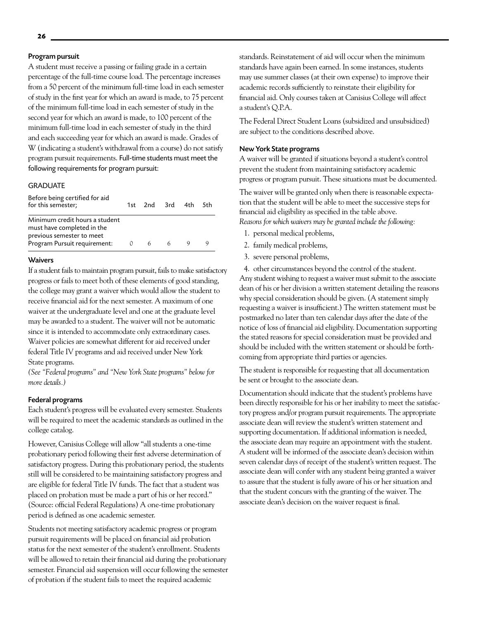#### Program pursuit

A student must receive a passing or failing grade in a certain percentage of the full-time course load. The percentage increases from a 50 percent of the minimum full-time load in each semester of study in the first year for which an award is made, to 75 percent of the minimum full-time load in each semester of study in the second year for which an award is made, to 100 percent of the minimum full-time load in each semester of study in the third and each succeeding year for which an award is made. Grades of W (indicating a student's withdrawal from a course) do not satisfy program pursuit requirements. Full-time students must meet the following requirements for program pursuit:

#### **GRADUATE**

| Before being certified for aid<br>for this semester;                                                                      |          | 1st 2nd 3rd 4th 5th |  |  |
|---------------------------------------------------------------------------------------------------------------------------|----------|---------------------|--|--|
| Minimum credit hours a student<br>must have completed in the<br>previous semester to meet<br>Program Pursuit requirement: | $\Omega$ | 66                  |  |  |

#### **Waivers**

If a student fails to maintain program pursuit, fails to make satisfactory progress or fails to meet both of these elements of good standing, the college may grant a waiver which would allow the student to receive financial aid for the next semester. A maximum of one waiver at the undergraduate level and one at the graduate level may be awarded to a student. The waiver will not be automatic since it is intended to accommodate only extraordinary cases. Waiver policies are somewhat different for aid received under federal Title IV programs and aid received under New York State programs.

*(See "Federal programs" and "New York State programs" below for more details.)*

#### Federal programs

Each student's progress will be evaluated every semester. Students will be required to meet the academic standards as outlined in the college catalog.

However, Canisius College will allow "all students a one-time probationary period following their first adverse determination of satisfactory progress. During this probationary period, the students still will be considered to be maintaining satisfactory progress and are eligible for federal Title IV funds. The fact that a student was placed on probation must be made a part of his or her record." (Source: official Federal Regulations) A one-time probationary period is defined as one academic semester.

Students not meeting satisfactory academic progress or program pursuit requirements will be placed on financial aid probation status for the next semester of the student's enrollment. Students will be allowed to retain their financial aid during the probationary semester. Financial aid suspension will occur following the semester of probation if the student fails to meet the required academic

standards. Reinstatement of aid will occur when the minimum standards have again been earned. In some instances, students may use summer classes (at their own expense) to improve their academic records sufficiently to reinstate their eligibility for financial aid. Only courses taken at Canisius College will affect a student's Q.P.A.

The Federal Direct Student Loans (subsidized and unsubsidized) are subject to the conditions described above.

#### New York State programs

A waiver will be granted if situations beyond a student's control prevent the student from maintaining satisfactory academic progress or program pursuit. These situations must be documented.

The waiver will be granted only when there is reasonable expectation that the student will be able to meet the successive steps for financial aid eligibility as specified in the table above. *Reasons for which waivers may be granted include the following:* 

- 1. personal medical problems,
- 2. family medical problems,
- 3. severe personal problems,

4. other circumstances beyond the control of the student. Any student wishing to request a waiver must submit to the associate dean of his or her division a written statement detailing the reasons why special consideration should be given. (A statement simply requesting a waiver is insufficient.) The written statement must be postmarked no later than ten calendar days after the date of the notice of loss of financial aid eligibility. Documentation supporting the stated reasons for special consideration must be provided and should be included with the written statement or should be forthcoming from appropriate third parties or agencies.

The student is responsible for requesting that all documentation be sent or brought to the associate dean.

Documentation should indicate that the student's problems have been directly responsible for his or her inability to meet the satisfactory progress and/or program pursuit requirements. The appropriate associate dean will review the student's written statement and supporting documentation. If additional information is needed, the associate dean may require an appointment with the student. A student will be informed of the associate dean's decision within seven calendar days of receipt of the student's written request. The associate dean will confer with any student being granted a waiver to assure that the student is fully aware of his or her situation and that the student concurs with the granting of the waiver. The associate dean's decision on the waiver request is final.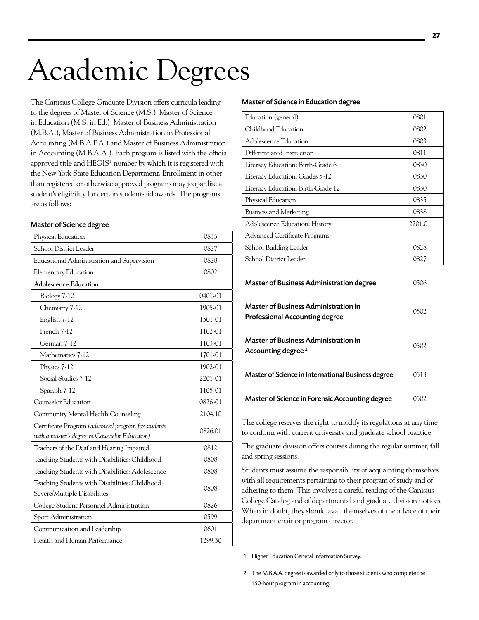# Academic Degrees

The Canisius College Graduate Division offers curricula leading to the degrees of Master of Science (M.S.), Master of Science in Education (M.S. in Ed.), Master of Business Administration (M.B.A.), Master of Business Administration in Professional Accounting (M.B.A.P.A.) and Master of Business Administration in Accounting (M.B.A.A.). Each program is listed with the official approved title and  $HEGIS<sup>1</sup>$  number by which it is registered with the New York State Education Department. Enrollment in other than registered or otherwise approved programs may jeopardize a student's eligibility for certain student-aid awards. The programs are as follows:

#### Master of Science degree

| Physical Education                                 | 0835    |
|----------------------------------------------------|---------|
| School District Leader                             | 0827    |
| Educational Administration and Supervision         | 0828    |
| <b>Elementary Education</b>                        | 0802    |
| <b>Adolescence Education</b>                       |         |
| Biology 7-12                                       | 0401-01 |
| Chemistry 7-12                                     | 1905-01 |
| English 7-12                                       | 1501-01 |
| French 7-12                                        | 1102-01 |
| German 7-12                                        | 1103-01 |
| Mathematics 7-12                                   | 1701-01 |
| Physics 7-12                                       | 1902-01 |
| Social Studies 7-12                                | 2201-01 |
| Spanish 7-12                                       | 1105-01 |
| Counselor Education                                | 0826-01 |
| Community Mental Health Counseling                 | 2104.10 |
| Certificate Program (advanced program for students | 0826.01 |
| with a master's degree in Counselor Education)     |         |
| Teachers of the Deaf and Hearing Impaired          | 0812    |
| Teaching Students with Disabilities: Childhood     | 0808    |
| Teaching Students with Disabilities: Adolescence   | 0808    |
| Teaching Students with Disabilities: Childhood -   | 0808    |
| Severe/Multiple Disabilities                       |         |
| College Student Personnel Administration           | 0826    |
| Sport Administration                               | 0599    |
| Communication and Leadership                       | 0601    |
| Health and Human Performance                       | 1299.30 |
|                                                    |         |

#### Master of Science in Education degree

| Education (general)                | 0801    |
|------------------------------------|---------|
| Childhood Education                | 0802    |
| Adolescence Education              | 0803    |
| Differentiated Instruction         | 0811    |
| Literacy Education: Birth-Grade 6  | 0830    |
| Literacy Education: Grades 5-12    | 0830    |
| Literacy Education: Birth-Grade 12 | 0830    |
| Physical Education                 | 0835    |
| Business and Marketing             | 0838    |
| Adolescence Education: History     | 2201.01 |
| Advanced Certificate Programs:     |         |
| School Building Leader             | 0828    |
| School District Leader             | 0827    |

| <b>Master of Business Administration degree</b>                                      |      |
|--------------------------------------------------------------------------------------|------|
| <b>Master of Business Administration in</b><br><b>Professional Accounting degree</b> | 0502 |
| <b>Master of Business Administration in</b><br>Accounting degree <sup>2</sup>        | 0502 |
| Master of Science in International Business degree                                   | 0513 |
| Master of Science in Forensic Accounting degree                                      | 0502 |

The college reserves the right to modify its regulations at any time to conform with current university and graduate school practice.

The graduate division offers courses during the regular summer, fall and spring sessions.

Students must assume the responsibility of acquainting themselves with all requirements pertaining to their program of study and of adhering to them. This involves a careful reading of the Canisius College Catalog and of departmental and graduate division notices. When in doubt, they should avail themselves of the advice of their department chair or program director.

1 Higher Education General Information Survey.

2 The M.B.A.A. degree is awarded only to those students who complete the 150-hour program in accounting.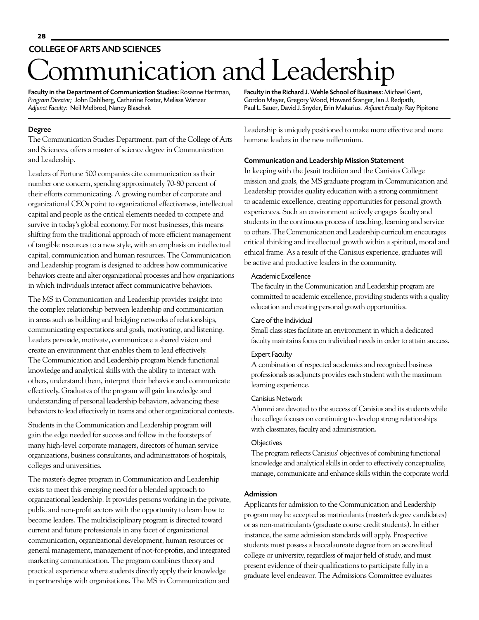# mmunication and Leadership college ofartsand sciences

Faculty in the Department of Communication Studies: Rosanne Hartman, *Program Director;* John Dahlberg, Catherine Foster, Melissa Wanzer *Adjunct Faculty:* Neil Melbrod, Nancy Blaschak*.*

Faculty in the Richard J. Wehle School of Business: Michael Gent, Gordon Meyer, Gregory Wood, Howard Stanger, Ian J. Redpath, Paul L. Sauer, David J. Snyder, Erin Makarius. *Adjunct Faculty:* Ray Pipitone

#### Degree

The Communication Studies Department, part of the College of Arts and Sciences, offers a master of science degree in Communication and Leadership.

Leaders of Fortune 500 companies cite communication as their number one concern, spending approximately 70-80 percent of their efforts communicating. A growing number of corporate and organizational CEOs point to organizational effectiveness, intellectual capital and people as the critical elements needed to compete and survive in today's global economy. For most businesses, this means shifting from the traditional approach of more efficient management of tangible resources to a new style, with an emphasis on intellectual capital, communication and human resources. The Communication and Leadership program is designed to address how communicative behaviors create and alter organizational processes and how organizations in which individuals interact affect communicative behaviors.

The MS in Communication and Leadership provides insight into the complex relationship between leadership and communication in areas such as building and bridging networks of relationships, communicating expectations and goals, motivating, and listening. Leaders persuade, motivate, communicate a shared vision and create an environment that enables them to lead effectively. The Communication and Leadership program blends functional knowledge and analytical skills with the ability to interact with others, understand them, interpret their behavior and communicate effectively. Graduates of the program will gain knowledge and understanding of personal leadership behaviors, advancing these behaviors to lead effectively in teams and other organizational contexts.

Students in the Communication and Leadership program will gain the edge needed for success and follow in the footsteps of many high-level corporate managers, directors of human service organizations, business consultants, and administrators of hospitals, colleges and universities.

The master's degree program in Communication and Leadership exists to meet this emerging need for a blended approach to organizational leadership. It provides persons working in the private, public and non-profit sectors with the opportunity to learn how to become leaders. The multidisciplinary program is directed toward current and future professionals in any facet of organizational communication, organizational development, human resources or general management, management of not-for-profits, and integrated marketing communication. The program combines theory and practical experience where students directly apply their knowledge in partnerships with organizations. The MS in Communication and

Leadership is uniquely positioned to make more effective and more humane leaders in the new millennium.

#### Communication and Leadership Mission Statement

In keeping with the Jesuit tradition and the Canisius College mission and goals, the MS graduate program in Communication and Leadership provides quality education with a strong commitment to academic excellence, creating opportunities for personal growth experiences. Such an environment actively engages faculty and students in the continuous process of teaching, learning and service to others. The Communication and Leadership curriculum encourages critical thinking and intellectual growth within a spiritual, moral and ethical frame. As a result of the Canisius experience, graduates will be active and productive leaders in the community.

#### Academic Excellence

The faculty in the Communication and Leadership program are committed to academic excellence, providing students with a quality education and creating personal growth opportunities.

#### Care of the Individual

Small class sizes facilitate an environment in which a dedicated faculty maintains focus on individual needs in order to attain success.

#### Expert Faculty

A combination of respected academics and recognized business professionals as adjuncts provides each student with the maximum learning experience.

#### Canisius Network

Alumni are devoted to the success of Canisius and its students while the college focuses on continuing to develop strong relationships with classmates, faculty and administration.

#### **Objectives**

The program reflects Canisius' objectives of combining functional knowledge and analytical skills in order to effectively conceptualize, manage, communicate and enhance skills within the corporate world.

#### Admission

Applicants for admission to the Communication and Leadership program may be accepted as matriculants (master's degree candidates) or as non-matriculants (graduate course credit students). In either instance, the same admission standards will apply. Prospective students must possess a baccalaureate degree from an accredited college or university, regardless of major field of study, and must present evidence of their qualifications to participate fully in a graduate level endeavor. The Admissions Committee evaluates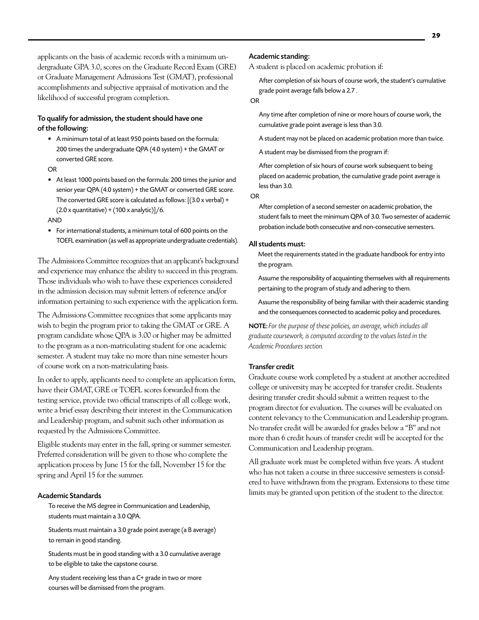applicants on the basis of academic records with a minimum undergraduate GPA 3.0, scores on the Graduate Record Exam (GRE) or Graduate Management Admissions Test (GMAT), professional accomplishments and subjective appraisal of motivation and the likelihood of successful program completion.

#### To qualify for admission, the student should have one of the following:

• A minimum total of at least 950 points based on the formula: 200 times the undergraduate QPA (4.0 system) + the GMAT or converted GRE score.

OR

- At least 1000 points based on the formula: 200 times the junior and senior year QPA (4.0 system) + the GMAT or converted GRE score. The converted GRE score is calculated as follows: [(3.0 x verbal) +  $(2.0 x$  quantitative) +  $(100 x$  analytic)]/6. AND
- For international students, a minimum total of 600 points on the TOEFL examination (as well as appropriate undergraduate credentials).

The Admissions Committee recognizes that an applicant's background and experience may enhance the ability to succeed in this program. Those individuals who wish to have these experiences considered in the admission decision may submit letters of reference and/or information pertaining to such experience with the application form.

The Admissions Committee recognizes that some applicants may wish to begin the program prior to taking the GMAT or GRE. A program candidate whose QPA is 3.00 or higher may be admitted to the program as a non-matriculating student for one academic semester. A student may take no more than nine semester hours of course work on a non-matriculating basis.

In order to apply, applicants need to complete an application form, have their GMAT, GRE or TOEFL scores forwarded from the testing service, provide two official transcripts of all college work, write a brief essay describing their interest in the Communication and Leadership program, and submit such other information as requested by the Admissions Committee.

Eligible students may enter in the fall, spring or summer semester. Preferred consideration will be given to those who complete the application process by June 15 for the fall, November 15 for the spring and April 15 for the summer.

#### Academic Standards

To receive the MS degree in Communication and Leadership, students must maintain a 3.0 QPA.

Students must maintain a 3.0 grade point average (a B average) to remain in good standing.

Students must be in good standing with a 3.0 cumulative average to be eligible to take the capstone course.

Any student receiving less than a C+ grade in two or more courses will be dismissed from the program.

#### Academic standing:

A student is placed on academic probation if:

After completion of six hours of course work, the student's cumulative grade point average falls below a 2.7 .

#### OR

Any time after completion of nine or more hours of course work, the cumulative grade point average is less than 3.0.

A student may not be placed on academic probation more than twice.

A student may be dismissed from the program if:

After completion of six hours of course work subsequent to being placed on academic probation, the cumulative grade point average is less than 3.0.

OR

After completion of a second semester on academic probation, the student fails to meet the minimum QPA of 3.0. Two semester of academic probation include both consecutive and non-consecutive semesters.

#### All students must:

Meet the requirements stated in the graduate handbook for entry into the program.

Assume the responsibility of acquainting themselves with all requirements pertaining to the program of study and adhering to them.

Assume the responsibility of being familiar with their academic standing and the consequences connected to academic policy and procedures.

NOTE: *For the purpose of these policies, an average, which includes all graduate coursework, is computed according to the values listed in the Academic Procedures section.*

#### Transfer credit

Graduate course work completed by a student at another accredited college or university may be accepted for transfer credit. Students desiring transfer credit should submit a written request to the program director for evaluation. The courses will be evaluated on content relevancy to the Communication and Leadership program. No transfer credit will be awarded for grades below a "B" and not more than 6 credit hours of transfer credit will be accepted for the Communication and Leadership program.

All graduate work must be completed within five years. A student who has not taken a course in three successive semesters is considered to have withdrawn from the program. Extensions to these time limits may be granted upon petition of the student to the director.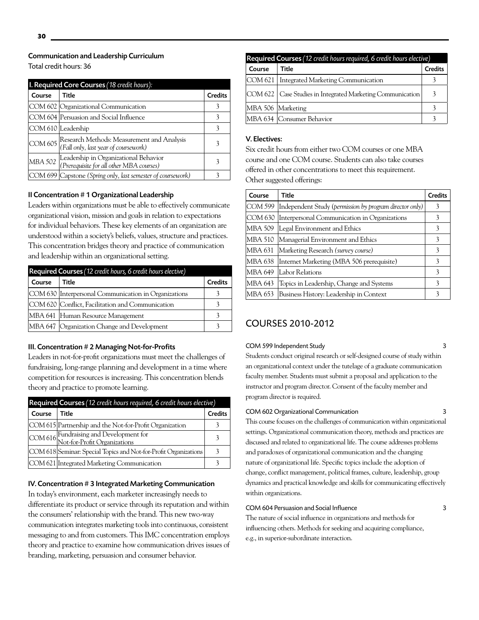Total credit hours: 36

| I. Required Core Courses (18 credit hours): |                                                                                            |                |
|---------------------------------------------|--------------------------------------------------------------------------------------------|----------------|
| Course                                      | Title                                                                                      | <b>Credits</b> |
|                                             | COM 602 Organizational Communication                                                       |                |
|                                             | COM 604 Persuasion and Social Influence                                                    |                |
|                                             | COM 610 Leadership                                                                         |                |
|                                             | COM 605 Research Methods: Measurement and Analysis<br>(Fall only, last year of coursework) |                |
|                                             | MBA 502 Leadership in Organizational Behavior<br>(Prerequisite for all other MBA courses)  |                |
|                                             | COM 699 Capstone (Spring only, last semester of coursework)                                |                |

#### II Concentration # 1 Organizational Leadership

Leaders within organizations must be able to effectively communicate organizational vision, mission and goals in relation to expectations for individual behaviors. These key elements of an organization are understood within a society's beliefs, values, structure and practices. This concentration bridges theory and practice of communication and leadership within an organizational setting.

| Required Courses (12 credit hours, 6 credit hours elective) |                                                      |                |  |
|-------------------------------------------------------------|------------------------------------------------------|----------------|--|
| Course                                                      | Title                                                | <b>Credits</b> |  |
|                                                             | COM 630 Interpersonal Communication in Organizations |                |  |
|                                                             | COM 620 Conflict, Facilitation and Communication     |                |  |
|                                                             | MBA 641 Human Resource Management                    |                |  |
|                                                             | MBA 647 Organization Change and Development          |                |  |

#### III. Concentration # 2 Managing Not-for-Profits

Leaders in not-for-profit organizations must meet the challenges of fundraising, long-range planning and development in a time where competition for resources is increasing. This concentration blends theory and practice to promote learning.

| Required Courses (12 credit hours required, 6 credit hours elective) |                                                                         |                |  |
|----------------------------------------------------------------------|-------------------------------------------------------------------------|----------------|--|
| Course                                                               | Title                                                                   | <b>Credits</b> |  |
|                                                                      | COM 615 Partnership and the Not-for-Profit Organization                 |                |  |
|                                                                      | COM 616 Fundraising and Development for<br>Not-for-Profit Organizations |                |  |
|                                                                      | COM 618 Seminar: Special Topics and Not-for-Profit Organizations        | 3              |  |
|                                                                      | COM 621 Integrated Marketing Communication                              |                |  |

#### IV. Concentration # 3 Integrated Marketing Communication

In today's environment, each marketer increasingly needs to differentiate its product or service through its reputation and within the consumers' relationship with the brand. This new two-way communication integrates marketing tools into continuous, consistent messaging to and from customers. This IMC concentration employs theory and practice to examine how communication drives issues of branding, marketing, persuasion and consumer behavior.

| Required Courses (12 credit hours required, 6 credit hours elective) |                                                              |                |  |
|----------------------------------------------------------------------|--------------------------------------------------------------|----------------|--|
| Course                                                               | Title                                                        | <b>Credits</b> |  |
|                                                                      | COM 621   Integrated Marketing Communication                 |                |  |
|                                                                      | COM 622   Case Studies in Integrated Marketing Communication | 3              |  |
| MBA 506 Marketing                                                    |                                                              |                |  |
|                                                                      | MBA 634 Consumer Behavior                                    |                |  |

#### V. Electives:

Six credit hours from either two COM courses or one MBA course and one COM course. Students can also take courses offered in other concentrations to meet this requirement. Other suggested offerings:

| Course  | Title                                                   | <b>Credits</b> |
|---------|---------------------------------------------------------|----------------|
| COM 599 | Independent Study (permission by program director only) | 3              |
| COM 630 | Interpersonal Communication in Organizations            | 3              |
| MBA 509 | Legal Environment and Ethics                            | 3              |
| MBA 510 | Managerial Environment and Ethics                       | 3              |
| MBA 631 | Marketing Research (survey course)                      | 3              |
| MBA 638 | Internet Marketing (MBA 506 prerequisite)               | 3              |
| MBA 649 | Labor Relations                                         | 3              |
| MBA 643 | Topics in Leadership, Change and Systems                | 3              |
| MBA 653 | Business History: Leadership in Context                 | 3              |

# COURSES 2010-2012

#### COM 599 Independent Study 3

Students conduct original research or self-designed course of study within an organizational context under the tutelage of a graduate communication faculty member. Students must submit a proposal and application to the instructor and program director. Consent of the faculty member and program director is required.

#### COM 602 Organizational Communication 3

This course focuses on the challenges of communication within organizational settings. Organizational communication theory, methods and practices are discussed and related to organizational life. The course addresses problems and paradoxes of organizational communication and the changing nature of organizational life. Specific topics include the adoption of change, conflict management, political frames, culture, leadership, group dynamics and practical knowledge and skills for communicating effectively within organizations.

#### COM 604 Persuasion and Social Influence 3

The nature of social influence in organizations and methods for influencing others. Methods for seeking and acquiring compliance, e.g., in superior-subordinate interaction.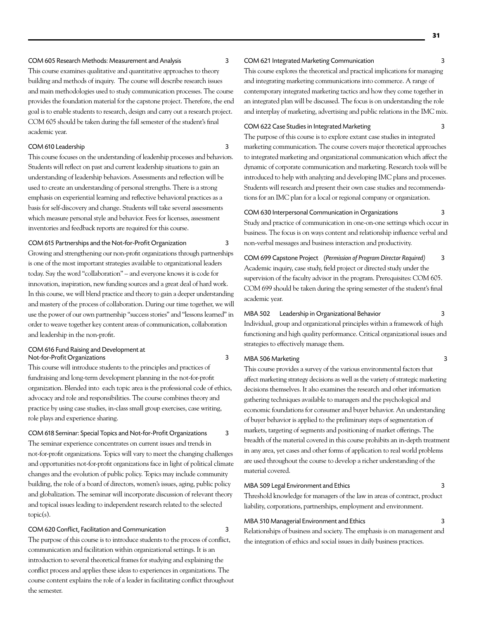#### COM 605 Research Methods: Measurement and Analysis 3

This course examines qualitative and quantitative approaches to theory building and methods of inquiry. The course will describe research issues and main methodologies used to study communication processes. The course provides the foundation material for the capstone project. Therefore, the end goal is to enable students to research, design and carry out a research project. COM 605 should be taken during the fall semester of the student's final academic year.

#### COM 610 Leadership 3

This course focuses on the understanding of leadership processes and behaviors. Students will reflect on past and current leadership situations to gain an understanding of leadership behaviors. Assessments and reflection will be used to create an understanding of personal strengths. There is a strong emphasis on experiential learning and reflective behavioral practices as a basis for self-discovery and change. Students will take several assessments which measure personal style and behavior. Fees for licenses, assessment inventories and feedback reports are required for this course.

#### COM 615 Partnerships and the Not-for-Profit Organization 3

Growing and strengthening our non-profit organizations through partnerships is one of the most important strategies available to organizational leaders today. Say the word "collaboration" – and everyone knows it is code for innovation, inspiration, new funding sources and a great deal of hard work. In this course, we will blend practice and theory to gain a deeper understanding and mastery of the process of collaboration. During our time together, we will use the power of our own partnership "success stories" and "lessons learned" in order to weave together key content areas of communication, collaboration and leadership in the non-profit.

#### COM 616 Fund Raising and Development at Not-for-Profit Organizations 3

This course will introduce students to the principles and practices of fundraising and long-term development planning in the not-for-profit organization. Blended into each topic area is the professional code of ethics, advocacy and role and responsibilities. The course combines theory and practice by using case studies, in-class small group exercises, case writing, role plays and experience sharing.

COM 618 Seminar: Special Topics and Not-for-Profit Organizations 3 The seminar experience concentrates on current issues and trends in not-for-profit organizations. Topics will vary to meet the changing challenges and opportunities not-for-profit organizations face in light of political climate changes and the evolution of public policy. Topics may include community building, the role of a board of directors, women's issues, aging, public policy and globalization. The seminar will incorporate discussion of relevant theory and topical issues leading to independent research related to the selected topic(s).

### COM 620 Conflict, Facilitation and Communication 3

The purpose of this course is to introduce students to the process of conflict, communication and facilitation within organizational settings. It is an introduction to several theoretical frames for studying and explaining the conflict process and applies these ideas to experiences in organizations. The course content explains the role of a leader in facilitating conflict throughout the semester.

#### COM 621 Integrated Marketing Communication 3

This course explores the theoretical and practical implications for managing and integrating marketing communications into commerce. A range of contemporary integrated marketing tactics and how they come together in an integrated plan will be discussed. The focus is on understanding the role and interplay of marketing, advertising and public relations in the IMC mix.

#### COM 622 Case Studies in Integrated Marketing 3

The purpose of this course is to explore extant case studies in integrated marketing communication. The course covers major theoretical approaches to integrated marketing and organizational communication which affect the dynamic of corporate communication and marketing. Research tools will be introduced to help with analyzing and developing IMC plans and processes. Students will research and present their own case studies and recommendations for an IMC plan for a local or regional company or organization.

COM 630 Interpersonal Communication in Organizations 3 Study and practice of communication in one-on-one settings which occur in business. The focus is on ways content and relationship influence verbal and non-verbal messages and business interaction and productivity.

### COM 699 Capstone Project (*Permission of Program Director Required)* 3 Academic inquiry, case study, field project or directed study under the supervision of the faculty advisor in the program. Prerequisites: COM 605. COM 699 should be taken during the spring semester of the student's final academic year.

#### MBA 502 Leadership in Organizational Behavior 3

Individual, group and organizational principles within a framework of high functioning and high quality performance. Critical organizational issues and strategies to effectively manage them.

#### MBA 506 Marketing 3

This course provides a survey of the various environmental factors that affect marketing strategy decisions as well as the variety of strategic marketing decisions themselves. It also examines the research and other information gathering techniques available to managers and the psychological and economic foundations for consumer and buyer behavior. An understanding of buyer behavior is applied to the preliminary steps of segmentation of markets, targeting of segments and positioning of market offerings. The breadth of the material covered in this course prohibits an in-depth treatment in any area, yet cases and other forms of application to real world problems are used throughout the course to develop a richer understanding of the material covered.

#### MBA 509 Legal Environment and Ethics 3

Threshold knowledge for managers of the law in areas of contract, product liability, corporations, partnerships, employment and environment.

#### MBA 510 Managerial Environment and Ethics 3

Relationships of business and society. The emphasis is on management and the integration of ethics and social issues in daily business practices.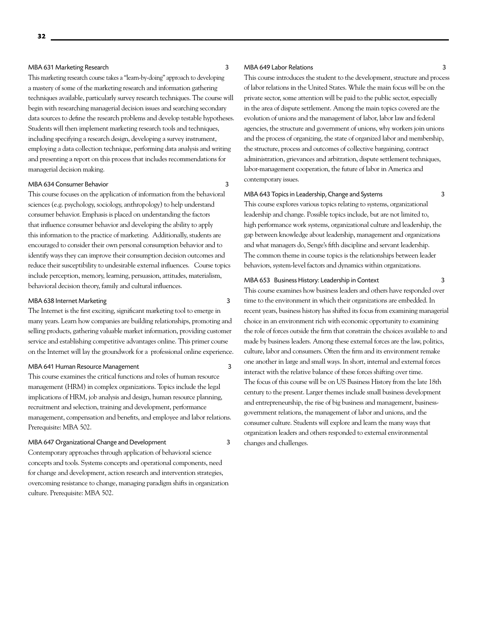#### MBA 631 Marketing Research 3

This marketing research course takes a "learn-by-doing" approach to developing a mastery of some of the marketing research and information gathering techniques available, particularly survey research techniques. The course will begin with researching managerial decision issues and searching secondary data sources to define the research problems and develop testable hypotheses. Students will then implement marketing research tools and techniques, including specifying a research design, developing a survey instrument, employing a data collection technique, performing data analysis and writing and presenting a report on this process that includes recommendations for managerial decision making.

#### MBA 634 Consumer Behavior 3

This course focuses on the application of information from the behavioral sciences (e.g. psychology, sociology, anthropology) to help understand consumer behavior. Emphasis is placed on understanding the factors that influence consumer behavior and developing the ability to apply this information to the practice of marketing. Additionally, students are encouraged to consider their own personal consumption behavior and to identify ways they can improve their consumption decision outcomes and reduce their susceptibility to undesirable external influences. Course topics include perception, memory, learning, persuasion, attitudes, materialism, behavioral decision theory, family and cultural influences.

#### MBA 638 Internet Marketing 3

The Internet is the first exciting, significant marketing tool to emerge in many years. Learn how companies are building relationships, promoting and selling products, gathering valuable market information, providing customer service and establishing competitive advantages online. This primer course on the Internet will lay the groundwork for a professional online experience.

#### MBA 641 Human Resource Management 3

This course examines the critical functions and roles of human resource management (HRM) in complex organizations. Topics include the legal implications of HRM, job analysis and design, human resource planning, recruitment and selection, training and development, performance management, compensation and benefits, and employee and labor relations. Prerequisite: MBA 502.

#### MBA 647 Organizational Change and Development 3

Contemporary approaches through application of behavioral science concepts and tools. Systems concepts and operational components, need for change and development, action research and intervention strategies, overcoming resistance to change, managing paradigm shifts in organization culture. Prerequisite: MBA 502.

#### MBA 649 Labor Relations 3

This course introduces the student to the development, structure and process of labor relations in the United States. While the main focus will be on the private sector, some attention will be paid to the public sector, especially in the area of dispute settlement. Among the main topics covered are the evolution of unions and the management of labor, labor law and federal agencies, the structure and government of unions, why workers join unions and the process of organizing, the state of organized labor and membership, the structure, process and outcomes of collective bargaining, contract administration, grievances and arbitration, dispute settlement techniques, labor-management cooperation, the future of labor in America and contemporary issues.

#### MBA 643 Topics in Leadership, Change and Systems 3

This course explores various topics relating to systems, organizational leadership and change. Possible topics include, but are not limited to, high performance work systems, organizational culture and leadership, the gap between knowledge about leadership, management and organizations and what managers do, Senge's fifth discipline and servant leadership. The common theme in course topics is the relationships between leader behaviors, system-level factors and dynamics within organizations.

#### MBA 653 Business History: Leadership in Context 3

This course examines how business leaders and others have responded over time to the environment in which their organizations are embedded. In recent years, business history has shifted its focus from examining managerial choice in an environment rich with economic opportunity to examining the role of forces outside the firm that constrain the choices available to and made by business leaders. Among these external forces are the law, politics, culture, labor and consumers. Often the firm and its environment remake one another in large and small ways. In short, internal and external forces interact with the relative balance of these forces shifting over time. The focus of this course will be on US Business History from the late 18th century to the present. Larger themes include small business development and entrepreneurship, the rise of big business and management, businessgovernment relations, the management of labor and unions, and the consumer culture. Students will explore and learn the many ways that organization leaders and others responded to external environmental changes and challenges.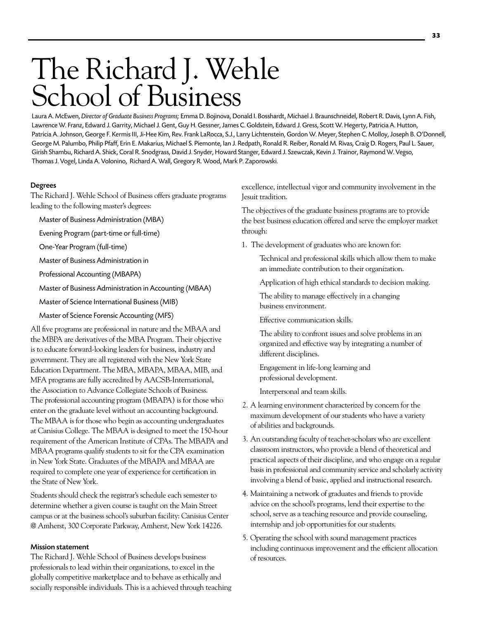# The Richard J. Wehle School of Business

Laura A. McEwen, *Director of Graduate Business Programs;* Emma D. Bojinova, Donald I. Bosshardt, Michael J. Braunschneidel, Robert R. Davis, Lynn A. Fish, Lawrence W. Franz, Edward J. Garrity, Michael J. Gent, Guy H. Gessner, James C. Goldstein, Edward J. Gress, Scott W. Hegerty, Patricia A. Hutton, Patricia A. Johnson, George F. Kermis III, Ji-Hee Kim, Rev. Frank LaRocca, S.J., Larry Lichtenstein, Gordon W. Meyer, Stephen C. Molloy, Joseph B. O'Donnell, George M. Palumbo, Philip Pfaff, Erin E. Makarius, Michael S. Piemonte, Ian J. Redpath, Ronald R. Reiber, Ronald M. Rivas, Craig D. Rogers, Paul L. Sauer, Girish Shambu, Richard A. Shick, Coral R. Snodgrass, David J. Snyder, Howard Stanger, Edward J. Szewczak, Kevin J. Trainor, Raymond W. Vegso, Thomas J. Vogel, Linda A. Volonino, Richard A. Wall, Gregory R. Wood, Mark P. Zaporowski.

#### Degrees

The Richard J. Wehle School of Business offers graduate programs leading to the following master's degrees:

Master of Business Administration (MBA)

Evening Program (part-time or full-time)

One-Year Program (full-time)

Master of Business Administration in

Professional Accounting (MBAPA)

Master of Business Administration in Accounting (MBAA)

Master of Science International Business (MIB)

Master of Science Forensic Accounting (MFS)

All five programs are professional in nature and the MBAA and the MBPA are derivatives of the MBA Program. Their objective is to educate forward-looking leaders for business, industry and government. They are all registered with the New York State Education Department. The MBA, MBAPA, MBAA, MIB, and MFA programs are fully accredited by AACSB-International, the Association to Advance Collegiate Schools of Business. The professional accounting program (MBAPA) is for those who enter on the graduate level without an accounting background. The MBAA is for those who begin as accounting undergraduates at Canisius College. The MBAA is designed to meet the 150-hour requirement of the American Institute of CPAs. The MBAPA and MBAA programs qualify students to sit for the CPA examination in New York State. Graduates of the MBAPA and MBAA are required to complete one year of experience for certification in the State of New York.

Students should check the registrar's schedule each semester to determine whether a given course is taught on the Main Street campus or at the business school's suburban facility: Canisius Center @ Amherst, 300 Corporate Parkway, Amherst, New York 14226.

#### Mission statement

The Richard J. Wehle School of Business develops business professionals to lead within their organizations, to excel in the globally competitive marketplace and to behave as ethically and socially responsible individuals. This is a achieved through teaching excellence, intellectual vigor and community involvement in the Jesuit tradition.

The objectives of the graduate business programs are to provide the best business education offered and serve the employer market through:

1. The development of graduates who are known for:

Technical and professional skills which allow them to make an immediate contribution to their organization.

Application of high ethical standards to decision making.

The ability to manage effectively in a changing business environment.

Effective communication skills.

The ability to confront issues and solve problems in an organized and effective way by integrating a number of different disciplines.

Engagement in life-long learning and professional development.

Interpersonal and team skills.

- 2. A learning environment characterized by concern for the maximum development of our students who have a variety of abilities and backgrounds.
- 3. An outstanding faculty of teacher-scholars who are excellent classroom instructors, who provide a blend of theoretical and practical aspects of their discipline, and who engage on a regular basis in professional and community service and scholarly activity involving a blend of basic, applied and instructional research.
- 4. Maintaining a network of graduates and friends to provide advice on the school's programs, lend their expertise to the school, serve as a teaching resource and provide counseling, internship and job opportunities for our students.
- 5. Operating the school with sound management practices including continuous improvement and the efficient allocation of resources.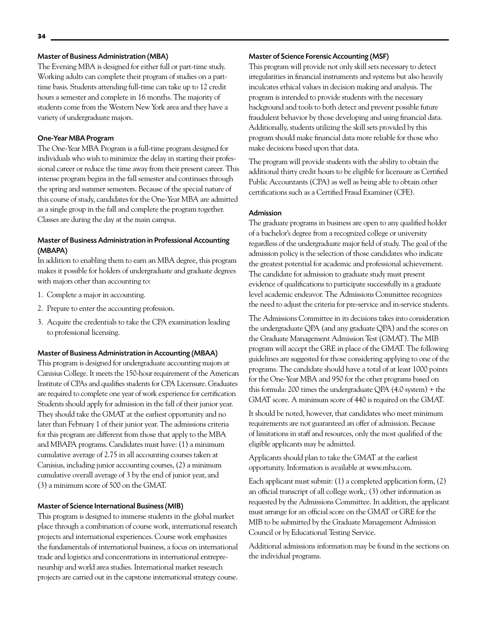#### Master of Business Administration (MBA)

The Evening MBA is designed for either full or part-time study. Working adults can complete their program of studies on a parttime basis. Students attending full-time can take up to 12 credit hours a semester and complete in 16 months. The majority of students come from the Western New York area and they have a variety of undergraduate majors.

#### One-Year MBA Program

The One-Year MBA Program is a full-time program designed for individuals who wish to minimize the delay in starting their professional career or reduce the time away from their present career. This intense program begins in the fall semester and continues through the spring and summer semesters. Because of the special nature of this course of study, candidates for the One-Year MBA are admitted as a single group in the fall and complete the program together. Classes are during the day at the main campus.

#### Master of Business Administration in Professional Accounting (MBAPA)

In addition to enabling them to earn an MBA degree, this program makes it possible for holders of undergraduate and graduate degrees with majors other than accounting to:

- 1. Complete a major in accounting.
- 2. Prepare to enter the accounting profession.
- 3. Acquire the credentials to take the CPA examination leading to professional licensing.

#### Master of Business Administration in Accounting (MBAA)

This program is designed for undergraduate accounting majors at Canisius College. It meets the 150-hour requirement of the American Institute of CPAs and qualifies students for CPA Licensure. Graduates are required to complete one year of work experience for certification Students should apply for admission in the fall of their junior year. They should take the GMAT at the earliest opportunity and no later than February 1 of their junior year. The admissions criteria for this program are different from those that apply to the MBA and MBAPA programs. Candidates must have: (1) a minimum cumulative average of 2.75 in all accounting courses taken at Canisius, including junior accounting courses, (2) a minimum cumulative overall average of 3 by the end of junior year, and (3) a minimum score of 500 on the GMAT.

#### Master of Science International Business (MIB)

This program is designed to immerse students in the global market place through a combination of course work, international research projects and international experiences. Course work emphasizes the fundamentals of international business, a focus on international trade and logistics and concentrations in international entrepreneurship and world area studies. International market research projects are carried out in the capstone international strategy course.

#### Master of Science Forensic Accounting (MSF)

This program will provide not only skill sets necessary to detect irregularities in financial instruments and systems but also heavily inculcates ethical values in decision making and analysis. The program is intended to provide students with the necessary background and tools to both detect and prevent possible future fraudulent behavior by those developing and using financial data. Additionally, students utilizing the skill sets provided by this program should make financial data more reliable for those who make decisions based upon that data.

The program will provide students with the ability to obtain the additional thirty credit hours to be eligible for licensure as Certified Public Accountants (CPA) as well as being able to obtain other certifications such as a Certified Fraud Examiner (CFE).

#### Admission

The graduate programs in business are open to any qualified holder of a bachelor's degree from a recognized college or university regardless of the undergraduate major field of study. The goal of the admission policy is the selection of those candidates who indicate the greatest potential for academic and professional achievement. The candidate for admission to graduate study must present evidence of qualifications to participate successfully in a graduate level academic endeavor. The Admissions Committee recognizes the need to adjust the criteria for pre-service and in-service students.

The Admissions Committee in its decisions takes into consideration the undergraduate QPA (and any graduate QPA) and the scores on the Graduate Management Admission Test (GMAT). The MIB program will accept the GRE in place of the GMAT. The following guidelines are suggested for those considering applying to one of the programs. The candidate should have a total of at least 1000 points for the One-Year MBA and 950 for the other programs based on this formula: 200 times the undergraduate QPA (4.0 system) + the GMAT score. A minimum score of 440 is required on the GMAT.

It should be noted, however, that candidates who meet minimum requirements are not guaranteed an offer of admission. Because of limitations in staff and resources, only the most qualified of the eligible applicants may be admitted.

Applicants should plan to take the GMAT at the earliest opportunity. Information is available at www.mba.com.

Each applicant must submit: (1) a completed application form, (2) an official transcript of all college work,: (3) other information as requested by the Admissions Committee. In addition, the applicant must arrange for an official score on the GMAT or GRE for the MIB to be submitted by the Graduate Management Admission Council or by Educational Testing Service.

Additional admissions information may be found in the sections on the individual programs.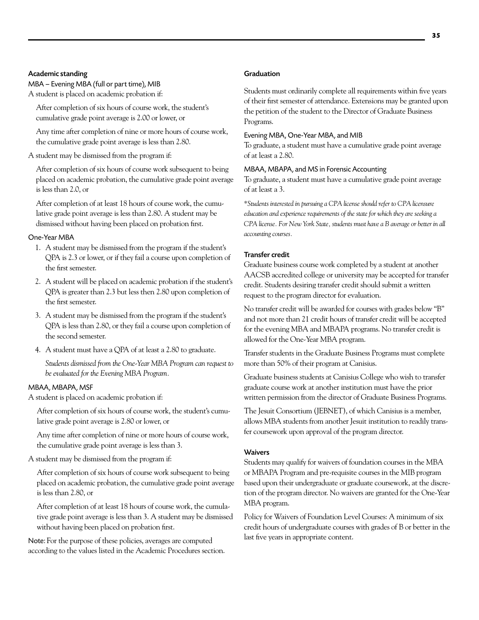#### Academic standing

MBA – Evening MBA (full or part time), MIB A student is placed on academic probation if:

After completion of six hours of course work, the student's cumulative grade point average is 2.00 or lower, or

Any time after completion of nine or more hours of course work, the cumulative grade point average is less than 2.80.

#### A student may be dismissed from the program if:

After completion of six hours of course work subsequent to being placed on academic probation, the cumulative grade point average is less than 2.0, or

After completion of at least 18 hours of course work, the cumulative grade point average is less than 2.80. A student may be dismissed without having been placed on probation first.

#### One-Year MBA

- 1. A student may be dismissed from the program if the student's QPA is 2.3 or lower, or if they fail a course upon completion of the first semester.
- 2. A student will be placed on academic probation if the student's QPA is greater than 2.3 but less then 2.80 upon completion of the first semester.
- 3. A student may be dismissed from the program if the student's QPA is less than 2.80, or they fail a course upon completion of the second semester.
- 4. A student must have a QPA of at least a 2.80 to graduate.

*Students dismissed from the One-Year MBA Program can request to be evaluated for the Evening MBA Program.* 

### MBAA, MBAPA, MSF

A student is placed on academic probation if:

After completion of six hours of course work, the student's cumulative grade point average is 2.80 or lower, or

Any time after completion of nine or more hours of course work, the cumulative grade point average is less than 3.

#### A student may be dismissed from the program if:

After completion of six hours of course work subsequent to being placed on academic probation, the cumulative grade point average is less than 2.80, or

After completion of at least 18 hours of course work, the cumulative grade point average is less than 3. A student may be dismissed without having been placed on probation first.

Note: For the purpose of these policies, averages are computed according to the values listed in the Academic Procedures section.

#### **Graduation**

Students must ordinarily complete all requirements within five years of their first semester of attendance. Extensions may be granted upon the petition of the student to the Director of Graduate Business Programs.

#### Evening MBA, One-Year MBA, and MIB

To graduate, a student must have a cumulative grade point average of at least a 2.80.

#### MBAA, MBAPA, and MS in Forensic Accounting

To graduate, a student must have a cumulative grade point average of at least a 3.

*\*Students interested in pursuing a CPA license should refer to CPA licensure education and experience requirements of the state for which they are seeking a CPA license. For New York State, students must have a B average or better in all accounting courses.* 

#### Transfer credit

Graduate business course work completed by a student at another AACSB accredited college or university may be accepted for transfer credit. Students desiring transfer credit should submit a written request to the program director for evaluation.

No transfer credit will be awarded for courses with grades below "B" and not more than 21 credit hours of transfer credit will be accepted for the evening MBA and MBAPA programs. No transfer credit is allowed for the One-Year MBA program.

Transfer students in the Graduate Business Programs must complete more than 50% of their program at Canisius.

Graduate business students at Canisius College who wish to transfer graduate course work at another institution must have the prior written permission from the director of Graduate Business Programs.

The Jesuit Consortium (JEBNET), of which Canisius is a member, allows MBA students from another Jesuit institution to readily transfer coursework upon approval of the program director.

#### Waivers

Students may qualify for waivers of foundation courses in the MBA or MBAPA Program and pre-requisite courses in the MIB program based upon their undergraduate or graduate coursework, at the discretion of the program director. No waivers are granted for the One-Year MBA program.

Policy for Waivers of Foundation Level Courses: A minimum of six credit hours of undergraduate courses with grades of B or better in the last five years in appropriate content.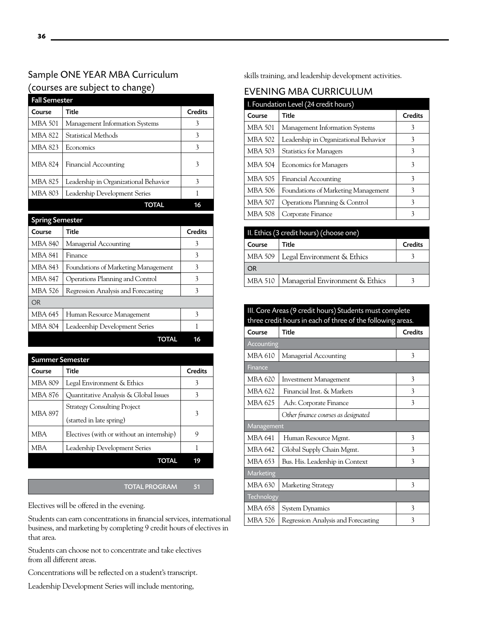# Sample ONE YEAR MBA Curriculum (courses are subject to change)

| <b>Fall Semester</b>   |                                       |                |
|------------------------|---------------------------------------|----------------|
| Course                 | <b>Title</b>                          | <b>Credits</b> |
| <b>MBA 501</b>         | Management Information Systems        | 3              |
| <b>MBA 822</b>         | Statistical Methods                   | 3              |
| <b>MBA 823</b>         | Economics                             | 3              |
| <b>MBA 824</b>         | <b>Financial Accounting</b>           | 3              |
| <b>MBA 825</b>         | Leadership in Organizational Behavior | 3              |
| <b>MBA 803</b>         | Leadership Development Series         | 1              |
|                        | <b>TOTAL</b>                          | 16             |
| <b>Spring Semester</b> |                                       |                |
|                        |                                       |                |
| Course                 | <b>Title</b>                          | <b>Credits</b> |
| <b>MBA 840</b>         | Managerial Accounting                 | 3              |
| <b>MBA 841</b>         | Finance                               | 3              |
| MBA 843                | Foundations of Marketing Management   | 3              |
| <b>MBA 847</b>         | Operations Planning and Control       | 3              |
| MBA 526                | Regression Analysis and Forecasting   | 3              |
| <b>OR</b>              |                                       |                |
| MBA 645                | Human Resource Management             | 3              |
| <b>MBA 804</b>         | Leadeership Development Series        | 1              |

| <b>Summer Semester</b> |                                                                |                |
|------------------------|----------------------------------------------------------------|----------------|
| Course                 | Title                                                          | <b>Credits</b> |
| <b>MBA 809</b>         | Legal Environment & Ethics                                     | 3              |
| MBA 876                | Quantitative Analysis & Global Issues                          | 3              |
| <b>MBA 897</b>         | <b>Strategy Consulting Project</b><br>(started in late spring) | 3              |
| MBA                    | Electives (with or without an internship)                      | 9              |
| MBA                    | Leadership Development Series                                  |                |
|                        | TOTAL                                                          |                |

#### TOTAL PROGRAM 51

Electives will be offered in the evening.

Students can earn concentrations in financial services, international business, and marketing by completing 9 credit hours of electives in that area.

Students can choose not to concentrate and take electives from all different areas.

Concentrations will be reflected on a student's transcript.

Leadership Development Series will include mentoring,

skills training, and leadership development activities.

# EVENING MBA CURRICULUM

| I. Foundation Level (24 credit hours) |                                       |                |
|---------------------------------------|---------------------------------------|----------------|
| Course                                | Title                                 | <b>Credits</b> |
| <b>MBA 501</b>                        | Management Information Systems        | 3              |
| <b>MBA 502</b>                        | Leadership in Organizational Behavior | 3              |
| MBA 503                               | <b>Statistics for Managers</b>        | 3              |
| <b>MBA 504</b>                        | <b>Economics for Managers</b>         | 3              |
| MBA 505                               | <b>Financial Accounting</b>           | 3              |
| MBA 506                               | Foundations of Marketing Management   | 3              |
| <b>MBA 507</b>                        | Operations Planning & Control         | 3              |
| MBA 508                               | Corporate Finance                     | 3              |

| II. Ethics (3 credit hours) (choose one) |                                           |                |
|------------------------------------------|-------------------------------------------|----------------|
| Course                                   | Title                                     | <b>Credits</b> |
| MBA 509                                  | Legal Environment & Ethics                |                |
| <b>OR</b>                                |                                           |                |
|                                          | MBA 510   Managerial Environment & Ethics |                |

# III. Core Areas (9 credit hours) Students must complete three credit hours in each of three of the following areas. Course Title Credits Accounting MBA 610 | Managerial Accounting 1997 MBA 620 | Investment Management | 3 MBA 622 Financial Inst. & Markets 3 MBA 625 | Adv. Corporate Finance | 3 *Other finance courses as designated* Management MBA 641 | Human Resource Mgmt. | 3

MBA 642 Global Supply Chain Mgmt. 3 MBA 653 Bus. His. Leadership in Context  $\begin{array}{|l|} \hline \end{array}$  3 Marketing MBA 630 | Marketing Strategy 3 **Technology** MBA 658 System Dynamics 3 MBA 526 Regression Analysis and Forecasting 3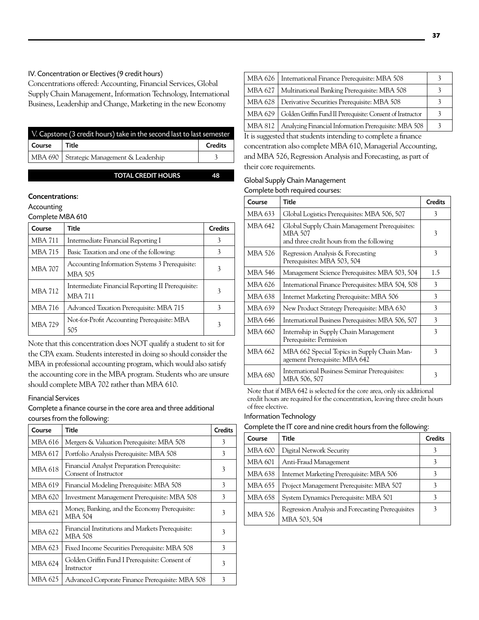#### IV. Concentration or Electives (9 credit hours)

Concentrations offered: Accounting, Financial Services, Global Supply Chain Management, Information Technology, International Business, Leadership and Change, Marketing in the new Economy

| V. Capstone (3 credit hours) take in the second last to last semester |                                             |                |
|-----------------------------------------------------------------------|---------------------------------------------|----------------|
| Course                                                                | Title                                       | <b>Credits</b> |
|                                                                       | MBA 690   Strategic Management & Leadership |                |

TOTAL CREDIT HOURS 48

#### Concentrations:

Accounting

Complete MBA 610

| Course         | Title                                                               | <b>Credits</b> |
|----------------|---------------------------------------------------------------------|----------------|
| <b>MBA 711</b> | Intermediate Financial Reporting I                                  | 3              |
| MBA 715        | Basic Taxation and one of the following:                            | 3              |
| <b>MBA 707</b> | Accounting Information Systems 3 Prerequisite:<br><b>MBA 505</b>    | 3              |
| <b>MBA 712</b> | Intermediate Financial Reporting II Prerequisite:<br><b>MBA 711</b> | 3              |
| <b>MBA 716</b> | Advanced Taxation Prerequisite: MBA 715                             | 3              |
| <b>MBA 729</b> | Not-for-Profit Accounting Prerequisite: MBA<br>505                  |                |

Note that this concentration does NOT qualify a student to sit for the CPA exam. Students interested in doing so should consider the MBA in professional accounting program, which would also satisfy the accounting core in the MBA program. Students who are unsure should complete MBA 702 rather than MBA 610.

#### Financial Services

Complete a finance course in the core area and three additional courses from the following:

| Course  | Title                                                                | <b>Credits</b> |
|---------|----------------------------------------------------------------------|----------------|
| MBA 616 | Mergers & Valuation Prerequisite: MBA 508                            | 3              |
| MBA 617 | Portfolio Analysis Prerequisite: MBA 508                             | 3              |
| MBA 618 | Financial Analyst Preparation Prerequisite:<br>Consent of Instructor | 3              |
| MBA 619 | Financial Modeling Prerequisite: MBA 508                             | 3              |
| MBA 620 | Investment Management Prerequisite: MBA 508                          | 3              |
| MBA 621 | Money, Banking, and the Economy Prerequisite:<br><b>MBA 504</b>      | 3              |
| MBA 622 | Financial Institutions and Markets Prerequisite:<br>MBA 508          | 3              |
| MBA 623 | Fixed Income Securities Prerequisite: MBA 508                        | 3              |
| MBA 624 | Golden Griffin Fund I Prerequisite: Consent of<br>Instructor         | 3              |
| MBA 625 | Advanced Corporate Finance Prerequisite: MBA 508                     | 3              |

|         | MBA 626   International Finance Prerequisite: MBA 508      |  |
|---------|------------------------------------------------------------|--|
|         | MBA 627   Multinational Banking Prerequisite: MBA 508      |  |
|         | MBA 628   Derivative Securities Prerequisite: MBA 508      |  |
| MBA 629 | Golden Griffin Fund II Prerequisite: Consent of Instructor |  |
| MBA 812 | Analyzing Financial Information Prerequisite: MBA 508      |  |

It is suggested that students intending to complete a finance concentration also complete MBA 610, Managerial Accounting, and MBA 526, Regression Analysis and Forecasting, as part of their core requirements.

# Global Supply Chain Management

| Course         | <b>Title</b>                                                                                                 | <b>Credits</b> |
|----------------|--------------------------------------------------------------------------------------------------------------|----------------|
| MBA 633        | Global Logistics Prerequisites: MBA 506, 507                                                                 | 3              |
| MBA 642        | Global Supply Chain Management Prerequisites:<br><b>MBA 507</b><br>and three credit hours from the following | 3              |
| MBA 526        | Regression Analysis & Forecasting<br>Prerequisites: MBA 503, 504                                             | 3              |
| <b>MBA 546</b> | Management Science Prerequisites: MBA 503, 504                                                               | 1.5            |
| MBA 626        | International Finance Prerequisites: MBA 504, 508                                                            | 3              |
| MBA 638        | Internet Marketing Prerequisite: MBA 506                                                                     | 3              |
| MBA 639        | New Product Strategy Prerequisite: MBA 630                                                                   | 3              |
| MBA 646        | International Business Prerequisites: MBA 506, 507                                                           | 3              |
| MBA 660        | Internship in Supply Chain Management<br>Prerequisite: Permission                                            | 3              |
| MBA 662        | MBA 662 Special Topics in Supply Chain Man-<br>agement Prerequisite: MBA 642                                 | 3              |
| MBA 680        | International Business Seminar Prerequisites:<br>MBA 506, 507                                                | 3              |

Note that if MBA 642 is selected for the core area, only six additional credit hours are required for the concentration, leaving three credit hours of free elective.

#### Information Technology

| Complete the IT core and nine credit hours from the following: |                                    |         |
|----------------------------------------------------------------|------------------------------------|---------|
| Course                                                         | $ $ Title                          | Credits |
|                                                                | MBA 600   Digital Network Security |         |

| MBA 600        | Digital Network Security                                          |  |
|----------------|-------------------------------------------------------------------|--|
| MBA 601        | Anti-Fraud Management                                             |  |
| MBA 638        | Internet Marketing Prerequisite: MBA 506                          |  |
| MBA 655        | Project Management Prerequisite: MBA 507                          |  |
| MBA 658        | System Dynamics Prerequisite: MBA 501                             |  |
| <b>MBA 526</b> | Regression Analysis and Forecasting Prerequisites<br>MBA 503, 504 |  |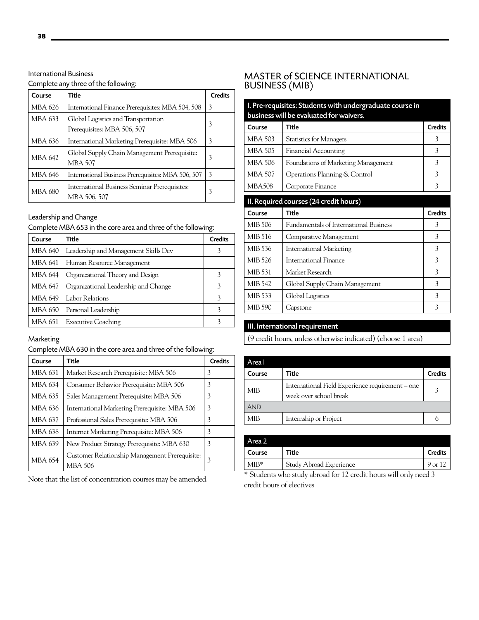# International Business

#### Complete any three of the following:

| Course         | Title                                                              | <b>Credits</b> |
|----------------|--------------------------------------------------------------------|----------------|
| MBA 626        | International Finance Prerequisites: MBA 504, 508                  | 3              |
| MBA 633        | Global Logistics and Transportation<br>Prerequisites: MBA 506, 507 | 3              |
| MBA 636        | International Marketing Prerequisite: MBA 506                      | 3              |
| <b>MBA 642</b> | Global Supply Chain Management Prerequisite:<br><b>MBA 507</b>     | 3              |
| MBA 646        | International Business Prerequisites: MBA 506, 507                 | 3              |
| <b>MBA 680</b> | International Business Seminar Prerequisites:<br>MBA 506, 507      | 3              |

# Leadership and Change

#### Complete MBA 653 in the core area and three of the following:

| Course         | Title                                | <b>Credits</b> |
|----------------|--------------------------------------|----------------|
| MBA 640        | Leadership and Management Skills Dev | 3              |
| <b>MBA 641</b> | Human Resource Management            |                |
| <b>MBA 644</b> | Organizational Theory and Design     |                |
| MBA 647        | Organizational Leadership and Change | 3              |
| MBA 649        | Labor Relations                      | 3              |
| MBA 650        | Personal Leadership                  | 3              |
| <b>MBA 651</b> | <b>Executive Coaching</b>            | 3              |

### **Marketing**

# Complete MBA 630 in the core area and three of the following:

| Course         | Title                                                     | <b>Credits</b> |
|----------------|-----------------------------------------------------------|----------------|
| <b>MBA 631</b> | Market Research Prerequisite: MBA 506                     | 3              |
| MBA 634        | Consumer Behavior Prerequisite: MBA 506                   | 3              |
| <b>MBA 635</b> | Sales Management Prerequisite: MBA 506                    | 3              |
| MBA 636        | International Marketing Prerequisite: MBA 506             | 3              |
| MBA 637        | Professional Sales Prerequisite: MBA 506                  | 3              |
| MBA 638        | Internet Marketing Prerequisite: MBA 506                  | 3              |
| <b>MBA 639</b> | New Product Strategy Prerequisite: MBA 630                | 3              |
| <b>MBA 654</b> | Customer Relationship Management Prerequisite:<br>MBA 506 | 3              |

Note that the list of concentration courses may be amended.

# MASTER of SCIENCE INTERNATIONAL BUSINESS (MIB)

| I. Pre-requisites: Students with undergraduate course in<br>business will be evaluated for waivers. |                                     |                |
|-----------------------------------------------------------------------------------------------------|-------------------------------------|----------------|
| Course                                                                                              | Title                               | <b>Credits</b> |
| MBA 503                                                                                             | <b>Statistics for Managers</b>      | 3              |
| MBA 505                                                                                             | <b>Financial Accounting</b>         | 3              |
| MBA 506                                                                                             | Foundations of Marketing Management | 3              |
| MBA 507                                                                                             | Operations Planning & Control       | 3              |
| MBA508                                                                                              | Corporate Finance                   |                |

#### II. Required courses (24 credit hours)

| Course  | Title                                  | <b>Credits</b> |
|---------|----------------------------------------|----------------|
| MIB 506 | Fundamentals of International Business | 3              |
| MIB 516 | Comparative Management                 | 3              |
| MIB 536 | International Marketing                | 3              |
| MIB 526 | International Finance                  | 3              |
| MIB 531 | Market Research                        | 3              |
| MIB 542 | Global Supply Chain Management         | 3              |
| MIB 533 | Global Logistics                       | 3              |
| MIB 590 | Capstone                               | 3              |

# III. International requirement

(9 credit hours, unless otherwise indicated) (choose 1 area)

| Area I     |                                                                            |                |
|------------|----------------------------------------------------------------------------|----------------|
| Course     | Title                                                                      | <b>Credits</b> |
| <b>MIB</b> | International Field Experience requirement - one<br>week over school break | 3              |
| <b>AND</b> |                                                                            |                |
| MIB        | Internship or Project                                                      |                |

| Title                   | <b>Credits</b> |
|-------------------------|----------------|
| Study Abroad Experience | $9 \text{ or}$ |
|                         | . .<br>.       |

\* Students who study abroad for 12 credit hours will only need 3 credit hours of electives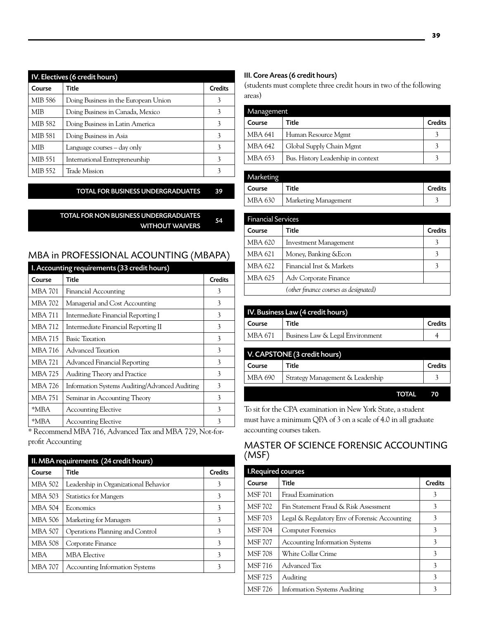| IV. Electives (6 credit hours) |                                      |                |  |
|--------------------------------|--------------------------------------|----------------|--|
| Course                         | Title                                | <b>Credits</b> |  |
| MIB 586                        | Doing Business in the European Union | 3              |  |
| MIB                            | Doing Business in Canada, Mexico     | 3              |  |
| MIB 582                        | Doing Business in Latin America      |                |  |
| MIB 581                        | Doing Business in Asia               |                |  |
| <b>MIB</b>                     | Language courses – day only          | 3              |  |
| MIB 551                        | International Entrepreneurship       | 3              |  |
| MIB 552                        | Trade Mission                        |                |  |

Total FOR BUSINESS UNDERGRADUATES 39

#### Total FOR NON BUSINESS UNDERGRADUATES WITHOUT WAIVERS 54

# MBA in PROFESSIONAL ACOUNTING (MBAPA)

| I. Accounting requirements (33 credit hours) |                                                |                |
|----------------------------------------------|------------------------------------------------|----------------|
| Course                                       | Title                                          | <b>Credits</b> |
| MBA 701                                      | Financial Accounting                           | 3              |
| MBA 702                                      | Managerial and Cost Accounting                 | 3              |
| MBA 711                                      | Intermediate Financial Reporting I             | 3              |
| <b>MBA 712</b>                               | Intermediate Financial Reporting II            | 3              |
| MBA 715                                      | <b>Basic Taxation</b>                          | 3              |
| MBA 716                                      | Advanced Taxation                              | 3              |
| MBA 721                                      | Advanced Financial Reporting                   | 3              |
| MBA 725                                      | <b>Auditing Theory and Practice</b>            | 3              |
| MBA 726                                      | Information Systems Auditing/Advanced Auditing | 3              |
| MBA 751                                      | Seminar in Accounting Theory                   | 3              |
| *MBA                                         | <b>Accounting Elective</b>                     | 3              |
| *MBA                                         | <b>Accounting Elective</b>                     | 3              |

\* Recommend MBA 716, Advanced Tax and MBA 729, Not-forprofit Accounting

| II. MBA requirements (24 credit hours) |                                       |                |
|----------------------------------------|---------------------------------------|----------------|
| Course                                 | Title                                 | <b>Credits</b> |
| <b>MBA 502</b>                         | Leadership in Organizational Behavior | 3              |
| <b>MBA 503</b>                         | <b>Statistics for Mangers</b>         | 3              |
| <b>MBA 504</b>                         | Economics                             | 3              |
| MBA 506                                | Marketing for Managers                | 3              |
| MBA 507                                | Operations Planning and Control       | 3              |
| MBA 508                                | Corporate Finance                     | 3              |
| <b>MBA</b>                             | <b>MBA Elective</b>                   | 3              |
| MBA 707                                | <b>Accounting Information Systems</b> | 3              |

#### III. Core Areas (6 credit hours)

(students must complete three credit hours in two of the following areas)

| Management |                                    |                |  |
|------------|------------------------------------|----------------|--|
| Course     | Title                              | <b>Credits</b> |  |
| MBA 641    | Human Resource Mgmt                |                |  |
| MBA 642    | Global Supply Chain Mgmt           |                |  |
| MBA 653    | Bus. History Leadership in context |                |  |

| Marketing |                      |                |
|-----------|----------------------|----------------|
| Course    | <b>Title</b>         | <b>Credits</b> |
| MBA 630   | Marketing Management |                |

| <b>Financial Services</b> |                                       |                |
|---------------------------|---------------------------------------|----------------|
| Course                    | Title                                 | <b>Credits</b> |
| MBA 620                   | Investment Management                 |                |
| MBA 621                   | Money, Banking & Econ                 | 3              |
| MBA 622                   | Financial Inst & Markets              |                |
| MBA 625                   | Adv Corporate Finance                 |                |
|                           | (other finance courses as designated) |                |

| IV. Business Law (4 credit hours) |                                  |                |
|-----------------------------------|----------------------------------|----------------|
| Course                            | Title                            | <b>Credits</b> |
| MBA 671                           | Business Law & Legal Environment |                |

| V. CAPSTONE (3 credit hours) |                                  |              |                |
|------------------------------|----------------------------------|--------------|----------------|
| Course                       | Title                            |              | <b>Credits</b> |
| MBA 690                      | Strategy Management & Leadership |              |                |
|                              |                                  | <b>TOTAL</b> |                |

To sit for the CPA examination in New York State, a student must have a minimum QPA of 3 on a scale of 4.0 in all graduate accounting courses taken.

# MASTER OF SCIENCE FORENSIC ACCOUNTING (MSF)

| I.Required courses |                                               |         |
|--------------------|-----------------------------------------------|---------|
| Course             | Title                                         | Credits |
| <b>MSF 701</b>     | Fraud Examination                             | 3       |
| <b>MSF 702</b>     | Fin Statement Fraud & Risk Assessment         | 3       |
| <b>MSF 703</b>     | Legal & Regulatory Env of Forensic Accounting | 3       |
| <b>MSF 704</b>     | <b>Computer Forensics</b>                     | 3       |
| <b>MSF 707</b>     | <b>Accounting Information Systems</b>         | 3       |
| <b>MSF 708</b>     | White Collar Crime                            | 3       |
| <b>MSF 716</b>     | Advanced Tax                                  | 3       |
| <b>MSF 725</b>     | Auditing                                      | 3       |
| <b>MSF 726</b>     | <b>Information Systems Auditing</b>           |         |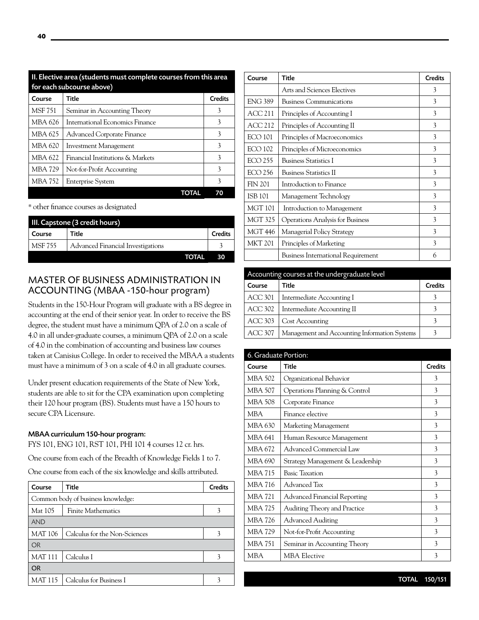| II. Elective area (students must complete courses from this area<br>for each subcourse above) |                                   |                |
|-----------------------------------------------------------------------------------------------|-----------------------------------|----------------|
| Course                                                                                        | Title                             | <b>Credits</b> |
| <b>MSF 751</b>                                                                                | Seminar in Accounting Theory      | 3              |
| MBA 626                                                                                       | International Economics Finance   | 3              |
| MBA 625                                                                                       | <b>Advanced Corporate Finance</b> | 3              |
| <b>MBA 620</b>                                                                                | Investment Management             | 3              |
| <b>MBA 622</b>                                                                                | Financial Institutions & Markets  | 3              |
| <b>MBA 729</b>                                                                                | Not-for-Profit Accounting         | 3              |
| MBA 752                                                                                       | <b>Enterprise System</b>          | 3              |
|                                                                                               | TOTAL                             |                |

\* other finance courses as designated

| III. Capstone (3 credit hours) |                                   |                |
|--------------------------------|-----------------------------------|----------------|
| Course                         | Title                             | <b>Credits</b> |
| <b>MSF 755</b>                 | Advanced Financial Investigations |                |
|                                | TOTAL                             | 30             |

# MASTER OF BUSINESS ADMINISTRATION IN ACCOUNTING (MBAA -150-hour program)

Students in the 150-Hour Program will graduate with a BS degree in accounting at the end of their senior year. In order to receive the BS degree, the student must have a minimum QPA of 2.0 on a scale of 4.0 in all under-graduate courses, a minimum QPA of 2.0 on a scale of 4.0 in the combination of accounting and business law courses taken at Canisius College. In order to received the MBAA a students must have a minimum of 3 on a scale of 4.0 in all graduate courses.

Under present education requirements of the State of New York, students are able to sit for the CPA examination upon completing their 120 hour program (BS). Students must have a 150 hours to secure CPA Licensure.

#### MBAA curriculum 150-hour program:

FYS 101, ENG 101, RST 101, PHI 101 4 courses 12 cr. hrs.

One course from each of the Breadth of Knowledge Fields 1 to 7.

One course from each of the six knowledge and skills attributed.

| Course         | Title                              | <b>Credits</b> |
|----------------|------------------------------------|----------------|
|                | Common body of business knowledge: |                |
| Mat 105        | <b>Finite Mathematics</b>          |                |
| <b>AND</b>     |                                    |                |
| <b>MAT 106</b> | Calculus for the Non-Sciences      |                |
| <b>OR</b>      |                                    |                |
| <b>MAT111</b>  | Calculus I                         |                |
| <b>OR</b>      |                                    |                |
| <b>MAT 115</b> | Calculus for Business I            |                |

| Course         | Title                                     | <b>Credits</b> |
|----------------|-------------------------------------------|----------------|
|                | Arts and Sciences Electives               | 3              |
| <b>ENG 389</b> | <b>Business Communications</b>            | 3              |
| <b>ACC 211</b> | Principles of Accounting I                | 3              |
| ACC 212        | Principles of Accounting II               | 3              |
| <b>ECO 101</b> | Principles of Macroeconomics              | 3              |
| <b>ECO 102</b> | Principles of Microeconomics              | 3              |
| <b>ECO 255</b> | <b>Business Statistics I</b>              | 3              |
| <b>ECO 256</b> | <b>Business Statistics II</b>             | 3              |
| <b>FIN 201</b> | Introduction to Finance                   | 3              |
| <b>ISB 101</b> | Management Technology                     | 3              |
| <b>MGT 101</b> | Introduction to Management                | 3              |
| <b>MGT 325</b> | Operations Analysis for Business          | 3              |
| <b>MGT 446</b> | Managerial Policy Strategy                | 3              |
| <b>MKT 201</b> | Principles of Marketing                   | 3              |
|                | <b>Business International Requirement</b> | 6              |

| Accounting courses at the undergraduate level |                                               |                |
|-----------------------------------------------|-----------------------------------------------|----------------|
| Course                                        | Title                                         | <b>Credits</b> |
| <b>ACC 301</b>                                | Intermediate Accounting I                     |                |
| ACC 302                                       | Intermediate Accounting II                    |                |
| ACC 303                                       | Cost Accounting                               |                |
| ACC 307                                       | Management and Accounting Information Systems |                |

| 6. Graduate Portion: |                                     |                |
|----------------------|-------------------------------------|----------------|
| Course               | Title                               | <b>Credits</b> |
| MBA 502              | Organizational Behavior             | 3              |
| <b>MBA 507</b>       | Operations Planning & Control       | 3              |
| <b>MBA 508</b>       | Corporate Finance                   | 3              |
| <b>MBA</b>           | Finance elective                    | 3              |
| MBA 630              | Marketing Management                | 3              |
| MBA 641              | Human Resource Management           | 3              |
| MBA 672              | Advanced Commercial Law             | 3              |
| MBA 690              | Strategy Management & Leadership    | 3              |
| <b>MBA 715</b>       | <b>Basic Taxation</b>               | 3              |
| <b>MBA 716</b>       | Advanced Tax                        | 3              |
| <b>MBA 721</b>       | <b>Advanced Financial Reporting</b> | 3              |
| <b>MBA 725</b>       | Auditing Theory and Practice        | 3              |
| <b>MBA 726</b>       | <b>Advanced Auditing</b>            | 3              |
| <b>MBA 729</b>       | Not-for-Profit Accounting           | 3              |
| <b>MBA 751</b>       | Seminar in Accounting Theory        | 3              |
| <b>MBA</b>           | <b>MBA Elective</b>                 | 3              |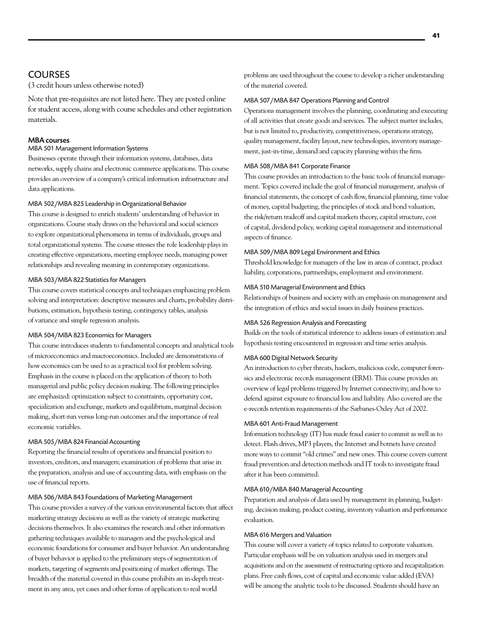# **COURSES**

(3 credit hours unless otherwise noted)

Note that pre-requisites are not listed here. They are posted online for student access, along with course schedules and other registration materials.

#### MBA courses

#### MBA 501 Management Information Systems

Businesses operate through their information systems, databases, data networks, supply chains and electronic commerce applications. This course provides an overview of a company's critical information infrastructure and data applications.

#### MBA 502/MBA 825 Leadership in Organizational Behavior

This course is designed to enrich students' understanding of behavior in organizations. Course study draws on the behavioral and social sciences to explore organizational phenomena in terms of individuals, groups and total organizational systems. The course stresses the role leadership plays in creating effective organizations, meeting employee needs, managing power relationships and revealing meaning in contemporary organizations.

#### MBA 503/MBA 822 Statistics for Managers

This course covers statistical concepts and techniques emphasizing problem solving and interpretation: descriptive measures and charts, probability distributions, estimation, hypothesis testing, contingency tables, analysis of variance and simple regression analysis.

#### MBA 504/MBA 823 Economics for Managers

This course introduces students to fundamental concepts and analytical tools of microeconomics and macroeconomics. Included are demonstrations of how economics can be used to as a practical tool for problem solving. Emphasis in the course is placed on the application of theory to both managerial and public policy decision making. The following principles are emphasized: optimization subject to constraints, opportunity cost, specialization and exchange, markets and equilibrium, marginal decision making, short-run versus long-run outcomes and the importance of real economic variables.

#### MBA 505/MBA 824 Financial Accounting

Reporting the financial results of operations and financial position to investors, creditors, and managers; examination of problems that arise in the preparation, analysis and use of accounting data, with emphasis on the use of financial reports.

#### MBA 506/MBA 843 Foundations of Marketing Management

This course provides a survey of the various environmental factors that affect marketing strategy decisions as well as the variety of strategic marketing decisions themselves. It also examines the research and other information gathering techniques available to managers and the psychological and economic foundations for consumer and buyer behavior. An understanding of buyer behavior is applied to the preliminary steps of segmentation of markets, targeting of segments and positioning of market offerings. The breadth of the material covered in this course prohibits an in-depth treatment in any area, yet cases and other forms of application to real world

problems are used throughout the course to develop a richer understanding of the material covered.

#### MBA 507/MBA 847 Operations Planning and Control

Operations management involves the planning, coordinating and executing of all activities that create goods and services. The subject matter includes, but is not limited to, productivity, competitiveness, operations strategy, quality management, facility layout, new technologies, inventory management, just-in-time, demand and capacity planning within the firm.

#### MBA 508/MBA 841 Corporate Finance

This course provides an introduction to the basic tools of financial management. Topics covered include the goal of financial management, analysis of financial statements, the concept of cash flow, financial planning, time value of money, capital budgeting, the principles of stock and bond valuation, the risk/return tradeoff and capital markets theory, capital structure, cost of capital, dividend policy, working capital management and international aspects of finance.

#### MBA 509/MBA 809 Legal Environment and Ethics

Threshold knowledge for managers of the law in areas of contract, product liability, corporations, partnerships, employment and environment.

#### MBA 510 Managerial Environment and Ethics

Relationships of business and society with an emphasis on management and the integration of ethics and social issues in daily business practices.

#### MBA 526 Regression Analysis and Forecasting

Builds on the tools of statistical inference to address issues of estimation and hypothesis testing encountered in regression and time series analysis.

#### MBA 600 Digital Network Security

An introduction to cyber threats, hackers, malicious code, computer forensics and electronic records management (ERM). This course provides an overview of legal problems triggered by Internet connectivity; and how to defend against exposure to financial loss and liability. Also covered are the e-records retention requirements of the Sarbanes-Oxley Act of 2002.

#### MBA 601 Anti-Fraud Management

Information technology (IT) has made fraud easier to commit as well as to detect. Flash drives, MP3 players, the Internet and botnets have created more ways to commit "old crimes" and new ones. This course covers current fraud prevention and detection methods and IT tools to investigate fraud after it has been committed.

#### MBA 610/MBA 840 Managerial Accounting

Preparation and analysis of data used by management in planning, budgeting, decision making, product costing, inventory valuation and performance evaluation.

#### MBA 616 Mergers and Valuation

This course will cover a variety of topics related to corporate valuation. Particular emphasis will be on valuation analysis used in mergers and acquisitions and on the assessment of restructuring options and recapitalization plans. Free cash flows, cost of capital and economic value added (EVA) will be among the analytic tools to be discussed. Students should have an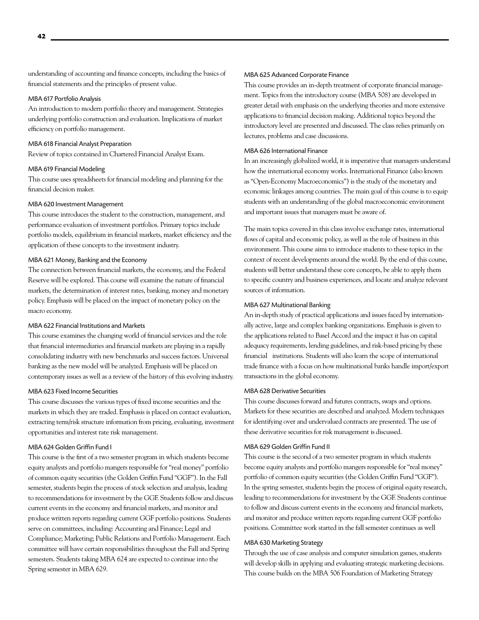understanding of accounting and finance concepts, including the basics of financial statements and the principles of present value.

#### MBA 617 Portfolio Analysis

An introduction to modern portfolio theory and management. Strategies underlying portfolio construction and evaluation. Implications of market efficiency on portfolio management.

#### MBA 618 Financial Analyst Preparation

Review of topics contained in Chartered Financial Analyst Exam.

#### MBA 619 Financial Modeling

This course uses spreadsheets for financial modeling and planning for the financial decision maker.

#### MBA 620 Investment Management

This course introduces the student to the construction, management, and performance evaluation of investment portfolios. Primary topics include portfolio models, equilibrium in financial markets, market efficiency and the application of these concepts to the investment industry.

#### MBA 621 Money, Banking and the Economy

The connection between financial markets, the economy, and the Federal Reserve will be explored. This course will examine the nature of financial markets, the determination of interest rates, banking, money and monetary policy. Emphasis will be placed on the impact of monetary policy on the macro economy.

#### MBA 622 Financial Institutions and Markets

This course examines the changing world of financial services and the role that financial intermediaries and financial markets are playing in a rapidly consolidating industry with new benchmarks and success factors. Universal banking as the new model will be analyzed. Emphasis will be placed on contemporary issues as well as a review of the history of this evolving industry.

#### MBA 623 Fixed Income Securities

This course discusses the various types of fixed income securities and the markets in which they are traded. Emphasis is placed on contact evaluation, extracting term/risk structure information from pricing, evaluating, investment opportunities and interest rate risk management.

#### MBA 624 Golden Griffin Fund I

This course is the first of a two semester program in which students become equity analysts and portfolio mangers responsible for "real money" portfolio of common equity securities (the Golden Griffin Fund "GGF"). In the Fall semester, students begin the process of stock selection and analysis, leading to recommendations for investment by the GGF. Students follow and discuss current events in the economy and financial markets, and monitor and produce written reports regarding current GGF portfolio positions. Students serve on committees, including: Accounting and Finance; Legal and Compliance; Marketing; Public Relations and Portfolio Management. Each committee will have certain responsibilities throughout the Fall and Spring semesters. Students taking MBA 624 are expected to continue into the Spring semester in MBA 629.

#### MBA 625 Advanced Corporate Finance

This course provides an in-depth treatment of corporate financial management. Topics from the introductory course (MBA 508) are developed in greater detail with emphasis on the underlying theories and more extensive applications to financial decision making. Additional topics beyond the introductory level are presented and discussed. The class relies primarily on lectures, problems and case discussions.

#### MBA 626 International Finance

In an increasingly globalized world, it is imperative that managers understand how the international economy works. International Finance (also known as "Open-Economy Macroeconomics") is the study of the monetary and economic linkages among countries. The main goal of this course is to equip students with an understanding of the global macroeconomic environment and important issues that managers must be aware of.

The main topics covered in this class involve exchange rates, international flows of capital and economic policy, as well as the role of business in this environment. This course aims to introduce students to these topics in the context of recent developments around the world. By the end of this course, students will better understand these core concepts, be able to apply them to specific country and business experiences, and locate and analyze relevant sources of information.

#### MBA 627 Multinational Banking

An in-depth study of practical applications and issues faced by internationally active, large and complex banking organizations. Emphasis is given to the applications related to Basel Accord and the impact it has on capital adequacy requirements, lending guidelines, and risk-based pricing by these financial institutions. Students will also learn the scope of international trade finance with a focus on how multinational banks handle import/export transactions in the global economy.

#### MBA 628 Derivative Securities

This course discusses forward and futures contracts, swaps and options. Markets for these securities are described and analyzed. Modern techniques for identifying over and undervalued contracts are presented. The use of these derivative securities for risk management is discussed.

#### MBA 629 Golden Griffin Fund II

This course is the second of a two semester program in which students become equity analysts and portfolio mangers responsible for "real money" portfolio of common equity securities (the Golden Griffin Fund "GGF"). In the spring semester, students begin the process of original equity research, leading to recommendations for investment by the GGF. Students continue to follow and discuss current events in the economy and financial markets, and monitor and produce written reports regarding current GGF portfolio positions. Committee work started in the fall semester continues as well

#### MBA 630 Marketing Strategy

Through the use of case analysis and computer simulation games, students will develop skills in applying and evaluating strategic marketing decisions. This course builds on the MBA 506 Foundation of Marketing Strategy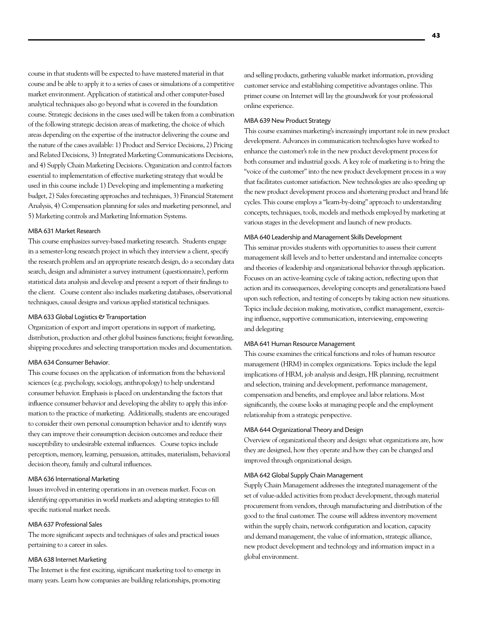course in that students will be expected to have mastered material in that course and be able to apply it to a series of cases or simulations of a competitive market environment. Application of statistical and other computer-based analytical techniques also go beyond what is covered in the foundation course. Strategic decisions in the cases used will be taken from a combination of the following strategic decision areas of marketing, the choice of which areas depending on the expertise of the instructor delivering the course and the nature of the cases available: 1) Product and Service Decisions, 2) Pricing and Related Decisions, 3) Integrated Marketing Communications Decisions, and 4) Supply Chain Marketing Decisions. Organization and control factors essential to implementation of effective marketing strategy that would be used in this course include 1) Developing and implementing a marketing budget, 2) Sales forecasting approaches and techniques, 3) Financial Statement Analysis, 4) Compensation planning for sales and marketing personnel, and 5) Marketing controls and Marketing Information Systems.

#### MBA 631 Market Research

This course emphasizes survey-based marketing research. Students engage in a semester-long research project in which they interview a client, specify the research problem and an appropriate research design, do a secondary data search, design and administer a survey instrument (questionnaire), perform statistical data analysis and develop and present a report of their findings to the client. Course content also includes marketing databases, observational techniques, causal designs and various applied statistical techniques.

#### MBA 633 Global Logistics & Transportation

Organization of export and import operations in support of marketing, distribution, production and other global business functions; freight forwarding, shipping procedures and selecting transportation modes and documentation.

#### MBA 634 Consumer Behavior.

This course focuses on the application of information from the behavioral sciences (e.g. psychology, sociology, anthropology) to help understand consumer behavior. Emphasis is placed on understanding the factors that influence consumer behavior and developing the ability to apply this information to the practice of marketing. Additionally, students are encouraged to consider their own personal consumption behavior and to identify ways they can improve their consumption decision outcomes and reduce their susceptibility to undesirable external influences. Course topics include perception, memory, learning, persuasion, attitudes, materialism, behavioral decision theory, family and cultural influences.

#### MBA 636 International Marketing

Issues involved in entering operations in an overseas market. Focus on identifying opportunities in world markets and adapting strategies to fill specific national market needs.

#### MBA 637 Professional Sales

The more significant aspects and techniques of sales and practical issues pertaining to a career in sales.

#### MBA 638 Internet Marketing

The Internet is the first exciting, significant marketing tool to emerge in many years. Learn how companies are building relationships, promoting

and selling products, gathering valuable market information, providing customer service and establishing competitive advantages online. This primer course on Internet will lay the groundwork for your professional online experience.

#### MBA 639 New Product Strategy

This course examines marketing's increasingly important role in new product development. Advances in communication technologies have worked to enhance the customer's role in the new product development process for both consumer and industrial goods. A key role of marketing is to bring the "voice of the customer" into the new product development process in a way that facilitates customer satisfaction. New technologies are also speeding up the new product development process and shortening product and brand life cycles. This course employs a "learn-by-doing" approach to understanding concepts, techniques, tools, models and methods employed by marketing at various stages in the development and launch of new products.

#### MBA 640 Leadership and Management Skills Development

This seminar provides students with opportunities to assess their current management skill levels and to better understand and internalize concepts and theories of leadership and organizational behavior through application. Focuses on an active-learning cycle of taking action, reflecting upon that action and its consequences, developing concepts and generalizations based upon such reflection, and testing of concepts by taking action new situations. Topics include decision making, motivation, conflict management, exercising influence, supportive communication, interviewing, empowering and delegating

#### MBA 641 Human Resource Management

This course examines the critical functions and roles of human resource management (HRM) in complex organizations. Topics include the legal implications of HRM, job analysis and design, HR planning, recruitment and selection, training and development, performance management, compensation and benefits, and employee and labor relations. Most significantly, the course looks at managing people and the employment relationship from a strategic perspective.

#### MBA 644 Organizational Theory and Design

Overview of organizational theory and design: what organizations are, how they are designed, how they operate and how they can be changed and improved through organizational design.

#### MBA 642 Global Supply Chain Management

Supply Chain Management addresses the integrated management of the set of value-added activities from product development, through material procurement from vendors, through manufacturing and distribution of the good to the final customer. The course will address inventory movement within the supply chain, network configuration and location, capacity and demand management, the value of information, strategic alliance, new product development and technology and information impact in a global environment.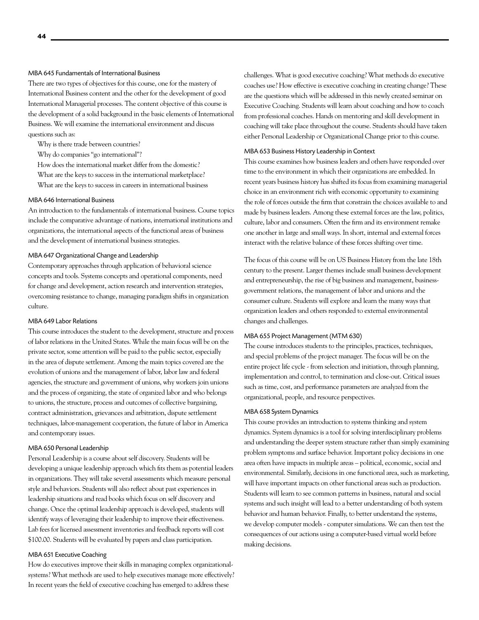#### MBA 645 Fundamentals of International Business

There are two types of objectives for this course, one for the mastery of International Business content and the other for the development of good International Managerial processes. The content objective of this course is the development of a solid background in the basic elements of International Business. We will examine the international environment and discuss questions such as:

Why is there trade between countries?

Why do companies "go international"?

How does the international market differ from the domestic? What are the keys to success in the international marketplace?

What are the keys to success in careers in international business

#### MBA 646 International Business

An introduction to the fundamentals of international business. Course topics include the comparative advantage of nations, international institutions and organizations, the international aspects of the functional areas of business and the development of international business strategies.

#### MBA 647 Organizational Change and Leadership

Contemporary approaches through application of behavioral science concepts and tools. Systems concepts and operational components, need for change and development, action research and intervention strategies, overcoming resistance to change, managing paradigm shifts in organization culture.

#### MBA 649 Labor Relations

This course introduces the student to the development, structure and process of labor relations in the United States. While the main focus will be on the private sector, some attention will be paid to the public sector, especially in the area of dispute settlement. Among the main topics covered are the evolution of unions and the management of labor, labor law and federal agencies, the structure and government of unions, why workers join unions and the process of organizing, the state of organized labor and who belongs to unions, the structure, process and outcomes of collective bargaining, contract administration, grievances and arbitration, dispute settlement techniques, labor-management cooperation, the future of labor in America and contemporary issues.

#### MBA 650 Personal Leadership

Personal Leadership is a course about self discovery. Students will be developing a unique leadership approach which fits them as potential leaders in organizations. They will take several assessments which measure personal style and behaviors. Students will also reflect about past experiences in leadership situations and read books which focus on self discovery and change. Once the optimal leadership approach is developed, students will identify ways of leveraging their leadership to improve their effectiveness. Lab fees for licensed assessment inventories and feedback reports will cost \$100.00. Students will be evaluated by papers and class participation.

#### MBA 651 Executive Coaching

How do executives improve their skills in managing complex organizationalsystems? What methods are used to help executives manage more effectively? In recent years the field of executive coaching has emerged to address these

challenges. What is good executive coaching? What methods do executive coaches use? How effective is executive coaching in creating change? These are the questions which will be addressed in this newly created seminar on Executive Coaching. Students will learn about coaching and how to coach from professional coaches. Hands on mentoring and skill development in coaching will take place throughout the course. Students should have taken either Personal Leadership or Organizational Change prior to this course.

#### MBA 653 Business History Leadership in Context

This course examines how business leaders and others have responded over time to the environment in which their organizations are embedded. In recent years business history has shifted its focus from examining managerial choice in an environment rich with economic opportunity to examining the role of forces outside the firm that constrain the choices available to and made by business leaders. Among these external forces are the law, politics, culture, labor and consumers. Often the firm and its environment remake one another in large and small ways. In short, internal and external forces interact with the relative balance of these forces shifting over time.

The focus of this course will be on US Business History from the late 18th century to the present. Larger themes include small business development and entrepreneurship, the rise of big business and management, businessgovernment relations, the management of labor and unions and the consumer culture. Students will explore and learn the many ways that organization leaders and others responded to external environmental changes and challenges.

#### MBA 655 Project Management (MTM 630)

The course introduces students to the principles, practices, techniques, and special problems of the project manager. The focus will be on the entire project life cycle - from selection and initiation, through planning, implementation and control, to termination and close-out. Critical issues such as time, cost, and performance parameters are analyzed from the organizational, people, and resource perspectives.

#### MBA 658 System Dynamics

This course provides an introduction to systems thinking and system dynamics. System dynamics is a tool for solving interdisciplinary problems and understanding the deeper system structure rather than simply examining problem symptoms and surface behavior. Important policy decisions in one area often have impacts in multiple areas – political, economic, social and environmental. Similarly, decisions in one functional area, such as marketing, will have important impacts on other functional areas such as production. Students will learn to see common patterns in business, natural and social systems and such insight will lead to a better understanding of both system behavior and human behavior. Finally, to better understand the systems, we develop computer models - computer simulations. We can then test the consequences of our actions using a computer-based virtual world before making decisions.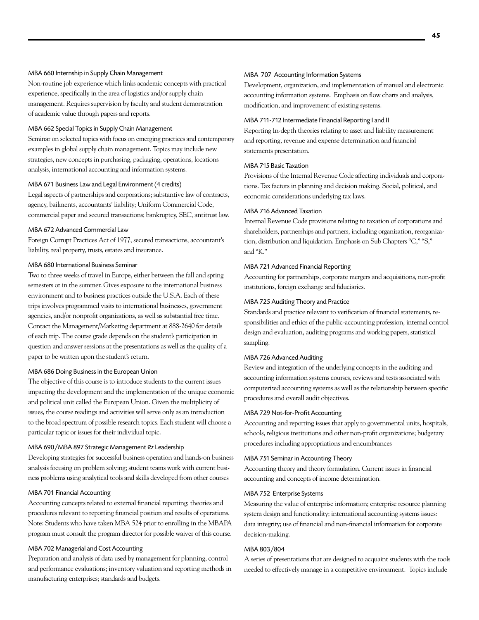#### MBA 660 Internship in Supply Chain Management

Non-routine job experience which links academic concepts with practical experience, specifically in the area of logistics and/or supply chain management. Requires supervision by faculty and student demonstration of academic value through papers and reports.

#### MBA 662 Special Topics in Supply Chain Management

Seminar on selected topics with focus on emerging practices and contemporary examples in global supply chain management. Topics may include new strategies, new concepts in purchasing, packaging, operations, locations analysis, international accounting and information systems.

#### MBA 671 Business Law and Legal Environment (4 credits)

Legal aspects of partnerships and corporations; substantive law of contracts, agency, bailments, accountants' liability; Uniform Commercial Code, commercial paper and secured transactions; bankruptcy, SEC, antitrust law.

#### MBA 672 Advanced Commercial Law

Foreign Corrupt Practices Act of 1977, secured transactions, accountant's liability, real property, trusts, estates and insurance.

#### MBA 680 International Business Seminar

Two to three weeks of travel in Europe, either between the fall and spring semesters or in the summer. Gives exposure to the international business environment and to business practices outside the U.S.A. Each of these trips involves programmed visits to international businesses, government agencies, and/or nonprofit organizations, as well as substantial free time. Contact the Management/Marketing department at 888-2640 for details of each trip. The course grade depends on the student's participation in question and answer sessions at the presentations as well as the quality of a paper to be written upon the student's return.

#### MBA 686 Doing Business in the European Union

The objective of this course is to introduce students to the current issues impacting the development and the implementation of the unique economic and political unit called the European Union. Given the multiplicity of issues, the course readings and activities will serve only as an introduction to the broad spectrum of possible research topics. Each student will choose a particular topic or issues for their individual topic.

#### MBA 690/MBA 897 Strategic Management & Leadership

Developing strategies for successful business operation and hands-on business analysis focusing on problem solving; student teams work with current business problems using analytical tools and skills developed from other courses

#### MBA 701 Financial Accounting

Accounting concepts related to external financial reporting; theories and procedures relevant to reporting financial position and results of operations. Note: Students who have taken MBA 524 prior to enrolling in the MBAPA program must consult the program director for possible waiver of this course.

#### MBA 702 Managerial and Cost Accounting

Preparation and analysis of data used by management for planning, control and performance evaluations; inventory valuation and reporting methods in manufacturing enterprises; standards and budgets.

#### MBA 707 Accounting Information Systems

Development, organization, and implementation of manual and electronic accounting information systems. Emphasis on flow charts and analysis, modification, and improvement of existing systems.

#### MBA 711-712 Intermediate Financial Reporting I and II

Reporting In-depth theories relating to asset and liability measurement and reporting, revenue and expense determination and financial statements presentation.

#### MBA 715 Basic Taxation

Provisions of the Internal Revenue Code affecting individuals and corporations. Tax factors in planning and decision making. Social, political, and economic considerations underlying tax laws.

#### MBA 716 Advanced Taxation

Internal Revenue Code provisions relating to taxation of corporations and shareholders, partnerships and partners, including organization, reorganization, distribution and liquidation. Emphasis on Sub Chapters "C," "S," and "K."

#### MBA 721 Advanced Financial Reporting

Accounting for partnerships, corporate mergers and acquisitions, non-profit institutions, foreign exchange and fiduciaries.

#### MBA 725 Auditing Theory and Practice

Standards and practice relevant to verification of financial statements, responsibilities and ethics of the public-accounting profession, internal control design and evaluation, auditing programs and working papers, statistical sampling.

#### MBA 726 Advanced Auditing

Review and integration of the underlying concepts in the auditing and accounting information systems courses, reviews and tests associated with computerized accounting systems as well as the relationship between specific procedures and overall audit objectives.

#### MBA 729 Not-for-Profit Accounting

Accounting and reporting issues that apply to governmental units, hospitals, schools, religious institutions and other non-profit organizations; budgetary procedures including appropriations and encumbrances

#### MBA 751 Seminar in Accounting Theory

Accounting theory and theory formulation. Current issues in financial accounting and concepts of income determination.

#### MBA 752 Enterprise Systems

Measuring the value of enterprise information; enterprise resource planning system design and functionality; international accounting systems issues: data integrity; use of financial and non-financial information for corporate decision-making.

#### MBA 803/804

A series of presentations that are designed to acquaint students with the tools needed to effectively manage in a competitive environment. Topics include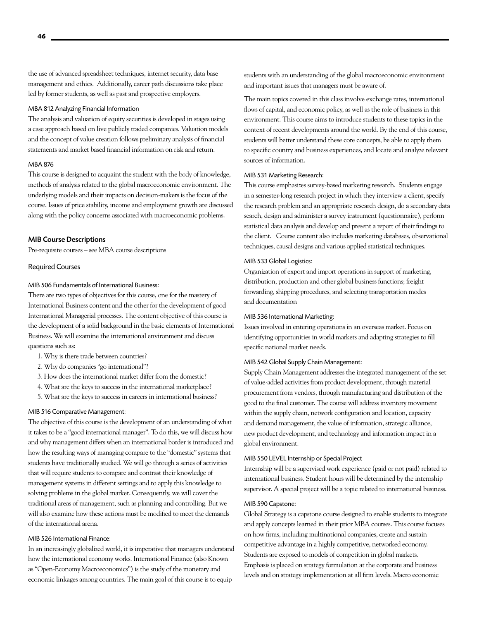the use of advanced spreadsheet techniques, internet security, data base management and ethics. Additionally, career path discussions take place led by former students, as well as past and prospective employers.

#### MBA 812 Analyzing Financial Information

The analysis and valuation of equity securities is developed in stages using a case approach based on live publicly traded companies. Valuation models and the concept of value creation follows preliminary analysis of financial statements and market based financial information on risk and return.

#### MBA 876

This course is designed to acquaint the student with the body of knowledge, methods of analysis related to the global macroeconomic environment. The underlying models and their impacts on decision-makers is the focus of the course. Issues of price stability, income and employment growth are discussed along with the policy concerns associated with macroeconomic problems.

#### MIB Course Descriptions

Pre-requisite courses – see MBA course descriptions

#### Required Courses

#### MIB 506 Fundamentals of International Business:

There are two types of objectives for this course, one for the mastery of International Business content and the other for the development of good International Managerial processes. The content objective of this course is the development of a solid background in the basic elements of International Business. We will examine the international environment and discuss questions such as:

- 1. Why is there trade between countries?
- 2. Why do companies "go international"?
- 3. How does the international market differ from the domestic?
- 4. What are the keys to success in the international marketplace?
- 5. What are the keys to success in careers in international business?

#### MIB 516 Comparative Management:

The objective of this course is the development of an understanding of what it takes to be a "good international manager". To do this, we will discuss how and why management differs when an international border is introduced and how the resulting ways of managing compare to the "domestic" systems that students have traditionally studied. We will go through a series of activities that will require students to compare and contrast their knowledge of management systems in different settings and to apply this knowledge to solving problems in the global market. Consequently, we will cover the traditional areas of management, such as planning and controlling. But we will also examine how these actions must be modified to meet the demands of the international arena.

#### MIB 526 International Finance:

In an increasingly globalized world, it is imperative that managers understand how the international economy works. International Finance (also Known as "Open-Economy Macroeconomics") is the study of the monetary and economic linkages among countries. The main goal of this course is to equip

students with an understanding of the global macroeconomic environment and important issues that managers must be aware of.

The main topics covered in this class involve exchange rates, international flows of capital, and economic policy, as well as the role of business in this environment. This course aims to introduce students to these topics in the context of recent developments around the world. By the end of this course, students will better understand these core concepts, be able to apply them to specific country and business experiences, and locate and analyze relevant sources of information.

#### MIB 531 Marketing Research:

This course emphasizes survey-based marketing research. Students engage in a semester-long research project in which they interview a client, specify the research problem and an appropriate research design, do a secondary data search, design and administer a survey instrument (questionnaire), perform statistical data analysis and develop and present a report of their findings to the client. Course content also includes marketing databases, observational techniques, causal designs and various applied statistical techniques.

#### MIB 533 Global Logistics:

Organization of export and import operations in support of marketing, distribution, production and other global business functions; freight forwarding, shipping procedures, and selecting transportation modes and documentation

#### MIB 536 International Marketing:

Issues involved in entering operations in an overseas market. Focus on identifying opportunities in world markets and adapting strategies to fill specific national market needs.

#### MIB 542 Global Supply Chain Management:

Supply Chain Management addresses the integrated management of the set of value-added activities from product development, through material procurement from vendors, through manufacturing and distribution of the good to the final customer. The course will address inventory movement within the supply chain, network configuration and location, capacity and demand management, the value of information, strategic alliance, new product development, and technology and information impact in a global environment.

#### MIB 550 LEVEL Internship or Special Project

Internship will be a supervised work experience (paid or not paid) related to international business. Student hours will be determined by the internship supervisor. A special project will be a topic related to international business.

#### MIB 590 Capstone:

Global Strategy is a capstone course designed to enable students to integrate and apply concepts learned in their prior MBA courses. This course focuses on how firms, including multinational companies, create and sustain competitive advantage in a highly competitive, networked economy. Students are exposed to models of competition in global markets. Emphasis is placed on strategy formulation at the corporate and business levels and on strategy implementation at all firm levels. Macro economic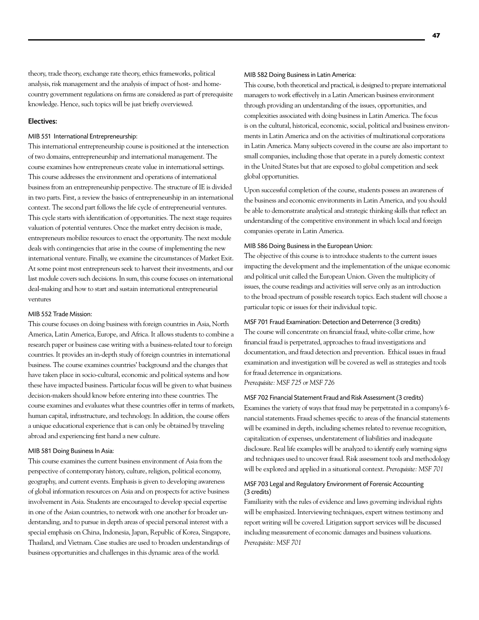theory, trade theory, exchange rate theory, ethics frameworks, political analysis, risk management and the analysis of impact of host- and homecountry government regulations on firms are considered as part of prerequisite knowledge. Hence, such topics will be just briefly overviewed.

#### Electives:

#### MIB 551 International Entrepreneurship:

This international entrepreneurship course is positioned at the intersection of two domains, entrepreneurship and international management. The course examines how entrepreneurs create value in international settings. This course addresses the environment and operations of international business from an entrepreneurship perspective. The structure of IE is divided in two parts. First, a review the basics of entrepreneurship in an international context. The second part follows the life cycle of entrepreneurial ventures. This cycle starts with identification of opportunities. The next stage requires valuation of potential ventures. Once the market entry decision is made, entrepreneurs mobilize resources to enact the opportunity. The next module deals with contingencies that arise in the course of implementing the new international venture. Finally, we examine the circumstances of Market Exit. At some point most entrepreneurs seek to harvest their investments, and our last module covers such decisions. In sum, this course focuses on international deal-making and how to start and sustain international entrepreneurial ventures

#### MIB 552 Trade Mission:

This course focuses on doing business with foreign countries in Asia, North America, Latin America, Europe, and Africa. It allows students to combine a research paper or business case writing with a business-related tour to foreign countries. It provides an in-depth study of foreign countries in international business. The course examines countries' background and the changes that have taken place in socio-cultural, economic and political systems and how these have impacted business. Particular focus will be given to what business decision-makers should know before entering into these countries. The course examines and evaluates what these countries offer in terms of markets, human capital, infrastructure, and technology. In addition, the course offers a unique educational experience that is can only be obtained by traveling abroad and experiencing first hand a new culture.

#### MIB 581 Doing Business In Asia:

This course examines the current business environment of Asia from the perspective of contemporary history, culture, religion, political economy, geography, and current events. Emphasis is given to developing awareness of global information resources on Asia and on prospects for active business involvement in Asia. Students are encouraged to develop special expertise in one of the Asian countries, to network with one another for broader understanding, and to pursue in depth areas of special personal interest with a special emphasis on China, Indonesia, Japan, Republic of Korea, Singapore, Thailand, and Vietnam. Case studies are used to broaden understandings of business opportunities and challenges in this dynamic area of the world.

#### MIB 582 Doing Business in Latin America:

This course, both theoretical and practical, is designed to prepare international managers to work effectively in a Latin American business environment through providing an understanding of the issues, opportunities, and complexities associated with doing business in Latin America. The focus is on the cultural, historical, economic, social, political and business environments in Latin America and on the activities of multinational corporations in Latin America. Many subjects covered in the course are also important to small companies, including those that operate in a purely domestic context in the United States but that are exposed to global competition and seek global opportunities.

Upon successful completion of the course, students possess an awareness of the business and economic environments in Latin America, and you should be able to demonstrate analytical and strategic thinking skills that reflect an understanding of the competitive environment in which local and foreign companies operate in Latin America.

#### MIB 586 Doing Business in the European Union:

The objective of this course is to introduce students to the current issues impacting the development and the implementation of the unique economic and political unit called the European Union. Given the multiplicity of issues, the course readings and activities will serve only as an introduction to the broad spectrum of possible research topics. Each student will choose a particular topic or issues for their individual topic.

#### MSF 701 Fraud Examination: Detection and Deterrence (3 credits)

The course will concentrate on financial fraud, white-collar crime, how financial fraud is perpetrated, approaches to fraud investigations and documentation, and fraud detection and prevention. Ethical issues in fraud examination and investigation will be covered as well as strategies and tools for fraud deterrence in organizations. *Prerequisite: MSF 725 or MSF 726*

#### MSF 702 Financial Statement Fraud and Risk Assessment (3 credits)

Examines the variety of ways that fraud may be perpetrated in a company's financial statements. Fraud schemes specific to areas of the financial statements will be examined in depth, including schemes related to revenue recognition, capitalization of expenses, understatement of liabilities and inadequate disclosure. Real life examples will be analyzed to identify early warning signs and techniques used to uncover fraud. Risk assessment tools and methodology will be explored and applied in a situational context. *Prerequisite: MSF 701*

#### MSF 703 Legal and Regulatory Environment of Forensic Accounting (3 credits)

Familiarity with the rules of evidence and laws governing individual rights will be emphasized. Interviewing techniques, expert witness testimony and report writing will be covered. Litigation support services will be discussed including measurement of economic damages and business valuations. *Prerequisite: MSF 701*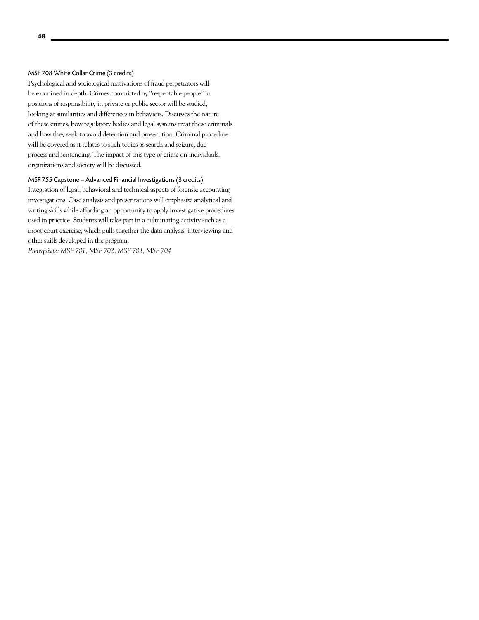#### MSF 708 White Collar Crime (3 credits)

Psychological and sociological motivations of fraud perpetrators will be examined in depth. Crimes committed by "respectable people" in positions of responsibility in private or public sector will be studied, looking at similarities and differences in behaviors. Discusses the nature of these crimes, how regulatory bodies and legal systems treat these criminals and how they seek to avoid detection and prosecution. Criminal procedure will be covered as it relates to such topics as search and seizure, due process and sentencing. The impact of this type of crime on individuals, organizations and society will be discussed.

MSF 755 Capstone – Advanced Financial Investigations (3 credits) Integration of legal, behavioral and technical aspects of forensic accounting investigations. Case analysis and presentations will emphasize analytical and writing skills while affording an opportunity to apply investigative procedures used in practice. Students will take part in a culminating activity such as a moot court exercise, which pulls together the data analysis, interviewing and

*Prerequisite: MSF 701, MSF 702, MSF 703, MSF 704*

other skills developed in the program.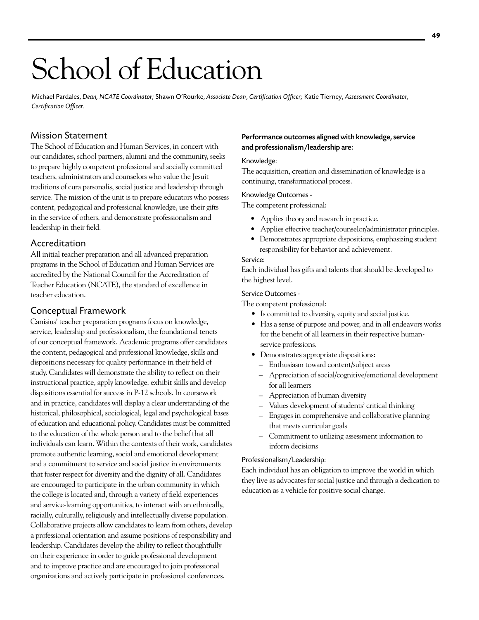# School of Education

Michael Pardales, *Dean, NCATE Coordinator;* Shawn O'Rourke, *Associate Dean*, *Certification Officer;* Katie Tierney, *Assessment Coordinator, Certification Officer.*

# Mission Statement

The School of Education and Human Services, in concert with our candidates, school partners, alumni and the community, seeks to prepare highly competent professional and socially committed teachers, administrators and counselors who value the Jesuit traditions of cura personalis, social justice and leadership through service. The mission of the unit is to prepare educators who possess content, pedagogical and professional knowledge, use their gifts in the service of others, and demonstrate professionalism and leadership in their field.

# Accreditation

All initial teacher preparation and all advanced preparation programs in the School of Education and Human Services are accredited by the National Council for the Accreditation of Teacher Education (NCATE), the standard of excellence in teacher education.

# Conceptual Framework

Canisius' teacher preparation programs focus on knowledge, service, leadership and professionalism, the foundational tenets of our conceptual framework. Academic programs offer candidates the content, pedagogical and professional knowledge, skills and dispositions necessary for quality performance in their field of study. Candidates will demonstrate the ability to reflect on their instructional practice, apply knowledge, exhibit skills and develop dispositions essential for success in P-12 schools. In coursework and in practice, candidates will display a clear understanding of the historical, philosophical, sociological, legal and psychological bases of education and educational policy. Candidates must be committed to the education of the whole person and to the belief that all individuals can learn. Within the contexts of their work, candidates promote authentic learning, social and emotional development and a commitment to service and social justice in environments that foster respect for diversity and the dignity of all. Candidates are encouraged to participate in the urban community in which the college is located and, through a variety of field experiences and service-learning opportunities, to interact with an ethnically, racially, culturally, religiously and intellectually diverse population. Collaborative projects allow candidates to learn from others, develop a professional orientation and assume positions of responsibility and leadership. Candidates develop the ability to reflect thoughtfully on their experience in order to guide professional development and to improve practice and are encouraged to join professional organizations and actively participate in professional conferences.

# Performance outcomes aligned with knowledge, service and professionalism/leadership are:

### Knowledge:

The acquisition, creation and dissemination of knowledge is a continuing, transformational process.

#### Knowledge Outcomes -

The competent professional:

- Applies theory and research in practice.
- Applies effective teacher/counselor/administrator principles.
- Demonstrates appropriate dispositions, emphasizing student responsibility for behavior and achievement.

### Service:

Each individual has gifts and talents that should be developed to the highest level.

#### Service Outcomes -

The competent professional:

- Is committed to diversity, equity and social justice.
- Has a sense of purpose and power, and in all endeavors works for the benefit of all learners in their respective human service professions.
- Demonstrates appropriate dispositions:
	- Enthusiasm toward content/subject areas
	- Appreciation of social/cognitive/emotional development for all learners
	- Appreciation of human diversity
	- Values development of students' critical thinking
	- Engages in comprehensive and collaborative planning that meets curricular goals
	- Commitment to utilizing assessment information to inform decisions

# Professionalism/Leadership:

Each individual has an obligation to improve the world in which they live as advocates for social justice and through a dedication to education as a vehicle for positive social change.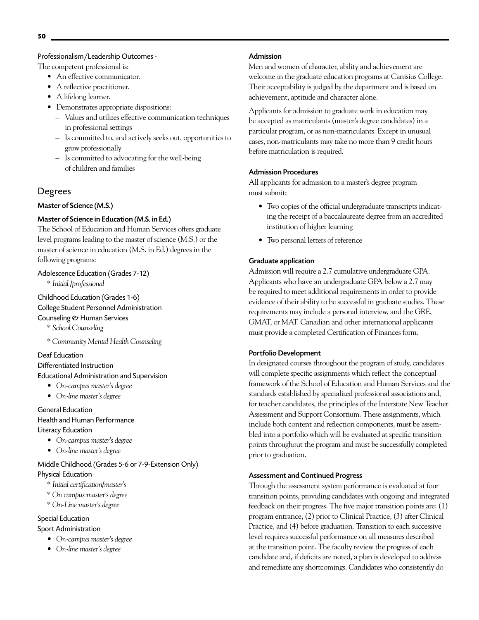### Professionalism/Leadership Outcomes -

The competent professional is:

- An effective communicator.
- A reflective practitioner.
- A lifelong learner.
- Demonstrates appropriate dispositions:
	- Values and utilizes effective communication techniques in professional settings
	- Is committed to, and actively seeks out, opportunities to grow professionally
	- Is committed to advocating for the well-being of children and families

# Degrees

# Master of Science (M.S.)

# Master of Science in Education (M.S. in Ed.)

The School of Education and Human Services offers graduate level programs leading to the master of science (M.S.) or the master of science in education (M.S. in Ed.) degrees in the following programs:

# Adolescence Education (Grades 7-12)

*\* Initial /professional*

Childhood Education (Grades 1-6) College Student Personnel Administration Counseling & Human Services

- *\* School Counseling*
- *\* Community Mental Health Counseling*

# Deaf Education

Differentiated Instruction

#### Educational Administration and Supervision

- *On-campus master's degree*
- *On-line master's degree*

General Education Health and Human Performance

- Literacy Education
	- *On-campus master's degree*
	- *On-line master's degree*

# Middle Childhood (Grades 5-6 or 7-9-Extension Only) Physical Education

- *\* Initial certification/master's*
- *\* On campus master's degree*
- *\* On-Line master's degree*

# Special Education

# Sport Administration

- *On-campus master's degree*
- *On-line master's degree*

# Admission

Men and women of character, ability and achievement are welcome in the graduate education programs at Canisius College. Their acceptability is judged by the department and is based on achievement, aptitude and character alone.

Applicants for admission to graduate work in education may be accepted as matriculants (master's degree candidates) in a particular program, or as non-matriculants. Except in unusual cases, non-matriculants may take no more than 9 credit hours before matriculation is required.

# Admission Procedures

All applicants for admission to a master's degree program must submit:

- Two copies of the official undergraduate transcripts indicating the receipt of a baccalaureate degree from an accredited institution of higher learning
- Two personal letters of reference

# Graduate application

Admission will require a 2.7 cumulative undergraduate GPA. Applicants who have an undergraduate GPA below a 2.7 may be required to meet additional requirements in order to provide evidence of their ability to be successful in graduate studies. These requirements may include a personal interview, and the GRE, GMAT, or MAT. Canadian and other international applicants must provide a completed Certification of Finances form.

# Portfolio Development

In designated courses throughout the program of study, candidates will complete specific assignments which reflect the conceptual framework of the School of Education and Human Services and the standards established by specialized professional associations and, for teacher candidates, the principles of the Interstate New Teacher Assessment and Support Consortium. These assignments, which include both content and reflection components, must be assembled into a portfolio which will be evaluated at specific transition points throughout the program and must be successfully completed prior to graduation.

# Assessment and Continued Progress

Through the assessment system performance is evaluated at four transition points, providing candidates with ongoing and integrated feedback on their progress. The five major transition points are: (1) program entrance, (2) prior to Clinical Practice, (3) after Clinical Practice, and (4) before graduation. Transition to each successive level requires successful performance on all measures described at the transition point. The faculty review the progress of each candidate and, if deficits are noted, a plan is developed to address and remediate any shortcomings. Candidates who consistently do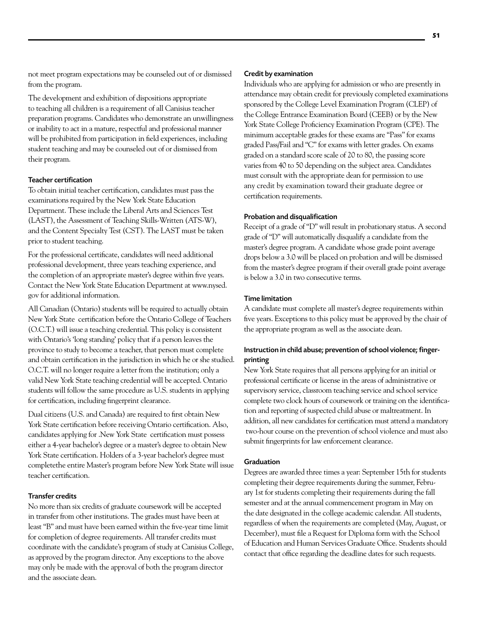not meet program expectations may be counseled out of or dismissed from the program.

The development and exhibition of dispositions appropriate to teaching all children is a requirement of all Canisius teacher preparation programs. Candidates who demonstrate an unwillingness or inability to act in a mature, respectful and professional manner will be prohibited from participation in field experiences, including student teaching and may be counseled out of or dismissed from their program.

#### Teacher certification

To obtain initial teacher certification, candidates must pass the examinations required by the New York State Education Department. These include the Liberal Arts and Sciences Test (LAST), the Assessment of Teaching Skills-Written (ATS-W), and the Content Specialty Test (CST). The LAST must be taken prior to student teaching.

For the professional certificate, candidates will need additional professional development, three years teaching experience, and the completion of an appropriate master's degree within five years. Contact the New York State Education Department at www.nysed. gov for additional information.

All Canadian (Ontario) students will be required to actually obtain New York State certification before the Ontario College of Teachers (O.C.T.) will issue a teaching credential. This policy is consistent with Ontario's 'long standing' policy that if a person leaves the province to study to become a teacher, that person must complete and obtain certification in the jurisdiction in which he or she studied. O.C.T. will no longer require a letter from the institution; only a valid New York State teaching credential will be accepted. Ontario students will follow the same procedure as U.S. students in applying for certification, including fingerprint clearance.

Dual citizens (U.S. and Canada) are required to first obtain New York State certification before receiving Ontario certification. Also, candidates applying for .New York State certification must possess either a 4-year bachelor's degree or a master's degree to obtain New York State certification. Holders of a 3-year bachelor's degree must completethe entire Master's program before New York State will issue teacher certification.

#### Transfer credits

No more than six credits of graduate coursework will be accepted in transfer from other institutions. The grades must have been at least "B" and must have been earned within the five-year time limit for completion of degree requirements. All transfer credits must coordinate with the candidate's program of study at Canisius College, as approved by the program director. Any exceptions to the above may only be made with the approval of both the program director and the associate dean.

#### Credit by examination

Individuals who are applying for admission or who are presently in attendance may obtain credit for previously completed examinations sponsored by the College Level Examination Program (CLEP) of the College Entrance Examination Board (CEEB) or by the New York State College Proficiency Examination Program (CPE). The minimum acceptable grades for these exams are "Pass" for exams graded Pass/Fail and "C" for exams with letter grades. On exams graded on a standard score scale of 20 to 80, the passing score varies from 40 to 50 depending on the subject area. Candidates must consult with the appropriate dean for permission to use any credit by examination toward their graduate degree or certification requirements.

#### Probation and disqualification

Receipt of a grade of "D" will result in probationary status. A second grade of "D" will automatically disqualify a candidate from the master's degree program. A candidate whose grade point average drops below a 3.0 will be placed on probation and will be dismissed from the master's degree program if their overall grade point average is below a 3.0 in two consecutive terms.

#### Time limitation

A candidate must complete all master's degree requirements within five years. Exceptions to this policy must be approved by the chair of the appropriate program as well as the associate dean.

#### Instruction in child abuse; prevention of school violence; fingerprinting

New York State requires that all persons applying for an initial or professional certificate or license in the areas of administrative or supervisory service, classroom teaching service and school service complete two clock hours of coursework or training on the identification and reporting of suspected child abuse or maltreatment. In addition, all new candidates for certification must attend a mandatory two-hour course on the prevention of school violence and must also submit fingerprints for law enforcement clearance.

#### **Graduation**

Degrees are awarded three times a year: September 15th for students completing their degree requirements during the summer, February 1st for students completing their requirements during the fall semester and at the annual commencement program in May on the date designated in the college academic calendar. All students, regardless of when the requirements are completed (May, August, or December), must file a Request for Diploma form with the School of Education and Human Services Graduate Office. Students should contact that office regarding the deadline dates for such requests.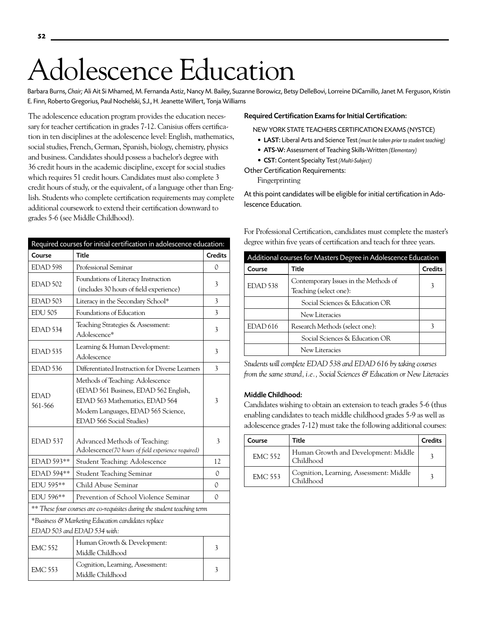# Adolescence Education

Barbara Burns, Chair; Ali Ait Si Mhamed, M. Fernanda Astiz, Nancy M. Bailey, Suzanne Borowicz, Betsy DelleBovi, Lorreine DiCamillo, Janet M. Ferguson, Kristin E. Finn, Roberto Gregorius, Paul Nochelski, S.J., H. Jeanette Willert, Tonja Williams

The adolescence education program provides the education necessary for teacher certification in grades 7-12. Canisius offers certification in ten disciplines at the adolescence level: English, mathematics, social studies, French, German, Spanish, biology, chemistry, physics and business. Candidates should possess a bachelor's degree with 36 credit hours in the academic discipline, except for social studies which requires 51 credit hours. Candidates must also complete 3 credit hours of study, or the equivalent, of a language other than English. Students who complete certification requirements may complete additional coursework to extend their certification downward to grades 5-6 (see Middle Childhood).

| Required courses for initial certification in adolescence education:              |                                                                                                                                                                                       |                |
|-----------------------------------------------------------------------------------|---------------------------------------------------------------------------------------------------------------------------------------------------------------------------------------|----------------|
| Course                                                                            | <b>Title</b>                                                                                                                                                                          | <b>Credits</b> |
| EDAD 598                                                                          | Professional Seminar                                                                                                                                                                  | 0              |
| EDAD 502                                                                          | Foundations of Literacy Instruction<br>(includes 30 hours of field experience)                                                                                                        | 3              |
| EDAD <sub>503</sub>                                                               | Literacy in the Secondary School*                                                                                                                                                     | 3              |
| <b>EDU 505</b>                                                                    | Foundations of Education                                                                                                                                                              | 3              |
| EDAD <sub>534</sub>                                                               | Teaching Strategies & Assessment:<br>Adolescence*                                                                                                                                     | 3              |
| EDAD <sub>535</sub>                                                               | Learning & Human Development:<br>Adolescence                                                                                                                                          | 3              |
| EDAD <sub>536</sub>                                                               | Differentiated Instruction for Diverse Learners                                                                                                                                       | 3              |
| <b>EDAD</b><br>561-566                                                            | Methods of Teaching: Adolescence<br>(EDAD 561 Business, EDAD 562 English,<br>EDAD 563 Mathematics, EDAD 564<br>Modern Languages, EDAD 565 Science,<br><b>EDAD 566 Social Studies)</b> | 3              |
| EDAD 537                                                                          | Advanced Methods of Teaching:<br>Adolescence(70 hours of field experience required)                                                                                                   | 3              |
| EDAD 593**                                                                        | Student Teaching: Adolescence                                                                                                                                                         | 12             |
| EDAD 594**                                                                        | <b>Student Teaching Seminar</b>                                                                                                                                                       | 0              |
| EDU 595**                                                                         | Child Abuse Seminar                                                                                                                                                                   | 0              |
| EDU 596**                                                                         | Prevention of School Violence Seminar                                                                                                                                                 | 0              |
| ** These four courses are co-requisites during the student teaching term          |                                                                                                                                                                                       |                |
| *Business & Marketing Education candidates replace<br>EDAD 503 and EDAD 534 with: |                                                                                                                                                                                       |                |
| <b>EMC 552</b>                                                                    | Human Growth & Development:<br>Middle Childhood                                                                                                                                       | 3              |
| <b>EMC 553</b>                                                                    | Cognition, Learning, Assessment:<br>Middle Childhood                                                                                                                                  | 3              |

#### Required Certification Exams for Initial Certification:

New York State Teachers Certification Exams (NYSTCE)

- • LAST: Liberal Arts and Science Test *(must be taken prior to student teaching)*
- • ATS-W: Assessment of Teaching Skills-Written *(Elementary)*
- • CST: Content Specialty Test *(Multi-Subject)*

Other Certification Requirements:

Fingerprinting

At this point candidates will be eligible for initial certification in Adolescence Education.

For Professional Certification, candidates must complete the master's degree within five years of certification and teach for three years.

| Additional courses for Masters Degree in Adolescence Education |                                                                 |                |
|----------------------------------------------------------------|-----------------------------------------------------------------|----------------|
| Course                                                         | Title                                                           | <b>Credits</b> |
| EDAD <sub>538</sub>                                            | Contemporary Issues in the Methods of<br>Teaching (select one): |                |
|                                                                | Social Sciences & Education OR                                  |                |
|                                                                | New Literacies                                                  |                |
| EDAD 616                                                       | Research Methods (select one):                                  | 3              |
|                                                                | Social Sciences & Education OR                                  |                |
|                                                                | New Literacies                                                  |                |

*Students will complete EDAD 538 and EDAD 616 by taking courses from the same strand, i.e., Social Sciences & Education or New Literacies*

#### Middle Childhood:

Candidates wishing to obtain an extension to teach grades 5-6 (thus enabling candidates to teach middle childhood grades 5-9 as well as adolescence grades 7-12) must take the following additional courses:

| Course         | Title                                                | <b>Credits</b> |
|----------------|------------------------------------------------------|----------------|
| <b>EMC 552</b> | Human Growth and Development: Middle<br>Childhood    |                |
| <b>EMC 553</b> | Cognition, Learning, Assessment: Middle<br>Childhood |                |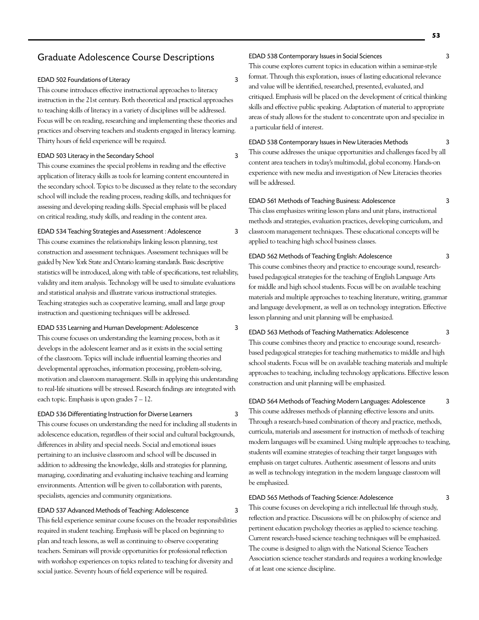# Graduate Adolescence Course Descriptions

#### EDAD 502 Foundations of Literacy 3

This course introduces effective instructional approaches to literacy instruction in the 21st century. Both theoretical and practical approaches to teaching skills of literacy in a variety of disciplines will be addressed. Focus will be on reading, researching and implementing these theories and practices and observing teachers and students engaged in literacy learning. Thirty hours of field experience will be required.

#### EDAD 503 Literacy in the Secondary School 3

This course examines the special problems in reading and the effective application of literacy skills as tools for learning content encountered in the secondary school. Topics to be discussed as they relate to the secondary school will include the reading process, reading skills, and techniques for assessing and developing reading skills. Special emphasis will be placed on critical reading, study skills, and reading in the content area.

EDAD 534 Teaching Strategies and Assessment : Adolescence 3 This course examines the relationships linking lesson planning, test construction and assessment techniques. Assessment techniques will be guided by New York State and Ontario learning standards. Basic descriptive statistics will be introduced, along with table of specifications, test reliability, validity and item analysis. Technology will be used to simulate evaluations and statistical analysis and illustrate various instructional strategies. Teaching strategies such as cooperative learning, small and large group instruction and questioning techniques will be addressed.

#### EDAD 535 Learning and Human Development: Adolescence 3

This course focuses on understanding the learning process, both as it develops in the adolescent learner and as it exists in the social setting of the classroom. Topics will include influential learning theories and developmental approaches, information processing, problem-solving, motivation and classroom management. Skills in applying this understanding to real-life situations will be stressed. Research findings are integrated with each topic. Emphasis is upon grades  $7 - 12$ .

EDAD 536 Differentiating Instruction for Diverse Learners 3 This course focuses on understanding the need for including all students in adolescence education, regardless of their social and cultural backgrounds, differences in ability and special needs. Social and emotional issues

pertaining to an inclusive classroom and school will be discussed in addition to addressing the knowledge, skills and strategies for planning, managing, coordinating and evaluating inclusive teaching and learning environments. Attention will be given to collaboration with parents, specialists, agencies and community organizations.

#### EDAD 537 Advanced Methods of Teaching: Adolescence 3

This field experience seminar course focuses on the broader responsibilities required in student teaching. Emphasis will be placed on beginning to plan and teach lessons, as well as continuing to observe cooperating teachers. Seminars will provide opportunities for professional reflection with workshop experiences on topics related to teaching for diversity and social justice. Seventy hours of field experience will be required.

#### EDAD 538 Contemporary Issues in Social Sciences 3

This course explores current topics in education within a seminar-style format. Through this exploration, issues of lasting educational relevance and value will be identified, researched, presented, evaluated, and critiqued. Emphasis will be placed on the development of critical thinking skills and effective public speaking. Adaptation of material to appropriate areas of study allows for the student to concentrate upon and specialize in a particular field of interest.

EDAD 538 Contemporary Issues in New Literacies Methods 3

This course addresses the unique opportunities and challenges faced by all content area teachers in today's multimodal, global economy. Hands-on experience with new media and investigation of New Literacies theories will be addressed.

#### EDAD 561 Methods of Teaching Business: Adolescence 3

This class emphasizes writing lesson plans and unit plans, instructional methods and strategies, evaluation practices, developing curriculum, and classroom management techniques. These educational concepts will be applied to teaching high school business classes.

#### EDAD 562 Methods of Teaching English: Adolescence 3

This course combines theory and practice to encourage sound, researchbased pedagogical strategies for the teaching of English Language Arts for middle and high school students. Focus will be on available teaching materials and multiple approaches to teaching literature, writing, grammar and language development, as well as on technology integration. Effective lesson planning and unit planning will be emphasized.

EDAD 563 Methods of Teaching Mathematics: Adolescence 3 This course combines theory and practice to encourage sound, researchbased pedagogical strategies for teaching mathematics to middle and high school students. Focus will be on available teaching materials and multiple approaches to teaching, including technology applications. Effective lesson construction and unit planning will be emphasized.

EDAD 564 Methods of Teaching Modern Languages: Adolescence 3 This course addresses methods of planning effective lessons and units. Through a research-based combination of theory and practice, methods, curricula, materials and assessment for instruction of methods of teaching modern languages will be examined. Using multiple approaches to teaching, students will examine strategies of teaching their target languages with emphasis on target cultures. Authentic assessment of lessons and units as well as technology integration in the modern language classroom will be emphasized.

#### EDAD 565 Methods of Teaching Science: Adolescence 3

This course focuses on developing a rich intellectual life through study, reflection and practice. Discussions will be on philosophy of science and pertinent education psychology theories as applied to science teaching. Current research-based science teaching techniques will be emphasized. The course is designed to align with the National Science Teachers Association science teacher standards and requires a working knowledge of at least one science discipline.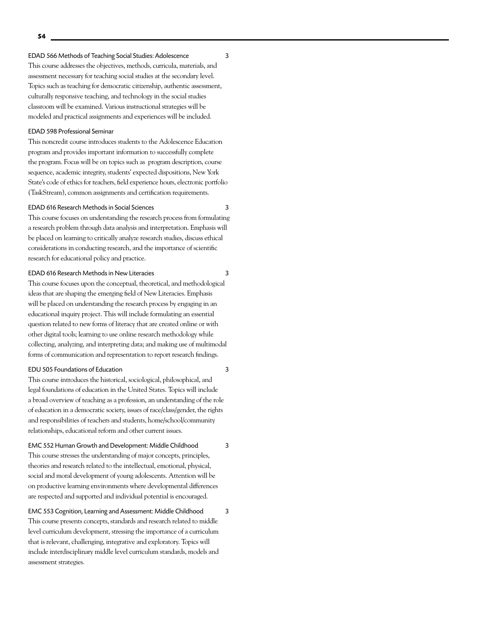#### EDAD 566 Methods of Teaching Social Studies: Adolescence 3

This course addresses the objectives, methods, curricula, materials, and assessment necessary for teaching social studies at the secondary level. Topics such as teaching for democratic citizenship, authentic assessment, culturally responsive teaching, and technology in the social studies classroom will be examined. Various instructional strategies will be modeled and practical assignments and experiences will be included.

#### EDAD 598 Professional Seminar

This noncredit course introduces students to the Adolescence Education program and provides important information to successfully complete the program. Focus will be on topics such as program description, course sequence, academic integrity, students' expected dispositions, New York State's code of ethics for teachers, field experience hours, electronic portfolio (TaskStream), common assignments and certification requirements.

#### EDAD 616 Research Methods in Social Sciences 3

This course focuses on understanding the research process from formulating a research problem through data analysis and interpretation. Emphasis will be placed on learning to critically analyze research studies, discuss ethical considerations in conducting research, and the importance of scientific research for educational policy and practice.

#### EDAD 616 Research Methods in New Literacies 3

This course focuses upon the conceptual, theoretical, and methodological ideas that are shaping the emerging field of New Literacies. Emphasis will be placed on understanding the research process by engaging in an educational inquiry project. This will include formulating an essential question related to new forms of literacy that are created online or with other digital tools; learning to use online research methodology while collecting, analyzing, and interpreting data; and making use of multimodal forms of communication and representation to report research findings.

#### EDU 505 Foundations of Education 3

This course introduces the historical, sociological, philosophical, and legal foundations of education in the United States. Topics will include a broad overview of teaching as a profession, an understanding of the role of education in a democratic society, issues of race/class/gender, the rights and responsibilities of teachers and students, home/school/community relationships, educational reform and other current issues.

#### EMC 552 Human Growth and Development: Middle Childhood 3

This course stresses the understanding of major concepts, principles, theories and research related to the intellectual, emotional, physical, social and moral development of young adolescents. Attention will be on productive learning environments where developmental differences are respected and supported and individual potential is encouraged.

EMC 553 Cognition, Learning and Assessment: Middle Childhood 3 This course presents concepts, standards and research related to middle level curriculum development, stressing the importance of a curriculum that is relevant, challenging, integrative and exploratory. Topics will include interdisciplinary middle level curriculum standards, models and assessment strategies.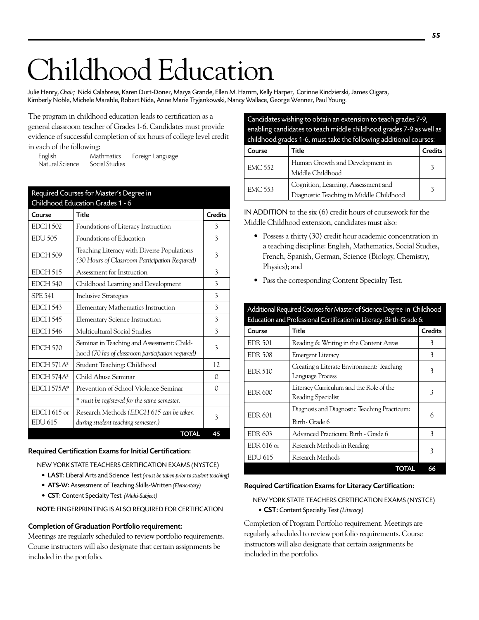# Childhood Education

Julie Henry, *Chair;* Nicki Calabrese, Karen Dutt-Doner, Marya Grande, Ellen M. Hamm, Kelly Harper, Corinne Kindzierski, James Oigara, Kimberly Noble, Michele Marable, Robert Nida, Anne Marie Tryjankowski, Nancy Wallace, George Wenner, Paul Young.

The program in childhood education leads to certification as a general classroom teacher of Grades 1-6. Candidates must provide evidence of successful completion of six hours of college level credit in each of the following:

English Mathmatics Foreign Language Natural Science

#### Required Courses for Master's Degree in  $C$ leibheach Education  $C$

| Course            | <b>Title</b>                                      | <b>Credits</b> |
|-------------------|---------------------------------------------------|----------------|
| <b>EDCH 502</b>   | Foundations of Literacy Instruction               | 3              |
| <b>EDU 505</b>    | Foundations of Education                          | 3              |
| EDCH 509          | Teaching Literacy with Diverse Populations        | 3              |
|                   | (30 Hours of Classroom Participation Required)    |                |
| <b>EDCH 515</b>   | Assessment for Instruction                        | 3              |
| <b>EDCH 540</b>   | Childhood Learning and Development                | 3              |
| <b>SPE 541</b>    | <b>Inclusive Strategies</b>                       | 3              |
| <b>EDCH 543</b>   | <b>Elementary Mathematics Instruction</b>         | 3              |
| <b>EDCH 545</b>   | <b>Elementary Science Instruction</b>             | 3              |
| <b>EDCH 546</b>   | Multicultural Social Studies                      | 3              |
| EDCH 570          | Seminar in Teaching and Assessment: Child-        | 3              |
|                   | hood (70 hrs of classroom participation required) |                |
| $EDCH 571A*$      | Student Teaching: Childhood                       | 12             |
| EDCH 574A*        | Child Abuse Seminar                               | 0              |
| <b>EDCH 575A*</b> | Prevention of School Violence Seminar             | 0              |
|                   | * must be registered for the same semester.       |                |
| $EDCH 615$ or     | Research Methods (EDCH 615 can be taken           | 3              |
| <b>EDU 615</b>    | during student teaching semester.)                |                |
|                   | <b>TOTAL</b>                                      | 45             |

#### Required Certification Exams for Initial Certification:

New York State Teachers Certification Exams (NYSTCE)

- • LAST: Liberal Arts and Science Test *(must be taken prior to student teaching)*
- • ATS-W: Assessment of Teaching Skills-Written *(Elementary)*
- • CST: Content Specialty Test *(Multi-Subject)*

NOTE: FINGERPRINTING IS ALSO REQUIRED FOR CERTIFICATION

#### Completion of Graduation Portfolio requirement:

Meetings are regularly scheduled to review portfolio requirements. Course instructors will also designate that certain assignments be included in the portfolio.

| Candidates wishing to obtain an extension to teach grades 7-9,<br>enabling candidates to teach middle childhood grades 7-9 as well as<br>childhood grades 1-6, must take the following additional courses: |                                                                                |                |
|------------------------------------------------------------------------------------------------------------------------------------------------------------------------------------------------------------|--------------------------------------------------------------------------------|----------------|
| Course                                                                                                                                                                                                     | Title                                                                          | <b>Credits</b> |
| <b>EMC 552</b>                                                                                                                                                                                             | Human Growth and Development in<br>Middle Childhood                            | 3              |
| <b>EMC 553</b>                                                                                                                                                                                             | Cognition, Learning, Assessment and<br>Diagnostic Teaching in Middle Childhood | 3              |

IN ADDITION to the six  $(6)$  credit hours of coursework for the Middle Childhood extension, candidates must also:

• Possess a thirty (30) credit hour academic concentration in a teaching discipline: English, Mathematics, Social Studies, French, Spanish, German, Science (Biology, Chemistry, Physics); and

Additional Required Courses for Master of Science Degree in Childhood

Pass the corresponding Content Specialty Test.

| $rac{1}{2}$<br>$\frac{1}{2}$<br>Education and Professional Certification in Literacy: Birth-Grade 6: |                                                                |                |
|------------------------------------------------------------------------------------------------------|----------------------------------------------------------------|----------------|
| Course                                                                                               | Title                                                          | <b>Credits</b> |
| <b>EDR 501</b>                                                                                       | Reading & Writing in the Content Areas                         | 3              |
| <b>EDR 508</b>                                                                                       | <b>Emergent Literacy</b>                                       | 3              |
| <b>EDR 510</b>                                                                                       | Creating a Literate Environment: Teaching<br>Language Process  | 3              |
| EDR 600                                                                                              | Literacy Curriculum and the Role of the<br>Reading Specialist  | 3              |
| <b>EDR 601</b>                                                                                       | Diagnosis and Diagnostic Teaching Practicum:<br>Birth- Grade 6 | 6              |
| <b>EDR 603</b>                                                                                       | Advanced Practicum: Birth - Grade 6                            | 3              |
| EDR 616 or                                                                                           | Research Methods in Reading                                    | 3              |
| <b>EDU 615</b>                                                                                       | Research Methods                                               |                |
|                                                                                                      | TOTAL                                                          | 66             |

#### Required Certification Exams for Literacy Certification:

New York State Teachers Certification Exams (NYSTCE)

• CST: Content Specialty Test *(Literacy)*

Completion of Program Portfolio requirement. Meetings are regularly scheduled to review portfolio requirements. Course instructors will also designate that certain assignments be included in the portfolio.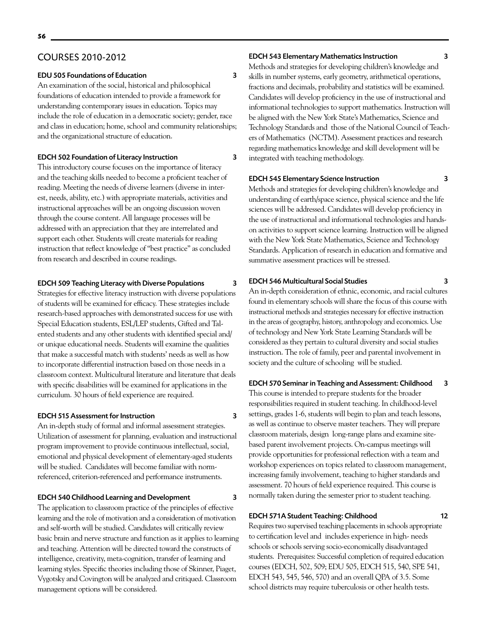### COURSES 2010-2012

#### EDU 505 Foundations of Education 3

An examination of the social, historical and philosophical foundations of education intended to provide a framework for understanding contemporary issues in education. Topics may include the role of education in a democratic society; gender, race and class in education; home, school and community relationships; and the organizational structure of education.

#### EDCH 502 Foundation of Literacy Instruction 3

This introductory course focuses on the importance of literacy and the teaching skills needed to become a proficient teacher of reading. Meeting the needs of diverse learners (diverse in interest, needs, ability, etc.) with appropriate materials, activities and instructional approaches will be an ongoing discussion woven through the course content. All language processes will be addressed with an appreciation that they are interrelated and support each other. Students will create materials for reading instruction that reflect knowledge of "best practice" as concluded from research and described in course readings.

#### EDCH 509 Teaching Literacy with Diverse Populations 3

Strategies for effective literacy instruction with diverse populations of students will be examined for efficacy. These strategies include research-based approaches with demonstrated success for use with Special Education students, ESL/LEP students, Gifted and Talented students and any other students with identified special and/ or unique educational needs. Students will examine the qualities that make a successful match with students' needs as well as how to incorporate differential instruction based on those needs in a classroom context. Multicultural literature and literature that deals with specific disabilities will be examined for applications in the curriculum. 30 hours of field experience are required.

#### EDCH 515 Assessment for Instruction 3

An in-depth study of formal and informal assessment strategies. Utilization of assessment for planning, evaluation and instructional program improvement to provide continuous intellectual, social, emotional and physical development of elementary-aged students will be studied. Candidates will become familiar with normreferenced, criterion-referenced and performance instruments.

#### EDCH 540 Childhood Learning and Development 3

The application to classroom practice of the principles of effective learning and the role of motivation and a consideration of motivation and self-worth will be studied. Candidates will critically review basic brain and nerve structure and function as it applies to learning and teaching. Attention will be directed toward the constructs of intelligence, creativity, meta-cognition, transfer of learning and learning styles. Specific theories including those of Skinner, Piaget, Vygotsky and Covington will be analyzed and critiqued. Classroom management options will be considered.

### EDCH 543 Elementary Mathematics Instruction 3

Methods and strategies for developing children's knowledge and skills in number systems, early geometry, arithmetical operations, fractions and decimals, probability and statistics will be examined. Candidates will develop proficiency in the use of instructional and informational technologies to support mathematics. Instruction will be aligned with the New York State's Mathematics, Science and Technology Standards and those of the National Council of Teachers of Mathematics (NCTM). Assessment practices and research regarding mathematics knowledge and skill development will be integrated with teaching methodology.

#### EDCH 545 Elementary Science Instruction 3

Methods and strategies for developing children's knowledge and understanding of earth/space science, physical science and the life sciences will be addressed. Candidates will develop proficiency in the use of instructional and informational technologies and handson activities to support science learning. Instruction will be aligned with the New York State Mathematics, Science and Technology Standards. Application of research in education and formative and summative assessment practices will be stressed.

#### EDCH 546 Multicultural Social Studies 3

An in-depth consideration of ethnic, economic, and racial cultures found in elementary schools will share the focus of this course with instructional methods and strategies necessary for effective instruction in the areas of geography, history, anthropology and economics. Use of technology and New York State Learning Standards will be considered as they pertain to cultural diversity and social studies instruction. The role of family, peer and parental involvement in society and the culture of schooling will be studied.

### EDCH 570 Seminar in Teaching and Assessment: Childhood 3

This course is intended to prepare students for the broader responsibilities required in student teaching. In childhood-level settings, grades 1-6, students will begin to plan and teach lessons, as well as continue to observe master teachers. They will prepare classroom materials, design long-range plans and examine sitebased parent involvement projects. On-campus meetings will provide opportunities for professional reflection with a team and workshop experiences on topics related to classroom management, increasing family involvement, teaching to higher standards and assessment. 70 hours of field experience required. This course is normally taken during the semester prior to student teaching.

### EDCH 571A Student Teaching: Childhood 12

Requires two supervised teaching placements in schools appropriate to certification level and includes experience in high- needs schools or schools serving socio-economically disadvantaged students. Prerequisites: Successful completion of required education courses (EDCH, 502, 509; EDU 505, EDCH 515, 540, SPE 541, EDCH 543, 545, 546, 570) and an overall QPA of 3.5. Some school districts may require tuberculosis or other health tests.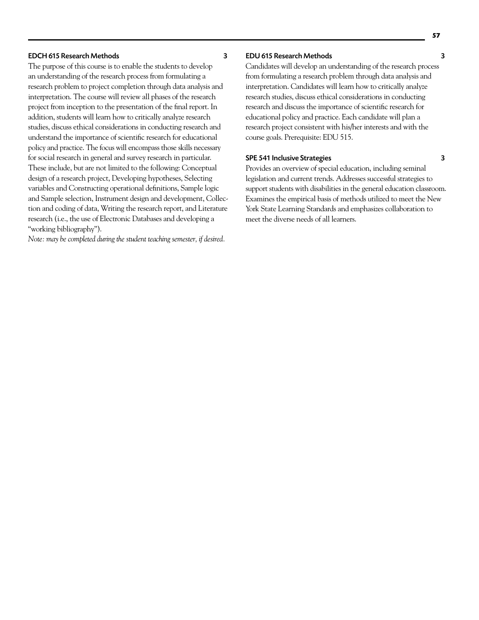#### EDCH 615 Research Methods 3

The purpose of this course is to enable the students to develop an understanding of the research process from formulating a research problem to project completion through data analysis and interpretation. The course will review all phases of the research project from inception to the presentation of the final report. In addition, students will learn how to critically analyze research studies, discuss ethical considerations in conducting research and understand the importance of scientific research for educational policy and practice. The focus will encompass those skills necessary for social research in general and survey research in particular. These include, but are not limited to the following: Conceptual design of a research project, Developing hypotheses, Selecting variables and Constructing operational definitions, Sample logic and Sample selection, Instrument design and development, Collection and coding of data, Writing the research report, and Literature research (i.e., the use of Electronic Databases and developing a "working bibliography").

*Note: may be completed during the student teaching semester, if desired.*

#### EDU 615 Research Methods 3

Candidates will develop an understanding of the research process from formulating a research problem through data analysis and interpretation. Candidates will learn how to critically analyze research studies, discuss ethical considerations in conducting research and discuss the importance of scientific research for educational policy and practice. Each candidate will plan a research project consistent with his/her interests and with the course goals. Prerequisite: EDU 515.

#### SPE 541 Inclusive Strategies 3

Provides an overview of special education, including seminal legislation and current trends. Addresses successful strategies to support students with disabilities in the general education classroom. Examines the empirical basis of methods utilized to meet the New York State Learning Standards and emphasizes collaboration to meet the diverse needs of all learners.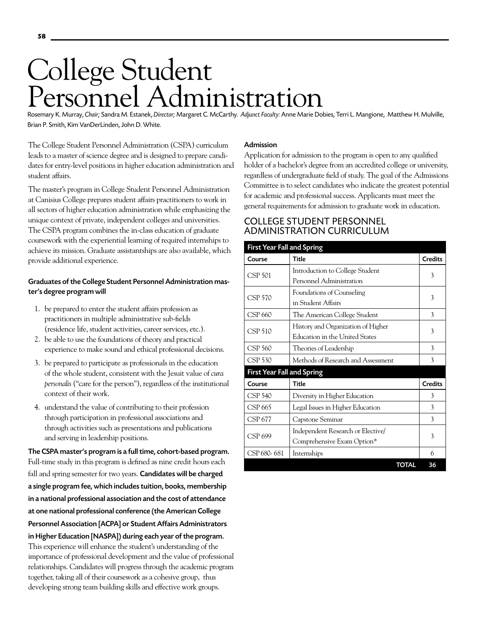# College Student Personnel Administration

Rosemary K. Murray, *Chair;* Sandra M. Estanek, *Director;* Margaret C. McCarthy. *Adjunct Faculty:*Anne Marie Dobies, Terri L. Mangione, Matthew H. Mulville, Brian P. Smith, Kim VanDerLinden, John D. White.

The College Student Personnel Administration (CSPA) curriculum leads to a master of science degree and is designed to prepare candidates for entry-level positions in higher education administration and student affairs.

The master's program in College Student Personnel Administration at Canisius College prepares student affairs practitioners to work in all sectors of higher education administration while emphasizing the unique context of private, independent colleges and universities. The CSPA program combines the in-class education of graduate coursework with the experiential learning of required internships to achieve its mission. Graduate assistantships are also available, which provide additional experience.

# Graduates of the College Student Personnel Administration master's degree program will

- 1. be prepared to enter the student affairs profession as practitioners in multiple administrative sub-fields (residence life, student activities, career services, etc.).
- 2. be able to use the foundations of theory and practical experience to make sound and ethical professional decisions.
- 3. be prepared to participate as professionals in the education of the whole student, consistent with the Jesuit value of *cura personalis* ("care for the person"), regardless of the institutional context of their work.
- 4. understand the value of contributing to their profession through participation in professional associations and through activities such as presentations and publications and serving in leadership positions.

The CSPA master's program is a full time, cohort-based program. Full-time study in this program is defined as nine credit hours each fall and spring semester for two years. Candidates will be charged a single program fee, which includes tuition, books, membership in a national professional association and the cost of attendance at one national professional conference (the American College Personnel Association [ACPA] or Student Affairs Administrators in Higher Education [NASPA]) during each year of the program. This experience will enhance the student's understanding of the importance of professional development and the value of professional relationships. Candidates will progress through the academic program together, taking all of their coursework as a cohesive group, thus developing strong team building skills and effective work groups.

# Admission

Application for admission to the program is open to any qualified holder of a bachelor's degree from an accredited college or university, regardless of undergraduate field of study. The goal of the Admissions Committee is to select candidates who indicate the greatest potential for academic and professional success. Applicants must meet the general requirements for admission to graduate work in education.

# College Student Personnel Administration Curriculum

| <b>First Year Fall and Spring</b> |                                    |                |
|-----------------------------------|------------------------------------|----------------|
| Course                            | <b>Title</b>                       | <b>Credits</b> |
| CSP 501                           | Introduction to College Student    | 3              |
|                                   | Personnel Administration           |                |
| <b>CSP 570</b>                    | Foundations of Counseling          | 3              |
|                                   | in Student Affairs                 |                |
| CSP 660                           | The American College Student       | 3              |
| CSP 510                           | History and Organization of Higher | 3              |
|                                   | Education in the United States     |                |
| CSP 560                           | Theories of Leadership             | 3              |
| <b>CSP 530</b>                    | Methods of Research and Assessment | 3              |
| <b>First Year Fall and Spring</b> |                                    |                |
| Course                            | Title                              | <b>Credits</b> |
| CSP 540                           | Diversity in Higher Education      | 3              |
| CSP 665                           | Legal Issues in Higher Education   | 3              |
| CSP 677                           | Capstone Seminar                   | 3              |
| CSP 699                           | Independent Research or Elective/  | 3              |
|                                   | Comprehensive Exam Option*         |                |
| CSP 680-681                       | Internships                        | 6              |
|                                   | TOTAL                              | 36             |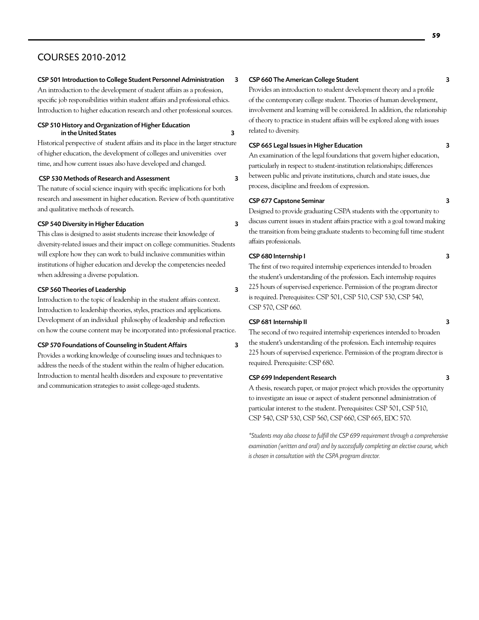# COURSES 2010-2012

#### CSP 501 Introduction to College Student Personnel Administration 3

An introduction to the development of student affairs as a profession, specific job responsibilities within student affairs and professional ethics. Introduction to higher education research and other professional sources.

#### CSP 510 History and Organization of Higher Education in the United States 3

Historical perspective of student affairs and its place in the larger structure of higher education, the development of colleges and universities over time, and how current issues also have developed and changed.

#### CSP 530 Methods of Research and Assessment 3

The nature of social science inquiry with specific implications for both research and assessment in higher education. Review of both quantitative and qualitative methods of research.

#### CSP 540 Diversity in Higher Education 3

This class is designed to assist students increase their knowledge of diversity-related issues and their impact on college communities. Students will explore how they can work to build inclusive communities within institutions of higher education and develop the competencies needed when addressing a diverse population.

#### CSP 560 Theories of Leadership 3

Introduction to the topic of leadership in the student affairs context. Introduction to leadership theories, styles, practices and applications. Development of an individual philosophy of leadership and reflection on how the course content may be incorporated into professional practice.

#### CSP 570 Foundations of Counseling in Student Affairs 3

Provides a working knowledge of counseling issues and techniques to address the needs of the student within the realm of higher education. Introduction to mental health disorders and exposure to preventative and communication strategies to assist college-aged students.

Provides an introduction to student development theory and a profile of the contemporary college student. Theories of human development, involvement and learning will be considered. In addition, the relationship of theory to practice in student affairs will be explored along with issues related to diversity.

#### CSP 665 Legal Issues in Higher Education 3

An examination of the legal foundations that govern higher education, particularly in respect to student-institution relationships; differences between public and private institutions, church and state issues, due process, discipline and freedom of expression.

#### CSP 677 Capstone Seminar 3

Designed to provide graduating CSPA students with the opportunity to discuss current issues in student affairs practice with a goal toward making the transition from being graduate students to becoming full time student affairs professionals.

#### CSP 680 Internship I 3

The first of two required internship experiences intended to broaden the student's understanding of the profession. Each internship requires 225 hours of supervised experience. Permission of the program director is required. Prerequisites: CSP 501, CSP 510, CSP 530, CSP 540, CSP 570, CSP 660.

#### CSP 681 Internship II 3

The second of two required internship experiences intended to broaden the student's understanding of the profession. Each internship requires 225 hours of supervised experience. Permission of the program director is required. Prerequisite: CSP 680.

#### CSP 699 Independent Research 3

A thesis, research paper, or major project which provides the opportunity to investigate an issue or aspect of student personnel administration of particular interest to the student. Prerequisites: CSP 501, CSP 510, CSP 540, CSP 530, CSP 560, CSP 660, CSP 665, EDC 570.

*\*Students may also choose to fulfill the CSP 699 requirement through a comprehensive examination (written and oral) and by successfully completing an elective course, which is chosen in consultation with the CSPA program director.*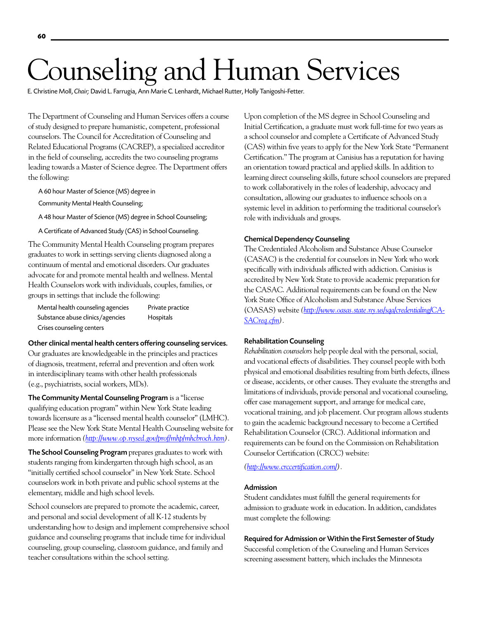# Counseling and Human Services

E. Christine Moll, *Chair;* David L. Farrugia, Ann Marie C. Lenhardt, Michael Rutter, Holly Tanigoshi-Fetter.

Private practice Hospitals

The Department of Counseling and Human Services offers a course of study designed to prepare humanistic, competent, professional counselors. The Council for Accreditation of Counseling and Related Educational Programs (CACREP), a specialized accreditor in the field of counseling, accredits the two counseling programs leading towards a Master of Science degree. The Department offers the following:

A 60 hour Master of Science (MS) degree in

Community Mental Health Counseling;

A 48 hour Master of Science (MS) degree in School Counseling;

A Certificate of Advanced Study (CAS) in School Counseling.

The Community Mental Health Counseling program prepares graduates to work in settings serving clients diagnosed along a continuum of mental and emotional disorders. Our graduates advocate for and promote mental health and wellness. Mental Health Counselors work with individuals, couples, families, or groups in settings that include the following:

| Mental health counseling agencies |
|-----------------------------------|
| Substance abuse clinics/agencies  |
| Crises counseling centers         |

#### Other clinical mental health centers offering counseling services.

Our graduates are knowledgeable in the principles and practices of diagnosis, treatment, referral and prevention and often work in interdisciplinary teams with other health professionals (e.g., psychiatrists, social workers, MDs).

The Community Mental Counseling Program is a "license qualifying education program" within New York State leading towards licensure as a "licensed mental health counselor" (LMHC). Please see the New York State Mental Health Counseling website for more information *(http://www.op.nysed.gov/prof/mhp/mhcbroch.htm).*

The School Counseling Program prepares graduates to work with students ranging from kindergarten through high school, as an "initially certified school counselor" in New York State. School counselors work in both private and public school systems at the elementary, middle and high school levels.

School counselors are prepared to promote the academic, career, and personal and social development of all K-12 students by understanding how to design and implement comprehensive school guidance and counseling programs that include time for individual counseling, group counseling, classroom guidance, and family and teacher consultations within the school setting.

Upon completion of the MS degree in School Counseling and Initial Certification, a graduate must work full-time for two years as a school counselor and complete a Certificate of Advanced Study (CAS) within five years to apply for the New York State "Permanent Certification." The program at Canisius has a reputation for having an orientation toward practical and applied skills. In addition to learning direct counseling skills, future school counselors are prepared to work collaboratively in the roles of leadership, advocacy and consultation, allowing our graduates to influence schools on a systemic level in addition to performing the traditional counselor's role with individuals and groups.

#### Chemical Dependency Counseling

The Credentialed Alcoholism and Substance Abuse Counselor (CASAC) is the credential for counselors in New York who work specifically with individuals afflicted with addiction. Canisius is accredited by New York State to provide academic preparation for the CASAC. Additional requirements can be found on the New York State Office of Alcoholism and Substance Abuse Services (OASAS) website *(http://www.oasas.state.ny.us/sqa/credentialing/CA-SACreq.cfm).*

#### Rehabilitation Counseling

*Rehabilitation counselors* help people deal with the personal, social, and vocational effects of disabilities. They counsel people with both physical and emotional disabilities resulting from birth defects, illness or disease, accidents, or other causes. They evaluate the strengths and limitations of individuals, provide personal and vocational counseling, offer case management support, and arrange for medical care, vocational training, and job placement. Our program allows students to gain the academic background necessary to become a Certified Rehabilitation Counselor (CRC). Additional information and requirements can be found on the Commission on Rehabilitation Counselor Certification (CRCC) website:

*(http://www.crccertification.com/).*

#### Admission

Student candidates must fulfill the general requirements for admission to graduate work in education. In addition, candidates must complete the following:

#### Required for Admission or Within the First Semester of Study

Successful completion of the Counseling and Human Services screening assessment battery, which includes the Minnesota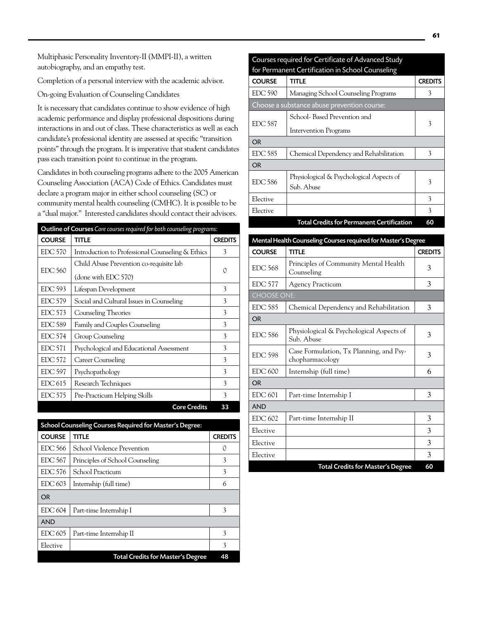Multiphasic Personality Inventory-II (MMPI-II), a written autobiography, and an empathy test.

Completion of a personal interview with the academic advisor.

On-going Evaluation of Counseling Candidates

It is necessary that candidates continue to show evidence of high academic performance and display professional dispositions during interactions in and out of class. These characteristics as well as each candidate's professional identity are assessed at specific "transition points" through the program. It is imperative that student candidates pass each transition point to continue in the program.

Candidates in both counseling programs adhere to the 2005 American Counseling Association (ACA) Code of Ethics. Candidates must declare a program major in either school counseling (SC) or community mental health counseling (CMHC). It is possible to be a "dual major." Interested candidates should contact their advisors.

| <b>Outline of Courses</b> Core courses required for both counseling programs: |                                                                |                |
|-------------------------------------------------------------------------------|----------------------------------------------------------------|----------------|
| <b>COURSE</b>                                                                 | <b>TITLE</b>                                                   | <b>CREDITS</b> |
| <b>EDC 570</b>                                                                | Introduction to Professional Counseling & Ethics               | 3              |
| <b>EDC 560</b>                                                                | Child Abuse Prevention co-requisite lab<br>(done with EDC 570) | 0              |
| EDC 593                                                                       | Lifespan Development                                           | 3              |
| <b>EDC 579</b>                                                                | Social and Cultural Issues in Counseling                       | 3              |
| EDC 573                                                                       | Counseling Theories                                            | 3              |
| <b>EDC 589</b>                                                                | Family and Couples Counseling                                  | 3              |
| <b>EDC 574</b>                                                                | Group Counseling                                               | 3              |
| EDC 571                                                                       | Psychological and Educational Assessment                       | 3              |
| <b>EDC 572</b>                                                                | Career Counseling                                              | 3              |
| EDC 597                                                                       | Psychopathology                                                | 3              |
| EDC <sub>615</sub>                                                            | Research Techniques                                            | 3              |
| <b>EDC 575</b>                                                                | Pre-Practicum Helping Skills                                   | 3              |
|                                                                               | <b>Core Credits</b>                                            | 33             |

|                | School Counseling Courses Required for Master's Degree: |                |
|----------------|---------------------------------------------------------|----------------|
| <b>COURSE</b>  | title                                                   | <b>CREDITS</b> |
| EDC 566        | School Violence Prevention                              | 0              |
| <b>EDC 567</b> | Principles of School Counseling                         | 3              |
| EDC 576        | School Practicum                                        | 3              |
| EDC 603        | Internship (full time)                                  | 6              |
| OR.            |                                                         |                |
| EDC 604        | Part-time Internship I                                  | 3              |
| <b>AND</b>     |                                                         |                |
| EDC 605        | Part-time Internship II                                 | 3              |
| Elective       |                                                         | 3              |
|                | Total Credits for Master's Degree                       | 48             |

|                                                  | Courses required for Certificate of Advanced Study |                |
|--------------------------------------------------|----------------------------------------------------|----------------|
| for Permanent Certification in School Counseling |                                                    |                |
| <b>COURSE</b>                                    | TITLE                                              | <b>CREDITS</b> |
| <b>EDC 590</b>                                   | Managing School Counseling Programs                | 3              |
|                                                  | Choose a substance abuse prevention course:        |                |
|                                                  | School- Based Prevention and                       |                |
| <b>EDC 587</b>                                   | Intervention Programs                              | 3              |
| <b>OR</b>                                        |                                                    |                |
| <b>EDC 585</b>                                   | Chemical Dependency and Rehabilitation             | 3              |
| <b>OR</b>                                        |                                                    |                |
| <b>EDC 586</b>                                   | Physiological & Psychological Aspects of           | 3              |
|                                                  | Sub. Abuse                                         |                |
| Elective                                         |                                                    | 3              |
| Elective                                         |                                                    | 3              |
|                                                  | <b>Total Credits for Permanent Certification</b>   | 60             |

| Mental Health Counseling Courses required for Master's Degree |                                                            |                |
|---------------------------------------------------------------|------------------------------------------------------------|----------------|
| <b>COURSE</b>                                                 | <b>TITLE</b>                                               | <b>CREDITS</b> |
| <b>EDC 568</b>                                                | Principles of Community Mental Health<br>Counseling        | 3              |
| <b>EDC 577</b>                                                | <b>Agency Practicum</b>                                    | 3              |
| <b>CHOOSE ONE:</b>                                            |                                                            |                |
| <b>EDC 585</b>                                                | Chemical Dependency and Rehabilitation                     | 3              |
| <b>OR</b>                                                     |                                                            |                |
| <b>EDC 586</b>                                                | Physiological & Psychological Aspects of<br>Sub. Abuse     | 3              |
| <b>EDC 598</b>                                                | Case Formulation, Tx Planning, and Psy-<br>chopharmacology | 3              |
| <b>EDC 600</b>                                                | Internship (full time)                                     | 6              |
| OR                                                            |                                                            |                |
| EDC 601                                                       | Part-time Internship I                                     | 3              |
| <b>AND</b>                                                    |                                                            |                |
| <b>EDC 602</b>                                                | Part-time Internship II                                    | 3              |
| Elective                                                      |                                                            | 3              |
| Elective                                                      |                                                            | 3              |
| Elective                                                      |                                                            | 3              |
|                                                               | <b>Total Credits for Master's Degree</b>                   | 60             |

# Courses required for Certificate of Advanced Study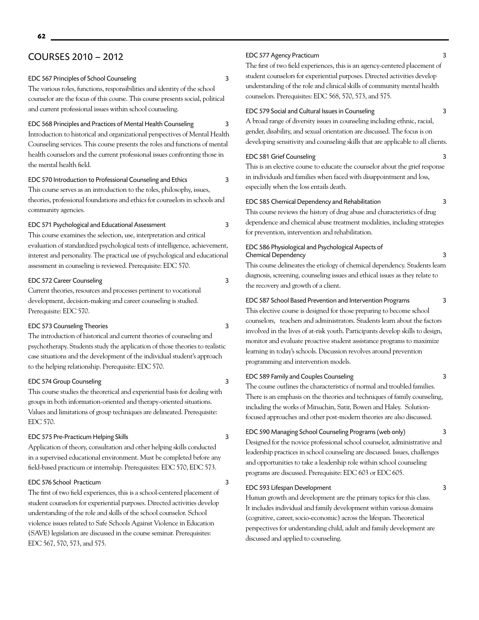# COURSES 2010 – 2012

EDC 567 Principles of School Counseling 3

The various roles, functions, responsibilities and identity of the school counselor are the focus of this course. This course presents social, political and current professional issues within school counseling.

EDC 568 Principles and Practices of Mental Health Counseling 3 Introduction to historical and organizational perspectives of Mental Health Counseling services. This course presents the roles and functions of mental health counselors and the current professional issues confronting those in the mental health field.

EDC 570 Introduction to Professional Counseling and Ethics 3 This course serves as an introduction to the roles, philosophy, issues, theories, professional foundations and ethics for counselors in schools and community agencies.

EDC 571 Psychological and Educational Assessment 3 This course examines the selection, use, interpretation and critical evaluation of standardized psychological tests of intelligence, achievement, interest and personality. The practical use of psychological and educational

#### EDC 572 Career Counseling 3

Current theories, resources and processes pertinent to vocational development, decision-making and career counseling is studied. Prerequisite: EDC 570.

assessment in counseling is reviewed. Prerequisite: EDC 570.

#### EDC 573 Counseling Theories 3

The introduction of historical and current theories of counseling and psychotherapy. Students study the application of those theories to realistic case situations and the development of the individual student's approach to the helping relationship. Prerequisite: EDC 570.

#### EDC 574 Group Counseling 3

This course studies the theoretical and experiential basis for dealing with groups in both information-oriented and therapy-oriented situations. Values and limitations of group techniques are delineated. Prerequisite: EDC 570.

#### EDC 575 Pre-Practicum Helping Skills 3

Application of theory, consultation and other helping skills conducted in a supervised educational environment. Must be completed before any field-based practicum or internship. Prerequisites: EDC 570, EDC 573.

#### EDC 576 School Practicum 3

The first of two field experiences, this is a school-centered placement of student counselors for experiential purposes. Directed activities develop understanding of the role and skills of the school counselor. School violence issues related to Safe Schools Against Violence in Education (SAVE) legislation are discussed in the course seminar. Prerequisites: EDC 567, 570, 573, and 575.

### EDC 577 Agency Practicum 3

The first of two field experiences, this is an agency-centered placement of student counselors for experiential purposes. Directed activities develop understanding of the role and clinical skills of community mental health counselors. Prerequisites: EDC 568, 570, 573, and 575.

#### EDC 579 Social and Cultural Issues in Counseling 3

A broad range of diversity issues in counseling including ethnic, racial, gender, disability, and sexual orientation are discussed. The focus is on developing sensitivity and counseling skills that are applicable to all clients.

#### EDC 581 Grief Counseling 3

This is an elective course to educate the counselor about the grief response in individuals and families when faced with disappointment and loss, especially when the loss entails death.

#### EDC 585 Chemical Dependency and Rehabilitation 3

This course reviews the history of drug abuse and characteristics of drug dependence and chemical abuse treatment modalities, including strategies for prevention, intervention and rehabilitation.

#### EDC 586 Physiological and Psychological Aspects of Chemical Dependency 3

This course delineates the etiology of chemical dependency. Students learn diagnosis, screening, counseling issues and ethical issues as they relate to the recovery and growth of a client.

EDC 587 School Based Prevention and Intervention Programs 3

This elective course is designed for those preparing to become school counselors, teachers and administrators. Students learn about the factors involved in the lives of at-risk youth. Participants develop skills to design, monitor and evaluate proactive student assistance programs to maximize learning in today's schools. Discussion revolves around prevention programming and intervention models.

#### EDC 589 Family and Couples Counseling 3

The course outlines the characteristics of normal and troubled families. There is an emphasis on the theories and techniques of family counseling, including the works of Minuchin, Satir, Bowen and Haley. Solutionfocused approaches and other post-modern theories are also discussed.

#### EDC 590 Managing School Counseling Programs (web only) 3

Designed for the novice professional school counselor, administrative and leadership practices in school counseling are discussed. Issues, challenges and opportunities to take a leadership role within school counseling programs are discussed. Prerequisite: EDC 603 or EDC 605.

#### EDC 593 Lifespan Development 3

Human growth and development are the primary topics for this class. It includes individual and family development within various domains (cognitive, career, socio-economic) across the lifespan. Theoretical perspectives for understanding child, adult and family development are discussed and applied to counseling.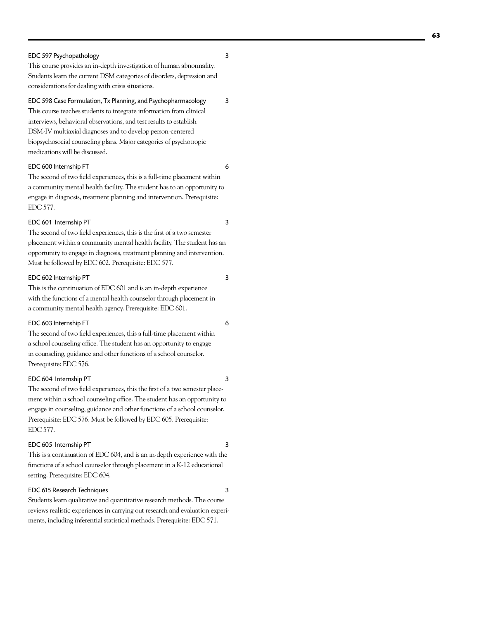#### EDC 597 Psychopathology 3

This course provides an in-depth investigation of human abnormality. Students learn the current DSM categories of disorders, depression and considerations for dealing with crisis situations.

EDC 598 Case Formulation, Tx Planning, and Psychopharmacology 3

This course teaches students to integrate information from clinical interviews, behavioral observations, and test results to establish DSM-IV multiaxial diagnoses and to develop person-centered biopsychosocial counseling plans. Major categories of psychotropic medications will be discussed.

#### EDC 600 Internship FT 6

The second of two field experiences, this is a full-time placement within a community mental health facility. The student has to an opportunity to engage in diagnosis, treatment planning and intervention. Prerequisite: EDC 577.

#### EDC 601 Internship PT 3

The second of two field experiences, this is the first of a two semester placement within a community mental health facility. The student has an opportunity to engage in diagnosis, treatment planning and intervention. Must be followed by EDC 602. Prerequisite: EDC 577.

#### EDC 602 Internship PT 3

This is the continuation of EDC 601 and is an in-depth experience with the functions of a mental health counselor through placement in a community mental health agency. Prerequisite: EDC 601.

#### EDC 603 Internship FT 6

The second of two field experiences, this a full-time placement within a school counseling office. The student has an opportunity to engage in counseling, guidance and other functions of a school counselor. Prerequisite: EDC 576.

#### EDC 604 Internship PT 3

The second of two field experiences, this the first of a two semester placement within a school counseling office. The student has an opportunity to engage in counseling, guidance and other functions of a school counselor. Prerequisite: EDC 576. Must be followed by EDC 605. Prerequisite: EDC 577.

#### EDC 605 Internship PT 3

This is a continuation of EDC 604, and is an in-depth experience with the functions of a school counselor through placement in a K-12 educational setting. Prerequisite: EDC 604.

#### EDC 615 Research Techniques 3

Students learn qualitative and quantitative research methods. The course reviews realistic experiences in carrying out research and evaluation experi ments, including inferential statistical methods. Prerequisite: EDC 571.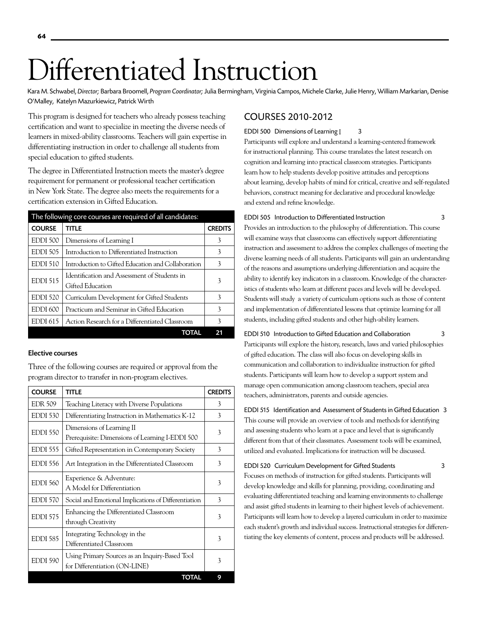# Differentiated Instruction

Kara M. Schwabel, *Director;* Barbara Broomell, *Program Coordinator;* Julia Bermingham, Virginia Campos, Michele Clarke, Julie Henry, William Markarian, Denise O'Malley, Katelyn Mazurkiewicz, Patrick Wirth

This program is designed for teachers who already possess teaching certification and want to specialize in meeting the diverse needs of learners in mixed-ability classrooms. Teachers will gain expertise in differentiating instruction in order to challenge all students from special education to gifted students.

The degree in Differentiated Instruction meets the master's degree requirement for permanent or professional teacher certification in New York State. The degree also meets the requirements for a certification extension in Gifted Education.

|                     | The following core courses are required of all candidates: |                |
|---------------------|------------------------------------------------------------|----------------|
| <b>COURSE</b>       | <b>TITLE</b>                                               | <b>CREDITS</b> |
| EDDI 500            | Dimensions of Learning I                                   | 3              |
| <b>EDDI 505</b>     | Introduction to Differentiated Instruction                 | 3              |
| <b>EDDI 510</b>     | Introduction to Gifted Education and Collaboration         | 3              |
| <b>EDDI 515</b>     | Identification and Assessment of Students in               | 3              |
|                     | Gifted Education                                           |                |
| <b>EDDI 520</b>     | Curriculum Development for Gifted Students                 | 3              |
| EDDI <sub>600</sub> | Practicum and Seminar in Gifted Education                  | 3              |
| <b>EDDI 615</b>     | Action Research for a Differentiated Classroom             | 3              |
|                     | TOTAL                                                      | 21             |

#### Elective courses

Three of the following courses are required or approval from the program director to transfer in non-program electives.

| <b>COURSE</b>   | <b>TITLE</b>                                                                    | <b>CREDITS</b> |
|-----------------|---------------------------------------------------------------------------------|----------------|
| <b>EDR 509</b>  | Teaching Literacy with Diverse Populations                                      | 3              |
| <b>EDDI 530</b> | Differentiating Instruction in Mathematics K-12                                 | 3              |
| <b>EDDI 550</b> | Dimensions of Learning II<br>Prerequisite: Dimensions of Learning I-EDDI 500    | 3              |
| <b>EDDI 555</b> | Gifted Representation in Contemporary Society                                   | 3              |
| <b>EDDI 556</b> | Art Integration in the Differentiated Classroom                                 | 3              |
| <b>EDDI 560</b> | Experience & Adventure:<br>A Model for Differentiation                          | 3              |
| <b>EDDI 570</b> | Social and Emotional Implications of Differentiation                            | 3              |
| <b>EDDI 575</b> | Enhancing the Differentiated Classroom<br>through Creativity                    | 3              |
| <b>EDDI 585</b> | Integrating Technology in the<br>Differentiated Classroom                       | 3              |
| EDDI 590        | Using Primary Sources as an Inquiry-Based Tool<br>for Differentiation (ON-LINE) | 3              |
|                 | <b>TOTAL</b>                                                                    | 9              |

# COURSES 2010-2012

#### EDDI 500 Dimensions of Learning [325]

Participants will explore and understand a learning-centered framework for instructional planning. This course translates the latest research on cognition and learning into practical classroom strategies. Participants learn how to help students develop positive attitudes and perceptions about learning, develop habits of mind for critical, creative and self-regulated behaviors, construct meaning for declarative and procedural knowledge and extend and refine knowledge.

#### EDDI 505 Introduction to Differentiated Instruction 3

Provides an introduction to the philosophy of differentiation. This course will examine ways that classrooms can effectively support differentiating instruction and assessment to address the complex challenges of meeting the diverse learning needs of all students. Participants will gain an understanding of the reasons and assumptions underlying differentiation and acquire the ability to identify key indicators in a classroom. Knowledge of the characteristics of students who learn at different paces and levels will be developed. Students will study a variety of curriculum options such as those of content and implementation of differentiated lessons that optimize learning for all students, including gifted students and other high-ability learners.

EDDI 510 Introduction to Gifted Education and Collaboration 3 Participants will explore the history, research, laws and varied philosophies of gifted education. The class will also focus on developing skills in communication and collaboration to individualize instruction for gifted students. Participants will learn how to develop a support system and manage open communication among classroom teachers, special area teachers, administrators, parents and outside agencies.

EDDI 515 Identification and Assessment of Students in Gifted Education 3 This course will provide an overview of tools and methods for identifying and assessing students who learn at a pace and level that is significantly different from that of their classmates. Assessment tools will be examined, utilized and evaluated. Implications for instruction will be discussed.

EDDI 520 Curriculum Development for Gifted Students 3 Focuses on methods of instruction for gifted students. Participants will develop knowledge and skills for planning, providing, coordinating and evaluating differentiated teaching and learning environments to challenge and assist gifted students in learning to their highest levels of achievement. Participants will learn how to develop a layered curriculum in order to maximize each student's growth and individual success. Instructional strategies for differentiating the key elements of content, process and products will be addressed.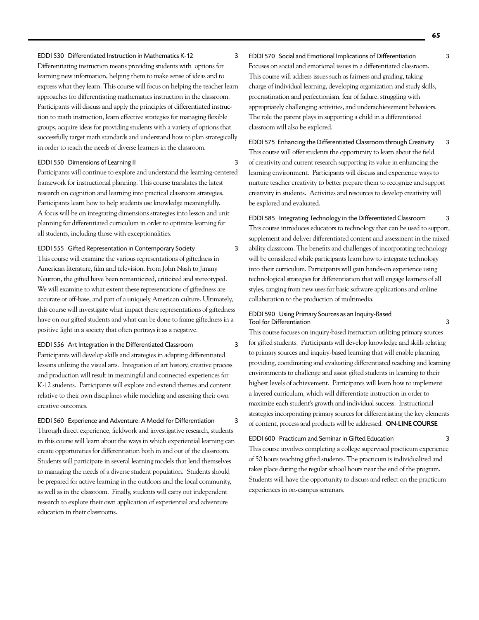#### EDDI 530 Differentiated Instruction in Mathematics K-12 3

Differentiating instruction means providing students with options for learning new information, helping them to make sense of ideas and to express what they learn. This course will focus on helping the teacher learn approaches for differentiating mathematics instruction in the classroom. Participants will discuss and apply the principles of differentiated instruction to math instruction, learn effective strategies for managing flexible groups, acquire ideas for providing students with a variety of options that successfully target math standards and understand how to plan strategically in order to reach the needs of diverse learners in the classroom.

#### EDDI 550 Dimensions of Learning II 3

Participants will continue to explore and understand the learning-centered framework for instructional planning. This course translates the latest research on cognition and learning into practical classroom strategies. Participants learn how to help students use knowledge meaningfully. A focus will be on integrating dimensions strategies into lesson and unit planning for differentiated curriculum in order to optimize learning for all students, including those with exceptionalities.

EDDI 555 Gifted Representation in Contemporary Society 3 This course will examine the various representations of giftedness in American literature, film and television. From John Nash to Jimmy Neutron, the gifted have been romanticized, criticized and stereotyped. We will examine to what extent these representations of giftedness are accurate or off-base, and part of a uniquely American culture. Ultimately, this course will investigate what impact these representations of giftedness have on our gifted students and what can be done to frame giftedness in a positive light in a society that often portrays it as a negative.

#### EDDI 556 Art Integration in the Differentiated Classroom 3

Participants will develop skills and strategies in adapting differentiated lessons utilizing the visual arts. Integration of art history, creative process and production will result in meaningful and connected experiences for K-12 students. Participants will explore and extend themes and content relative to their own disciplines while modeling and assessing their own creative outcomes.

EDDI 560 Experience and Adventure: A Model for Differentiation 3 Through direct experience, fieldwork and investigative research, students in this course will learn about the ways in which experiential learning can create opportunities for differentiation both in and out of the classroom. Students will participate in several learning models that lend themselves to managing the needs of a diverse student population. Students should be prepared for active learning in the outdoors and the local community, as well as in the classroom. Finally, students will carry out independent research to explore their own application of experiential and adventure education in their classrooms.

EDDI 570 Social and Emotional Implications of Differentiation 3 Focuses on social and emotional issues in a differentiated classroom. This course will address issues such as fairness and grading, taking charge of individual learning, developing organization and study skills, procrastination and perfectionism, fear of failure, struggling with appropriately challenging activities, and underachievement behaviors. The role the parent plays in supporting a child in a differentiated classroom will also be explored.

EDDI 575 Enhancing the Differentiated Classroom through Creativity 3 This course will offer students the opportunity to learn about the field of creativity and current research supporting its value in enhancing the learning environment. Participants will discuss and experience ways to nurture teacher creativity to better prepare them to recognize and support creativity in students. Activities and resources to develop creativity will be explored and evaluated.

EDDI 585 Integrating Technology in the Differentiated Classroom 3 This course introduces educators to technology that can be used to support, supplement and deliver differentiated content and assessment in the mixed ability classroom. The benefits and challenges of incorporating technology will be considered while participants learn how to integrate technology into their curriculum. Participants will gain hands-on experience using technological strategies for differentiation that will engage learners of all styles, ranging from new uses for basic software applications and online collaboration to the production of multimedia.

#### EDDI 590 Using Primary Sources as an Inquiry-Based Tool for Differentiation 3

This course focuses on inquiry-based instruction utilizing primary sources for gifted students. Participants will develop knowledge and skills relating to primary sources and inquiry-based learning that will enable planning, providing, coordinating and evaluating differentiated teaching and learning environments to challenge and assist gifted students in learning to their highest levels of achievement. Participants will learn how to implement a layered curriculum, which will differentiate instruction in order to maximize each student's growth and individual success. Instructional strategies incorporating primary sources for differentiating the key elements of content, process and products will be addressed. ON-LINE COURSE

EDDI 600 Practicum and Seminar in Gifted Education 3

This course involves completing a college supervised practicum experience of 50 hours teaching gifted students. The practicum is individualized and takes place during the regular school hours near the end of the program. Students will have the opportunity to discuss and reflect on the practicum experiences in on-campus seminars.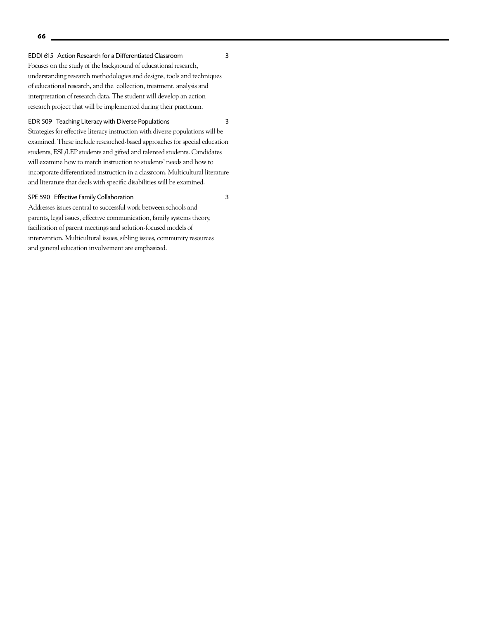EDDI 615 Action Research for a Differentiated Classroom 3

Focuses on the study of the background of educational research, understanding research methodologies and designs, tools and techniques of educational research, and the collection, treatment, analysis and interpretation of research data. The student will develop an action research project that will be implemented during their practicum.

#### EDR 509 Teaching Literacy with Diverse Populations 3

Strategies for effective literacy instruction with diverse populations will be examined. These include researched-based approaches for special education students, ESL/LEP students and gifted and talented students. Candidates will examine how to match instruction to students' needs and how to incorporate differentiated instruction in a classroom. Multicultural literature and literature that deals with specific disabilities will be examined.

#### SPE 590 Effective Family Collaboration 3

Addresses issues central to successful work between schools and parents, legal issues, effective communication, family systems theory, facilitation of parent meetings and solution-focused models of intervention. Multicultural issues, sibling issues, community resources and general education involvement are emphasized.

**66**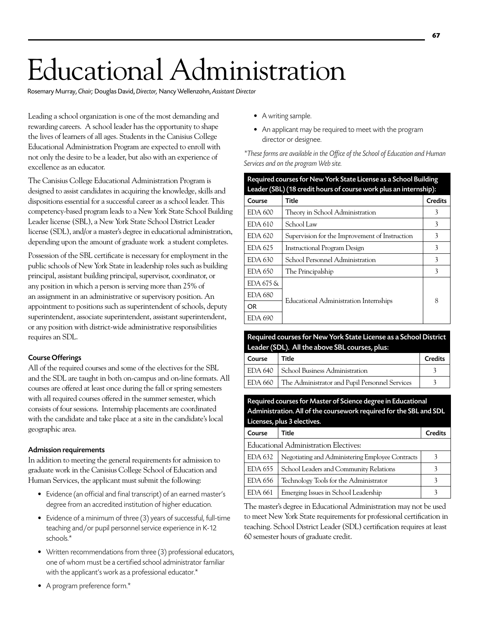# Educational Administration

Rosemary Murray, *Chair;* Douglas David, *Director,* Nancy Wellenzohn, *Assistant Director*

Leading a school organization is one of the most demanding and rewarding careers. A school leader has the opportunity to shape the lives of learners of all ages. Students in the Canisius College Educational Administration Program are expected to enroll with not only the desire to be a leader, but also with an experience of excellence as an educator.

The Canisius College Educational Administration Program is designed to assist candidates in acquiring the knowledge, skills and dispositions essential for a successful career as a school leader. This competency-based program leads to a New York State School Building Leader license (SBL), a New York State School District Leader license (SDL), and/or a master's degree in educational administration, depending upon the amount of graduate work a student completes.

Possession of the SBL certificate is necessary for employment in the public schools of New York State in leadership roles such as building principal, assistant building principal, supervisor, coordinator, or any position in which a person is serving more than 25% of an assignment in an administrative or supervisory position. An appointment to positions such as superintendent of schools, deputy superintendent, associate superintendent, assistant superintendent, or any position with district-wide administrative responsibilities requires an SDL.

#### Course Offerings

All of the required courses and some of the electives for the SBL and the SDL are taught in both on-campus and on-line formats. All courses are offered at least once during the fall or spring semesters with all required courses offered in the summer semester, which consists of four sessions. Internship placements are coordinated with the candidate and take place at a site in the candidate's local geographic area.

#### Admission requirements

In addition to meeting the general requirements for admission to graduate work in the Canisius College School of Education and Human Services, the applicant must submit the following:

- Evidence (an official and final transcript) of an earned master's degree from an accredited institution of higher education.
- Evidence of a minimum of three (3) years of successful, full-time teaching and/or pupil personnel service experience in K-12 schools.\*
- Written recommendations from three (3) professional educators, one of whom must be a certified school administrator familiar with the applicant's work as a professional educator.\*
- A writing sample.
- An applicant may be required to meet with the program director or designee.

*\*These forms are available in the Office of the School of Education and Human Services and on the program Web site.*

| Required courses for New York State License as a School Building |                                                                            |                |
|------------------------------------------------------------------|----------------------------------------------------------------------------|----------------|
| Course                                                           | Leader (SBL) (18 credit hours of course work plus an internship):<br>Title | <b>Credits</b> |
| EDA 600                                                          | Theory in School Administration                                            | 3              |
| EDA 610                                                          | School Law                                                                 | 3              |
| EDA 620                                                          | Supervision for the Improvement of Instruction                             | 3              |
| EDA 625                                                          | <b>Instructional Program Design</b>                                        | 3              |
| EDA 630                                                          | School Personnel Administration                                            | 3              |
| EDA 650                                                          | The Principalship                                                          | 3              |
| EDA 675 &                                                        |                                                                            |                |
| EDA 680                                                          | Educational Administration Internships                                     | 8              |
| OR.                                                              |                                                                            |                |
| EDA 690                                                          |                                                                            |                |

#### Required courses for New York State License as a School District Leader (SDL). All the above SBL courses, plus:

|        | $100 - 100 - 100 - 100 = 000 - 000 - 000 - 0000 - 0000 - 0000 - 0000 - 0000 - 0000 - 0000 - 0000 - 0000 - 0000 - 0000 - 0000 - 0000 - 0000 - 0000 - 0000 - 0000 - 0000 - 0000 - 0000 - 0000 - 0000 - 0000 - 0000 - 0000 - 0000 - 0000 - 0000 - 0000 - 0000 - 0000 -$ |                |
|--------|----------------------------------------------------------------------------------------------------------------------------------------------------------------------------------------------------------------------------------------------------------------------|----------------|
| Course | Title                                                                                                                                                                                                                                                                | <b>Credits</b> |
|        | EDA 640   School Business Administration                                                                                                                                                                                                                             |                |
|        | EDA 660   The Administrator and Pupil Personnel Services                                                                                                                                                                                                             |                |

Required courses for Master of Science degree in Educational Administration.All of the coursework required for the SBL and SDL Licenses, plus 3 electives.

| Course  | Title                                            | Credits |
|---------|--------------------------------------------------|---------|
|         | Educational Administration Electives:            |         |
| EDA 632 | Negotiating and Administering Employee Contracts |         |
| EDA 655 | School Leaders and Community Relations           |         |
| EDA 656 | Technology Tools for the Administrator           |         |
| EDA 661 | Emerging Issues in School Leadership             |         |

The master's degree in Educational Administration may not be used to meet New York State requirements for professional certification in teaching. School District Leader (SDL) certification requires at least 60 semester hours of graduate credit.

**67**

• A program preference form.\*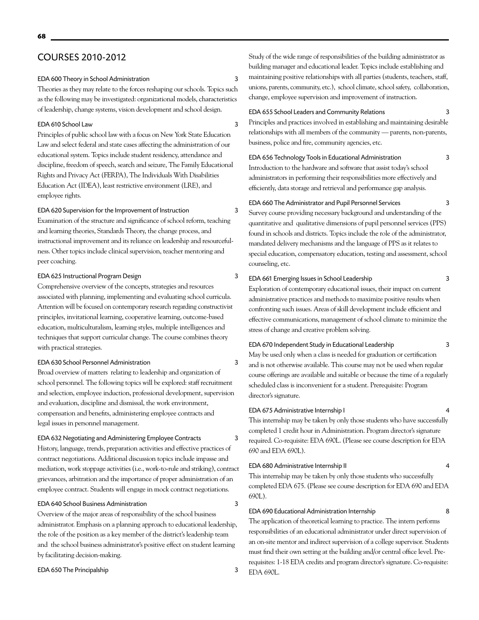# COURSES 2010-2012

#### EDA 600 Theory in School Administration 3

Theories as they may relate to the forces reshaping our schools. Topics such as the following may be investigated: organizational models, characteristics of leadership, change systems, vision development and school design.

#### EDA 610 School Law 3

Principles of public school law with a focus on New York State Education Law and select federal and state cases affecting the administration of our educational system. Topics include student residency, attendance and discipline, freedom of speech, search and seizure, The Family Educational Rights and Privacy Act (FERPA), The Individuals With Disabilities Education Act (IDEA), least restrictive environment (LRE), and employee rights.

#### EDA 620 Supervision for the Improvement of Instruction 3

Examination of the structure and significance of school reform, teaching and learning theories, Standards Theory, the change process, and instructional improvement and its reliance on leadership and resourcefulness. Other topics include clinical supervision, teacher mentoring and peer coaching.

#### EDA 625 Instructional Program Design 3

Comprehensive overview of the concepts, strategies and resources associated with planning, implementing and evaluating school curricula. Attention will be focused on contemporary research regarding constructivist principles, invitational learning, cooperative learning, outcome-based education, multiculturalism, learning styles, multiple intelligences and techniques that support curricular change. The course combines theory with practical strategies.

#### EDA 630 School Personnel Administration 3

Broad overview of matters relating to leadership and organization of school personnel. The following topics will be explored: staff recruitment and selection, employee induction, professional development, supervision and evaluation, discipline and dismissal, the work environment, compensation and benefits, administering employee contracts and legal issues in personnel management.

#### EDA 632 Negotiating and Administering Employee Contracts 3

History, language, trends, preparation activities and effective practices of contract negotiations. Additional discussion topics include impasse and mediation, work stoppage activities (i.e., work-to-rule and striking), contract grievances, arbitration and the importance of proper administration of an employee contract. Students will engage in mock contract negotiations.

### EDA 640 School Business Administration 3

Overview of the major areas of responsibility of the school business administrator. Emphasis on a planning approach to educational leadership, the role of the position as a key member of the district's leadership team and the school business administrator's positive effect on student learning by facilitating decision-making.

#### EDA 650 The Principalship 3

Study of the wide range of responsibilities of the building administrator as building manager and educational leader. Topics include establishing and maintaining positive relationships with all parties (students, teachers, staff, unions, parents, community, etc.), school climate, school safety, collaboration, change, employee supervision and improvement of instruction.

#### EDA 655 School Leaders and Community Relations 3

Principles and practices involved in establishing and maintaining desirable relationships with all members of the community — parents, non-parents, business, police and fire, community agencies, etc.

#### EDA 656 Technology Tools in Educational Administration 3

Introduction to the hardware and software that assist today's school administrators in performing their responsibilities more effectively and efficiently, data storage and retrieval and performance gap analysis.

### EDA 660 The Administrator and Pupil Personnel Services 3

Survey course providing necessary background and understanding of the quantitative and qualitative dimensions of pupil personnel services (PPS) found in schools and districts. Topics include the role of the administrator, mandated delivery mechanisms and the language of PPS as it relates to special education, compensatory education, testing and assessment, school counseling, etc.

#### EDA 661 Emerging Issues in School Leadership 3

Exploration of contemporary educational issues, their impact on current administrative practices and methods to maximize positive results when confronting such issues. Areas of skill development include efficient and effective communications, management of school climate to minimize the stress of change and creative problem solving.

#### EDA 670 Independent Study in Educational Leadership 3

May be used only when a class is needed for graduation or certification and is not otherwise available. This course may not be used when regular course offerings are available and suitable or because the time of a regularly scheduled class is inconvenient for a student. Prerequisite: Program director's signature.

#### EDA 675 Administrative Internship I 4

This internship may be taken by only those students who have successfully completed 1 credit hour in Administration. Program director's signature required. Co-requisite: EDA 690L. (Please see course description for EDA 690 and EDA 690L).

#### EDA 680 Administrative Internship II 4

This internship may be taken by only those students who successfully completed EDA 675. (Please see course description for EDA 690 and EDA 690L).

#### EDA 690 Educational Administration Internship 8

The application of theoretical learning to practice. The intern performs responsibilities of an educational administrator under direct supervision of an on-site mentor and indirect supervision of a college supervisor. Students must find their own setting at the building and/or central office level. Prerequisites: 1-18 EDA credits and program director's signature. Co-requisite: EDA 690L.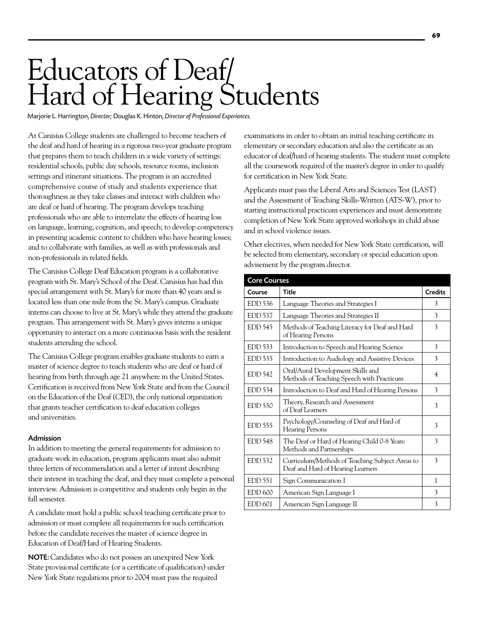# Educators of Deaf/ Hard of Hearing Students

Marjorie L. Harrington, *Director;* Douglas K. Hinton, *Director of Professional Experiences.*

At Canisius College students are challenged to become teachers of the deaf and hard of hearing in a rigorous two-year graduate program that prepares them to teach children in a wide variety of settings: residential schools, public day schools, resource rooms, inclusion settings and itinerant situations. The program is an accredited comprehensive course of study and students experience that thoroughness as they take classes and interact with children who are deaf or hard of hearing. The program develops teaching professionals who are able to interrelate the effects of hearing loss on language, learning, cognition, and speech; to develop competency in presenting academic content to children who have hearing losses; and to collaborate with families, as well as with professionals and non-professionals in related fields.

The Canisius College Deaf Education program is a collaborative program with St. Mary's School of the Deaf. Canisius has had this special arrangement with St. Mary's for more than 40 years and is located less than one mile from the St. Mary's campus. Graduate interns can choose to live at St. Mary's while they attend the graduate program. This arrangement with St. Mary's gives interns a unique opportunity to interact on a more continuous basis with the resident students attending the school.

The Canisius College program enables graduate students to earn a master of science degree to teach students who are deaf or hard of hearing from birth through age 21 anywhere in the United States. Certification is received from New York State and from the Council on the Education of the Deaf (CED), the only national organization that grants teacher certification to deaf education colleges and universities.

#### Admission

In addition to meeting the general requirements for admission to graduate work in education, program applicants must also submit three letters of recommendation and a letter of intent describing their interest in teaching the deaf, and they must complete a personal interview. Admission is competitive and students only begin in the fall semester.

A candidate must hold a public school teaching certificate prior to admission or must complete all requirements for such certification before the candidate receives the master of science degree in Education of Deaf/Hard of Hearing Students.

NOTE: Candidates who do not possess an unexpired New York State provisional certificate (or a certificate of qualification) under New York State regulations prior to 2004 must pass the required

examinations in order to obtain an initial teaching certificate in elementary or secondary education and also the certificate as an educator of deaf/hard of hearing students. The student must complete all the coursework required of the master's degree in order to qualify for certification in New York State.

Applicants must pass the Liberal Arts and Sciences Test (LAST) and the Assessment of Teaching Skills-Written (ATS-W), prior to starting instructional practicum experiences and must demonstrate completion of New York State approved workshops in child abuse and in school violence issues.

Other electives, when needed for New York State certification, will be selected from elementary, secondary or special education upon advisement by the program director.

| <b>Core Courses</b> |                                                                                      |                |
|---------------------|--------------------------------------------------------------------------------------|----------------|
| Course              | <b>Title</b>                                                                         | <b>Credits</b> |
| $EDD$ 536           | Language Theories and Strategies I                                                   | 3              |
| <b>EDD</b> 537      | Language Theories and Strategies II                                                  | 3              |
| <b>EDD 545</b>      | Methods of Teaching Literacy for Deaf and Hard<br>of Hearing Persons                 | 3              |
| EDD 533             | Introduction to Speech and Hearing Science                                           | 3              |
| $EDD$ 535           | Introduction to Audiology and Assistive Devices                                      | 3              |
| <b>EDD</b> 542      | Oral/Aural Development Skills and<br>Methods of Teaching Speech with Practicum       | 4              |
| <b>EDD</b> 534      | Introduction to Deaf and Hard of Hearing Persons                                     | 3              |
| $EDD$ 550           | Theory, Research and Assessment<br>of Deaf Learners                                  | 3              |
| $EDD$ 555           | Psychology/Counseling of Deaf and Hard of<br><b>Hearing Persons</b>                  | 3              |
| <b>EDD</b> 548      | The Deaf or Hard of Hearing Child 0-8 Years:<br>Methods and Partnerships             | 3              |
| EDD 532             | Curriculum/Methods of Teaching Subject Areas to<br>Deaf and Hard of Hearing Learners | 3              |
| $EDD$ 551           | Sign Communication I                                                                 | 1              |
| <b>EDD 600</b>      | American Sign Language I                                                             | 3              |
| <b>EDD 601</b>      | American Sign Language II                                                            | 3              |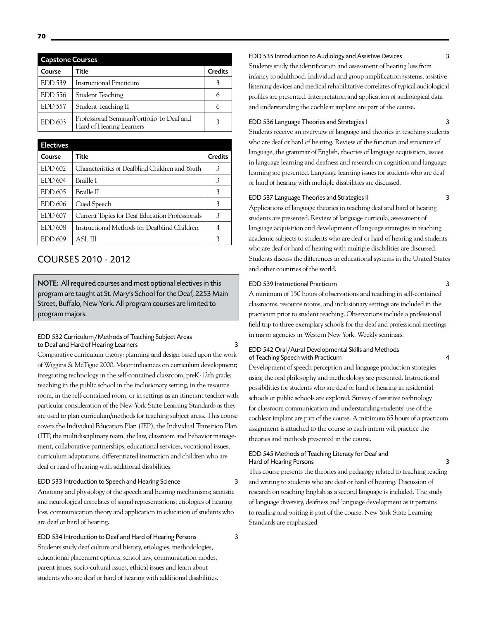| <b>Capstone Courses</b> |                                                                        |                |
|-------------------------|------------------------------------------------------------------------|----------------|
| Course                  | Title                                                                  | <b>Credits</b> |
| <b>EDD</b> 539          | <b>Instructional Practicum</b>                                         |                |
| $EDD$ 556               | Student Teaching                                                       |                |
| <b>EDD</b> 557          | Student Teaching II                                                    |                |
| EDD 603                 | Professional Seminar/Portfolio To Deaf and<br>Hard of Hearing Learners |                |

| <b>Electives</b> |                                                 |                |
|------------------|-------------------------------------------------|----------------|
| Course           | Title                                           | <b>Credits</b> |
| EDD 602          | Characteristics of Deafblind Children and Youth | 3              |
| <b>EDD 604</b>   | Braille I                                       | 3              |
| EDD 605          | Braille II                                      | 3              |
| EDD 606          | Cued Speech                                     | 3              |
| <b>EDD 607</b>   | Current Topics for Deaf Education Professionals | 3              |
| <b>EDD 608</b>   | Instructional Methods for Deafblind Children    |                |
| EDD 609          | ASL III                                         |                |

# COURSES 2010 - 2012

NOTE: All required courses and most optional electives in this program are taught at St. Mary's School for the Deaf, 2253 Main Street, Buffalo, New York. All program courses are limited to program majors.

#### EDD 532 Curriculum/Methods of Teaching Subject Areas to Deaf and Hard of Hearing Learners 3

Comparative curriculum theory: planning and design based upon the work of Wiggins & McTigue 2000. Major influences on curriculum development; integrating technology in the self-contained classroom, preK-12th grade; teaching in the public school in the inclusionary setting, in the resource room, in the self-contained room, or in settings as an itinerant teacher with particular consideration of the New York State Learning Standards as they are used to plan curriculum/methods for teaching subject areas. This course covers the Individual Education Plan (IEP), the Individual Transition Plan (ITP, the multidisciplinary team, the law, classroom and behavior management, collaborative partnerships, educational services, vocational issues, curriculum adaptations, differentiated instruction and children who are deaf or hard of hearing with additional disabilities.

#### EDD 533 Introduction to Speech and Hearing Science 3

Anatomy and physiology of the speech and hearing mechanisms; acoustic and neurological correlates of signal representations; etiologies of hearing loss, communication theory and application in education of students who are deaf or hard of hearing.

EDD 534 Introduction to Deaf and Hard of Hearing Persons 3 Students study deaf culture and history, etiologies, methodologies, educational placement options, school law, communication modes, parent issues, socio-cultural issues, ethical issues and learn about students who are deaf or hard of hearing with additional disabilities.

#### EDD 535 Introduction to Audiology and Assistive Devices 3

Students study the identification and assessment of hearing loss from infancy to adulthood. Individual and group amplification systems, assistive listening devices and medical rehabilitative correlates of typical audiological profiles are presented. Interpretation and application of audiological data and understanding the cochlear implant are part of the course.

#### EDD 536 Language Theories and Strategies I 3

Students receive an overview of language and theories in teaching students who are deaf or hard of hearing. Review of the function and structure of language, the grammar of English, theories of language acquisition, issues in language learning and deafness and research on cognition and language learning are presented. Language learning issues for students who are deaf or hard of hearing with multiple disabilities are discussed.

#### EDD 537 Language Theories and Strategies II 3

Applications of language theories in teaching deaf and hard of hearing students are presented. Review of language curricula, assessment of language acquisition and development of language strategies in teaching academic subjects to students who are deaf or hard of hearing and students who are deaf or hard of hearing with multiple disabilities are discussed. Students discuss the differences in educational systems in the United States and other countries of the world.

#### EDD 539 Instructional Practicum 3

A minimum of 150 hours of observations and teaching in self-contained classrooms, resource rooms, and inclusionary settings are included in the practicum prior to student teaching. Observations include a professional field trip to three exemplary schools for the deaf and professional meetings in major agencies in Western New York. Weekly seminars.

#### EDD 542 Oral/Aural Developmental Skills and Methods of Teaching Speech with Practicum 4

Development of speech perception and language production strategies using the oral philosophy and methodology are presented. Instructional possibilities for students who are deaf or hard of hearing in residential schools or public schools are explored. Survey of assistive technology for classroom communication and understanding students' use of the cochlear implant are part of the course. A minimum 65 hours of a practicum assignment is attached to the course so each intern will practice the theories and methods presented in the course.

#### EDD 545 Methods of Teaching Literacy for Deaf and Hard of Hearing Persons 3

This course presents the theories and pedagogy related to teaching reading and writing to students who are deaf or hard of hearing. Discussion of research on teaching English as a second language is included. The study of language diversity, deafness and language development as it pertains to reading and writing is part of the course. New York State Learning Standards are emphasized.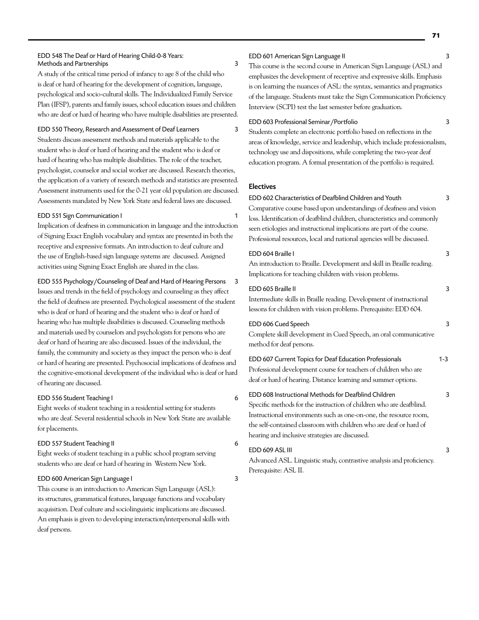#### EDD 548 The Deaf or Hard of Hearing Child-0-8 Years: Methods and Partnerships 3

A study of the critical time period of infancy to age 8 of the child who is deaf or hard of hearing for the development of cognition, language, psychological and socio-cultural skills. The Individualized Family Service Plan (IFSP), parents and family issues, school education issues and children who are deaf or hard of hearing who have multiple disabilities are presented.

#### EDD 550 Theory, Research and Assessment of Deaf Learners 3

Students discuss assessment methods and materials applicable to the student who is deaf or hard of hearing and the student who is deaf or hard of hearing who has multiple disabilities. The role of the teacher, psychologist, counselor and social worker are discussed. Research theories, the application of a variety of research methods and statistics are presented. Assessment instruments used for the 0-21 year old population are discussed. Assessments mandated by New York State and federal laws are discussed.

#### EDD 551 Sign Communication I 1

Implication of deafness in communication in language and the introduction of Signing Exact English vocabulary and syntax are presented in both the receptive and expressive formats. An introduction to deaf culture and the use of English-based sign language systems are discussed. Assigned activities using Signing Exact English are shared in the class.

EDD 555 Psychology/Counseling of Deaf and Hard of Hearing Persons 3 Issues and trends in the field of psychology and counseling as they affect the field of deafness are presented. Psychological assessment of the student who is deaf or hard of hearing and the student who is deaf or hard of hearing who has multiple disabilities is discussed. Counseling methods and materials used by counselors and psychologists for persons who are deaf or hard of hearing are also discussed. Issues of the individual, the family, the community and society as they impact the person who is deaf or hard of hearing are presented. Psychosocial implications of deafness and the cognitive-emotional development of the individual who is deaf or hard of hearing are discussed.

#### EDD 556 Student Teaching I 6

Eight weeks of student teaching in a residential setting for students who are deaf. Several residential schools in New York State are available for placements.

#### EDD 557 Student Teaching II 6

Eight weeks of student teaching in a public school program serving students who are deaf or hard of hearing in Western New York.

#### EDD 600 American Sign Language I 3

This course is an introduction to American Sign Language (ASL): its structures, grammatical features, language functions and vocabulary acquisition. Deaf culture and sociolinguistic implications are discussed. An emphasis is given to developing interaction/interpersonal skills with deaf persons.

#### EDD 601 American Sign Language II 3

This course is the second course in American Sign Language (ASL) and emphasizes the development of receptive and expressive skills. Emphasis is on learning the nuances of ASL: the syntax, semantics and pragmatics of the language. Students must take the Sign Communication Proficiency Interview (SCPI) test the last semester before graduation.

#### EDD 603 Professional Seminar/Portfolio 3

Students complete an electronic portfolio based on reflections in the areas of knowledge, service and leadership, which include professionalism, technology use and dispositions, while completing the two-year deaf education program. A formal presentation of the portfolio is required.

#### Electives

#### EDD 602 Characteristics of Deafblind Children and Youth 3

Comparative course based upon understandings of deafness and vision loss. Identification of deafblind children, characteristics and commonly seen etiologies and instructional implications are part of the course. Professional resources, local and national agencies will be discussed.

#### EDD 604 Braille I 3

An introduction to Braille. Development and skill in Braille reading. Implications for teaching children with vision problems.

#### EDD 605 Braille II 3

Intermediate skills in Braille reading. Development of instructional lessons for children with vision problems. Prerequisite: EDD 604.

#### EDD 606 Cued Speech 3

Complete skill development in Cued Speech, an oral communicative method for deaf persons.

#### EDD 607 Current Topics for Deaf Education Professionals 1-3

Professional development course for teachers of children who are deaf or hard of hearing. Distance learning and summer options.

#### EDD 608 Instructional Methods for Deafblind Children 3

Specific methods for the instruction of children who are deafblind. Instructional environments such as one-on-one, the resource room, the self-contained classroom with children who are deaf or hard of hearing and inclusive strategies are discussed.

#### EDD 609 ASL III 3

Advanced ASL. Linguistic study, contrastive analysis and proficiency. Prerequisite: ASL II.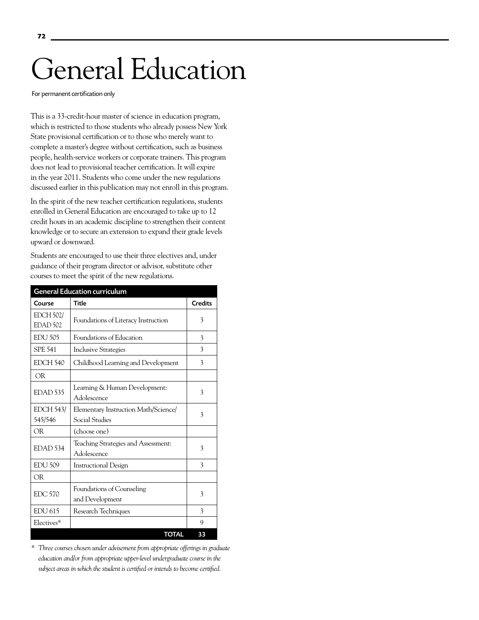# General Education

For permanent certification only

This is a 33-credit-hour master of science in education program, which is restricted to those students who already possess New York State provisional certification or to those who merely want to complete a master's degree without certification, such as business people, health-service workers or corporate trainers. This program does not lead to provisional teacher certification. It will expire in the year 2011. Students who come under the new regulations discussed earlier in this publication may not enroll in this program.

In the spirit of the new teacher certification regulations, students enrolled in General Education are encouraged to take up to 12 credit hours in an academic discipline to strengthen their content knowledge or to secure an extension to expand their grade levels upward or downward.

Students are encouraged to use their three electives and, under guidance of their program director or advisor, substitute other courses to meet the spirit of the new regulations.

| <b>General Education curriculum</b>     |                                                        |                |  |
|-----------------------------------------|--------------------------------------------------------|----------------|--|
| Course                                  | <b>Title</b>                                           | <b>Credits</b> |  |
| <b>EDCH 502/</b><br>EDAD <sub>502</sub> | Foundations of Literacy Instruction                    | 3              |  |
| <b>EDU 505</b>                          | Foundations of Education                               | 3              |  |
| <b>SPE 541</b>                          | <b>Inclusive Strategies</b>                            | 3              |  |
| <b>EDCH 540</b>                         | Childhood Learning and Development                     | 3              |  |
| <b>OR</b>                               |                                                        |                |  |
| EDAD <sub>535</sub>                     | Learning & Human Development:<br>Adolescence           | 3              |  |
| <b>EDCH 543/</b><br>545/546             | Elementary Instruction Math/Science/<br>Social Studies | 3              |  |
| OR.                                     | (choose one)                                           |                |  |
| EDAD 534                                | Teaching Strategies and Assessment:<br>Adolescence     | 3              |  |
| <b>EDU 509</b>                          | <b>Instructional Design</b>                            | 3              |  |
| OR                                      |                                                        |                |  |
| <b>EDC 570</b>                          | Foundations of Counseling<br>and Development           | 3              |  |
| <b>EDU 615</b>                          | Research Techniques                                    | 3              |  |
| Electives*                              |                                                        | 9              |  |
|                                         | <b>TOTAL</b>                                           | 33             |  |

*\* Three courses chosen under advisement from appropriate offerings in graduate education and/or from appropriate upper-level undergraduate course in the subject areas in which the student is certified or intends to become certified.*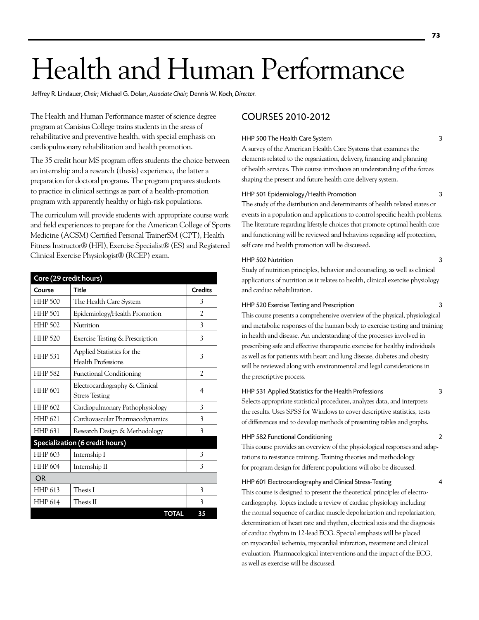# Health and Human Performance

Jeffrey R. Lindauer, *Chair;* Michael G. Dolan, *Associate Chair;* Dennis W. Koch, *Director.* 

The Health and Human Performance master of science degree program at Canisius College trains students in the areas of rehabilitative and preventive health, with special emphasis on cardiopulmonary rehabilitation and health promotion.

The 35 credit hour MS program offers students the choice between an internship and a research (thesis) experience, the latter a preparation for doctoral programs. The program prepares students to practice in clinical settings as part of a health-promotion program with apparently healthy or high-risk populations.

The curriculum will provide students with appropriate course work and field experiences to prepare for the American College of Sports Medicine (ACSM) Certified Personal TrainerSM (CPT), Health Fitness Instructor® (HFI), Exercise Specialist® (ES) and Registered Clinical Exercise Physiologist® (RCEP) exam.

| Core (29 credit hours) |                                                         |                |
|------------------------|---------------------------------------------------------|----------------|
| Course                 | <b>Title</b>                                            | <b>Credits</b> |
| <b>HHP 500</b>         | The Health Care System                                  | 3              |
| <b>HHP 501</b>         | Epidemiology/Health Promotion                           | $\mathfrak{D}$ |
| <b>HHP 502</b>         | Nutrition                                               | 3              |
| <b>HHP 520</b>         | Exercise Testing & Prescription                         | 3              |
| <b>HHP 531</b>         | Applied Statistics for the<br><b>Health Professions</b> | 3              |
| <b>HHP 582</b>         | <b>Functional Conditioning</b>                          | $\overline{c}$ |
| <b>HHP 601</b>         | Electrocardiography & Clinical<br><b>Stress Testing</b> | 4              |
| <b>HHP 602</b>         | Cardiopulmonary Pathophysiology                         | 3              |
| <b>HHP 621</b>         | Cardiovascular Pharmacodynamics                         | 3              |
| <b>HHP 631</b>         | Research Design & Methodology                           | 3              |
|                        | Specialization (6 credit hours)                         |                |
| HHP 603                | Internship I                                            | 3              |
| <b>HHP 604</b>         | Internship II                                           | 3              |
| OR                     |                                                         |                |
| <b>HHP 613</b>         | Thesis I                                                | 3              |
| <b>HHP 614</b>         | Thesis II                                               | 3              |
|                        | <b>TOTAL</b>                                            | 35             |

# COURSES 2010-2012

# HHP 500 The Health Care System 3

A survey of the American Health Care Systems that examines the elements related to the organization, delivery, financing and planning of health services. This course introduces an understanding of the forces shaping the present and future health care delivery system.

# HHP 501 Epidemiology/Health Promotion 3

The study of the distribution and determinants of health related states or events in a population and applications to control specific health problems. The literature regarding lifestyle choices that promote optimal health care and functioning will be reviewed and behaviors regarding self protection, self care and health promotion will be discussed.

## HHP 502 Nutrition 3

Study of nutrition principles, behavior and counseling, as well as clinical applications of nutrition as it relates to health, clinical exercise physiology and cardiac rehabilitation.

# HHP 520 Exercise Testing and Prescription 3

This course presents a comprehensive overview of the physical, physiological and metabolic responses of the human body to exercise testing and training in health and disease. An understanding of the processes involved in prescribing safe and effective therapeutic exercise for healthy individuals as well as for patients with heart and lung disease, diabetes and obesity will be reviewed along with environmental and legal considerations in the prescriptive process.

## HHP 531 Applied Statistics for the Health Professions 3

Selects appropriate statistical procedures, analyzes data, and interprets the results. Uses SPSS for Windows to cover descriptive statistics, tests of differences and to develop methods of presenting tables and graphs.

# HHP 582 Functional Conditioning 2

This course provides an overview of the physiological responses and adaptations to resistance training. Training theories and methodology for program design for different populations will also be discussed.

## HHP 601 Electrocardiography and Clinical Stress-Testing 4

This course is designed to present the theoretical principles of electrocardiography. Topics include a review of cardiac physiology including the normal sequence of cardiac muscle depolarization and repolarization, determination of heart rate and rhythm, electrical axis and the diagnosis of cardiac rhythm in 12-lead ECG. Special emphasis will be placed on myocardial ischemia, myocardial infarction, treatment and clinical evaluation. Pharmacological interventions and the impact of the ECG, as well as exercise will be discussed.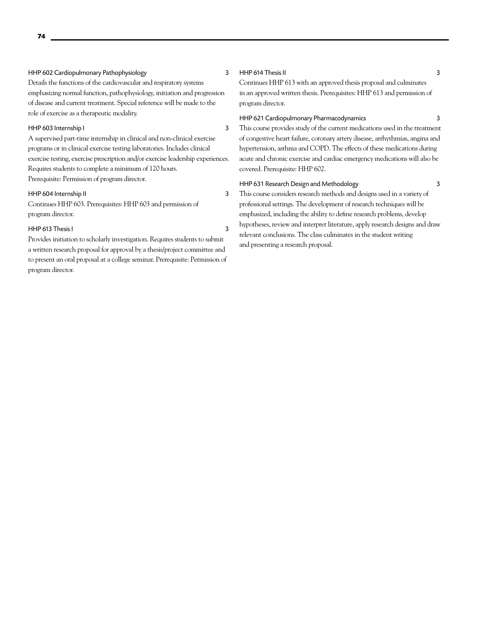# HHP 602 Cardiopulmonary Pathophysiology 3

Details the functions of the cardiovascular and respiratory systems emphasizing normal function, pathophysiology, initiation and progression of disease and current treatment. Special reference will be made to the role of exercise as a therapeutic modality.

# HHP 603 Internship I 3

A supervised part-time internship in clinical and non-clinical exercise programs or in clinical exercise testing laboratories. Includes clinical exercise testing, exercise prescription and/or exercise leadership experiences. Requires students to complete a minimum of 120 hours. Prerequisite: Permission of program director.

# HHP 604 Internship II 3

Continues HHP 603. Prerequisites: HHP 603 and permission of program director.

# HHP 613 Thesis I 3

Provides initiation to scholarly investigation. Requires students to submit a written research proposal for approval by a thesis/project committee and to present an oral proposal at a college seminar. Prerequisite: Permission of program director.

# HHP 614 Thesis II 3

Continues HHP 613 with an approved thesis proposal and culminates in an approved written thesis. Prerequisites: HHP 613 and permission of program director.

## HHP 621 Cardiopulmonary Pharmacodynamics 3

This course provides study of the current medications used in the treatment of congestive heart failure, coronary artery disease, arrhythmias, angina and hypertension, asthma and COPD. The effects of these medications during acute and chronic exercise and cardiac emergency medications will also be covered. Prerequisite: HHP 602.

## HHP 631 Research Design and Methodology 3

This course considers research methods and designs used in a variety of professional settings. The development of research techniques will be emphasized, including the ability to define research problems, develop hypotheses, review and interpret literature, apply research designs and draw relevant conclusions. The class culminates in the student writing and presenting a research proposal.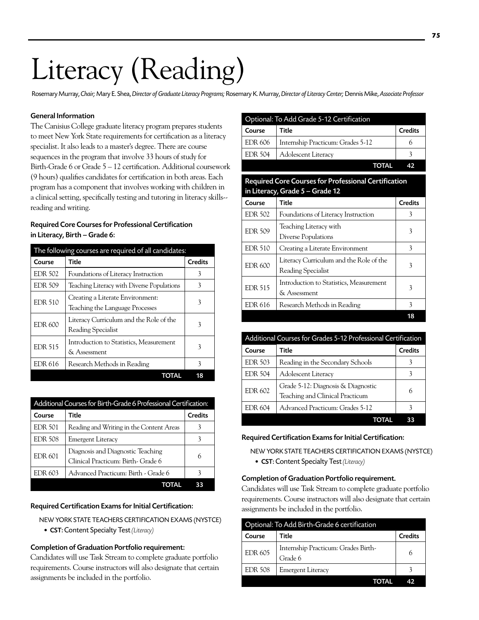# Literacy (Reading)

Rosemary Murray, *Chair;* Mary E. Shea, *Director of Graduate Literacy Programs;* Rosemary K. Murray, *Director of Literacy Center;* Dennis Mike, *Associate Professor*

# General Information

The Canisius College graduate literacy program prepares students to meet New York State requirements for certification as a literacy specialist. It also leads to a master's degree. There are course sequences in the program that involve 33 hours of study for Birth-Grade 6 or Grade 5 – 12 certification. Additional coursework (9 hours) qualifies candidates for certification in both areas. Each program has a component that involves working with children in a clinical setting, specifically testing and tutoring in literacy skills- reading and writing.

# Required Core Courses for Professional Certification in Literacy, Birth – Grade 6:

| The following courses are required of all candidates: |                                                                     |                |
|-------------------------------------------------------|---------------------------------------------------------------------|----------------|
| Course                                                | Title                                                               | <b>Credits</b> |
| <b>EDR 502</b>                                        | Foundations of Literacy Instruction                                 | 3              |
| <b>EDR 509</b>                                        | Teaching Literacy with Diverse Populations                          | 3              |
| <b>EDR 510</b>                                        | Creating a Literate Environment:<br>Teaching the Language Processes | 3              |
| <b>EDR 600</b>                                        | Literacy Curriculum and the Role of the<br>Reading Specialist       | 3              |
| <b>EDR 515</b>                                        | Introduction to Statistics, Measurement<br>& Assessment             | 3              |
| <b>EDR 616</b>                                        | Research Methods in Reading                                         | 3              |
|                                                       |                                                                     | 18             |

| Additional Courses for Birth-Grade 6 Professional Certification: |                                                                         |                |
|------------------------------------------------------------------|-------------------------------------------------------------------------|----------------|
| Course                                                           | Title                                                                   | <b>Credits</b> |
| <b>EDR 501</b>                                                   | Reading and Writing in the Content Areas                                |                |
| <b>EDR 508</b>                                                   | <b>Emergent Literacy</b>                                                |                |
| <b>EDR 601</b>                                                   | Diagnosis and Diagnostic Teaching<br>Clinical Practicum: Birth- Grade 6 |                |
| EDR 603                                                          | Advanced Practicum: Birth - Grade 6                                     |                |
|                                                                  |                                                                         |                |

## Required Certification Exams for Initial Certification:

New York State Teachers Certification Exams (NYSTCE)

• CST: Content Specialty Test *(Literacy)*

## Completion of Graduation Portfolio requirement:

Candidates will use Task Stream to complete graduate portfolio requirements. Course instructors will also designate that certain assignments be included in the portfolio.

| Optional: To Add Grade 5-12 Certification |                                                                                         |                |
|-------------------------------------------|-----------------------------------------------------------------------------------------|----------------|
| Course                                    | Title                                                                                   | <b>Credits</b> |
| EDR 606                                   | Internship Practicum: Grades 5-12                                                       | 6              |
| <b>EDR 504</b>                            | Adolescent Literacy                                                                     | 3              |
|                                           | <b>TOTAL</b>                                                                            | 42             |
|                                           | Required Core Courses for Professional Certification<br>in Literacy, Grade 5 - Grade 12 |                |
| Course                                    | Title                                                                                   | <b>Credits</b> |
| <b>EDR 502</b>                            | Foundations of Literacy Instruction                                                     | 3              |
| <b>EDR 509</b>                            | Teaching Literacy with<br>Diverse Populations                                           | 3              |
| <b>EDR 510</b>                            | Creating a Literate Environment                                                         | 3              |
| <b>EDR 600</b>                            | Literacy Curriculum and the Role of the<br>Reading Specialist                           | 3              |
| <b>EDR 515</b>                            | Introduction to Statistics, Measurement<br>& Assessment                                 | 3              |
| EDR 616                                   | Research Methods in Reading                                                             | 3              |
|                                           |                                                                                         | 18             |

| Additional Courses for Grades 5-12 Professional Certification |                                                                       |                |  |
|---------------------------------------------------------------|-----------------------------------------------------------------------|----------------|--|
| Course                                                        | Title                                                                 | <b>Credits</b> |  |
| <b>EDR 503</b>                                                | Reading in the Secondary Schools                                      | 3              |  |
| <b>EDR 504</b>                                                | <b>Adolescent Literacy</b>                                            | 3              |  |
| <b>EDR 602</b>                                                | Grade 5-12: Diagnosis & Diagnostic<br>Teaching and Clinical Practicum | 6              |  |
| EDR 604                                                       | Advanced Practicum: Grades 5-12                                       | 3              |  |
|                                                               |                                                                       |                |  |

## Required Certification Exams for Initial Certification:

New York State Teachers Certification Exams (NYSTCE) • CST: Content Specialty Test *(Literacy)*

## Completion of Graduation Portfolio requirement.

Candidates will use Task Stream to complete graduate portfolio requirements. Course instructors will also designate that certain assignments be included in the portfolio.

| Optional: To Add Birth-Grade 6 certification |                                                |                |  |
|----------------------------------------------|------------------------------------------------|----------------|--|
| Course                                       | Title                                          | <b>Credits</b> |  |
| <b>EDR 605</b>                               | Internship Practicum: Grades Birth-<br>Grade 6 | 6              |  |
| <b>EDR 508</b>                               | Emergent Literacy                              |                |  |
|                                              |                                                |                |  |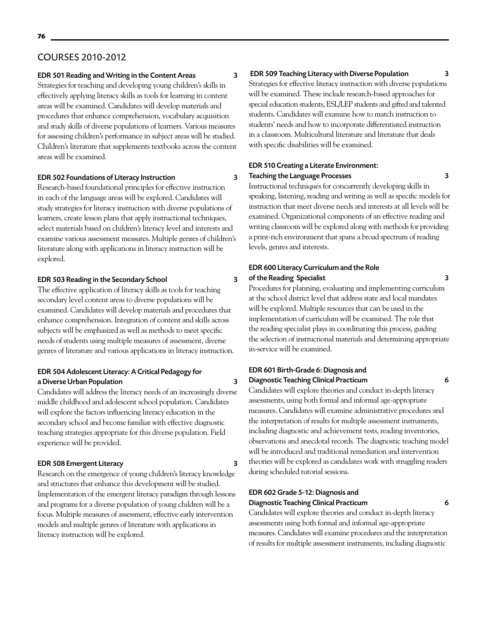# COURSES 2010-2012

## EDR 501 Reading and Writing in the Content Areas 3

Strategies for teaching and developing young children's skills in effectively applying literacy skills as tools for learning in content areas will be examined. Candidates will develop materials and procedures that enhance comprehension, vocabulary acquisition and study skills of diverse populations of learners. Various measures for assessing children's performance in subject areas will be studied. Children's literature that supplements textbooks across the content areas will be examined.

# EDR 502 Foundations of Literacy Instruction 3

Research-based foundational principles for effective instruction in each of the language areas will be explored. Candidates will study strategies for literacy instruction with diverse populations of learners, create lesson plans that apply instructional techniques, select materials based on children's literacy level and interests and examine various assessment measures. Multiple genres of children's literature along with applications in literacy instruction will be explored.

# EDR 503 Reading in the Secondary School 3

The effective application of literacy skills as tools for teaching secondary level content areas to diverse populations will be examined. Candidates will develop materials and procedures that enhance comprehension. Integration of content and skills across subjects will be emphasized as well as methods to meet specific needs of students using multiple measures of assessment, diverse genres of literature and various applications in literacy instruction.

# EDR 504 Adolescent Literacy: A Critical Pedagogy for a Diverse Urban Population 3

Candidates will address the literacy needs of an increasingly diverse middle childhood and adolescent school population. Candidates will explore the factors influencing literacy education in the secondary school and become familiar with effective diagnostic teaching strategies appropriate for this diverse population. Field experience will be provided.

# EDR 508 Emergent Literacy 3

Research on the emergence of young children's literacy knowledge and structures that enhance this development will be studied. Implementation of the emergent literacy paradigm through lessons and programs for a diverse population of young children will be a focus. Multiple measures of assessment, effective early intervention models and multiple genres of literature with applications in literacy instruction will be explored.

# EDR 509 Teaching Literacy with Diverse Population 3

Strategies for effective literacy instruction with diverse populations will be examined. These include research-based approaches for special education students, ESL/LEP students and gifted and talented students. Candidates will examine how to match instruction to students' needs and how to incorporate differentiated instruction in a classroom. Multicultural literature and literature that deals with specific disabilities will be examined.

# EDR 510 Creating a Literate Environment: Teaching the Language Processes 3

Instructional techniques for concurrently developing skills in speaking, listening, reading and writing as well as specific models for instruction that meet diverse needs and interests at all levels will be examined. Organizational components of an effective reading and writing classroom will be explored along with methods for providing a print-rich environment that spans a broad spectrum of reading levels, genres and interests.

# EDR 600 Literacy Curriculum and the Role of the Reading Specialist 3

Procedures for planning, evaluating and implementing curriculum at the school district level that address state and local mandates will be explored. Multiple resources that can be used in the implementation of curriculum will be examined. The role that the reading specialist plays in coordinating this process, guiding the selection of instructional materials and determining appropriate in-service will be examined.

# EDR 601 Birth-Grade 6: Diagnosis and Diagnostic Teaching Clinical Practicum 6

Candidates will explore theories and conduct in-depth literacy assessments, using both formal and informal age-appropriate measures. Candidates will examine administrative procedures and the interpretation of results for multiple assessment instruments, including diagnostic and achievement tests, reading inventories, observations and anecdotal records. The diagnostic teaching model will be introduced and traditional remediation and intervention theories will be explored as candidates work with struggling readers during scheduled tutorial sessions.

# EDR 602 Grade 5-12: Diagnosis and Diagnostic Teaching Clinical Practicum 6

Candidates will explore theories and conduct in-depth literacy assessments using both formal and informal age-appropriate measures. Candidates will examine procedures and the interpretation of results for multiple assessment instruments, including diagnostic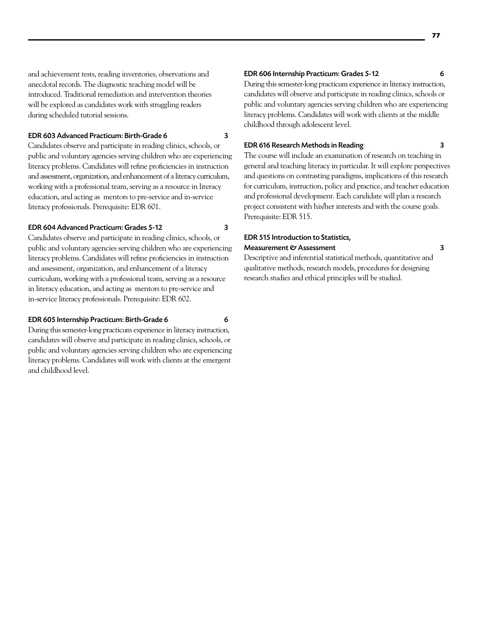# EDR 603 Advanced Practicum: Birth-Grade 6 3

Candidates observe and participate in reading clinics, schools, or public and voluntary agencies serving children who are experiencing literacy problems. Candidates will refine proficiencies in instruction and assessment, organization, and enhancement of a literacy curriculum, working with a professional team, serving as a resource in literacy education, and acting as mentors to pre-service and in-service literacy professionals. Prerequisite: EDR 601.

# EDR 604 Advanced Practicum: Grades 5-12 3

Candidates observe and participate in reading clinics, schools, or public and voluntary agencies serving children who are experiencing literacy problems. Candidates will refine proficiencies in instruction and assessment, organization, and enhancement of a literacy curriculum, working with a professional team, serving as a resource in literacy education, and acting as mentors to pre-service and in-service literacy professionals. Prerequisite: EDR 602.

# EDR 605 Internship Practicum: Birth-Grade 6 6 6 6 6 6 6 6 6 6 6 6 7 7 8 7 7 8 7 7 8 7 7 8 7 7 8 7 7 8 7 7 8 7 8 7 7 8 7 7 8 7 7 8 7 7 8 7 7 8 7 7 8 7 7 8 7 7 8 7 7 8 7 7 8 7 7 8 7 7 8 7 7 8 7 7 8 7 7 8 7 7 8 7 7 8 7 7 8 7

During this semester-long practicum experience in literacy instruction, candidates will observe and participate in reading clinics, schools, or public and voluntary agencies serving children who are experiencing literacy problems. Candidates will work with clients at the emergent and childhood level.

# EDR 606 Internship Practicum: Grades 5-12 6

During this semester-long practicum experience in literacy instruction, candidates will observe and participate in reading clinics, schools or public and voluntary agencies serving children who are experiencing literacy problems. Candidates will work with clients at the middle childhood through adolescent level.

# EDR 616 Research Methods in Reading 3

The course will include an examination of research on teaching in general and teaching literacy in particular. It will explore perspectives and questions on contrasting paradigms, implications of this research for curriculum, instruction, policy and practice, and teacher education and professional development. Each candidate will plan a research project consistent with his/her interests and with the course goals. Prerequisite: EDR 515.

# EDR 515 Introduction to Statistics, Measurement & Assessment 3

Descriptive and inferential statistical methods, quantitative and qualitative methods, research models, procedures for designing research studies and ethical principles will be studied.

**77**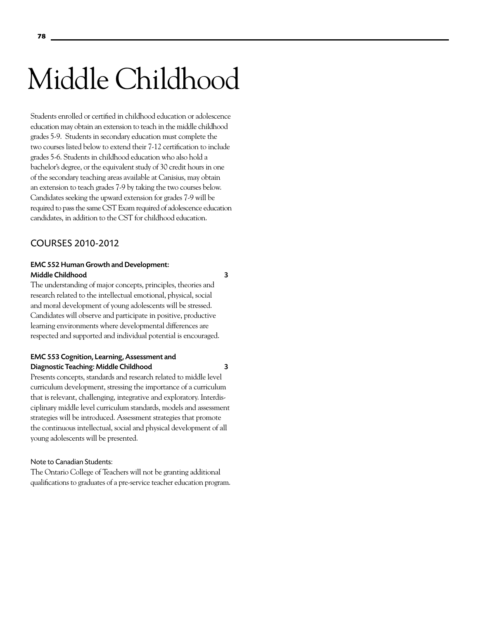# Middle Childhood

Students enrolled or certified in childhood education or adolescence education may obtain an extension to teach in the middle childhood grades 5-9. Students in secondary education must complete the two courses listed below to extend their 7-12 certification to include grades 5-6. Students in childhood education who also hold a bachelor's degree, or the equivalent study of 30 credit hours in one of the secondary teaching areas available at Canisius, may obtain an extension to teach grades 7-9 by taking the two courses below. Candidates seeking the upward extension for grades 7-9 will be required to pass the same CST Exam required of adolescence education candidates, in addition to the CST for childhood education.

# COURSES 2010-2012

# EMC 552 Human Growth and Development: Middle Childhood 3

The understanding of major concepts, principles, theories and research related to the intellectual emotional, physical, social and moral development of young adolescents will be stressed. Candidates will observe and participate in positive, productive learning environments where developmental differences are respected and supported and individual potential is encouraged.

# EMC 553 Cognition, Learning, Assessment and Diagnostic Teaching: Middle Childhood 3

Presents concepts, standards and research related to middle level curriculum development, stressing the importance of a curriculum that is relevant, challenging, integrative and exploratory. Interdisciplinary middle level curriculum standards, models and assessment strategies will be introduced. Assessment strategies that promote the continuous intellectual, social and physical development of all young adolescents will be presented.

# Note to Canadian Students:

The Ontario College of Teachers will not be granting additional qualifications to graduates of a pre-service teacher education program.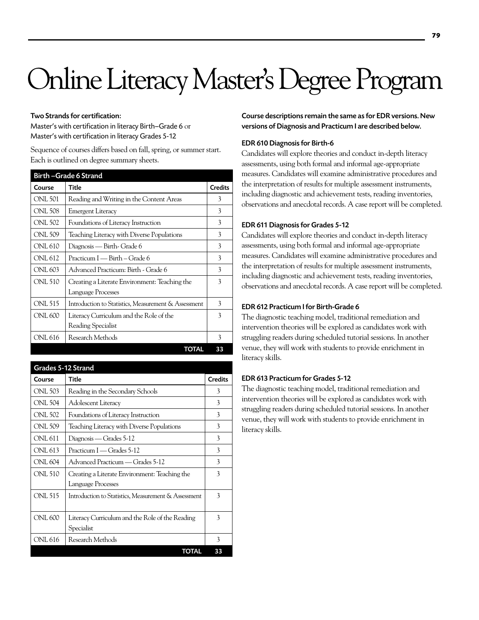# Online Literacy Master's Degree Program

# Two Strands for certification:

Master's with certification in literacy Birth–Grade 6 or Master's with certification in literacy Grades 5-12

Sequence of courses differs based on fall, spring, or summer start. Each is outlined on degree summary sheets.

|                | <b>Birth-Grade 6 Strand</b>                          |                |
|----------------|------------------------------------------------------|----------------|
| Course         | Title                                                | <b>Credits</b> |
| ONL 501        | Reading and Writing in the Content Areas             | 3              |
| <b>ONL 508</b> | Emergent Literacy                                    | 3              |
| ONL 502        | Foundations of Literacy Instruction                  | 3              |
| ONL 509        | Teaching Literacy with Diverse Populations           | 3              |
| ONL 610        | Diagnosis — Birth- Grade 6                           | 3              |
| ONL 612        | Practicum I — Birth – Grade 6                        | 3              |
| ONL 603        | Advanced Practicum: Birth - Grade 6                  | 3              |
| ONL 510        | Creating a Literate Environment: Teaching the        | 3              |
|                | Language Processes                                   |                |
| ONL 515        | Introduction to Statistics, Measurement & Assessment | 3              |
| ONL 600        | Literacy Curriculum and the Role of the              | 3              |
|                | Reading Specialist                                   |                |
| ONL 616        | Research Methods                                     | 3              |
|                | TOTAL                                                | 33             |

Grades 5-12 Strand Course Title Credits ONL 503 Reading in the Secondary Schools 3 ONL 504 | Adolescent Literacy 3 ONL 502 Foundations of Literacy Instruction 3 ONL 509 Teaching Literacy with Diverse Populations 3 ONL 611 | Diagnosis — Grades 5-12  $\vert$  3 ONL 613 | Practicum I — Grades 5-12  $\vert$  3 ONL 604 | Advanced Practicum — Grades 5-12 3 ONL 510 Creating a Literate Environment: Teaching the Language Processes 3 ONL 515 | Introduction to Statistics, Measurement & Assessment | 3 ONL 600 Literacy Curriculum and the Role of the Reading Specialist 3 ONL 616 Research Methods 3 TOTAL 33

Course descriptions remain the same as for EDR versions. New versions of Diagnosis and Practicum I are described below.

# EDR 610 Diagnosis for Birth-6

Candidates will explore theories and conduct in-depth literacy assessments, using both formal and informal age-appropriate measures. Candidates will examine administrative procedures and the interpretation of results for multiple assessment instruments, including diagnostic and achievement tests, reading inventories, observations and anecdotal records. A case report will be completed.

# EDR 611 Diagnosis for Grades 5-12

Candidates will explore theories and conduct in-depth literacy assessments, using both formal and informal age-appropriate measures. Candidates will examine administrative procedures and the interpretation of results for multiple assessment instruments, including diagnostic and achievement tests, reading inventories, observations and anecdotal records. A case report will be completed.

# EDR 612 Practicum I for Birth-Grade 6

The diagnostic teaching model, traditional remediation and intervention theories will be explored as candidates work with struggling readers during scheduled tutorial sessions. In another venue, they will work with students to provide enrichment in literacy skills.

# EDR 613 Practicum for Grades 5-12

The diagnostic teaching model, traditional remediation and intervention theories will be explored as candidates work with struggling readers during scheduled tutorial sessions. In another venue, they will work with students to provide enrichment in literacy skills.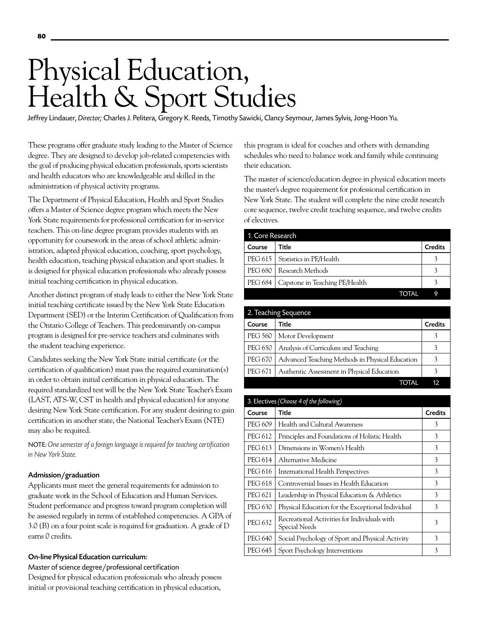# Physical Education, Health & Sport Studies

Jeffrey Lindauer, *Director;* Charles J. Pelitera, Gregory K. Reeds, Timothy Sawicki, Clancy Seymour, James Sylvis, Jong-Hoon Yu.

These programs offer graduate study leading to the Master of Science degree. They are designed to develop job-related competencies with the goal of producing physical education professionals, sports scientists and health educators who are knowledgeable and skilled in the administration of physical activity programs.

The Department of Physical Education, Health and Sport Studies offers a Master of Science degree program which meets the New York State requirements for professional certification for in-service teachers. This on-line degree program provides students with an opportunity for coursework in the areas of school athletic administration, adapted physical education, coaching, sport psychology, health education, teaching physical education and sport studies. It is designed for physical education professionals who already possess initial teaching certification in physical education.

Another distinct program of study leads to either the New York State initial teaching certificate issued by the New York State Education Department (SED) or the Interim Certification of Qualification from the Ontario College of Teachers. This predominantly on-campus program is designed for pre-service teachers and culminates with the student teaching experience.

Candidates seeking the New York State initial certificate (or the certification of qualification) must pass the required examination(s) in order to obtain initial certification in physical education. The required standardized test will be the New York State Teacher's Exam (LAST, ATS-W, CST in health and physical education) for anyone desiring New York State certification. For any student desiring to gain certification in another state, the National Teacher's Exam (NTE) may also be required.

NOTE: *One semester of a foreign language is required for teaching certification in New York State.* 

# Admission/graduation

Applicants must meet the general requirements for admission to graduate work in the School of Education and Human Services. Student performance and progress toward program completion will be assessed regularly in terms of established competencies. A GPA of 3.0 (B) on a four point scale is required for graduation. A grade of D earns 0 credits.

## On-line Physical Education curriculum:

Master of science degree/professional certification

Designed for physical education professionals who already possess initial or provisional teaching certification in physical education,

this program is ideal for coaches and others with demanding schedules who need to balance work and family while continuing their education.

The master of science/education degree in physical education meets the master's degree requirement for professional certification in New York State. The student will complete the nine credit research core sequence, twelve credit teaching sequence, and twelve credits of electives.

| 1. Core Research |                                   |                |
|------------------|-----------------------------------|----------------|
| Course           | Title                             | <b>Credits</b> |
|                  | PEG 615   Statistics in PE/Health |                |
|                  | PEG 680   Research Methods        |                |
| <b>PEG 684</b>   | Capstone in Teaching PE/Health    |                |
|                  | TOTAL                             | q              |

| 2. Teaching Sequence |                                                 |                |
|----------------------|-------------------------------------------------|----------------|
| Course               | Title                                           | <b>Credits</b> |
| PEG 560              | Motor Development                               | 3              |
| <b>PEG 650</b>       | Analysis of Curriculum and Teaching             |                |
| <b>PEG 670</b>       | Advanced Teaching Methods in Physical Education | 3              |
| PEG 671              | Authentic Assessment in Physical Education      |                |
|                      |                                                 | 12             |

| 3. Electives (Choose 4 of the following) |                                                               |                |
|------------------------------------------|---------------------------------------------------------------|----------------|
| Course                                   | Title                                                         | <b>Credits</b> |
| PEG 609                                  | Health and Cultural Awareness                                 | 3              |
| PEG 612                                  | Principles and Foundations of Holistic Health                 | 3              |
| PEG 613                                  | Dimensions in Women's Health                                  | 3              |
| PEG 614                                  | Alternative Medicine                                          | 3              |
| PEG 616                                  | International Health Perspectives                             | 3              |
| PEG 618                                  | Controversial Issues in Health Education                      | 3              |
| PEG 621                                  | Leadership in Physical Education & Athletics                  | 3              |
| PEG 630                                  | Physical Education for the Exceptional Individual             | 3              |
| <b>PEG 632</b>                           | Recreational Activities for Individuals with<br>Special Needs | 3              |
| PEG 640                                  | Social Psychology of Sport and Physical Activity              | 3              |
| PEG 645                                  | Sport Psychology Interventions                                | 3              |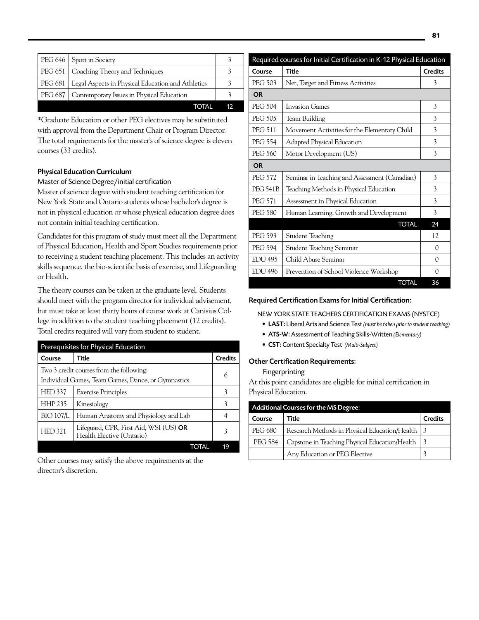|         | PEG 646   Sport in Society                        |    |
|---------|---------------------------------------------------|----|
|         |                                                   |    |
|         | PEG 651   Coaching Theory and Techniques          |    |
| PEG 681 | Legal Aspects in Physical Education and Athletics |    |
| PEG 687 | Contemporary Issues in Physical Education         |    |
|         | TOTAL                                             | 12 |

\*Graduate Education or other PEG electives may be substituted with approval from the Department Chair or Program Director. The total requirements for the master's of science degree is eleven courses (33 credits).

# Physical Education Curriculum

# Master of Science Degree/initial certification

Master of science degree with student teaching certification for New York State and Ontario students whose bachelor's degree is not in physical education or whose physical education degree does not contain initial teaching certification.

Candidates for this program of study must meet all the Department of Physical Education, Health and Sport Studies requirements prior to receiving a student teaching placement. This includes an activity skills sequence, the bio-scientific basis of exercise, and Lifeguarding or Health.

The theory courses can be taken at the graduate level. Students should meet with the program director for individual advisement, but must take at least thirty hours of course work at Canisius College in addition to the student teaching placement (12 credits). Total credits required will vary from student to student.

| Prerequisites for Physical Education |                                                                     |                |
|--------------------------------------|---------------------------------------------------------------------|----------------|
| Course                               | Title                                                               | <b>Credits</b> |
|                                      | Two 3 credit courses from the following:                            | 6              |
|                                      | Individual Games, Team Games, Dance, or Gymnastics                  |                |
| <b>HED 337</b>                       | <b>Exercise Principles</b>                                          | 3              |
| <b>HHP 235</b>                       | Kinesiology                                                         | 3              |
| <b>BIO 107/L</b>                     | Human Anatomy and Physiology and Lab                                |                |
| <b>HED321</b>                        | Lifeguard, CPR, First Aid, WSI (US) OR<br>Health Elective (Ontario) | 3              |
|                                      | TOTAL                                                               | 19             |

Other courses may satisfy the above requirements at the director's discretion.

|                 | Required courses for Initial Certification in K-12 Physical Education |                |
|-----------------|-----------------------------------------------------------------------|----------------|
| Course          | <b>Title</b>                                                          | <b>Credits</b> |
| <b>PEG 503</b>  | Net, Target and Fitness Activities                                    | 3              |
| <b>OR</b>       |                                                                       |                |
| <b>PEG 504</b>  | Invasion Games                                                        | 3              |
| <b>PEG 505</b>  | Team Building                                                         | 3              |
| <b>PEG 511</b>  | Movement Activities for the Elementary Child                          | 3              |
| <b>PEG 554</b>  | Adapted Physical Education                                            | 3              |
| PEG 560         | Motor Development (US)                                                | 3              |
| <b>OR</b>       |                                                                       |                |
| <b>PEG 572</b>  | Seminar in Teaching and Assessment (Canadian)                         | 3              |
| <b>PEG 541B</b> | Teaching Methods in Physical Education                                | 3              |
| <b>PEG 571</b>  | Assessment in Physical Education                                      | 3              |
| <b>PEG 580</b>  | Human Learning, Growth and Development                                | 3              |
|                 | <b>TOTAL</b>                                                          | 24             |
| PEG 593         | <b>Student Teaching</b>                                               | 12             |
| <b>PEG 594</b>  | Student Teaching Seminar                                              | 0              |
| <b>EDU 495</b>  | Child Abuse Seminar                                                   | 0              |
| <b>EDU 496</b>  | Prevention of School Violence Workshop                                | 0              |
|                 | <b>TOTAL</b>                                                          | 36             |

# Required Certification Exams for Initial Certification:

New York State Teachers Certification Exams (NYSTCE)

- • LAST: Liberal Arts and Science Test *(must be taken prior to student teaching)*
- • ATS-W: Assessment of Teaching Skills-Written *(Elementary)*
- • CST: Content Specialty Test *(Multi-Subject)*

# Other Certification Requirements:

Fingerprinting

At this point candidates are eligible for initial certification in Physical Education.

| Additional Courses for the MS Degree: |                                                   |                |
|---------------------------------------|---------------------------------------------------|----------------|
| Title<br>Course                       |                                                   | <b>Credits</b> |
| <b>PEG 680</b>                        | Research Methods in Physical Education/Health   3 |                |
| <b>PEG 584</b>                        | Capstone in Teaching Physical Education/Health    |                |
|                                       | Any Education or PEG Elective                     |                |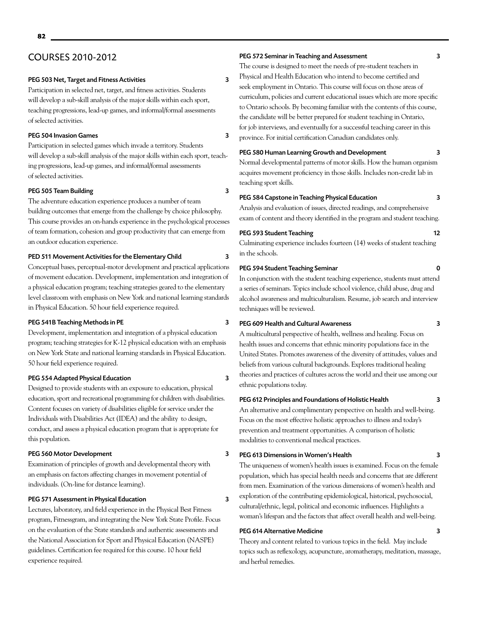# COURSES 2010-2012

# PEG 503 Net, Target and Fitness Activities 3

Participation in selected net, target, and fitness activities. Students will develop a sub-skill analysis of the major skills within each sport, teaching progressions, lead-up games, and informal/formal assessments of selected activities.

# PEG 504 Invasion Games 3

Participation in selected games which invade a territory. Students will develop a sub-skill analysis of the major skills within each sport, teaching progressions, lead-up games, and informal/formal assessments of selected activities.

## PEG 505 Team Building 3

The adventure education experience produces a number of team building outcomes that emerge from the challenge by choice philosophy. This course provides an on-hands experience in the psychological processes of team formation, cohesion and group productivity that can emerge from an outdoor education experience.

# PED 511 Movement Activities for the Elementary Child 3

Conceptual bases, perceptual-motor development and practical applications of movement education. Development, implementation and integration of a physical education program; teaching strategies geared to the elementary level classroom with emphasis on New York and national learning standards in Physical Education. 50 hour field experience required.

# PEG 541B Teaching Methods in PE 3

Development, implementation and integration of a physical education program; teaching strategies for K-12 physical education with an emphasis on New York State and national learning standards in Physical Education. 50 hour field experience required.

## PEG 554 Adapted Physical Education 3

Designed to provide students with an exposure to education, physical education, sport and recreational programming for children with disabilities. Content focuses on variety of disabilities eligible for service under the Individuals with Disabilities Act (IDEA) and the ability to design, conduct, and assess a physical education program that is appropriate for this population.

# PEG 560 Motor Development 3

Examination of principles of growth and developmental theory with an emphasis on factors affecting changes in movement potential of individuals. (On-line for distance learning).

# PEG 571 Assessment in Physical Education 3

Lectures, laboratory, and field experience in the Physical Best Fitness program, Fitnessgram, and integrating the New York State Profile. Focus on the evaluation of the State standards and authentic assessments and the National Association for Sport and Physical Education (NASPE) guidelines. Certification fee required for this course. 10 hour field experience required.

# PEG 572 Seminar in Teaching and Assessment 3

The course is designed to meet the needs of pre-student teachers in Physical and Health Education who intend to become certified and seek employment in Ontario. This course will focus on those areas of curriculum, policies and current educational issues which are more specific to Ontario schools. By becoming familiar with the contents of this course, the candidate will be better prepared for student teaching in Ontario, for job interviews, and eventually for a successful teaching career in this province. For initial certification Canadian candidates only.

# PEG 580 Human Learning Growth and Development 3

Normal developmental patterns of motor skills. How the human organism acquires movement proficiency in those skills. Includes non-credit lab in teaching sport skills.

## PEG 584 Capstone in Teaching Physical Education 3

Analysis and evaluation of issues, directed readings, and comprehensive exam of content and theory identified in the program and student teaching.

# PEG 593 Student Teaching 12

Culminating experience includes fourteen (14) weeks of student teaching in the schools.

## PEG 594 Student Teaching Seminar 0

In conjunction with the student teaching experience, students must attend a series of seminars. Topics include school violence, child abuse, drug and alcohol awareness and multiculturalism. Resume, job search and interview techniques will be reviewed.

# PEG 609 Health and Cultural Awareness 3

A multicultural perspective of health, wellness and healing. Focus on health issues and concerns that ethnic minority populations face in the United States. Promotes awareness of the diversity of attitudes, values and beliefs from various cultural backgrounds. Explores traditional healing theories and practices of cultures across the world and their use among our ethnic populations today.

# PEG 612 Principles and Foundations of Holistic Health 3

An alternative and complimentary perspective on health and well-being. Focus on the most effective holistic approaches to illness and today's prevention and treatment opportunities. A comparison of holistic modalities to conventional medical practices.

# PEG 613 Dimensions in Women's Health 3

The uniqueness of women's health issues is examined. Focus on the female population, which has special health needs and concerns that are different from men. Examination of the various dimensions of women's health and exploration of the contributing epidemiological, historical, psychosocial, cultural/ethnic, legal, political and economic influences. Highlights a woman's lifespan and the factors that affect overall health and well-being.

# PEG 614 Alternative Medicine 3

Theory and content related to various topics in the field. May include topics such as reflexology, acupuncture, aromatherapy, meditation, massage, and herbal remedies.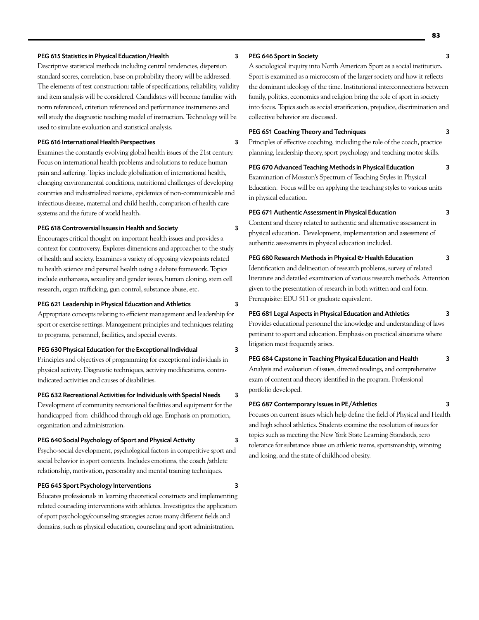## PEG 615 Statistics in Physical Education/Health 3

Descriptive statistical methods including central tendencies, dispersion standard scores, correlation, base on probability theory will be addressed. The elements of test construction: table of specifications, reliability, validity and item analysis will be considered. Candidates will become familiar with norm referenced, criterion referenced and performance instruments and will study the diagnostic teaching model of instruction. Technology will be used to simulate evaluation and statistical analysis.

# PEG 616 International Health Perspectives 3

Examines the constantly evolving global health issues of the 21st century. Focus on international health problems and solutions to reduce human pain and suffering. Topics include globalization of international health, changing environmental conditions, nutritional challenges of developing countries and industrialized nations, epidemics of non-communicable and infectious disease, maternal and child health, comparison of health care systems and the future of world health.

# PEG 618 Controversial Issues in Health and Society 3

Encourages critical thought on important health issues and provides a context for controversy. Explores dimensions and approaches to the study of health and society. Examines a variety of opposing viewpoints related to health science and personal health using a debate framework. Topics include euthanasia, sexuality and gender issues, human cloning, stem cell research, organ trafficking, gun control, substance abuse, etc.

## PEG 621 Leadership in Physical Education and Athletics 3

Appropriate concepts relating to efficient management and leadership for sport or exercise settings. Management principles and techniques relating to programs, personnel, facilities, and special events.

# PEG 630 Physical Education for the Exceptional Individual 3

Principles and objectives of programming for exceptional individuals in physical activity. Diagnostic techniques, activity modifications, contraindicated activities and causes of disabilities.

## PEG 632 Recreational Activities for Individuals with Special Needs 3

Development of community recreational facilities and equipment for the handicapped from childhood through old age. Emphasis on promotion, organization and administration.

## PEG 640 Social Psychology of Sport and Physical Activity 3

Psycho-social development, psychological factors in competitive sport and social behavior in sport contexts. Includes emotions, the coach /athlete relationship, motivation, personality and mental training techniques.

## PEG 645 Sport Psychology Interventions 3

Educates professionals in learning theoretical constructs and implementing related counseling interventions with athletes. Investigates the application of sport psychology/counseling strategies across many different fields and domains, such as physical education, counseling and sport administration.

# PEG 646 Sport in Society 3

A sociological inquiry into North American Sport as a social institution. Sport is examined as a microcosm of the larger society and how it reflects the dominant ideology of the time. Institutional interconnections between family, politics, economics and religion bring the role of sport in society into focus. Topics such as social stratification, prejudice, discrimination and collective behavior are discussed.

## PEG 651 Coaching Theory and Techniques 3

Principles of effective coaching, including the role of the coach, practice planning, leadership theory, sport psychology and teaching motor skills.

# PEG 670 Advanced Teaching Methods in Physical Education 3

Examination of Mosston's Spectrum of Teaching Styles in Physical Education. Focus will be on applying the teaching styles to various units in physical education.

## PEG 671 Authentic Assessment in Physical Education 3

Content and theory related to authentic and alternative assessment in physical education. Development, implementation and assessment of authentic assessments in physical education included.

# PEG 680 Research Methods in Physical & Health Education 3

Identification and delineation of research problems, survey of related literature and detailed examination of various research methods. Attention given to the presentation of research in both written and oral form. Prerequisite: EDU 511 or graduate equivalent.

## PEG 681 Legal Aspects in Physical Education and Athletics 3

Provides educational personnel the knowledge and understanding of laws pertinent to sport and education. Emphasis on practical situations where litigation most frequently arises.

# PEG 684 Capstone in Teaching Physical Education and Health 3

Analysis and evaluation of issues, directed readings, and comprehensive exam of content and theory identified in the program. Professional portfolio developed.

# PEG 687 Contemporary Issues in PE/Athletics 3

Focuses on current issues which help define the field of Physical and Health and high school athletics. Students examine the resolution of issues for topics such as meeting the New York State Learning Standards, zero tolerance for substance abuse on athletic teams, sportsmanship, winning and losing, and the state of childhood obesity.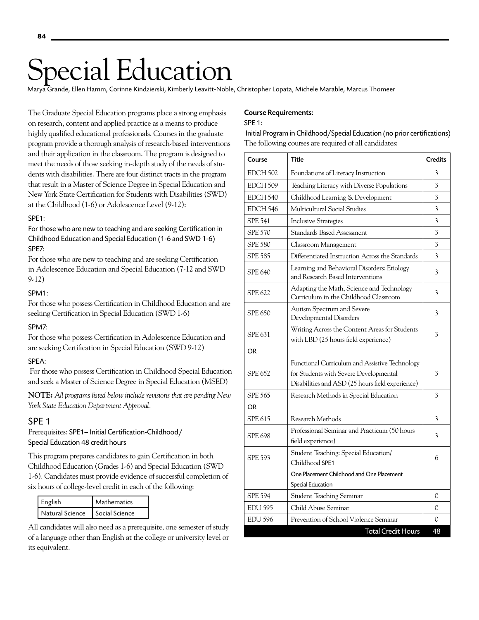# pecial Education

Marya Grande, Ellen Hamm, Corinne Kindzierski, Kimberly Leavitt-Noble, Christopher Lopata, Michele Marable, Marcus Thomeer

The Graduate Special Education programs place a strong emphasis on research, content and applied practice as a means to produce highly qualified educational professionals. Courses in the graduate program provide a thorough analysis of research-based interventions and their application in the classroom. The program is designed to meet the needs of those seeking in-depth study of the needs of students with disabilities. There are four distinct tracts in the program that result in a Master of Science Degree in Special Education and New York State Certification for Students with Disabilities (SWD) at the Childhood (1-6) or Adolescence Level (9-12):

# SPE1:

For those who are new to teaching and are seeking Certification in Childhood Education and Special Education (1-6 and SWD 1-6) SPE7:

For those who are new to teaching and are seeking Certification in Adolescence Education and Special Education (7-12 and SWD 9-12)

# SPM1:

For those who possess Certification in Childhood Education and are seeking Certification in Special Education (SWD 1-6)

# SPM7:

For those who possess Certification in Adolescence Education and are seeking Certification in Special Education (SWD 9-12)

# SPEA:

 For those who possess Certification in Childhood Special Education and seek a Master of Science Degree in Special Education (MSED)

**NOTE:** *All programs listed below include revisions that are pending New York State Education Department Approval.*

# SPE 1

Prerequisites: SPE1– Initial Certification-Childhood/ Special Education 48 credit hours

This program prepares candidates to gain Certification in both Childhood Education (Grades 1-6) and Special Education (SWD 1-6). Candidates must provide evidence of successful completion of six hours of college-level credit in each of the following:

| English                          | Mathematics |
|----------------------------------|-------------|
| Natural Science   Social Science |             |

All candidates will also need as a prerequisite, one semester of study of a language other than English at the college or university level or its equivalent.

# Course Requirements:

# SPE 1:

 Initial Program in Childhood/Special Education (no prior certifications) The following courses are required of all candidates:

| <b>EDCH 502</b><br>3<br>Foundations of Literacy Instruction<br>EDCH 509<br>Teaching Literacy with Diverse Populations<br>3<br>EDCH 540<br>Childhood Learning & Development<br>3<br>EDCH 546<br>Multicultural Social Studies<br>3<br><b>SPE 541</b><br>3<br><b>Inclusive Strategies</b><br><b>SPE 570</b><br>3<br>Standards Based Assessment<br>$\overline{\mathbf{3}}$<br><b>SPE 580</b><br>Classroom Management<br><b>SPE 585</b><br>Differentiated Instruction Across the Standards<br>3<br>Learning and Behavioral Disorders: Etiology<br><b>SPE 640</b><br>3<br>and Research Based Interventions<br>Adapting the Math, Science and Technology<br><b>SPE 622</b><br>3<br>Curriculum in the Childhood Classroom<br>Autism Spectrum and Severe<br>SPE 650<br>3<br>Developmental Disorders<br>Writing Across the Content Areas for Students<br>SPE 631<br>3<br>with LBD (25 hours field experience)<br>OR<br>Functional Curriculum and Assistive Technology<br><b>SPE 652</b><br>for Students with Severe Developmental<br>3<br>Disabilities and ASD (25 hours field experience)<br><b>SPE 565</b><br>Research Methods in Special Education<br>3<br><b>OR</b><br><b>SPE 615</b><br>Research Methods<br>3<br>Professional Seminar and Practicum (50 hours<br><b>SPE 698</b><br>3<br>field experience)<br>Student Teaching: Special Education/<br><b>SPE 593</b><br>6<br>Childhood SPE1 | Course | <b>Title</b>                              | <b>Credits</b> |
|---------------------------------------------------------------------------------------------------------------------------------------------------------------------------------------------------------------------------------------------------------------------------------------------------------------------------------------------------------------------------------------------------------------------------------------------------------------------------------------------------------------------------------------------------------------------------------------------------------------------------------------------------------------------------------------------------------------------------------------------------------------------------------------------------------------------------------------------------------------------------------------------------------------------------------------------------------------------------------------------------------------------------------------------------------------------------------------------------------------------------------------------------------------------------------------------------------------------------------------------------------------------------------------------------------------------------------------------------------------------------------------|--------|-------------------------------------------|----------------|
|                                                                                                                                                                                                                                                                                                                                                                                                                                                                                                                                                                                                                                                                                                                                                                                                                                                                                                                                                                                                                                                                                                                                                                                                                                                                                                                                                                                       |        |                                           |                |
|                                                                                                                                                                                                                                                                                                                                                                                                                                                                                                                                                                                                                                                                                                                                                                                                                                                                                                                                                                                                                                                                                                                                                                                                                                                                                                                                                                                       |        |                                           |                |
|                                                                                                                                                                                                                                                                                                                                                                                                                                                                                                                                                                                                                                                                                                                                                                                                                                                                                                                                                                                                                                                                                                                                                                                                                                                                                                                                                                                       |        |                                           |                |
|                                                                                                                                                                                                                                                                                                                                                                                                                                                                                                                                                                                                                                                                                                                                                                                                                                                                                                                                                                                                                                                                                                                                                                                                                                                                                                                                                                                       |        |                                           |                |
|                                                                                                                                                                                                                                                                                                                                                                                                                                                                                                                                                                                                                                                                                                                                                                                                                                                                                                                                                                                                                                                                                                                                                                                                                                                                                                                                                                                       |        |                                           |                |
|                                                                                                                                                                                                                                                                                                                                                                                                                                                                                                                                                                                                                                                                                                                                                                                                                                                                                                                                                                                                                                                                                                                                                                                                                                                                                                                                                                                       |        |                                           |                |
|                                                                                                                                                                                                                                                                                                                                                                                                                                                                                                                                                                                                                                                                                                                                                                                                                                                                                                                                                                                                                                                                                                                                                                                                                                                                                                                                                                                       |        |                                           |                |
|                                                                                                                                                                                                                                                                                                                                                                                                                                                                                                                                                                                                                                                                                                                                                                                                                                                                                                                                                                                                                                                                                                                                                                                                                                                                                                                                                                                       |        |                                           |                |
|                                                                                                                                                                                                                                                                                                                                                                                                                                                                                                                                                                                                                                                                                                                                                                                                                                                                                                                                                                                                                                                                                                                                                                                                                                                                                                                                                                                       |        |                                           |                |
|                                                                                                                                                                                                                                                                                                                                                                                                                                                                                                                                                                                                                                                                                                                                                                                                                                                                                                                                                                                                                                                                                                                                                                                                                                                                                                                                                                                       |        |                                           |                |
|                                                                                                                                                                                                                                                                                                                                                                                                                                                                                                                                                                                                                                                                                                                                                                                                                                                                                                                                                                                                                                                                                                                                                                                                                                                                                                                                                                                       |        |                                           |                |
|                                                                                                                                                                                                                                                                                                                                                                                                                                                                                                                                                                                                                                                                                                                                                                                                                                                                                                                                                                                                                                                                                                                                                                                                                                                                                                                                                                                       |        |                                           |                |
|                                                                                                                                                                                                                                                                                                                                                                                                                                                                                                                                                                                                                                                                                                                                                                                                                                                                                                                                                                                                                                                                                                                                                                                                                                                                                                                                                                                       |        |                                           |                |
|                                                                                                                                                                                                                                                                                                                                                                                                                                                                                                                                                                                                                                                                                                                                                                                                                                                                                                                                                                                                                                                                                                                                                                                                                                                                                                                                                                                       |        |                                           |                |
|                                                                                                                                                                                                                                                                                                                                                                                                                                                                                                                                                                                                                                                                                                                                                                                                                                                                                                                                                                                                                                                                                                                                                                                                                                                                                                                                                                                       |        |                                           |                |
|                                                                                                                                                                                                                                                                                                                                                                                                                                                                                                                                                                                                                                                                                                                                                                                                                                                                                                                                                                                                                                                                                                                                                                                                                                                                                                                                                                                       |        |                                           |                |
|                                                                                                                                                                                                                                                                                                                                                                                                                                                                                                                                                                                                                                                                                                                                                                                                                                                                                                                                                                                                                                                                                                                                                                                                                                                                                                                                                                                       |        |                                           |                |
|                                                                                                                                                                                                                                                                                                                                                                                                                                                                                                                                                                                                                                                                                                                                                                                                                                                                                                                                                                                                                                                                                                                                                                                                                                                                                                                                                                                       |        |                                           |                |
|                                                                                                                                                                                                                                                                                                                                                                                                                                                                                                                                                                                                                                                                                                                                                                                                                                                                                                                                                                                                                                                                                                                                                                                                                                                                                                                                                                                       |        |                                           |                |
| <b>Special Education</b>                                                                                                                                                                                                                                                                                                                                                                                                                                                                                                                                                                                                                                                                                                                                                                                                                                                                                                                                                                                                                                                                                                                                                                                                                                                                                                                                                              |        | One Placement Childhood and One Placement |                |
| <b>SPE 594</b><br>Student Teaching Seminar<br>0                                                                                                                                                                                                                                                                                                                                                                                                                                                                                                                                                                                                                                                                                                                                                                                                                                                                                                                                                                                                                                                                                                                                                                                                                                                                                                                                       |        |                                           |                |
| <b>EDU 595</b><br>Child Abuse Seminar<br>0                                                                                                                                                                                                                                                                                                                                                                                                                                                                                                                                                                                                                                                                                                                                                                                                                                                                                                                                                                                                                                                                                                                                                                                                                                                                                                                                            |        |                                           |                |
| <b>EDU 596</b><br>Prevention of School Violence Seminar<br>0                                                                                                                                                                                                                                                                                                                                                                                                                                                                                                                                                                                                                                                                                                                                                                                                                                                                                                                                                                                                                                                                                                                                                                                                                                                                                                                          |        |                                           |                |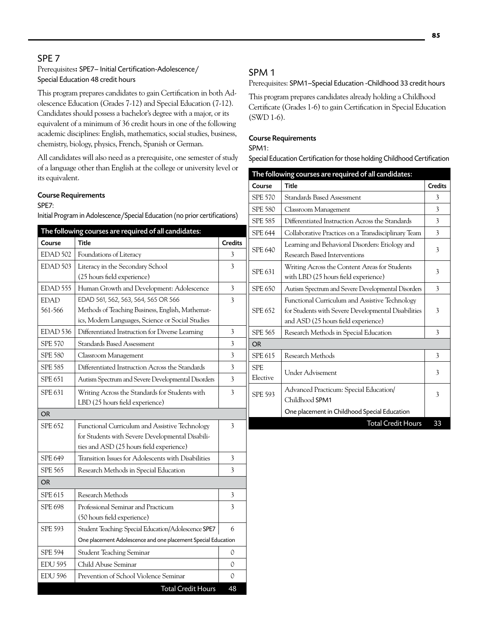# SPE 7

# Prerequisites**:** SPE7– Initial Certification-Adolescence/ Special Education 48 credit hours

This program prepares candidates to gain Certification in both Adolescence Education (Grades 7-12) and Special Education (7-12). Candidates should possess a bachelor's degree with a major, or its equivalent of a minimum of 36 credit hours in one of the following academic disciplines: English, mathematics, social studies, business, chemistry, biology, physics, French, Spanish or German.

All candidates will also need as a prerequisite, one semester of study of a language other than English at the college or university level or its equivalent.

# Course Requirements

# SPE7:

Initial Program in Adolescence/Special Education (no prior certifications)

|                     | The following courses are required of all candidates:         |                |
|---------------------|---------------------------------------------------------------|----------------|
| Course              | Title                                                         | <b>Credits</b> |
| EDAD 502            | Foundations of Literacy                                       | 3              |
| EDAD 503            | Literacy in the Secondary School                              | 3              |
|                     | (25 hours field experience)                                   |                |
| EDAD <sub>555</sub> | Human Growth and Development: Adolescence                     | 3              |
| <b>EDAD</b>         | EDAD 561, 562, 563, 564, 565 OR 566                           | 3              |
| 561-566             | Methods of Teaching Business, English, Mathemat-              |                |
|                     | ics, Modern Languages, Science or Social Studies              |                |
| EDAD 536            | Differentiated Instruction for Diverse Learning               | 3              |
| <b>SPE 570</b>      | <b>Standards Based Assessment</b>                             | 3              |
| <b>SPE 580</b>      | Classroom Management                                          | 3              |
| <b>SPE 585</b>      | Differentiated Instruction Across the Standards               | 3              |
| <b>SPE 651</b>      | Autism Spectrum and Severe Developmental Disorders            | 3              |
| <b>SPE 631</b>      | Writing Across the Standards for Students with                | 3              |
|                     | LBD (25 hours field experience)                               |                |
| <b>OR</b>           |                                                               |                |
| <b>SPE 652</b>      | Functional Curriculum and Assistive Technology                | 3              |
|                     | for Students with Severe Developmental Disabili-              |                |
|                     | ties and ASD (25 hours field experience)                      |                |
| <b>SPE 649</b>      | Transition Issues for Adolescents with Disabilities           | 3              |
| <b>SPE 565</b>      | Research Methods in Special Education                         | 3              |
| <b>OR</b>           |                                                               |                |
| SPE 615             | Research Methods                                              | 3              |
| <b>SPE 698</b>      | Professional Seminar and Practicum                            | 3              |
|                     | (50 hours field experience)                                   |                |
| <b>SPE 593</b>      | Student Teaching: Special Education/Adolescence SPE7          | 6              |
|                     | One placement Adolescence and one placement Special Education |                |
| <b>SPE 594</b>      | <b>Student Teaching Seminar</b>                               | 0              |
| <b>EDU 595</b>      | Child Abuse Seminar                                           | 0              |
| <b>EDU 596</b>      | Prevention of School Violence Seminar                         | 0              |
|                     | <b>Total Credit Hours</b>                                     | 48             |

# SPM 1

Prerequisites: SPM1–Special Education -Childhood 33 credit hours

This program prepares candidates already holding a Childhood Certificate (Grades 1-6) to gain Certification in Special Education (SWD 1-6).

# Course Requirements

# SPM1:

Special Education Certification for those holding Childhood Certification

|                        | The following courses are required of all candidates:                                                                                        |                |
|------------------------|----------------------------------------------------------------------------------------------------------------------------------------------|----------------|
| Course                 | <b>Title</b>                                                                                                                                 | <b>Credits</b> |
| <b>SPE 570</b>         | Standards Based Assessment                                                                                                                   | 3              |
| <b>SPE 580</b>         | Classroom Management                                                                                                                         | 3              |
| <b>SPE 585</b>         | Differentiated Instruction Across the Standards                                                                                              | 3              |
| <b>SPE 644</b>         | Collaborative Practices on a Transdisciplinary Team                                                                                          | 3              |
| <b>SPE 640</b>         | Learning and Behavioral Disorders: Etiology and<br>Research Based Interventions                                                              | 3              |
| SPE 631                | Writing Across the Content Areas for Students<br>with LBD (25 hours field experience)                                                        | 3              |
| SPE 650                | Autism Spectrum and Severe Developmental Disorders                                                                                           | 3              |
| SPE 652                | Functional Curriculum and Assistive Technology<br>for Students with Severe Developmental Disabilities<br>and ASD (25 hours field experience) | 3              |
| <b>SPE 565</b>         | Research Methods in Special Education                                                                                                        | 3              |
| OR                     |                                                                                                                                              |                |
| SPE 615                | Research Methods                                                                                                                             | 3              |
| <b>SPE</b><br>Elective | Under Advisement                                                                                                                             | 3              |
| <b>SPE 593</b>         | Advanced Practicum: Special Education/<br>Childhood SPM1                                                                                     | 3              |
|                        | One placement in Childhood Special Education                                                                                                 |                |
|                        | <b>Total Credit Hours</b>                                                                                                                    | 33             |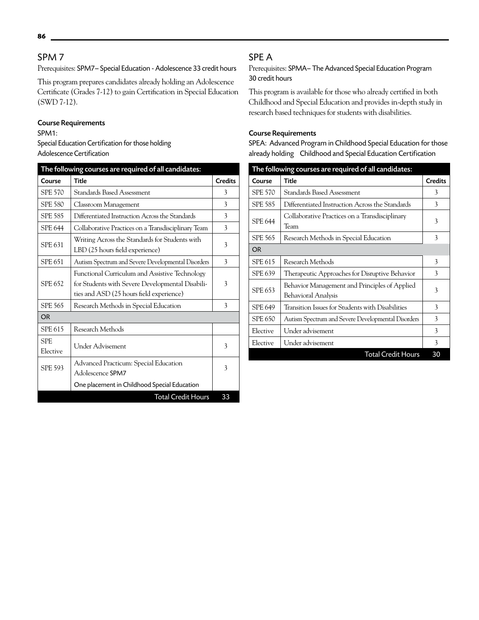# SPM 7

Prerequisites: SPM7– Special Education - Adolescence 33 credit hours

This program prepares candidates already holding an Adolescence Certificate (Grades 7-12) to gain Certification in Special Education (SWD 7-12).

# Course Requirements

# SPM1:

Special Education Certification for those holding Adolescence Certification

| The following courses are required of all candidates: |                                                                                                                                                |                |
|-------------------------------------------------------|------------------------------------------------------------------------------------------------------------------------------------------------|----------------|
| Course                                                | <b>Title</b>                                                                                                                                   | <b>Credits</b> |
| <b>SPE 570</b>                                        | Standards Based Assessment                                                                                                                     | 3              |
| <b>SPE 580</b>                                        | Classroom Management                                                                                                                           | 3              |
| <b>SPE 585</b>                                        | Differentiated Instruction Across the Standards                                                                                                | 3              |
| <b>SPE 644</b>                                        | Collaborative Practices on a Transdisciplinary Team                                                                                            | 3              |
| SPE 631                                               | Writing Across the Standards for Students with<br>LBD (25 hours field experience)                                                              | 3              |
| <b>SPE 651</b>                                        | Autism Spectrum and Severe Developmental Disorders                                                                                             | 3              |
| <b>SPE 652</b>                                        | Functional Curriculum and Assistive Technology<br>for Students with Severe Developmental Disabili-<br>ties and ASD (25 hours field experience) | 3              |
| <b>SPE 565</b>                                        | Research Methods in Special Education                                                                                                          | 3              |
| <b>OR</b>                                             |                                                                                                                                                |                |
| SPE 615                                               | Research Methods                                                                                                                               |                |
| <b>SPE</b><br>Elective                                | Under Advisement                                                                                                                               | 3              |
| <b>SPE 593</b>                                        | Advanced Practicum: Special Education<br>Adolescence SPM7                                                                                      | 3              |
|                                                       | One placement in Childhood Special Education                                                                                                   |                |
|                                                       | <b>Total Credit Hours</b>                                                                                                                      | 33             |

# SPE A

Prerequisites: SPMA– The Advanced Special Education Program 30 credit hours

This program is available for those who already certified in both Childhood and Special Education and provides in-depth study in research based techniques for students with disabilities.

# Course Requirements

SPEA: Advanced Program in Childhood Special Education for those already holding Childhood and Special Education Certification

| The following courses are required of all candidates: |                                                                      |                |
|-------------------------------------------------------|----------------------------------------------------------------------|----------------|
| Course                                                | <b>Title</b>                                                         | <b>Credits</b> |
| <b>SPE 570</b>                                        | Standards Based Assessment                                           | 3              |
| <b>SPE 585</b>                                        | Differentiated Instruction Across the Standards                      | 3              |
| <b>SPE 644</b>                                        | Collaborative Practices on a Transdisciplinary<br>Team               | 3              |
| <b>SPE 565</b>                                        | Research Methods in Special Education                                | 3              |
| <b>OR</b>                                             |                                                                      |                |
| SPE 615                                               | Research Methods                                                     | 3              |
| SPE 639                                               | Therapeutic Approaches for Disruptive Behavior                       | 3              |
| SPE 653                                               | Behavior Management and Principles of Applied<br>Behavioral Analysis | 3              |
| SPE 649                                               | Transition Issues for Students with Disabilities                     | 3              |
| SPE 650                                               | Autism Spectrum and Severe Developmental Disorders                   | 3              |
| Elective                                              | Under advisement                                                     | 3              |
| Elective                                              | Under advisement                                                     | 3              |
|                                                       | <b>Total Credit Hours</b>                                            | 30             |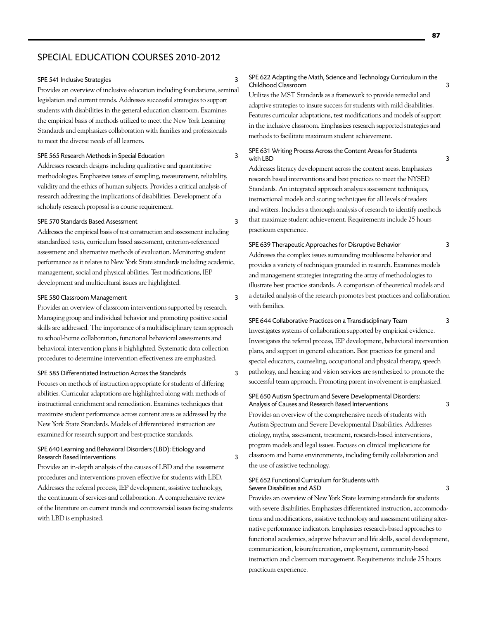# SPECIAL EDUCATION COURSES 2010-2012

#### SPE 541 Inclusive Strategies 3

Provides an overview of inclusive education including foundations, seminal legislation and current trends. Addresses successful strategies to support students with disabilities in the general education classroom. Examines the empirical basis of methods utilized to meet the New York Learning Standards and emphasizes collaboration with families and professionals to meet the diverse needs of all learners.

## SPE 565 Research Methods in Special Education 3

Addresses research designs including qualitative and quantitative methodologies. Emphasizes issues of sampling, measurement, reliability, validity and the ethics of human subjects. Provides a critical analysis of research addressing the implications of disabilities. Development of a scholarly research proposal is a course requirement.

## SPE 570 Standards Based Assessment 3

Addresses the empirical basis of test construction and assessment including standardized tests, curriculum based assessment, criterion-referenced assessment and alternative methods of evaluation. Monitoring student performance as it relates to New York State standards including academic, management, social and physical abilities. Test modifications, IEP development and multicultural issues are highlighted.

# SPE 580 Classroom Management 3

Provides an overview of classroom interventions supported by research. Managing group and individual behavior and promoting positive social skills are addressed. The importance of a multidisciplinary team approach to school-home collaboration, functional behavioral assessments and behavioral intervention plans is highlighted. Systematic data collection procedures to determine intervention effectiveness are emphasized.

## SPE 585 Differentiated Instruction Across the Standards 3

Focuses on methods of instruction appropriate for students of differing abilities. Curricular adaptations are highlighted along with methods of instructional enrichment and remediation. Examines techniques that maximize student performance across content areas as addressed by the New York State Standards. Models of differentiated instruction are examined for research support and best-practice standards.

## SPE 640 Learning and Behavioral Disorders (LBD): Etiology and Research Based Interventions 3

Provides an in-depth analysis of the causes of LBD and the assessment procedures and interventions proven effective for students with LBD. Addresses the referral process, IEP development, assistive technology, the continuum of services and collaboration. A comprehensive review of the literature on current trends and controversial issues facing students with LBD is emphasized.

## SPE 622 Adapting the Math, Science and Technology Curriculum in the Childhood Classroom 3

Utilizes the MST Standards as a framework to provide remedial and adaptive strategies to insure success for students with mild disabilities. Features curricular adaptations, test modifications and models of support in the inclusive classroom. Emphasizes research supported strategies and methods to facilitate maximum student achievement.

## SPE 631 Writing Process Across the Content Areas for Students with LBD 3

Addresses literacy development across the content areas. Emphasizes research based interventions and best practices to meet the NYSED Standards. An integrated approach analyzes assessment techniques, instructional models and scoring techniques for all levels of readers and writers. Includes a thorough analysis of research to identify methods that maximize student achievement. Requirements include 25 hours practicum experience.

# SPE 639 Therapeutic Approaches for Disruptive Behavior 3 Addresses the complex issues surrounding troublesome behavior and provides a variety of techniques grounded in research. Examines models and management strategies integrating the array of methodologies to illustrate best practice standards. A comparison of theoretical models and a detailed analysis of the research promotes best practices and collaboration with families.

# SPE 644 Collaborative Practices on a Transdisciplinary Team 3

Investigates systems of collaboration supported by empirical evidence. Investigates the referral process, IEP development, behavioral intervention plans, and support in general education. Best practices for general and special educators, counseling, occupational and physical therapy, speech pathology, and hearing and vision services are synthesized to promote the successful team approach. Promoting parent involvement is emphasized.

## SPE 650 Autism Spectrum and Severe Developmental Disorders: Analysis of Causes and Research Based Interventions 3

Provides an overview of the comprehensive needs of students with Autism Spectrum and Severe Developmental Disabilities. Addresses etiology, myths, assessment, treatment, research-based interventions, program models and legal issues. Focuses on clinical implications for classroom and home environments, including family collaboration and the use of assistive technology.

## SPE 652 Functional Curriculum for Students with Severe Disabilities and ASD 3

Provides an overview of New York State learning standards for students with severe disabilities. Emphasizes differentiated instruction, accommodations and modifications, assistive technology and assessment utilizing alternative performance indicators. Emphasizes research-based approaches to functional academics, adaptive behavior and life skills, social development, communication, leisure/recreation, employment, community-based instruction and classroom management. Requirements include 25 hours practicum experience.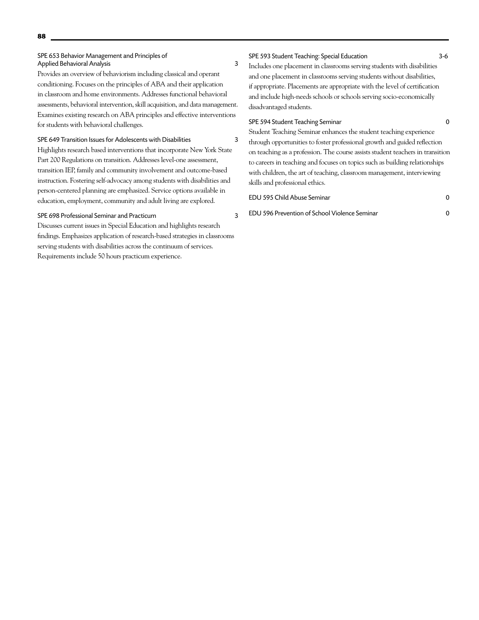## SPE 653 Behavior Management and Principles of Applied Behavioral Analysis 3

Provides an overview of behaviorism including classical and operant conditioning. Focuses on the principles of ABA and their application in classroom and home environments. Addresses functional behavioral assessments, behavioral intervention, skill acquisition, and data management. Examines existing research on ABA principles and effective interventions for students with behavioral challenges.

## SPE 649 Transition Issues for Adolescents with Disabilities 3

Highlights research based interventions that incorporate New York State Part 200 Regulations on transition. Addresses level-one assessment, transition IEP, family and community involvement and outcome-based instruction. Fostering self-advocacy among students with disabilities and person-centered planning are emphasized. Service options available in education, employment, community and adult living are explored.

# SPE 698 Professional Seminar and Practicum 3

Discusses current issues in Special Education and highlights research findings. Emphasizes application of research-based strategies in classrooms serving students with disabilities across the continuum of services. Requirements include 50 hours practicum experience.

## SPE 593 Student Teaching: Special Education 3-6

Includes one placement in classrooms serving students with disabilities and one placement in classrooms serving students without disabilities, if appropriate. Placements are appropriate with the level of certification and include high-needs schools or schools serving socio-economically disadvantaged students.

## SPE 594 Student Teaching Seminar 0

Student Teaching Seminar enhances the student teaching experience through opportunities to foster professional growth and guided reflection on teaching as a profession. The course assists student teachers in transition to careers in teaching and focuses on topics such as building relationships with children, the art of teaching, classroom management, interviewing skills and professional ethics.

# EDU 595 Child Abuse Seminar 0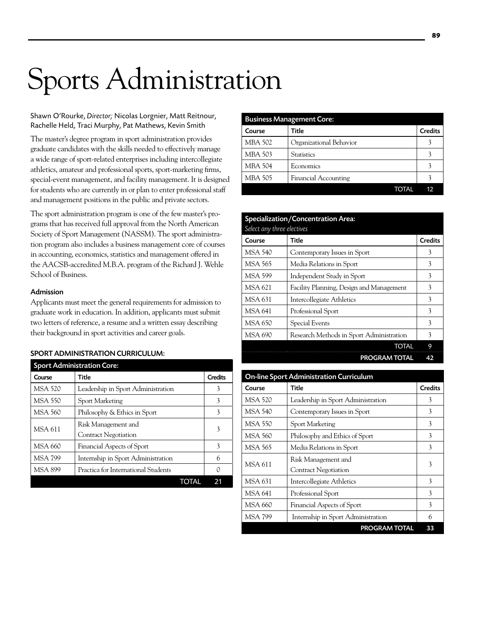# **89**

# Sports Administration

Shawn O'Rourke, *Director;* Nicolas Lorgnier, Matt Reitnour, Rachelle Held, Traci Murphy, Pat Mathews, Kevin Smith

The master's degree program in sport administration provides graduate candidates with the skills needed to effectively manage a wide range of sport-related enterprises including intercollegiate athletics, amateur and professional sports, sport-marketing firms, special-event management, and facility management. It is designed for students who are currently in or plan to enter professional staff and management positions in the public and private sectors.

The sport administration program is one of the few master's programs that has received full approval from the North American Society of Sport Management (NASSM). The sport administration program also includes a business management core of courses in accounting, economics, statistics and management offered in the AACSB-accredited M.B.A. program of the Richard J. Wehle School of Business.

# Admission

Applicants must meet the general requirements for admission to graduate work in education. In addition, applicants must submit two letters of reference, a resume and a written essay describing their background in sport activities and career goals.

# Sport Administration curriculum:

| <b>Sport Administration Core:</b> |                                                    |                |
|-----------------------------------|----------------------------------------------------|----------------|
| Course                            | Title                                              | <b>Credits</b> |
| <b>MSA 520</b>                    | Leadership in Sport Administration                 | 3              |
| <b>MSA 550</b>                    | <b>Sport Marketing</b>                             | 3              |
| <b>MSA 560</b>                    | Philosophy & Ethics in Sport                       | 3              |
| MSA 611                           | Risk Management and<br><b>Contract Negotiation</b> | 3              |
| MSA 660                           | Financial Aspects of Sport                         | 3              |
| <b>MSA 799</b>                    | Internship in Sport Administration                 | 6              |
| MSA 899                           | Practica for International Students                | 0              |
|                                   |                                                    |                |

| <b>Business Management Core:</b> |                             |                |  |
|----------------------------------|-----------------------------|----------------|--|
| Course                           | Title                       | <b>Credits</b> |  |
| MBA 502                          | Organizational Behavior     |                |  |
| MBA 503                          | <b>Statistics</b>           |                |  |
| <b>MBA 504</b>                   | Economics                   |                |  |
| <b>MBA 505</b>                   | <b>Financial Accounting</b> |                |  |
|                                  | TOTAL                       | 12             |  |

| Specialization/Concentration Area: |                                          |                |
|------------------------------------|------------------------------------------|----------------|
| Select any three electives         |                                          |                |
| Course                             | Title                                    | <b>Credits</b> |
| MSA 540                            | Contemporary Issues in Sport             | 3              |
| MSA 565                            | Media Relations in Sport                 | 3              |
| <b>MSA 599</b>                     | Independent Study in Sport               | 3              |
| MSA 621                            | Facility Planning, Design and Management | 3              |
| <b>MSA 631</b>                     | Intercollegiate Athletics                | 3              |
| MSA 641                            | Professional Sport                       | 3              |
| MSA 650                            | Special Events                           | 3              |
| <b>MSA 690</b>                     | Research Methods in Sport Administration | 3              |
|                                    | <b>TOTAL</b>                             | 9              |
|                                    | <b>PROGRAM TOTAL</b>                     | 42             |

| <b>On-line Sport Administration Curriculum</b> |                                                    |                |  |  |
|------------------------------------------------|----------------------------------------------------|----------------|--|--|
| Course                                         | Title                                              | <b>Credits</b> |  |  |
| <b>MSA 520</b>                                 | Leadership in Sport Administration                 | 3              |  |  |
| MSA 540                                        | Contemporary Issues in Sport                       | 3              |  |  |
| MSA 550                                        | <b>Sport Marketing</b>                             | 3              |  |  |
| MSA 560                                        | Philosophy and Ethics of Sport                     | 3              |  |  |
| <b>MSA 565</b>                                 | Media Relations in Sport                           | 3              |  |  |
| <b>MSA 611</b>                                 | Risk Management and<br><b>Contract Negotiation</b> | 3              |  |  |
| <b>MSA 631</b>                                 | Intercollegiate Athletics                          | 3              |  |  |
| MSA 641                                        | Professional Sport                                 | 3              |  |  |
| MSA 660                                        | Financial Aspects of Sport                         | 3              |  |  |
| <b>MSA 799</b>                                 | Internship in Sport Administration                 | 6              |  |  |
|                                                | <b>PROGRAM TOTAL</b>                               | 33             |  |  |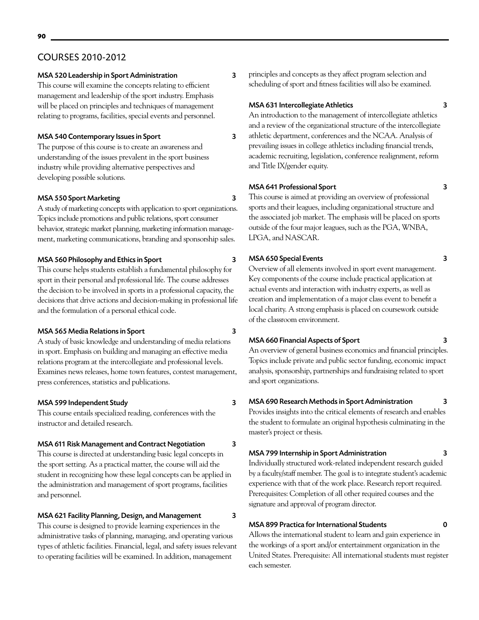# COURSES 2010-2012

# MSA 520 Leadership in Sport Administration 3

This course will examine the concepts relating to efficient management and leadership of the sport industry. Emphasis will be placed on principles and techniques of management relating to programs, facilities, special events and personnel.

# MSA 540 Contemporary Issues in Sport 3

The purpose of this course is to create an awareness and understanding of the issues prevalent in the sport business industry while providing alternative perspectives and developing possible solutions.

# MSA 550 Sport Marketing 3

A study of marketing concepts with application to sport organizations. Topics include promotions and public relations, sport consumer behavior, strategic market planning, marketing information management, marketing communications, branding and sponsorship sales.

# MSA 560 Philosophy and Ethics in Sport 3

This course helps students establish a fundamental philosophy for sport in their personal and professional life. The course addresses the decision to be involved in sports in a professional capacity, the decisions that drive actions and decision-making in professional life and the formulation of a personal ethical code.

# MSA 565 Media Relations in Sport 3

A study of basic knowledge and understanding of media relations in sport. Emphasis on building and managing an effective media relations program at the intercollegiate and professional levels. Examines news releases, home town features, contest management, press conferences, statistics and publications.

# MSA 599 Independent Study 3

This course entails specialized reading, conferences with the instructor and detailed research.

# MSA 611 Risk Management and Contract Negotiation 3

This course is directed at understanding basic legal concepts in the sport setting. As a practical matter, the course will aid the student in recognizing how these legal concepts can be applied in the administration and management of sport programs, facilities and personnel.

# MSA 621 Facility Planning, Design, and Management 3

This course is designed to provide learning experiences in the administrative tasks of planning, managing, and operating various types of athletic facilities. Financial, legal, and safety issues relevant to operating facilities will be examined. In addition, management

principles and concepts as they affect program selection and scheduling of sport and fitness facilities will also be examined.

## MSA 631 Intercollegiate Athletics 3

An introduction to the management of intercollegiate athletics and a review of the organizational structure of the intercollegiate athletic department, conferences and the NCAA. Analysis of prevailing issues in college athletics including financial trends, academic recruiting, legislation, conference realignment, reform and Title IX/gender equity.

# MSA 641 Professional Sport 3

This course is aimed at providing an overview of professional sports and their leagues, including organizational structure and the associated job market. The emphasis will be placed on sports outside of the four major leagues, such as the PGA, WNBA, LPGA, and NASCAR.

# MSA 650 Special Events 3

Overview of all elements involved in sport event management. Key components of the course include practical application at actual events and interaction with industry experts, as well as creation and implementation of a major class event to benefit a local charity. A strong emphasis is placed on coursework outside of the classroom environment.

# MSA 660 Financial Aspects of Sport 3

An overview of general business economics and financial principles. Topics include private and public sector funding, economic impact analysis, sponsorship, partnerships and fundraising related to sport and sport organizations.

# MSA 690 Research Methods in Sport Administration 3

Provides insights into the critical elements of research and enables the student to formulate an original hypothesis culminating in the master's project or thesis.

# MSA 799 Internship in Sport Administration 3

Individually structured work-related independent research guided by a faculty/staff member. The goal is to integrate student's academic experience with that of the work place. Research report required. Prerequisites: Completion of all other required courses and the signature and approval of program director.

# MSA 899 Practica for International Students 0

Allows the international student to learn and gain experience in the workings of a sport and/or entertainment organization in the United States. Prerequisite: All international students must register each semester.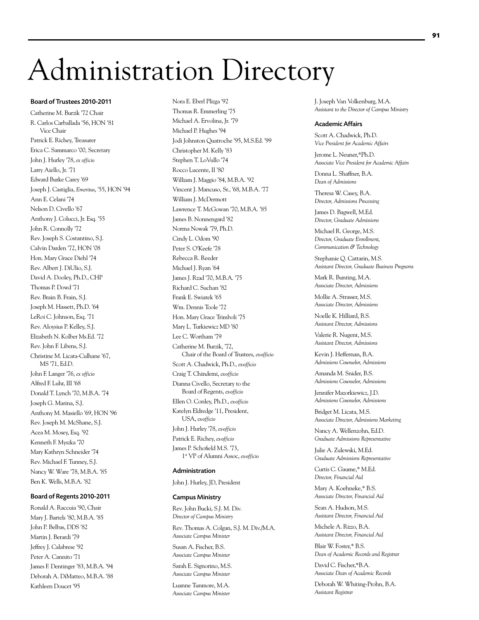# Administration Directory

### Board of Trustees 2010-2011

Catherine M. Burzik '72 Chair R. Carlos Carballada '56, HON '81 Vice Chair Patrick E. Richey, Treasurer Erica C. Sammarco '00, Secretary John J. Hurley '78, *ex officio* Larry Aiello, Jr. '71 Edward Burke Carey '69 Joseph J. Castiglia, *Emeritus*, '55, HON '94 Ann E. Celani '74 Nelson D. Civello '67 Anthony J. Colucci, Jr. Esq. '55 John R. Connolly '72 Rev. Joseph S. Costantino, S.J. Calvin Darden '72, HON '08 Hon. Mary Grace Diehl '74 Rev. Albert J. DiUlio, S.J. David A. Dooley, Ph.D., CHP Thomas P. Dowd '71 Rev. Brain B. Frain, S.J. Joseph M. Hassett, Ph.D. '64 LeRoi C. Johnson, Esq. '71 Rev. Aloysius P. Kelley, S.J. Elizabeth N. Kolber Ms.Ed. '72 Rev. John F. Libens, S.J. Christine M. Licata-Culhane '67, MS '71, Ed.D. John F. Langer '76, *ex officio* Alfred F. Luhr, III '68 Donald T. Lynch '70, M.B.A. '74 Joseph G. Marina, S.J. Anthony M. Masiello '69, HON '96 Rev. Joseph M. McShane, S.J. Acea M. Mosey, Esq. '92 Kenneth F. Myszka '70 Mary Kathryn Schneider '74 Rev. Michael F. Tunney, S.J. Nancy W. Ware '78, M.B.A. '85 Ben K. Wells, M.B.A. '82

## Board of Regents 2010-2011

Ronald A. Raccuia '90, Chair Mary J. Bartels '80, M.B.A. '85 John P. Belbas, DDS '82 Martin J. Berardi '79 Jeffrey J. Calabrese '92 Peter A. Cannito '71 James F. Dentinger '83, M.B.A. '94 Deborah A. DiMatteo, M.B.A. '88 Kathleen Doucet '95

Nora E. Eberl Plizga '92 Thomas R. Emmerling '75 Michael A. Ervolina, Jr. '79 Michael P. Hughes '94 Jodi Johnston Quatroche '95, M.S.Ed. '99 Christopher M. Kelly '83 Stephen T. LoVullo '74 Rocco Lucente, II '80 William J. Maggio '84, M.B.A. '92 Vincent J. Mancuso, Sr., '68, M.B.A. '77 William J. McDermott Lawrence T. McGowan '70, M.B.A. '85 James B. Nonnengard '82 Norma Nowak '79, Ph.D. Cindy L. Odom '90 Peter S. O'Keefe '78 Rebecca R. Reeder Michael J. Ryan '64 James J. Rzad '70, M.B.A. '75 Richard C. Suchan '82 Frank E. Swiatek '65 Wm. Dennis Toole '72 Hon. Mary Grace Trimboli '75 Mary L. Turkiewicz MD '80 Lee C. Wortham '79 Catherine M. Burzik, '72, Chair of the Board of Trustees, *ex-officio* Scott A. Chadwick, Ph.D., *ex-officio* Craig T. Chindemi, *ex-officio* Dianna Civello, Secretary to the Board of Regents, *ex-officio* Ellen O. Conley, Ph.D., *ex-officio* Katelyn Eldredge '11, President, USA, *ex-officio* John J. Hurley '78, *ex-officio* Patrick E. Richey, *ex-officio* James P. Schofield M.S. '73, 1st VP of Alumni Assoc, *ex-officio*

#### Administration

John J. Hurley, JD, President

#### Campus Ministry

Rev. John Bucki, S.J. M. Div. *Director of Campus Ministry*

Rev. Thomas A. Colgan, S.J. M. Div./M.A. *Associate Campus Minister*

Susan A. Fischer, B.S. *Associate Campus Minister*

Sarah E. Signorino, M.S. *Associate Campus Minister*

Luanne Tunmore, M.A. *Associate Campus Minister* J. Joseph Van Volkenburg, M.A. *Assistant to the Director of Campus Ministry*

### Academic Affairs

Scott A. Chadwick, Ph.D. *Vice President for Academic Affairs*

Jerome L. Neuner,\*Ph.D. *Associate Vice President for Academic Affairs*

Donna L. Shaffner, B.A. *Dean of Admissions*

Theresa W. Casey, B.A. *Director, Admissions Processing*

James D. Bagwell, M.Ed. *Director, Graduate Admissions*

Michael R. George, M.S. *Director, Graduate Enrollment, Communication & Technology*

Stephanie Q. Cattarin, M.S. *Assistant Director, Graduate Business Programs*

Mark R. Bunting, M.A. *Associate Director, Admissions*

Mollie A. Strasser, M.S. *Associate Director, Admissions*

Noelle K. Hilliard, B.S. *Assistant Director, Admissions*

Valerie R. Nugent, M.S. *Assistant Director, Admissions* 

Kevin J. Heffernan, B.A. *Admissions Counselor, Admissions*

Amanda M. Snider, B.S. *Admissions Counselor, Admissions*

Jennifer Mazorkiewicz, J.D. *Admissions Counselor, Admissions*

Bridget M. Licata, M.S. *Associate Director, Admissions Marketing*

Nancy A. Wellenzohn, Ed.D. *Graduate Admissions Representative* 

Julie A. Zulewski, M.Ed. *Graduate Admissions Representative* 

Curtis C. Gaume,\* M.Ed. *Director, Financial Aid*

Mary A. Koehneke,\* B.S. *Associate Director, Financial Aid*

Sean A. Hudson, M.S. *Assistant Director, Financial Aid*

Michele A. Rizzo, B.A. *Assistant Director, Financial Aid*

Blair W. Foster,\* B.S. *Dean of Academic Records and Registrar*

David C. Fischer,\*B.A. *Associate Dean of Academic Records*

Deborah W. Whiting-Prohn, B.A. *Assistant Registrar*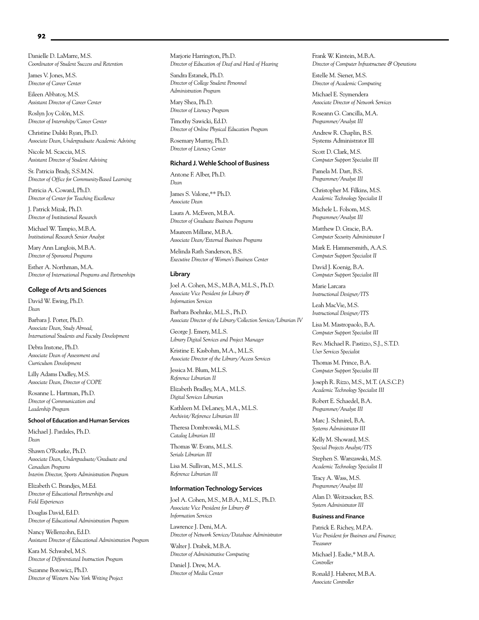Danielle D. LaMarre, M.S. *Coordinator of Student Success and Retention*

James V. Jones, M.S. *Director of Career Center*

Eileen Abbatoy, M.S. *Assistant Director of Career Center*

Roslyn Joy Colón, M.S. *Director of Internships/Career Center*

Christine Dulski Ryan, Ph.D. *Associate Dean, Undergraduate Academic Advising*

Nicole M. Scaccia, M.S. *Assistant Director of Student Advising*

Sr. Patricia Brady, S.S.M.N. *Director of Office for Community-Based Learning*

Patricia A. Coward, Ph.D. *Director of Center for Teaching Excellence*

J. Patrick Mizak, Ph.D. *Director of Institutional Research*

Michael W. Tampio, M.B.A. *Institutional Research Senior Analyst*

Mary Ann Langlois, M.B.A. *Director of Sponsored Programs*

Esther A. Northman, M.A. *Director of International Programs and Partnerships*

## College of Arts and Sciences

David W. Ewing, Ph.D. *Dean*

Barbara J. Porter, Ph.D. *Associate Dean, Study Abroad, International Students and Faculty Development*

Debra Instone, Ph.D. *Associate Dean of Assessment and Curriculum Development*

Lilly Adams Dudley, M.S. *Associate Dean, Director of COPE*

Rosanne L. Hartman, Ph.D. *Director of Communication and Leadership Program*

### School of Education and Human Services

Michael J. Pardales, Ph.D. *Dean*

Shawn O'Rourke, Ph.D. *Associate Dean, Undergraduate/Graduate and Canadian Programs Interim Director, Sports Administration Program*

Elizabeth C. Brandjes, M.Ed. *Director of Educational Partnerships and Field Experiences*

Douglas David, Ed.D. *Director of Educational Administration Program*

Nancy Wellenzohn, Ed.D. *Assistant Director of Educational Administration Program*

Kara M. Schwabel, M.S. *Director of Differentiated Instruction Program*

Suzanne Borowicz, Ph.D. *Director of Western New York Writing Project* Marjorie Harrington, Ph.D. *Director of Education of Deaf and Hard of Hearing*

Sandra Estanek, Ph.D. *Director of College Student Personnel Administration Program*

Mary Shea, Ph.D. *Director of Literacy Program*

Timothy Sawicki, Ed.D. *Director of Online Physical Education Program*

Rosemary Murray, Ph.D. *Director of Literacy Center*

### Richard J. Wehle School of Business

Antone F. Alber, Ph.D. *Dean*

James S. Valone,\*\* Ph.D. *Associate Dean*

Laura A. McEwen, M.B.A. *Director of Graduate Business Programs*

Maureen Millane, M.B.A. *Associate Dean/External Business Programs*

Melinda Rath Sanderson, B.S. *Executive Director of Women's Business Center*

#### Library

Joel A. Cohen, M.S., M.B.A, M.L.S., Ph.D. *Associate Vice President for Library & Information Services*

Barbara Boehnke, M.L.S., Ph.D. *Associate Director of the Library/Collection Services/Librarian IV*

George J. Emery, M.L.S. *Library Digital Services and Project Manager*

Kristine E. Kasbohm, M.A., M.L.S. *Associate Director of the Library/Access Services*

Jessica M. Blum, M.L.S. *Reference Librarian II*

Elizabeth Bradley, M.A., M.L.S. *Digital Services Librarian*

Kathleen M. DeLaney, M.A., M.L.S. *Archivist/Reference Librarian III*

Theresa Dombrowski, M.L.S. *Catalog Librarian III*

Thomas W. Evans, M.L.S. *Serials Librarian III*

Lisa M. Sullivan, M.S., M.L.S. *Reference Librarian III*

# Information Technology Services

Joel A. Cohen, M.S., M.B.A., M.L.S., Ph.D. *Associate Vice President for Library & Information Services*

Lawrence J. Deni, M.A. *Director of Network Services/Database Administrator*

Walter J. Drabek, M.B.A. *Director of Administrative Computing*

Daniel J. Drew, M.A. *Director of Media Center* Frank W. Kirstein, M.B.A. *Director of Computer Infrastructure & Operations*

Estelle M. Siener, M.S. *Director of Academic Computing* 

Michael E. Szymendera *Associate Director of Network Services*

Roseann G. Cancilla, M.A. *Programmer/Analyst III*

Andrew R. Chaplin, B.S. Systems Administrator III

Scott D. Clark, M.S. *Computer Support Specialist III*

Pamela M. Dart, B.S. *Programmer/Analyst III*

Christopher M. Filkins, M.S. *Academic Technology Specialist II*

Michele L. Folsom, M.S. *Programmer/Analyst III*

Matthew D. Gracie, B.A. *Computer Security Administrator I*

Mark E. Hammersmith, A.A.S. *Computer Support Specialist II*

David J. Koenig, B.A. *Computer Support Specialist III*

Marie Larcara *Instructional Designer/ITS*

Leah MacVie, M.S. *Instructional Designer/ITS*

Lisa M. Mastropaolo, B.A. *Computer Support Specialist III*

Rev. Michael R. Pastizzo, S.J., S.T.D. *User Services Specialist*

Thomas M. Prince, B.A. *Computer Support Specialist III*

Joseph R. Rizzo, M.S., M.T. (A.S.C.P.) *Academic Technology Specialist III*

Robert E. Schaedel, B.A. *Programmer/Analyst III*

Marc J. Schnirel, B.A. *Systems Administrator III*

Kelly M. Showard, M.S. *Special Projects Analyst/ITS*

Stephen S. Warszawski, M.S. *Academic Technology Specialist II*

Tracy A. Wass, M.S. *Programmer/Analyst III*

Alan D. Weitzsacker, B.S. *System Administrator III*

### Business and Finance

Patrick E. Richey, M.P.A. *Vice President for Business and Finance; Treasurer* Michael J. Eadie,\* M.B.A.

*Controller*

Ronald J. Haberer, M.B.A. *Associate Controller*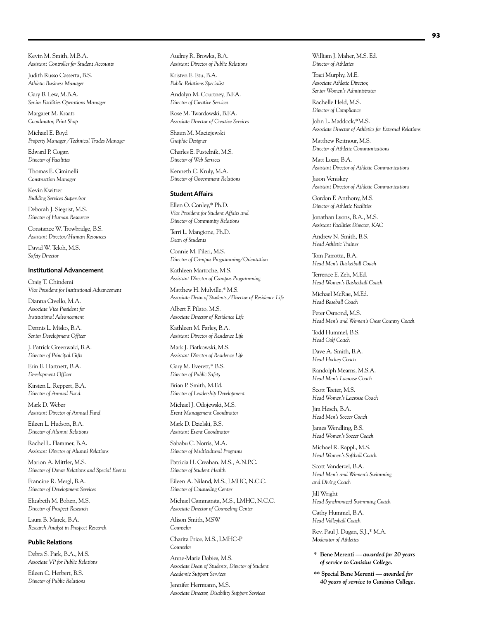Kevin M. Smith, M.B.A. *Assistant Controller for Student Accounts*

Judith Russo Casserta, B.S. *Athletic Business Manager*

Gary B. Lew, M.B.A. *Senior Facilities Operations Manager*

Margaret M. Kraatz *Coordinator, Print Shop*

Michael E. Boyd *Property Manager /Technical Trades Manager*

Edward P. Cogan *Director of Facilities*

Thomas E. Ciminelli *Construction Manager*

Kevin Kwitzer *Building Services Supervisor*

Deborah J. Siegrist, M.S. *Director of Human Resources*

Constance W. Trowbridge, B.S. *Assistant Director/Human Resources*

David W. Teloh, M.S. *Safety Director*

## Institutional Advancement

Craig T. Chindemi *Vice President for Institutional Advancement*

Dianna Civello, M.A. *Associate Vice President for Institutional Advancement*

Dennis L. Misko, B.A. *Senior Development Officer*

J. Patrick Greenwald, B.A. *Director of Principal Gifts*

Erin E. Hartnett, B.A. *Development Officer*

Kirsten L. Reppert, B.A. *Director of Annual Fund*

Mark D. Weber *Assistant Director of Annual Fund*

Eileen L. Hudson, B.A. *Director of Alumni Relations*

Rachel L. Flammer, B.A. *Assistant Director of Alumni Relations*

Marion A. Mittler, M.S. *Director of Donor Relations and Special Events*

Francine R. Mergl, B.A. *Director of Development Services*

Elizabeth M. Bohen, M.S. *Director of Prospect Research*

Laura B. Marek, B.A. *Research Analyst in Prospect Research*

#### Public Relations

Debra S. Park, B.A., M.S. *Associate VP for Public Relations*

Eileen C. Herbert, B.S. *Director of Public Relations* Audrey R. Browka, B.A. *Assistant Director of Public Relations*

Kristen E. Etu, B.A. *Public Relations Specialist*

Andalyn M. Courtney, B.F.A. *Director of Creative Services*

Rose M. Twardowski, B.F.A. *Associate Director of Creative Services*

Shaun M. Maciejewski *Graphic Designer*

Charles E. Pustelnik, M.S. *Director of Web Services*

Kenneth C. Kruly, M.A. *Director of Government Relations*

#### Student Affairs

Ellen O. Conley,\* Ph.D. *Vice President for Student Affairs and Director of Community Relations*

Terri L. Mangione, Ph.D. *Dean of Students*

Connie M. Pileri, M.S. *Director of Campus Programming/Orientation*

Kathleen Martoche, M.S. *Assistant Director of Campus Programming*

Matthew H. Mulville,\* M.S. *Associate Dean of Students /Director of Residence Life*

Albert F. Pilato, M.S. *Associate Director of Residence Life*

Kathleen M. Farley, B.A. *Assistant Director of Residence Life*

Mark J. Piatkowski, M.S. *Assistant Director of Residence Life*

Gary M. Everett,\* B.S. *Director of Public Safety*

Brian P. Smith, M.Ed. *Director of Leadership Development*

Michael J. Odojewski, M.S. *Event Management Coordinator*

Mark D. Dzielski, B.S. *Assistant Event Coordinator*

Sababu C. Norris, M.A. *Director of Multicultural Programs*

Patricia H. Creahan, M.S., A.N.P.C. *Director of Student Health*

Eileen A. Niland, M.S., LMHC, N.C.C. *Director of Counseling Center*

Michael Cammarata, M.S., LMHC, N.C.C. *Associate Director of Counseling Center*

Alison Smith, MSW *Counselor*

Charita Price, M.S., LMHC-P *Counselor*

Anne-Marie Dobies, M.S. *Associate Dean of Students, Director of Student Academic Support Services*

Jennifer Herrmann, M.S. *Associate Director, Disability Support Services* William J. Maher, M.S. Ed. *Director of Athletics*

Traci Murphy, M.E. *Associate Athletic Director, Senior Women's Administrator*

Rachelle Held, M.S. *Director of Compliance*

John L. Maddock,\*M.S. *Associate Director of Athletics for External Relations*

Matthew Reitnour, M.S. *Director of Athletic Communications*

Matt Lozar, B.A. *Assistant Director of Athletic Communications*

Jason Veniskey *Assistant Director of Athletic Communications*

Gordon F. Anthony, M.S. *Director of Athletic Facilities*

Jonathan Lyons, B.A., M.S. *Assistant Facilities Director, KAC*

Andrew N. Smith, B.S. *Head Athletic Trainer*

Tom Parrotta, B.A. *Head Men's Basketball Coach*

Terrence E. Zeh, M.Ed. *Head Women's Basketball Coach*

Michael McRae, M.Ed. *Head Baseball Coach*

Peter Osmond, M.S. *Head Men's and Women's Cross Country Coach*

Todd Hummel, B.S. *Head Golf Coach*

Dave A. Smith, B.A. *Head Hockey Coach*

Randolph Mearns, M.S.A. *Head Men's Lacrosse Coach*

Scott Teeter, M.S. *Head Women's Lacrosse Coach*

Jim Hesch, B.A. *Head Men's Soccer Coach*

James Wendling, B.S. *Head Women's Soccer Coach*

Michael R. Rappl., M.S. *Head Women's Softball Coach*

Scott Vanderzel, B.A. *Head Men's and Women's Swimming and Diving Coach*

Jill Wright *Head Synchronized Swimming Coach*

Cathy Hummel, B.A. *Head Volleyball Coach*

Rev. Paul J. Dugan, S.J.,\* M.A. *Moderator of Athletics*

**\* Bene Merenti —** *awarded for 20 years of service to Canisius College.*

**\*\* Special Bene Merenti —** *awarded for 40 years of service to Canisius College.*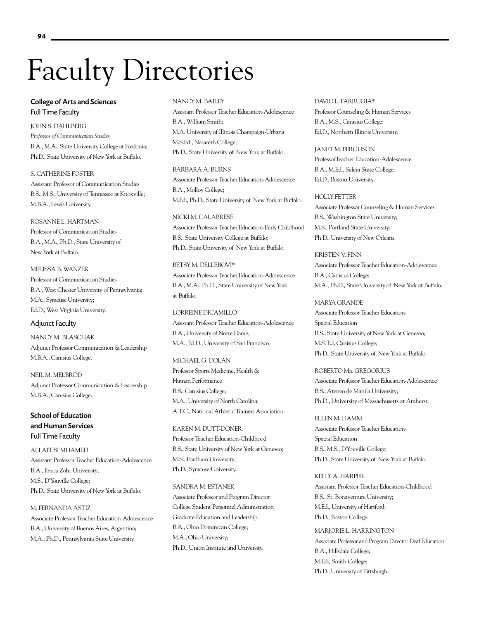# Faculty Directories

# College of Arts and Sciences Full Time Faculty

JOHN S. DAHLBERG *Professor of Communication Studies* B.A., M.A., State University College at Fredonia; Ph.D., State University of New York at Buffalo.

S. CATHERINE FOSTER Assistant Professor of Communication Studies B.S., M.S., University of Tennessee at Knoxville; M.B.A., Lewis University.

## ROSANNE L. HARTMAN

Professor of Communication Studies B.A., M.A., Ph.D., State University of New York at Buffalo.

MELISSA B. WANZER

Professor of Communication Studies B.A., West Chester University of Pennsylvania; M.A., Syracuse University; Ed.D., West Virginia University.

# Adjunct Faculty

NANCY M. BLASCHAK Adjunct Professor Communication & Leadership M.B.A., Canisius College.

NEIL M. MELBROD Adjunct Professor Communication & Leadership M.B.A., Canisius College.

School of Education and Human Services Full Time Faculty

ALI AIT SI MHAMED Assistant Professor Teacher Education-Adolescence B.A., Ibnou Zohr University; M.S., D'Youville College; Ph.D., State University of New York at Buffalo.

M. FERNANDA ASTIZ Associate Professor Teacher Education-Adolescence B.A., University of Buenos Aires, Argentina; M.A., Ph.D., Pennsylvania State University.

## NANCY M. BAILEY

Assistant Professor Teacher Education-Adolescence B.A., William Smith; M.A. University of Illinois Champaign-Urbana M.S.Ed., Nazareth College; Ph.D., State University of New York at Buffalo.

BARBARA A. BURNS Associate Professor Teacher Education-Adolescence B.A., Molloy College; M.Ed., Ph.D., State University of New York at Buffalo.

NICKI M. CALABRESE Associate Professor Teacher Education-Early Childhood B.S., State University College at Buffalo; Ph.D., State University of New York at Buffalo.

BETSY M. DELLEBOVI\* Associate Professor Teacher Education-Adolescence B.A., M.A., Ph.D., State University of New York at Buffalo.

LORREINE DICAMILLO Assistant Professor Teacher Education-Adolescence B.A., University of Notre Dame; M.A., Ed.D., University of San Francisco.

MICHAEL G. DOLAN Professor Sports Medicine, Health & Human Performance B.S., Canisius College; M.A., University of North Carolina; A.T.C., National Athletic Trainers Association.

KAREN M. DUTT-DONER Professor Teacher Education-Childhood B.S., State University of New York at Geneseo; M.S., Fordham University; Ph.D., Syracuse University.

SANDRA M. ESTANEK

Associate Professor and Program Director College Student Personnel Administration Graduate Education and Leadership. B.A., Ohio Dominican College; M.A., Ohio University; Ph.D., Union Institute and University.

# DAVID L. FARRUGIA\* Professor Counseling & Human Services B.A., M.S., Canisius College; Ed.D., Northern Illinois University.

JANET M. FERGUSON ProfessorTeacher Education-Adolescence B.A., M.Ed., Salem State College; Ed.D., Boston University.

## HOLLY FETTER

Associate Professor Counseling & Human Services B.S., Washington State University; M.S., Portland State University; Ph.D., University of New Orleans.

KRISTEN V. FINN Associate Professor Teacher Education-Adolescence B.A., Canisius College; M.A., Ph.D., State University of New York at Buffalo.

MARYA GRANDE Associate Professor Teacher Education-Special Education B.S., State University of New York at Geneseo; M.S. Ed, Canisius College; Ph.D., State University of New York at Buffalo.

ROBERTO Ma. GREGORIUS Associate Professor Teacher Education-Adolescence B.S., Ateneo de Manila University; Ph.D., University of Massachusetts at Amherst.

ELLEN M. HAMM Associate Professor Teacher Education-Special Education B.S., M.S., D'Youville College; Ph.D., State University of New York at Buffalo.

KELLY A. HARPER Assistant Professor Teacher Education-Childhood B.S., St. Bonaventure University; M.Ed., University of Hartford; Ph.D., Boston College.

MARJORIE L. HARRINGTON Associate Professor and Program Director Deaf Education B.A., Hillsdale College; M.Ed., Smith College; Ph.D., University of Pittsburgh.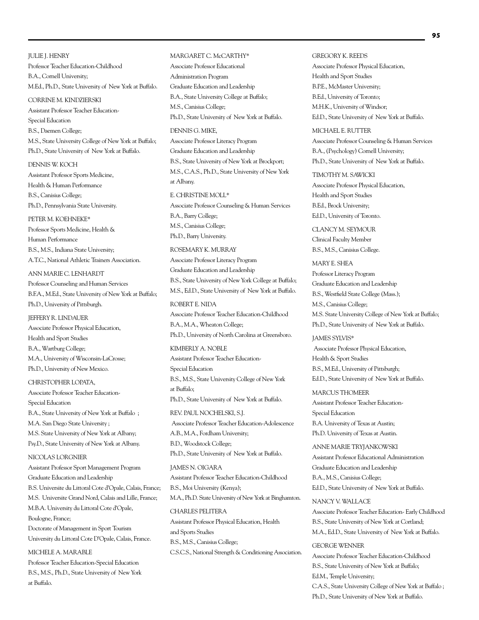JULIE J. HENRY Professor Teacher Education-Childhood B.A., Cornell University; M.Ed., Ph.D., State University of New York at Buffalo.

CORRINE M. KINDZIERSKI Assistant Professor Teacher Education-Special Education B.S., Daemen College; M.S., State University College of New York at Buffalo; Ph.D., State University of New York at Buffalo.

DENNIS W. KOCH Assistant Professor Sports Medicine, Health & Human Performance B.S., Canisius College; Ph.D., Pennsylvania State University.

PETER M. KOEHNEKE\* Professor Sports Medicine, Health & Human Performance B.S., M.S., Indiana State University; A.T.C., National Athletic Trainers Association.

ANN MARIE C. LENHARDT Professor Counseling and Human Services B.F.A., M.Ed., State University of New York at Buffalo; Ph.D., University of Pittsburgh.

JEFFERY R. LINDAUER Associate Professor Physical Education, Health and Sport Studies B.A., Wartburg College; M.A., University of Wisconsin-LaCrosse; Ph.D., University of New Mexico.

CHRISTOPHER LOPATA, Associate Professor Teacher Education-Special Education B.A., State University of New York at Buffalo ; M.A. San Diego State University ; M.S. State University of New York at Albany; Psy.D., State University of New York at Albany.

NICOLAS LORGNIER

Assistant Professor Sport Management Program Graduate Education and Leadership B.S. Universite du Littoral Cote d'Opale, Calais, France; M.S. Universite Grand Nord, Calais and Lille, France; M.B.A. University du Littoral Cote d'Opale, Boulogne, France; Doctorate of Management in Sport Tourism

University du Littoral Cote D'Opale, Calais, France.

MICHELE A. MARABLE

Professor Teacher Education-Special Education B.S., M.S., Ph.D., State University of New York at Buffalo.

Associate Professor Educational Administration Program Graduate Education and Leadership B.A., State University College at Buffalo; M.S., Canisius College; Ph.D., State University of New York at Buffalo. DENNIS G. MIKE, Associate Professor Literacy Program Graduate Education and Leadership B.S., State University of New York at Brockport; M.S., C.A.S., Ph.D., State University of New York at Albany. E. CHRISTINE MOLL\* Associate Professor Counseling & Human Services B.A., Barry College; M.S., Canisius College; Ph.D., Barry University. ROSEMARY K. MURRAY Associate Professor Literacy Program Graduate Education and Leadership B.S., State University of New York College at Buffalo;

MARGARET C. McCARTHY\*

M.S., Ed.D., State University of New York at Buffalo. ROBERT E. NIDA

Associate Professor Teacher Education-Childhood B.A., M.A., Wheaton College; Ph.D., University of North Carolina at Greensboro.

KIMBERLY A. NOBLE Assistant Professor Teacher Education-Special Education B.S., M.S., State University College of New York at Buffalo; Ph.D., State University of New York at Buffalo. REV. PAUL NOCHELSKI, S.J.

 Associate Professor Teacher Education-Adolescence A.B., M.A., Fordham University; B.D., Woodstock College; Ph.D., State University of New York at Buffalo.

JAMES N. OIGARA Assistant Professor Teacher Education-Childhood B.S., Moi University (Kenya); M.A., Ph.D. State University of New York at Binghamton.

CHARLES PELITER A Assistant Professor Physical Education, Health and Sports Studies B.S., M.S., Canisius College; C.S.C.S., National Strength & Conditioning Association. GREGORY K. REEDS Associate Professor Physical Education, Health and Sport Studies B.P.E., McMaster University; B.Ed., University of Toronto; M.H.K., University of Windsor; Ed.D., State University of New York at Buffalo.

MICHAEL E. RUTTER Associate Professor Counseling & Human Services B.A., (Psychology) Cornell University; Ph.D., State University of New York at Buffalo.

## TIMOTHY M. SAWICKI

Associate Professor Physical Education, Health and Sport Studies B.Ed., Brock University; Ed.D., University of Toronto.

CLANCY M. SEYMOUR Clinical Faculty Member B.S., M.S., Canisius College.

MARY E. SHEA Professor Literacy Program Graduate Education and Leadership B.S., Westfield State College (Mass.); M.S., Canisius College;

M.S. State University College of New York at Buffalo; Ph.D., State University of New York at Buffalo.

JAMES SYLVIS\* Associate Professor Physical Education, Health & Sport Studies B.S., M.Ed., University of Pittsburgh; Ed.D., State University of New York at Buffalo.

MARCUS THOMFFR Assistant Professor Teacher Education-Special Education B.A. University of Texas at Austin; Ph.D. University of Texas at Austin.

ANNE MARIE TRYJANKOWSKI Assistant Professor Educational Administration Graduate Education and Leadership B.A., M.S., Canisius College; Ed.D., State University of New York at Buffalo.

NANCY V. WALLACE Associate Professor Teacher Education- Early Childhood B.S., State University of New York at Cortland; M.A., Ed.D., State University of New York at Buffalo.

### GEORGE WENNER

Associate Professor Teacher Education-Childhood B.S., State University of New York at Buffalo; Ed.M., Temple University; C.A.S., State University College of New York at Buffalo ; Ph.D., State University of New York at Buffalo.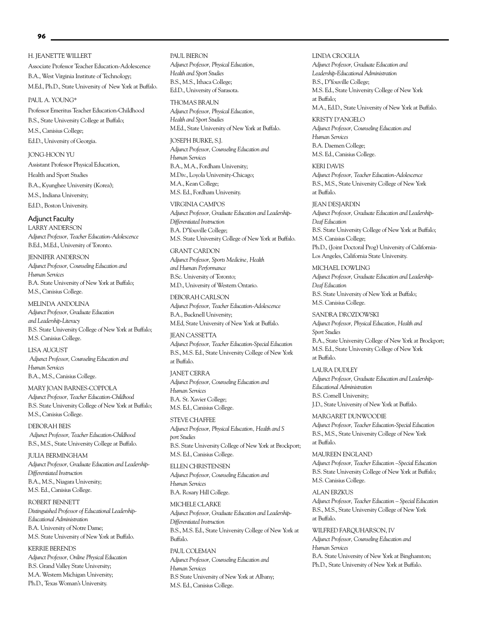### H. JEANETTE WILLERT

Associate Professor Teacher Education-Adolescence B.A., West Virginia Institute of Technology; M.Ed., Ph.D., State University of New York at Buffalo.

### PAUL A. YOUNG\*

Professor Emeritus Teacher Education-Childhood B.S., State University College at Buffalo; M.S., Canisius College; Ed.D., University of Georgia.

JONG-HOON YU Assistant Professor Physical Education, Health and Sport Studies B.A., Kyunghee University (Korea); M.S., Indiana University; Ed.D., Boston University.

Adjunct Faculty LARRY ANDERSON *Adjunct Professor, Teacher Education-Adolescence*

B.Ed., M.Ed., University of Toronto. JENNIFER ANDERSON

*Adjunct Professor, Counseling Education and Human Services* B.A. State University of New York at Buffalo; M.S., Canisius College.

MELINDA ANDOLINA

*Adjunct Professor, Graduate Education and Leadership-Literacy*  B.S. State University College of New York at Buffalo; M.S. Canisius College.

LISA AUGUST  *Adjunct Professor, Counseling Education and Human Services* B.A., M.S., Canisius College.

MARY JOAN BARNES-COPPOLA *Adjunct Professor, Teacher Education-Childhood*  B.S. State University College of New York at Buffalo; M.S., Canisius College.

DEBORAH BEIS  *Adjunct Professor, Teacher Education-Childhood* B.S., M.S., State University College at Buffalo.

JULIA BERMINGHAM *Adjunct Professor, Graduate Education and Leadership-Differentiated Instruction* B.A., M.S., Niagara University; M.S. Ed., Canisius College.

ROBERT BENNETT *Distinguished Professor of Educational Leadership-Educational Administration* B.A. University of Notre Dame; M.S. State University of New York at Buffalo.

KERRIE BERENDS *Adjunct Professor, Online Physical Education* B.S. Grand Valley State University; M.A. Western Michigan University; Ph.D., Texas Woman's University.

PAUL BIERON *Adjunct Professor, Physical Education, Health and Sport Studies* B.S., M.S., Ithaca College; Ed.D., University of Sarasota.

THOMAS BRAUN *Adjunct Professor, Physical Education, Health and Sport Studies* M.Ed., State University of New York at Buffalo.

JOSEPH BURKE, S.J. *Adjunct Professor, Counseling Education and Human Services* B.A., M.A., Fordham University; M.Div., Loyola University-Chicago; M.A., Kean College; M.S. Ed., Fordham University.

VIRGINIA CAMPOS *Adjunct Professor, Graduate Education and Leadership-Differentiated Instruction* B.A. D'Youville College;

M.S. State University College of New York at Buffalo. GRANT CARDON *Adjunct Professor, Sports Medicine, Health* 

*and Human Performance* B.Sc. University of Toronto; M.D., University of Western Ontario.

DEBORAH CARLSON *Adjunct Professor, Teacher Education-Adolescence* B.A., Bucknell University; M.Ed, State University of New York at Buffalo.

JEAN CASSETTA *Adjunct Professor, Teacher Education-Special Education* B.S., M.S. Ed., State University College of New York at Buffalo.

JANET CERRA *Adjunct Professor, Counseling Education and Human Services* B.A. St. Xavier College; M.S. Ed., Canisius College.

STEVE CHAFFEE *Adjunct Professor, Physical Education, Health and S port Studies* B.S. State University College of New York at Brockport; M.S. Ed., Canisius College.

ELLEN CHRISTENSEN *Adjunct Professor, Counseling Education and Human Services* B.A. Rosary Hill College.

MICHELE CLARKE *Adjunct Professor, Graduate Education and Leadership-Differentiated Instruction* B.S., M.S. Ed., State University College of New York at Buffalo.

PAUL COLEMAN *Adjunct Professor, Counseling Education and Human Services* B.S State University of New York at Albany; M.S. Ed., Canisius College.

LINDA CROGLIA *Adjunct Professor, Graduate Education and Leadership-Educational Administration* B.S., D'Youville College; M.S. Ed., State University College of New York at Buffalo; M.A., Ed.D., State University of New York at Buffalo.

KRISTY D'ANGELO *Adjunct Professor, Counseling Education and Human Services* B.A. Daemen College; M.S. Ed., Canisius College.

KERI DAVIS *Adjunct Professor, Teacher Education-Adolescence* B.S., M.S., State University College of New York at Buffalo.

JEAN DESJARDIN *Adjunct Professor, Graduate Education and Leadership-Deaf Education* B.S. State University College of New York at Buffalo; M.S. Canisius College; Ph.D., (Joint Doctoral Prog) University of California-Los Angeles, California State University.

MICHAEL DOWLING *Adjunct Professor, Graduate Education and Leadership-Deaf Education* B.S. State University of New York at Buffalo; M.S. Canisius College.

SANDRA DROZDOWSKI *Adjunct Professor, Physical Education, Health and Sport Studies* B.A., State University College of New York at Brockport; M.S. Ed., State University College of New York at Buffalo.

LAURA DUDLEY *Adjunct Professor, Graduate Education and Leadership-Educational Administration* B.S. Cornell University; J.D., State University of New York at Buffalo.

MARGARET DUNWOODIE *Adjunct Professor, Teacher Education-Special Education* B.S., M.S., State University College of New York at Buffalo.

MAUREEN ENGLAND *Adjunct Professor, Teacher Education –Special Education* B.S. State University College of New York at Buffalo; M.S. Canisius College.

ALAN ERZKUS *Adjunct Professor, Teacher Education – Special Education* B.S., M.S., State University College of New York at Buffalo.

WILFRED FARQUHARSON, IV *Adjunct Professor, Counseling Education and Human Services* B.A. State University of New York at Binghamton; Ph.D., State University of New York at Buffalo.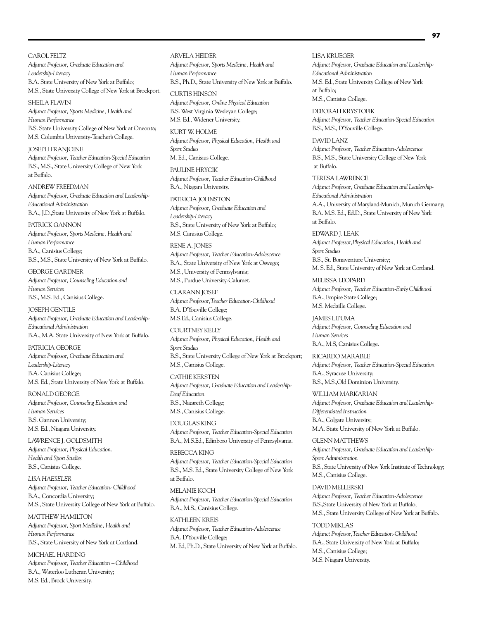CAROL FELTZ *Adjunct Professor, Graduate Education and Leadership-Literacy* B.A. State University of New York at Buffalo; M.S., State University College of New York at Brockport.

SHEILA FLAVIN *Adjunct Professor, Sports Medicine, Health and Human Performance* B.S. State University College of New York at Oneonta; M.S. Columbia University-Teacher's College.

JOSEPH FRANJOINE *Adjunct Professor, Teacher Education-Special Education* B.S., M.S., State University College of New York at Buffalo.

ANDREW FREEDMAN *Adjunct Professor, Graduate Education and Leadership-Educational Administration* B.A., J.D.,State University of New York at Buffalo.

PATRICK GANNON *Adjunct Professor, Sports Medicine, Health and Human Performance* B.A., Canisius College; B.S., M.S., State University of New York at Buffalo.

GEORGE GARDNER *Adjunct Professor, Counseling Education and Human Services* B.S., M.S. Ed., Canisius College.

JOSEPH GENTILE *Adjunct Professor, Graduate Education and Leadership-Educational Administration* B.A., M.A. State University of New York at Buffalo.

PATRICIA GEORGE *Adjunct Professor, Graduate Education and Leadership-Literacy*  B.A. Canisius College; M.S. Ed., State University of New York at Buffalo.

RONALD GEORGE *Adjunct Professor, Counseling Education and Human Services* B.S. Gannon University; M.S. Ed., Niagara University.

LAWRENCE J. GOLDSMITH *Adjunct Professor, Physical Education. Health and Sport Studies* B.S., Canisius College.

*LISA HAESELER Adjunct Professor, Teacher Education- Childhood* B.A., Concordia University; M.S., State University College of New York at Buffalo.

MATTHEW HAMILTON *Adjunct Professor, Sport Medicine, Health and Human Performance* B.S., State University of New York at Cortland.

MICHAEL HARDING *Adjunct Professor, Teacher Education – Childhood* B.A., Waterloo Lutheran University; M.S. Ed., Brock University.

### ARVELA HEIDER

*Adjunct Professor, Sports Medicine, Health and Human Performance* B.S., Ph.D., State University of New York at Buffalo.

CURTIS HINSON *Adjunct Professor, Online Physical Education*  B.S. West Virginia Wesleyan College; M.S. Ed., Widener University.

KURT W. HOLME *Adjunct Professor, Physical Education, Health and Sport Studies* M. Ed., Canisius College.

PAULINE HRYCIK *Adjunct Professor, Teacher Education-Childhood* B.A., Niagara University.

PATRICIA JOHNSTON *Adjunct Professor, Graduate Education and Leadership-Literacy* B.S., State University of New York at Buffalo; M.S. Canisius College.

RENE A. JONES *Adjunct Professor, Teacher Education-Adolescence* B.A., State University of New York at Oswego; M.S., University of Pennsylvania; M.S., Purdue University-Calumet.

CLARANN JOSEF *Adjunct Professor,Teacher Education-Childhood* B.A. D'Youville College; M.S.Ed., Canisius College.

COURTNEY KELLY *Adjunct Professor, Physical Education, Health and Sport Studies* B.S., State University College of New York at Brockport; M.S., Canisius College.

CATHIE KERSTEN *Adjunct Professor, Graduate Education and Leadership-Deaf Education* B.S., Nazareth College; M.S., Canisius College.

DOUGLAS KING *Adjunct Professor, Teacher Education-Special Education*  B.A., M.S.Ed., Edinboro University of Pennsylvania.

REBECCA KING *Adjunct Professor, Teacher Education-Special Education* B.S., M.S. Ed., State University College of New York at Buffalo.

MELANIE KOCH *Adjunct Professor, Teacher Education-Special Education* B.A., M.S., Canisius College.

KATHLEEN KREIS *Adjunct Professor, Teacher Education-Adolescence* B.A. D'Youville College; M. Ed, Ph.D., State University of New York at Buffalo. LISA KRUEGER *Adjunct Professor, Graduate Education and Leadership-Educational Administration* M.S. Ed., State University College of New York at Buffalo; M.S., Canisius College.

DEBORAH KRYSTOFIK *Adjunct Professor, Teacher Education-Special Education* B.S., M.S., D'Youville College.

DAVID LANZ *Adjunct Professor, Teacher Education-Adolescence* B.S., M.S., State University College of New York at Buffalo.

TERESA LAWRENCE *Adjunct Professor, Graduate Education and Leadership-Educational Administration* A.A., University of Maryland-Munich, Munich Germany;

B.A. M.S. Ed., Ed.D., State University of New York at Buffalo.

EDWARD J. LEAK *Adjunct Professor,Physical Education, Health and Sport Studies* B.S., St. Bonaventure University; M. S. Ed., State University of New York at Cortland.

MELISSA LEOPARD *Adjunct Professor, Teacher Education-Early Childhood* B.A., Empire State College; M.S. Medaille College.

JAMES LIPUMA *Adjunct Professor, Counseling Education and Human Services* B.A., M.S, Canisius College.

RICARDO MARABLE *Adjunct Professor, Teacher Education-Special Education* B.A., Syracuse University; B.S., M.S.,Old Dominion University.

WILLIAM MARKARIAN *Adjunct Professor, Graduate Education and Leadership-Differentiated Instruction* B.A., Colgate University; M.A. State University of New York at Buffalo.

GLENN MATTHEWS *Adjunct Professor, Graduate Education and Leadership-Sport Administration* B.S., State University of New York Institute of Technology; M.S., Canisius College.

DAVID MELLERSKI *Adjunct Professor, Teacher Education-Adolescence* B.S.,State University of New York at Buffalo; M.S., State University College of New York at Buffalo.

TODD MIKLAS *Adjunct Professor,Teacher Education-Childhood* B.A., State University of New York at Buffalo; M.S., Canisius College; M.S. Niagara University.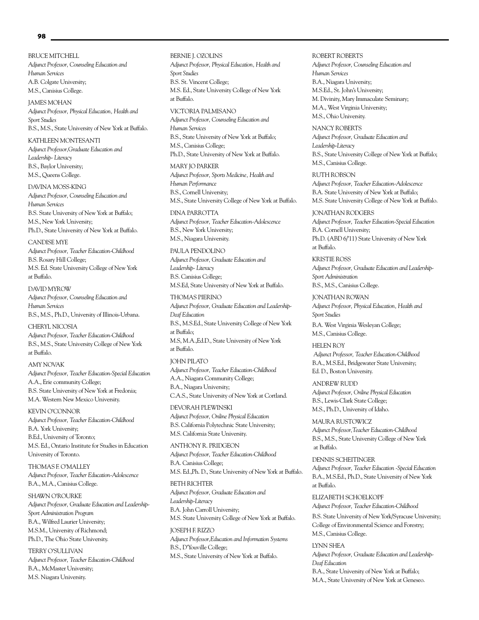BRUCE MITCHELL *Adjunct Professor, Counseling Education and Human Services* A.B. Colgate University; M.S., Canisius College.

JAMES MOHAN *Adjunct Professor, Physical Education, Health and Sport Studies* B.S., M.S., State University of New York at Buffalo.

KATHLEEN MONTESANTI *Adjunct Professor,Graduate Education and Leadership- Literacy* B.S., Baylor University; M.S., Queens College.

DAVINA MOSS-KING *Adjunct Professor, Counseling Education and Human Services* B.S. State University of New York at Buffalo; M.S., New York University; Ph.D., State University of New York at Buffalo.

CANDISE MYE *Adjunct Professor, Teacher Education-Childhood* B.S. Rosary Hill College; M.S. Ed. State University College of New York at Buffalo.

DAVID MYROW *Adjunct Professor, Counseling Education and Human Services* B.S., M.S., Ph.D., University of Illinois-Urbana.

CHERYL NICOSIA *Adjunct Professor, Teacher Education-Childhood* B.S., M.S., State University College of New York at Buffalo.

AMY NOVAK *Adjunct Professor, Teacher Education-Special Education* A.A., Erie community College; B.S. State University of New York at Fredonia; M.A. Western New Mexico University.

KEVIN O'CONNOR *Adjunct Professor, Teacher Education-Childhood* B.A. York University; B.Ed., University of Toronto; M.S. Ed., Ontario Institute for Studies in Education University of Toronto.

THOMAS F. O'MALLEY *Adjunct Professor, Teacher Education-Adolescence*  B.A., M.A., Canisius College.

SHAWN O'ROURKE *Adjunct Professor, Graduate Education and Leadership-Sport Administration Program* B.A., Wilfred Laurier University; M.S.M., University of Richmond; Ph.D., The Ohio State University.

TERRY O'SULLIVAN *Adjunct Professor, Teacher Education-Childhood* B.A., McMaster University; M.S. Niagara University.

#### BERNIE J. OZOLINS

*Adjunct Professor, Physical Education, Health and Sport Studies* B.S. St. Vincent College; M.S. Ed., State University College of New York at Buffalo.

VICTORIA PALMISANO *Adjunct Professor, Counseling Education and Human Services* B.S., State University of New York at Buffalo; M.S., Canisius College; Ph.D., State University of New York at Buffalo.

MARY JO PARKER *Adjunct Professor, Sports Medicine, Health and Human Performance* B.S., Cornell University; M.S., State University College of New York at Buffalo.

DINA PARROTTA *Adjunct Professor, Teacher Education-Adolescence* B.S., New York University; M.S., Niagara University.

PAULA PENDOLINO *Adjunct Professor, Graduate Education and Leadership- Literacy* B.S. Canisius College; M.S.Ed, State University of New York at Buffalo.

THOMAS PIERINO *Adjunct Professor, Graduate Education and Leadership-Deaf Education* B.S., M.S.Ed., State University College of New York at Buffalo; M.S, M.A.,Ed.D., State University of New York at Buffalo.

JOHN PILATO *Adjunct Professor, Teacher Education-Childhood* A.A., Niagara Community College; B.A., Niagara University; C.A.S., State University of New York at Cortland.

DEVORAH PLEWINSKI *Adjunct Professor, Online Physical Education* B.S. California Polytechnic State University; M.S. California State University.

ANTHONY R. PRIDGEON *Adjunct Professor, Teacher Education-Childhood* B.A. Canisius College; M.S. Ed.,Ph. D., State University of New York at Buffalo.

BETH RICHTER *Adjunct Professor, Graduate Education and Leadership-Literacy* B.A. John Carroll University; M.S. State University College of New York at Buffalo.

JOSEPH F. RIZZO *Adjunct Professor,Education and Information Systems* B.S., D'Youville College; M.S., State University of New York at Buffalo.

#### ROBERT ROBERTS

*Adjunct Professor, Counseling Education and Human Services* B.A., Niagara University; M.S.Ed., St. John's University; M. Divinity, Mary Immaculate Seminary; M.A., West Virginia University; M.S., Ohio University.

NANCY ROBERTS *Adjunct Professor, Graduate Education and Leadership-Literacy* B.S., State University College of New York at Buffalo; M.S., Canisius College.

RUTH ROBSON *Adjunct Professor, Teacher Education-Adolescence* B.A. State University of New York at Buffalo; M.S. State University College of New York at Buffalo.

JONATHAN RODGERS *Adjunct Professor, Teacher Education-Special Education* B.A. Cornell University; Ph.D. (ABD 6/'11) State University of New York at Buffalo.

KRISTIE ROSS *Adjunct Professor, Graduate Education and Leadership-Sport Administration* B.S., M.S., Canisius College.

JONATHAN ROWAN *Adjunct Professor, Physical Education, Health and Sport Studies* B.A. West Virginia Wesleyan College;

M.S., Canisius College. HELEN ROY

 *Adjunct Professor, Teacher Education-Childhood* B.A., M.S.Ed., Bridgewater State University; Ed. D., Boston University.

ANDREW RUDD *Adjunct Professor, Online Physical Education* B.S., Lewis-Clark State College; M.S., Ph.D., University of Idaho.

MAURA RUSTOWICZ *Adjunct Professor,Teacher Education-Childhood* B.S., M.S., State University College of New York at Buffalo.

DENNIS SCHEITINGER *Adjunct Professor, Teacher Education -Special Education* B.A., M.S.Ed., Ph.D., State University of New York at Buffalo.

### ELIZABETH SCHOELKOPF

*Adjunct Professor, Teacher Education-Childhood* B.S. State University of New York/Syracuse University; College of Environmental Science and Forestry; M.S., Canisius College.

## LYNN SHEA

*Adjunct Professor, Graduate Education and Leadership-Deaf Education* B.A., State University of New York at Buffalo; M.A., State University of New York at Geneseo.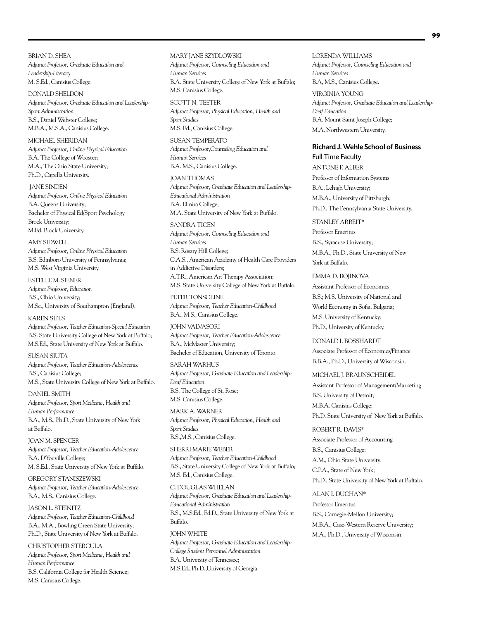BRIAN D. SHEA *Adjunct Professor, Graduate Education and Leadership-Literacy* M. S.Ed., Canisius College.

DONALD SHELDON *Adjunct Professor, Graduate Education and Leadership-Sport Administration* B.S., Daniel Webster College; M.B.A., M.S.A., Canisius College.

MICHAEL SHERIDAN *Adjunct Professor, Online Physical Education* B.A. The College of Wooster; M.A., The Ohio State University; Ph.D., Capella University.

 JANE SINDEN *Adjunct Professor, Online Physical Education* B.A. Queens University; Bachelor of Physical Ed/Sport Psychology Brock University; M.Ed. Brock University.

AMY SIDWELL *Adjunct Professor, Online Physical Education* B.S. Edinboro University of Pennsylvania; M.S. West Virginia University.

ESTELLE M. SIENER *Adjunct Professor, Education* B.S., Ohio University; M.Sc., University of Southampton (England).

KAREN SIPES *Adjunct Professor, Teacher Education-Special Education* B.S. State University College of New York at Buffalo; M.S.Ed., State University of New York at Buffalo.

SUSAN SIUTA *Adjunct Professor, Teacher Education-Adolescence* B.S., Canisius College; M.S., State University College of New York at Buffalo.

DANIEL SMITH *Adjunct Professor, Sport Medicine, Health and Human Performance* B.A., M.S., Ph.D., State University of New York at Buffalo.

JOAN M. SPENCER *Adjunct Professor, Teacher Education-Adolescence* B.A. D'Youville College; M. S.Ed., State University of New York at Buffalo.

GREGORY STANISZEWSKI *Adjunct Professor, Teacher Education-Adolescence* B.A., M.S., Canisius College.

JASON L. STEINITZ *Adjunct Professor, Teacher Education-Childhood* B.A., M.A., Bowling Green State University; Ph.D., State University of New York at Buffalo.

CHRISTOPHER STERCULA *Adjunct Professor, Sport Medicine, Health and Human Performance* B.S. California College for Health Science; M.S. Canisius College.

#### MARY JANE SZYDLOWSKI

*Adjunct Professor, Counseling Education and Human Services* B.A. State University College of New York at Buffalo; M.S. Canisius College.

SCOTT N. TEETER *Adjunct Professor, Physical Education, Health and Sport Studies* M.S. Ed., Canisius College.

SUSAN TEMPERATO *Adjunct Professor,Counseling Education and Human Services* B.A. M.S., Canisius College.

JOAN THOMAS *Adjunct Professor, Graduate Education and Leadership-Educational Administration* B.A. Elmira College; M.A. State University of New York at Buffalo.

SANDRA TICEN *Adjunct Professor, Counseling Education and Human Services* B.S. Rosary Hill College; C.A.S., American Academy of Health Care Providers in Addictive Disorders; A.T.R., American Art Therapy Association; M.S. State University College of New York at Buffalo.

PETER TONSOLINE *Adjunct Professor, Teacher Education-Childhood* B.A., M.S., Canisius College.

JOHN VALVASORI *Adjunct Professor, Teacher Education-Adolescence* B.A., McMaster University; Bachelor of Education, University of Toronto.

SARAH WARHUS *Adjunct Professor, Graduate Education and Leadership-Deaf Education* B.S. The College of St. Rose; M.S. Canisius College.

MARK A. WARNER *Adjunct Professor, Physical Education, Health and Sport Studies* B.S.,M.S., Canisius College.

SHERRI MARIE WEBER *Adjunct Professor, Teacher Education-Childhood* B.S., State University College of New York at Buffalo; M.S. Ed., Canisius College.

C. DOUGLAS WHELAN *Adjunct Professor, Graduate Education and Leadership-Educational Administration* B.S., M.S.Ed., Ed.D., State University of New York at Buffalo.

JOHN WHITE *Adjunct Professor, Graduate Education and Leadership-College Student Personnel Administration* B.A. University of Tennessee; M.S.Ed., Ph.D.,University of Georgia.

LORENDA WILLIAMS *Adjunct Professor, Counseling Education and Human Services* B.A, M.S., Canisius College.

VIRGINIA YOUNG *Adjunct Professor, Graduate Education and Leadership-Deaf Education*  B.A. Mount Saint Joseph College; M.A. Northwestern University.

## Richard J. Wehle School of Business

Full Time Faculty ANTONE F. ALBER Professor of Information Systems B.A., Lehigh University; M.B.A., University of Pittsburgh; Ph.D., The Pennsylvania State University.

STANLEY ARBEIT\* Professor Emeritus B.S., Syracuse University; M.B.A., Ph.D., State University of New York at Buffalo.

EMMA D. BOJINOVA Assistant Professor of Economics B.S.; M.S. University of National and World Economy in Sofia, Bulgaria; M.S. University of Kentucky; Ph.D., University of Kentucky.

DONALD I. BOSSHARDT Associate Professor of Economics/Finance B.B.A., Ph.D., University of Wisconsin.

MICHAEL J. BRAUNSCHEIDEL Assistant Professor of Management/Marketing B.S. University of Detroit; M.B.A. Canisius College; Ph.D. State University of New York at Buffalo.

ROBERT R. DAVIS\* Associate Professor of Accounting B.S., Canisius College;

A.M., Ohio State University;

C.P.A., State of New York;

Ph.D., State University of New York at Buffalo.

ALAN I. DUCHAN\*

Professor Emeritus B.S., Carnegie-Mellon University; M.B.A., Case-Western Reserve University; M.A., Ph.D., University of Wisconsin.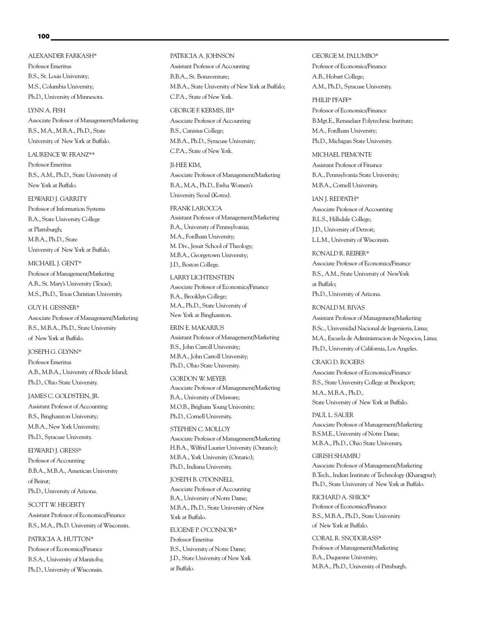#### **100**

ALEXANDER FARKASH\* Professor Emeritus B.S., St. Louis University; M.S., Columbia University; Ph.D., University of Minnesota.

LYNN A. FISH Associate Professor of Management/Marketing B.S., M.A., M.B.A., Ph.D., State University of New York at Buffalo.

LAURENCE W. FRANZ\*\* Professor Emeritus B.S., A.M., Ph.D., State University of New York at Buffalo.

#### EDWARD J. GARRITY

Professor of Information Systems B.A., State University College at Plattsburgh; M.B.A., Ph.D., State University of New York at Buffalo.

MICHAEL J. GENT\*

Professor of Management/Marketing A.B., St. Mary's University (Texas); M.S., Ph.D., Texas Christian University.

GUY H. GESSNER\* Associate Professor of Management/Marketing B.S., M.B.A., Ph.D., State University of New York at Buffalo.

JOSEPH G. GLYNN\* Professor Emeritus A.B., M.B.A., University of Rhode Island; Ph.D., Ohio State University.

## JAMES C. GOLDSTEIN, JR.

Assistant Professor of Accounting B.S., Binghamton University; M.B.A., New York University; Ph.D., Syracuse University.

EDWARD J. GRESS\* Professor of Accounting B.B.A., M.B.A., American University of Beirut; Ph.D., University of Arizona.

SCOTT W. HEGERTY Assistant Professor of Economics/Finance B.S., M.A., Ph.D. University of Wisconsin.

PATRICIA A. HUTTON\* Professor of Economics/Finance B.S.A., University of Manitoba; Ph.D., University of Wisconsin.

#### PATRICIA A. JOHNSON

Assistant Professor of Accounting B.B.A., St. Bonaventure; M.B.A., State University of New York at Buffalo; C.P.A., State of New York.

GEORGE F. KERMIS, III\*

Associate Professor of Accounting B.S., Canisius College; M.B.A., Ph.D., Syracuse University; C.P.A., State of New York.

JI-HEE KIM,

Associate Professor of Management/Marketing B.A., M.A., Ph.D., Ewha Women's University Seoul (Korea).

FRANK LAROCCA Assistant Professor of Management/Marketing B.A., University of Pennsylvania; M.A., Fordham University; M. Div., Jesuit School of Theology; M.B.A., Georgetown University; J.D., Boston College.

LARRY LICHTENSTEIN Associate Professor of Economics/Finance B.A., Brooklyn College; M.A., Ph.D., State University of New York at Binghamton.

ERIN E. MAKARIUS Assistant Professor of Management/Marketing B.S., John Carroll University; M.B.A., John Carroll University; Ph.D., Ohio State University.

GORDON W. MEYER Associate Professor of Management/Marketing B.A., University of Delaware; M.O.B., Brigham Young University; Ph.D., Cornell University.

STEPHEN C. MOLLOY Associate Professor of Management/Marketing H.B.A., Wilfrid Laurier University (Ontario); M.B.A., York University (Ontario); Ph.D., Indiana University.

JOSEPH B. O'DONNELL

Associate Professor of Accounting B.A., University of Notre Dame; M.B.A., Ph.D., State University of New York at Buffalo.

EUGENE P. O'CONNOR\* Professor Emeritus B.S., University of Notre Dame; J.D., State University of New York at Buffalo.

GEORGE M. PALUMBO\* Professor of Economics/Finance A.B., Hobart College; A.M., Ph.D., Syracuse University.

PHILIP PFAFF\* Professor of Economics/Finance B.Mgt.E., Rensselaer Polytechnic Institute; M.A., Fordham University; Ph.D., Michigan State University.

MICHAEL PIEMONTE Assistant Professor of Finance B.A., Pennsylvania State University; M.B.A., Cornell University.

IAN J. REDPATH\* Associate Professor of Accounting B.L.S., Hillsdale College; J.D., University of Detroit; L.L.M., University of Wisconsin.

RONALD R. REIBER\* Associate Professor of Economics/Finance B.S., A.M., State University of NewYork at Buffalo;

Ph.D., University of Arizona.

RONALD M. RIVAS Assistant Professor of Management/Marketing

B.Sc., Universidad Nacional de Ingenieria, Lima; M.A., Escuela de Administracion de Negocios, Lima; Ph.D., University of California, Los Angeles.

CRAIG D. ROGERS Associate Professor of Economics/Finance B.S., State University College at Brockport; M.A., M.B.A., Ph.D., State University of New York at Buffalo.

PAUL L. SAUER Associate Professor of Management/Marketing B.S.M.E., University of Notre Dame; M.B.A., Ph.D., Ohio State University.

GIRISH SHAMBU Associate Professor of Management/Marketing B.Tech., Indian Institute of Technology (Kharagpur); Ph.D., State University of New York at Buffalo.

RICHARD A. SHICK\* Professor of Economics/Finance B.S., M.B.A., Ph.D., State University of New York at Buffalo.

CORAL R. SNODGRASS\* Professor of Management/Marketing B.A., Duquesne University; M.B.A., Ph.D., University of Pittsburgh.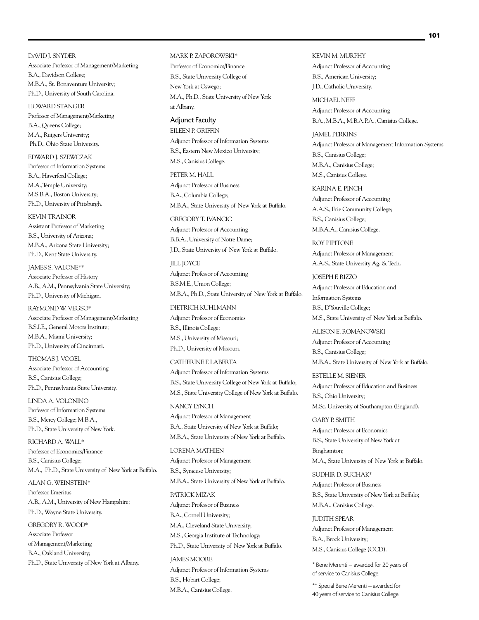DAVID J. SNYDER Associate Professor of Management/Marketing B.A., Davidson College; M.B.A., St. Bonaventure University; Ph.D., University of South Carolina.

HOWARD STANGER Professor of Management/Marketing B.A., Queens College; M.A., Rutgers University; Ph.D., Ohio State University.

EDWARD J. SZEWCZAK Professor of Information Systems B.A., Haverford College; M.A.,Temple University; M.S.B.A., Boston University; Ph.D., University of Pittsburgh.

KEVIN TRAINOR Assistant Professor of Marketing B.S., University of Arizona; M.B.A., Arizona State University; Ph.D., Kent State University.

JAMES S. VALONE\*\* Associate Professor of History A.B., A.M., Pennsylvania State University; Ph.D., University of Michigan.

RAYMOND W. VEGSO\* Associate Professor of Management/Marketing B.S.I.E., General Motors Institute; M.B.A., Miami University; Ph.D., University of Cincinnati.

THOMAS J. VOGEL Associate Professor of Accounting B.S., Canisius College; Ph.D., Pennsylvania State University.

LINDA A. VOLONINO Professor of Information Systems B.S., Mercy College; M.B.A., Ph.D., State University of New York.

RICHARD A. WALL\* Professor of Economics/Finance B.S., Canisius College; M.A., Ph.D., State University of New York at Buffalo.

ALAN G. WEINSTEIN\* Professor Emeritus A.B., A.M., University of New Hampshire; Ph.D., Wayne State University.

GREGORY R. WOOD\* Associate Professor of Management/Marketing B.A., Oakland University; Ph.D., State University of New York at Albany.

#### MARK P. ZAPOROWSKI\*

Professor of Economics/Finance B.S., State University College of New York at Oswego; M.A., Ph.D., State University of New York at Albany.

Adjunct Faculty EILEEN P. GRIFFIN Adjunct Professor of Information Systems B.S., Eastern New Mexico University; M.S., Canisius College.

PETER M. HALL Adjunct Professor of Business B.A., Columbia College; M.B.A., State University of New York at Buffalo.

GREGORY T. IVANCIC Adjunct Professor of Accounting B.B.A., University of Notre Dame; J.D., State University of New York at Buffalo.

JILL JOYCE Adjunct Professor of Accounting B.S.M.E., Union College; M.B.A., Ph.D., State University of New York at Buffalo.

DIETRICH KUHLMANN Adjunct Professor of Economics B.S., Illinois College; M.S., University of Missouri; Ph.D., University of Missouri.

CATHERINE F. LABERTA Adjunct Professor of Information Systems B.S., State University College of New York at Buffalo; M.S., State University College of New York at Buffalo.

NANCY LYNCH Adjunct Professor of Management B.A., State University of New York at Buffalo; M.B.A., State University of New York at Buffalo.

LORENA MATHIEN Adjunct Professor of Management B.S., Syracuse University; M.B.A., State University of New York at Buffalo. PATRICK MIZAK Adjunct Professor of Business B.A., Cornell University; M.A., Cleveland State University; M.S., Georgia Institute of Technology; Ph.D., State University of New York at Buffalo. JAMES MOORE Adjunct Professor of Information Systems B.S., Hobart College; M.B.A., Canisius College.

KEVIN M. MURPHY Adjunct Professor of Accounting B.S., American University; J.D., Catholic University.

MICHAEL NEFF Adjunct Professor of Accounting B.A., M.B.A., M.B.A.P.A., Canisius College.

JAMEL PERKINS Adjunct Professor of Management Information Systems B.S., Canisius College; M.B.A., Canisius College; M.S., Canisius College.

KARINA E. PINCH Adjunct Professor of Accounting A.A.S., Erie Community College; B.S., Canisius College; M.B.A.A., Canisius College.

ROY PIPITONE Adjunct Professor of Management A.A.S., State University Ag. & Tech.

JOSEPH F. RIZZO Adjunct Professor of Education and Information Systems B.S., D'Youville College; M.S., State University of New York at Buffalo.

ALISON E. ROMANOWSKI Adjunct Professor of Accounting B.S., Canisius College; M.B.A., State University of New York at Buffalo.

ESTELLE M. SIENER Adjunct Professor of Education and Business B.S., Ohio University; M.Sc. University of Southampton (England).

GARY P. SMITH Adjunct Professor of Economics B.S., State University of New York at Binghamton; M.A., State University of New York at Buffalo.

SUDHIR D. SUCHAK\* Adjunct Professor of Business B.S., State University of New York at Buffalo; M.B.A., Canisius College.

JUDITH SPEAR Adjunct Professor of Management B.A., Brock University; M.S., Canisius College (OCD).

\* Bene Merenti — awarded for 20 years of of service to Canisius College.

\*\* Special Bene Merenti — awarded for 40 years of service to Canisius College.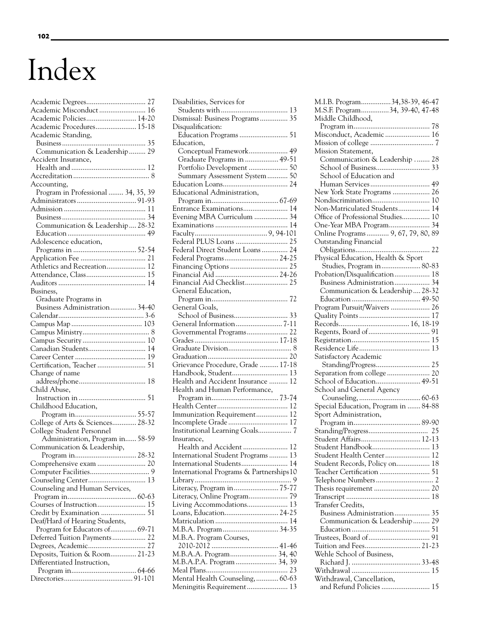# Index

| Academic Misconduct  16             |  |
|-------------------------------------|--|
| Academic Policies 14-20             |  |
| Academic Procedures 15-18           |  |
| Academic Standing,                  |  |
|                                     |  |
| Communication & Leadership 29       |  |
| Accident Insurance,                 |  |
|                                     |  |
|                                     |  |
| Accounting,                         |  |
| Program in Professional  34, 35, 39 |  |
|                                     |  |
|                                     |  |
|                                     |  |
| Communication & Leadership 28-32    |  |
|                                     |  |
| Adolescence education,              |  |
|                                     |  |
|                                     |  |
| Athletics and Recreation 12         |  |
| Attendance, Class 15                |  |
|                                     |  |
| Business,                           |  |
| Graduate Programs in                |  |
| Business Administration 34-40       |  |
|                                     |  |
|                                     |  |
|                                     |  |
|                                     |  |
| Canadian Students 14                |  |
|                                     |  |
| Certification, Teacher  51          |  |
| Change of name                      |  |
|                                     |  |
| Child Abuse,                        |  |
|                                     |  |
| Childhood Education,                |  |
|                                     |  |
| College of Arts & Sciences 28-32    |  |
| College Student Personnel           |  |
| Administration, Program in 58-59    |  |
| Communication & Leadership,         |  |
|                                     |  |
| Comprehensive exam  20              |  |
|                                     |  |
| Counseling Center 13                |  |
| Counseling and Human Services,      |  |
|                                     |  |
| Courses of Instruction 15           |  |
| Credit by Examination  51           |  |
| Deaf/Hard of Hearing Students,      |  |
| Program for Educators of 69-71      |  |
| Deferred Tuition Payments 22        |  |
| Degrees, Academic 27                |  |
| Deposits, Tuition & Room 21-23      |  |
| Differentiated Instruction,         |  |
|                                     |  |
|                                     |  |

| Disabilities, Services for              |   |
|-----------------------------------------|---|
|                                         |   |
| Dismissal: Business Programs 35         |   |
| Disqualification:                       |   |
|                                         |   |
| Education,                              |   |
| Conceptual Framework 49                 |   |
| Graduate Programs in  49-51             |   |
| Portfolio Development  50               |   |
| Summary Assessment System 50            |   |
|                                         |   |
| Educational Administration,             |   |
|                                         |   |
| Entrance Examinations 14                |   |
| Evening MBA Curriculum  34              |   |
|                                         |   |
|                                         |   |
| Federal PLUS Loans  25                  |   |
| Federal Direct Student Loans 24         |   |
| Federal Programs 24-25                  |   |
|                                         |   |
| Financial Aid  24-26                    |   |
| Financial Aid Checklist 25              |   |
| General Education,                      |   |
|                                         |   |
| General Goals,                          |   |
|                                         |   |
|                                         |   |
| Governmental Programs 22                |   |
|                                         |   |
|                                         |   |
| Grievance Procedure, Grade  17-18       |   |
| Handbook, Student 13                    |   |
| Health and Accident Insurance  12       |   |
| Health and Human Performance,           |   |
|                                         |   |
|                                         |   |
| Immunization Requirement 12             |   |
|                                         |   |
| Institutional Learning Goals 7          |   |
| Insurance,                              |   |
| Health and Accident  12                 |   |
| International Student Programs 13       |   |
| International Students 14               |   |
| International Programs & Partnerships10 |   |
|                                         | 9 |
| Literacy, Program in 75-77              |   |
| Literacy, Online Program 79             |   |
| Living Accommodations 13                |   |
| Loans, Education 24-25                  |   |
|                                         |   |
| M.B.A. Program Courses,                 |   |
|                                         |   |
| M.B.A.A. Program 34, 40                 |   |
| M.B.A.P.A. Program  34, 39              |   |
|                                         |   |
| Mental Health Counseling,  60-63        |   |
| Meningitis Requirement 13               |   |
|                                         |   |

| M.I.B. Program34,38-39, 46-47<br>M.S.F. Program34, 39-40, 47-48<br>Middle Childhood, |
|--------------------------------------------------------------------------------------|
|                                                                                      |
| Misconduct, Academic  16                                                             |
|                                                                                      |
|                                                                                      |
| Mission Statement,                                                                   |
| Communication & Leadership  28                                                       |
|                                                                                      |
| School of Education and                                                              |
|                                                                                      |
| New York State Programs  26                                                          |
|                                                                                      |
| Non-Matriculated Students 14                                                         |
| Office of Professional Studies 10                                                    |
| One-Year MBA Program 34                                                              |
| Online Programs  9, 67, 79, 80, 89                                                   |
| Outstanding Financial                                                                |
|                                                                                      |
| Physical Education, Health & Sport                                                   |
| Studies, Program in 80-83                                                            |
| Probation/Disqualification 18                                                        |
|                                                                                      |
| Business Administration 34                                                           |
| Communication & Leadership 28-32                                                     |
|                                                                                      |
| Program Pursuit/Waivers  26                                                          |
|                                                                                      |
|                                                                                      |
|                                                                                      |
|                                                                                      |
|                                                                                      |
| Satisfactory Academic                                                                |
|                                                                                      |
| Separation from college  20                                                          |
| School of Education 49-51                                                            |
| School and General Agency                                                            |
|                                                                                      |
| Special Education, Program in  84-88                                                 |
| Sport Administration,                                                                |
|                                                                                      |
|                                                                                      |
|                                                                                      |
| Student Affairs 12-13                                                                |
| Student Handbook 13                                                                  |
| Student Health Center 12                                                             |
| Student Records, Policy on 18                                                        |
| Teacher Certification  51                                                            |
|                                                                                      |
|                                                                                      |
|                                                                                      |
| Transfer Credits,                                                                    |
| Business Administration 35                                                           |
| Communication & Leadership 29                                                        |
|                                                                                      |
|                                                                                      |
| Tuition and Fees 21-23                                                               |
| Wehle School of Business,                                                            |
|                                                                                      |
|                                                                                      |
|                                                                                      |
| Withdrawal, Cancellation,                                                            |
| and Refund Policies  15                                                              |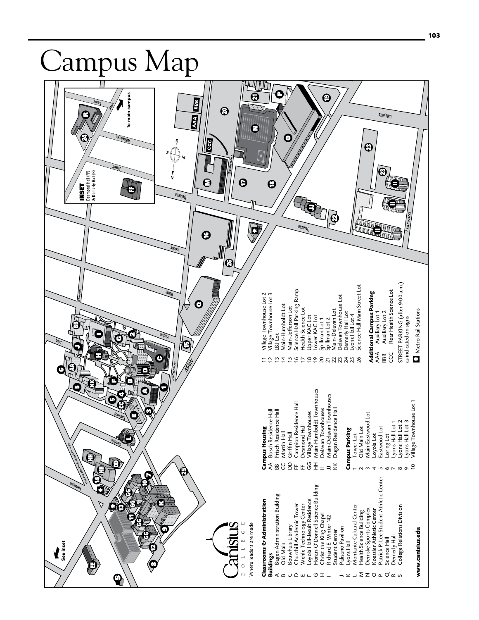